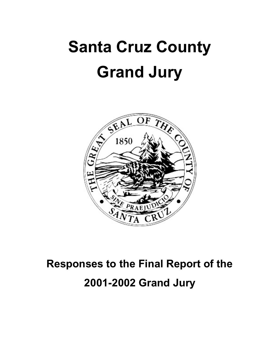# **Santa Cruz County Grand Jury**



### **Responses to the Final Report of the 2001-2002 Grand Jury**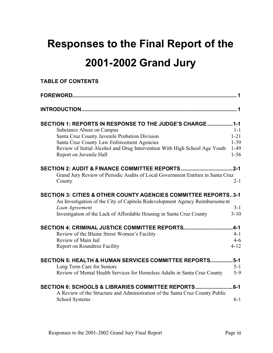### **Responses to the Final Report of the 2001-2002 Grand Jury**

#### **TABLE OF CONTENTS**

| SECTION 1: REPORTS IN RESPONSE TO THE JUDGE'S CHARGE1-1                                                                                                  |                      |
|----------------------------------------------------------------------------------------------------------------------------------------------------------|----------------------|
| <b>Substance Abuse on Campus</b>                                                                                                                         | $1 - 1$              |
| Santa Cruz County Juvenile Probation Division                                                                                                            | $1 - 21$<br>$1 - 39$ |
| Santa Cruz County Law Enforcement Agencies<br>Review of Initial Alcohol and Drug Intervention With High School Age Youth                                 | $1-49$               |
| Report on Juvenile Hall                                                                                                                                  | $1 - 56$             |
| SECTION 2: AUDIT & FINANCE COMMITTEE REPORTS                                                                                                             | 2-1                  |
| Grand Jury Review of Periodic Audits of Local Government Entities in Santa Cruz<br>County                                                                | $2 - 1$              |
| <b>SECTION 3: CITIES &amp; OTHER COUNTY AGENCIES COMMITTEE REPORTS3-1</b><br>An Investigation of the City of Capitola Redevelopment Agency Reimbursement |                      |
| Loan Agreement                                                                                                                                           | $3 - 1$              |
| Investigation of the Lack of Affordable Housing in Santa Cruz County                                                                                     | $3 - 10$             |
|                                                                                                                                                          |                      |
| Review of the Blaine Street Women's Facility                                                                                                             | $4 - 1$              |
| Review of Main Jail                                                                                                                                      | $4 - 6$              |
| Report on Roundtree Facility                                                                                                                             | $4 - 12$             |
| SECTION 5: HEALTH & HUMAN SERVICES COMMITTEE REPORTS                                                                                                     | $5-1$                |
| Long Term Care for Seniors                                                                                                                               | $5 - 1$              |
| Review of Mental Health Services for Homeless Adults in Santa Cruz County                                                                                | $5 - 9$              |
| <b>SECTION 6: SCHOOLS &amp; LIBRARIES COMMITTEE REPORTS</b><br>A Review of the Structure and Administration of the Santa Cruz County Public              | $6 - 1$              |
| <b>School Systems</b>                                                                                                                                    | $6 - 1$              |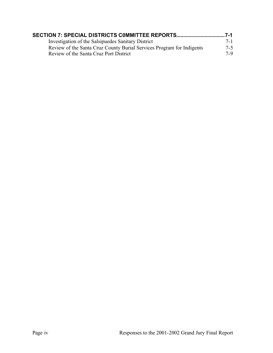| Investigation of the Salsipuedes Sanitary District                    | $7 - 1$ |
|-----------------------------------------------------------------------|---------|
| Review of the Santa Cruz County Burial Services Program for Indigents | $7 - 5$ |
| Review of the Santa Cruz Port District                                | $7-9$   |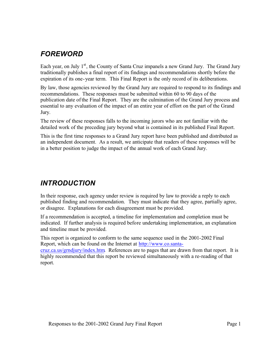#### *FOREWORD*

Each year, on July  $1<sup>st</sup>$ , the County of Santa Cruz impanels a new Grand Jury. The Grand Jury traditionally publishes a final report of its findings and recommendations shortly before the expiration of its one-year term. This Final Report is the only record of its deliberations.

By law, those agencies reviewed by the Grand Jury are required to respond to its findings and recommendations. These responses must be submitted within 60 to 90 days of the publication date of the Final Report. They are the culmination of the Grand Jury process and essential to any evaluation of the impact of an entire year of effort on the part of the Grand Jury.

The review of these responses falls to the incoming jurors who are not familiar with the detailed work of the preceding jury beyond what is contained in its published Final Report.

This is the first time responses to a Grand Jury report have been published and distributed as an independent document. As a result, we anticipate that readers of these responses will be in a better position to judge the impact of the annual work of each Grand Jury.

#### *INTRODUCTION*

In their response, each agency under review is required by law to provide a reply to each published finding and recommendation. They must indicate that they agree, partially agree, or disagree. Explanations for each disagreement must be provided.

If a recommendation is accepted, a timeline for implementation and completion must be indicated. If further analysis is required before undertaking implementation, an explanation and timeline must be provided.

This report is organized to conform to the same sequence used in the 2001-2002 Final Report, which can be found on the Internet at http://www.co.santa-

cruz.ca.us/grndjury/index.htm. References are to pages that are drawn from that report. It is highly recommended that this report be reviewed simultaneously with a re-reading of that report.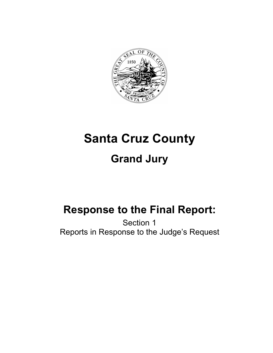

## **Santa Cruz County Grand Jury**

### **Response to the Final Report:**

Section 1 Reports in Response to the Judge's Request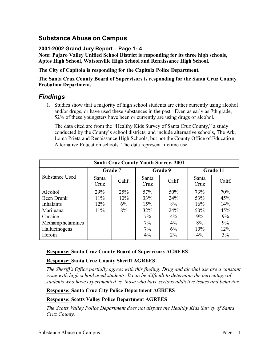#### **Substance Abuse on Campus**

#### **2001-2002 Grand Jury Report – Page 1- 4**

**Note: Pajaro Valley Unified School District is responding for its three high schools, Aptos High School, Watsonville High School and Renaissance High School.**

**The City of Capitola is responding for the Capitola Police Department.**

**The Santa Cruz County Board of Supervisors is responding for the Santa Cruz County Probation Department.**

#### *Findings*

1. Studies show that a majority of high school students are either currently using alcohol and/or drugs, or have used these substances in the past. Even as early as 7th grade, 52% of these youngsters have been or currently are using drugs or alcohol.

The data cited are from the "Healthy Kids Survey of Santa Cruz County," a study conducted by the County's school districts, and include alternative schools, The Ark, Loma Prieta and Renaissance High Schools, but not the County Office of Education Alternative Education schools. The data represent lifetime use.

|                   |               |         |               | <b>Santa Cruz County Youth Survey, 2001</b> |               |          |
|-------------------|---------------|---------|---------------|---------------------------------------------|---------------|----------|
|                   |               | Grade 7 |               | Grade 9                                     |               | Grade 11 |
| Substance Used    | Santa<br>Cruz | Calif.  | Santa<br>Cruz | Calif.                                      | Santa<br>Cruz | Calif.   |
| Alcohol           | 29%           | 25%     | 57%           | 50%                                         | 73%           | 70%      |
| Been Drunk        | $11\%$        | 10%     | 33%           | 24%                                         | 53%           | 45%      |
| Inhalants         | 12%           | $6\%$   | 15%           | 8%                                          | 16%           | 14%      |
| Marijuana         | $11\%$        | 8%      | 32%           | 24%                                         | 50%           | 45%      |
| Cocaine           |               |         | $7\%$         | $4\%$                                       | 9%            | 9%       |
| Methamp hetamines |               |         | $7\%$         | $4\%$                                       | 8%            | 9%       |
| Hallucinogens     |               |         | $7\%$         | 6%                                          | 10%           | 12%      |
| Heroin            |               |         | $4\%$         | $2\%$                                       | $4\%$         | 3%       |

#### **Response: Santa Cruz County Board of Supervisors AGREES**

#### **Response: Santa Cruz County Sheriff AGREES**

*The Sheriff's Office partially agrees with this finding. Drug and alcohol use are a constant issue with high school aged students. It can be difficult to determine the percentage of students who have experimented vs. those who have serious addictive issues and behavior.*

#### **Response: Santa Cruz City Police Department AGREES**

#### **Response: Scotts Valley Police Department AGREES**

*The Scotts Valley Police Department does not dispute the Healthy Kids Survey of Santa Cruz County.*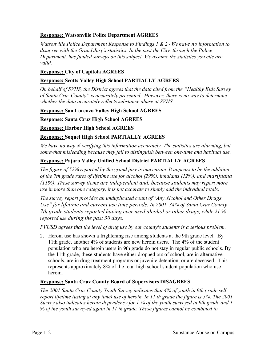#### **Response: Watsonville Police Department AGREES**

*Watsonville Police Department Response to Findings 1 & 2 - We have no information to disagree with the Grand Jury's statistics. In the past the City, through the Police Department, has funded surveys on this subject. We assume the statistics you cite are valid.*

#### **Response: City of Capitola AGREES**

#### **Response: Scotts Valley High School PARTIALLY AGREES**

*On behalf of SVHS, the District agrees that the data cited from the "Healthy Kids Survey of Santa Cruz County" is accurately presented. However, there is no way to determine whether the data accurately reflects substance abuse at SVHS.* 

#### **Response: San Lorenzo Valley High School AGREES**

**Response: Santa Cruz High School AGREES**

#### **Response: Harbor High School AGREES**

#### **Response: Soquel High School PARTIALLY AGREES**

*We have no way* of *verifying this information accurately. The statistics are alarming, but somewhat misleading because they fail to distinguish between one-time and habitual use.* 

#### **Response: Pajaro Valley Unified School District PARTIALLY AGREES**

*The figure of 52% reported by the grand jury is inaccurate. It appears to be the addition of the 7th grade rates of lifetime use for alcohol (29%), inhalants (12%), and marijuana (11%). These survey items are independent and, because students may report more use in more than one category, it is not accurate to simply add the individual totals.* 

*The survey report provides an unduplicated count of "Any Alcohol and Other Drugs Use" for lifetime and current use time periods. In 2001, 34% of Santa Cruz County 7th grade students reported having ever used alcohol or other drugs, while 21 % reported use during the past 30 days.* 

*PVUSD agrees that the level of drug use by our county's students is a serious problem.* 

2. Heroin use has shown a frightening rise among students at the 9th grade level. By 11th grade, another 4% of students are new heroin users. The 4% of the student population who are heroin users in 9th grade do not stay in regular public schools. By the 11th grade, these students have either dropped out of school, are in alternative schools, are in drug treatment programs or juvenile detention, or are deceased. This represents approximately 8% of the total high school student population who use heroin.

#### **Response: Santa Cruz County Board of Supervisors DISAGREES**

*The 2001 Santa Cruz County Youth Survey indicates that 4% of youth in 9th grade self report lifetime (using at any time) use of heroin. In 11 th grade the figure is 5%. The 2001 Survey also indicates heroin dependency for 1 % of the youth surveyed in 9th grade and 1 % of the youth surveyed again in 11 th grade. These figures cannot be combined to*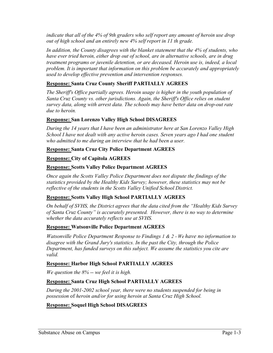*indicate that all of the 4% of 9th graders who self report any amount of heroin use drop out of high school and an entirely new 4% self report in 11 th grade.*

*In addition, the County disagrees with the blanket statement that the 4% of students, who have ever tried heroin, either drop out of school, are in alternative schools, are in drug treatment programs or juvenile detention, or are deceased. Heroin use is, indeed, a local problem. It is important that information on this problem be accurately and appropriately used to develop effective prevention and intervention responses.* 

#### **Response: Santa Cruz County Sheriff PARTIALLY AGREES**

*The Sheriff's Office partially agrees. Heroin usage is higher in the youth population of Santa Cruz County vs. other jurisdictions. Again, the Sheriff's Office relies on student survey data, along with arrest data. The schools may have better data on drop-out rate due to heroin.*

#### **Response: San Lorenzo Valley High School DISAGREES**

*During the 14 years that I have been an administrator here at San Lorenzo Valley High School I have not dealt with any active heroin cases. Seven years ago I had one student*  who admitted to me during an interview that he had been a user.

#### **Response: Santa Cruz City Police Department AGREES**

#### **Response: City of Capitola AGREES**

#### **Response: Scotts Valley Police Department AGREES**

*Once again the Scotts Valley Police Department does not dispute the findings of the statistics provided by the Healthy Kids Survey; however, these statistics may not be reflective of the students in the Scotts Valley Unified School District.* 

#### **Response: Scotts Valley High School PARTIALLY AGREES**

*On behalf of SVHS, the District agrees that the data cited from the "Healthy Kids Survey of Santa Cruz County" is accurately presented. However, there is no way to determine whether the data accurately reflects use at SVHS.*

#### **Response: Watsonville Police Department AGREES**

*Watsonville Police Department Response to Findings 1 & 2 - We have no information to disagree with the Grand Jury's statistics. In the past the City, through the Police Department, has funded surveys on this subject. We assume the statistics you cite are valid.*

#### **Response: Harbor High School PARTIALLY AGREES**

*We question the 8% -- we feel it is high.* 

#### **Response: Santa Cruz High School PARTIALLY AGREES**

*During the 2001-2002 school year, there were no students suspended for being in possession* of *heroin and/or for using heroin at Santa Cruz High School.* 

#### **Response: Soquel High School DISAGREES**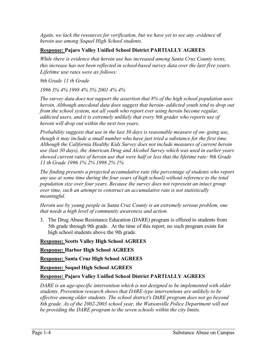*Again, we lack the resources for verification, but we have yet to see any <i>revidence* of *heroin use among Soquel High School students.* 

#### **Response: Pajaro Valley Unified School District PARTIALLY AGREES**

*While there is evidence that heroin use has increased among Santa Cruz County teens, this increase has not been reflected in school-based survey data over the last five years. Lifetime use rates were as follows:*

*9th Grade 11 th Grade* 

*1996 3% 4% 1998 4% 5% 2001 4% 4%* 

*The survey data does not support the assertion that 8% of the high school population uses heroin. Although anecdotal data does suggest that heroin- addicted youth tend to drop out from the school system, not all youth who report ever using heroin become regular, addicted users, and it is extremely unlikely that every 9th grader who reports use of heroin will drop out within the next two years.* 

*Probability suggests that use in the last 30 days is reasonable measure of on- going use, though it may include a small number who have just tried a substance for the first time. Although the California Healthy Kids Survey does not include measures of current heroin use (last 30 days), the American Drug and Alcohol Survey which was used in earlier years showed current rates of heroin use that were half or less that the lifetime rate: 9th Grade 11 th Grade 1996 1% 2% 1998 2% 1%* 

*The finding presents a projected accumulative rate (the percentage of students who report any use at some time during the four years of high school) without reference to the total population size over four years. Because the survey does not represent an intact group over time, such an attempt to construct an accumulative rate is not statistically meaningful.*

*Heroin use by young people in Santa Cruz County is an extremely serious problem, one that needs a high level of community awareness and action.* 

3. The Drug Abuse Resistance Education (DARE) program is offered to students from 5th grade through 9th grade. At the time of this report, no such program exists for high school students above the 9th grade.

**Response: Scotts Valley High School AGREES**

**Response: Harbor High School AGREES**

**Response: Santa Cruz High School AGREES**

**Response: Soquel High School AGREES**

#### **Response: Pajaro Valley Unified School District PARTIALLY AGREES**

*DARE is an age-specific intervention which is not designed to be implemented with older students. Prevention research shows that DARE-type interventions are unlikely to be effective among older students. The school district's DARE program does not go beyond 8th grade. As of the 2002-2003 school year, the Watsonville Police Department will not be providing the DARE program to the seven schools within the city limits.*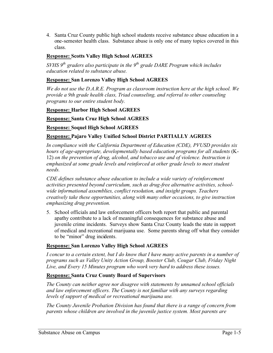4. Santa Cruz County public high school students receive substance abuse education in a one-semester health class. Substance abuse is only one of many topics covered in this class.

#### **Response: Scotts Valley High School AGREES**

*SVHS* 9<sup>th</sup> graders also participate in the 9<sup>th</sup> grade DARE Program which includes *education related to substance abuse.*

#### **Response: San Lorenzo Valley High School AGREES**

*We do not use the D.A.R.E. Program as classroom instruction here at the high school. We provide a 9th grade health class, Triad counseling, and referral to other counseling programs to our entire student body.* 

#### **Response: Harbor High School AGREES**

**Response: Santa Cruz High School AGREES**

**Response: Soquel High School AGREES**

#### **Response: Pajaro Valley Unified School District PARTIALLY AGREES**

*In compliance with the California Department of Education (CDE), PVUSD provides six hours of age-appropriate, developmentally based education programs for all students* (K-12) *on the prevention of drug, alcohol, and tobacco use and of violence. Instruction is emphasized at some grade levels and reinforced at other grade levels to meet student needs.*

*CDE defines substance abuse education to include a wide variety of reinforcement activities presented beyond curriculum, such as drug-free alternative activities, schoolwide informational assemblies, conflict resolution, and insight groups. Teachers creatively take these opportunities, along with many other occasions, to give instruction emphasizing drug prevention.* 

5. School officials and law enforcement officers both report that public and parental apathy contribute to a lack of meaningful consequences for substance abuse and juvenile crime incidents. Surveys show Santa Cruz County leads the state in support of medical and recreational marijuana use. Some parents shrug off what they consider to be "minor" drug incidents.

#### **Response: San Lorenzo Valley High School AGREES**

*I concur to a certain extent, but I do know that I have many active parents in a number of programs such as Valley Unity Action Group, Booster Club, Cougar Club, Friday Night Live, and Every 15 Minutes program who work very hard to address these issues.* 

#### **Response: Santa Cruz County Board of Supervisors**

*The County can neither agree nor disagree with statements by unnamed school officials and law enforcement officers. The County is not familiar with any surveys regarding levels of support of medical or recreational marijuana use.* 

*The County Juvenile Probation Division has found that there is a range of concern from parents whose children are involved in the juvenile justice system. Most parents are*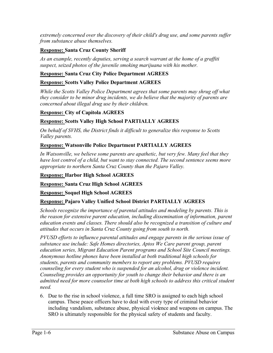*extremely concerned over the discovery of their child's drug use, and some parents suffer from substance abuse themselves.* 

#### **Response: Santa Cruz County Sheriff**

*As an example, recently deputies, serving a search warrant at the home of a graffiti suspect, seized photos of the juvenile smoking marijuana with his mother.* 

#### **Response: Santa Cruz City Police Department AGREES**

#### **Response: Scotts Valley Police Department AGREES**

*While the Scotts Valley Police Department agrees that some parents may shrug off what they consider to be minor drug incidents, we do believe that the majority of parents are concerned about illegal drug use by their children.* 

#### **Response: City of Capitola AGREES**

#### **Response: Scotts Valley High School PARTIALLY AGREES**

*On behalf of SVHS, the District finds it difficult to generalize this response to Scotts Valley parents.*

#### **Response: Watsonville Police Department PARTIALLY AGREES**

*In Watsonville, we believe some parents are apathetic, but very few. Many feel that they have lost control of a child, but want to stay connected. The second sentence seems more appropriate to northern Santa Cruz County than the Pajaro Valley.* 

#### **Response: Harbor High School AGREES**

**Response: Santa Cruz High School AGREES**

#### **Response: Soquel High School AGREES**

#### **Response: Pajaro Valley Unified School District PARTIALLY AGREES**

*Schools recognize the importance of parental attitudes and modeling by parents. This is the reason for extensive parent education, including dissemination of information, parent education events and classes. There should also be recognized a transition of culture and attitudes that occurs in Santa Cruz County going from south to north.* 

*PVUSD efforts to influence parental attitudes and engage parents in the serious issue of substance use include: Safe Homes directories, Aptos We Care parent group, parent education series, Migrant Education Parent programs and School Site Council meetings. Anonymous hotline phones have been installed at both traditional high schools for students, parents and community members to report any problems. PVUSD requires counseling for every student who is suspended for an alcohol, drug or violence incident. Counseling provides an opportunity for youth to change their behavior and there is an admitted need for more counselor time at both high schools to address this critical student need.*

6. Due to the rise in school violence, a full time SRO is assigned to each high school campus. These peace officers have to deal with every type of criminal behavior including vandalism, substance abuse, physical violence and weapons on campus. The SRO is ultimately responsible for the physical safety of students and faculty.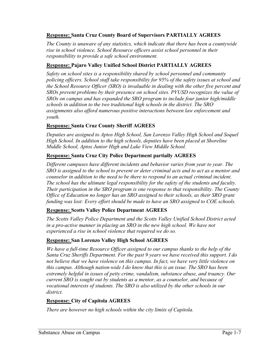#### **Response: Santa Cruz County Board of Supervisors PARTIALLY AGREES**

*The County is unaware of any statistics, which indicate that there has been a countywide rise in school violence. School Resource officers assist school personnel in their responsibility to provide a safe school environment.* 

#### **Response: Pajaro Valley Unified School District PARTIALLY AGREES**

*Safety on school sites is a responsibility shared by school personnel and community policing officers. School staff take responsibility for 95% of the safety issues at school and the School Resource Officer (SRO) is invaluable in dealing with the other five percent and SROs prevent problems by their presence on school sites. PVUSD recognizes the value of SROs on campus and has expanded the SRO program to include four junior high/middle schools in addition to the two traditional high schools in the district. The SRO assignments also afford numerous positive interactions between law enforcement and youth.*

#### **Response: Santa Cruz County Sheriff AGREES**

*Deputies are assigned to Aptos High School, San Lorenzo Valley High School and Soquel High School. In addition to the high schools, deputies have been placed at Shoreline Middle School, Aptos Junior High and Lake View Middle School.* 

#### **Response: Santa Cruz City Police Department partially AGREES**

*Different campuses have different incidents and behavior varies from year to year. The SRO is assigned to the school to prevent or deter criminal acts and to act as a mentor and counselor in addition to the need to be there to respond to an actual criminal incident. The school has the ultimate legal responsibility for the safety of the students and faculty. Their participation in the SRO program is one response to that responsibility. The County Office of Education no longer has an SRO assigned to their schools, as their SRO grant funding was lost: Every effort should be made to have an SRO assigned to COE schools.* 

#### **Response: Scotts Valley Police Department AGREES**

*The Scotts Valley Police Department and the Scotts Valley Unified School District acted in a pro-active manner in placing an SRO in the new high school. We have not experienced a rise in school violence that required we do so.* 

#### **Response: San Lorenzo Valley High School AGREES**

*We have a full-time Resource Officer assigned to our campus thanks to the help of the Santa Cruz Sheriffs Department. For the past 9 years we have received this support. I do not believe that we have violence on this campus. In fact, we have very little violence on this campus. Although nation-wide I do know that this is an issue. The SRO has been extremely helpful in issues of petty crime, vandalism, substance abuse, and truancy. Our current SRO is sought out by students as a mentor, as a counselor, and because of vocational interests of students. The SRO is also utilized by the other schools in our district.*

#### **Response: City of Capitola AGREES**

*There are however no high schools within the city limits of Capitola.*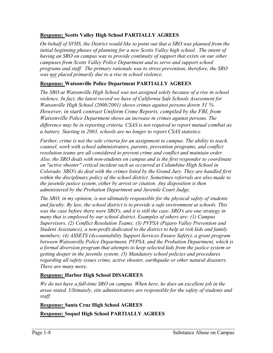#### **Response: Scotts Valley High School PARTIALLY AGREES**

*On behalf of SVHS, the District would like to point out that a SRO was planned from the initial beginning phases of planning for a new Scotts Valley high school. The intent of having an SRO on campus was to provide continuity of support that exists on our other campuses from Scotts Valley Police Department and to serve and support school programs and staff. The primary rationale was to stress prevention, therefore, the SRO was not placed primarily due to a rise in school violence.*

#### **Response: Watsonville Police Department PARTIALLY AGREES**

*The SRO at Watsonville High School was not assigned solely because of a rise in school violence. In fact, the latest record we have of California Safe Schools Assessment for Watsonville High School (2000/2001) shows crimes against persons down 31 %. However, in stark contrast Uniform Crime Reports, compiled by the FBI, from Watsonville Police Department shows an increase in crimes against persons. The difference may be in reporting criteria. CSAS is not required to report mutual combat as a battery. Starting in 2003, schools are no longer to report CSAS statistics.* 

*Further, crime is not the sole criteria for an assignment to campus. The ability to teach, counsel, work with school administrators, parents, prevention programs, and conflict resolution teams are all considered to prevent crime and conflict and maintain order. Also, the SRO deals with non-students on campus and is the first responder to coordinate an "active shooter" critical incident such as occurred at Columbine High School in Colorado. SRO's do deal with the crimes listed by the Grand Jury. They are handled first within the disciplinary policy of the school district. Sometimes referrals are also made to the juvenile justice system, either by arrest or citation. Any disposition is then administered by the Probation Department and Juvenile Court Judge.* 

*The SRO, in my opinion, is not ultimately responsible for the physical safety of students and faculty. By law, the school district is to provide a safe environment at schools. This was the case before there were SRO's, and it is still the case. SRO's are one strategy in many that is employed by our school district. Examples of others are: (1) Campus Supervisors, (2) Conflict Resolution Teams; (3) PVPSA (Pajaro Valley Prevention and Student Assistance), a non-profit dedicated to the district to help at risk kids and family members; (4) ASSETS (Accountability Support Services Ensure Safety), a grant program between Watsonville Police Department, PVPSA, and the Probation Department, which is a formal diversion program that attempts to keep selected kids from the justice system or getting deeper in the juvenile system; (5) Mandatory school policies and procedures regarding all safety issues crime, active shooter, earthquake or other natural disasters. There are many more.* 

#### **Response: Harbor High School DISAGREES**

*We do not have a full-time SRO on campus. When here, he does an excellent job in the areas stated. Ultimately, site administrators are responsible for the safety of students and staff.*

**Response: Santa Cruz High School AGREES Response: Soquel High School PARTIALLY AGREES**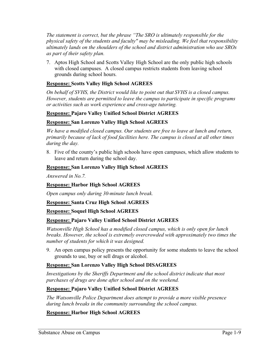*The statement is correct, but the phrase "The SRO is ultimately responsible for the physical safety of the students and faculty" may be misleading. We feel that responsibility ultimately lands on the shoulders of the school and district administration who use SROs as part of their safety plan.* 

7. Aptos High School and Scotts Valley High School are the only public high schools with closed campuses. A closed campus restricts students from leaving school grounds during school hours.

#### **Response: Scotts Valley High School AGREES**

*On behalf of SVHS, the District would like to point out that SVHS is a closed campus. However, students are permitted to leave the campus to participate in specific programs or activities such as work experience and cross-age tutoring.*

#### **Response: Pajaro Valley Unified School District AGREES**

#### **Response: San Lorenzo Valley High School AGREES**

*We have a modified closed campus. Our students are free to leave at lunch and return, primarily because of lack of food facilities here. The campus is closed at all other times during the day.* 

8. Five of the county's public high schools have open campuses, which allow students to leave and return during the school day.

#### **Response: San Lorenzo Valley High School AGREES**

*Answered in No.7.* 

#### **Response: Harbor High School AGREES**

*Open campus only during 30-minute lunch break.* 

#### **Response: Santa Cruz High School AGREES**

#### **Response: Soquel High School AGREES**

#### **Response: Pajaro Valley Unified School District AGREES**

*Watsonville High School has a modified closed campus, which is only open for lunch breaks. However, the school is extremely overcrowded with approximately two times the number of students for which it was designed.* 

9. An open campus policy presents the opportunity for some students to leave the school grounds to use, buy or sell drugs or alcohol.

#### **Response: San Lorenzo Valley High School DISAGREES**

*Investigations by the Sheriffs Department and the school district indicate that most purchases of drugs are done after school and on the weekend.* 

#### **Response: Pajaro Valley Unified School District AGREES**

*The Watsonville Police Department does attempt to provide a more visible presence during lunch breaks in the community surrounding the school campus.* 

#### **Response: Harbor High School AGREES**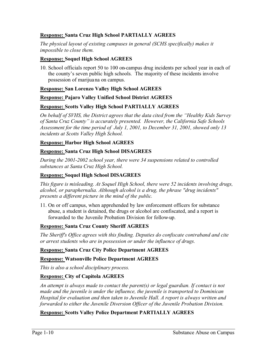#### **Response: Santa Cruz High School PARTIALLY AGREES**

*The physical layout of existing campuses in general (SCHS specifically) makes it impossible to close them.*

#### **Response: Soquel High School AGREES**

10. School officials report 50 to 100 on-campus drug incidents per school year in each of the county's seven public high schools. The majority of these incidents involve possession of marijuana on campus.

#### **Response: San Lorenzo Valley High School AGREES**

#### **Response: Pajaro Valley Unified School District AGREES**

#### **Response: Scotts Valley High School PARTIALLY AGREES**

*On behalf of SVHS, the District agrees that the data cited from the "Healthy Kids Survey of Santa Cruz County" is accurately presented. However, the California Safe Schools Assessment for the time period of July 1, 2001, to December 31, 2001, showed only 13 incidents at Scotts Valley High School.* 

#### **Response: Harbor High School AGREES**

#### **Response: Santa Cruz High School DISAGREES**

*During the 2001-2002 school year, there were 34 suspensions related to controlled substances at Santa Cruz High School.* 

#### **Response: Soquel High School DISAGREES**

*This figure is misleading. At Soquel High School, there were 52 incidents involving drugs, alcohol, or paraphernalia. Although alcohol is a drug, the phrase "drug incidents" presents a different picture in the mind of the public.*

11. On or off campus, when apprehended by law enforcement officers for substance abuse, a student is detained, the drugs or alcohol are confiscated, and a report is forwarded to the Juvenile Probation Division for follow-up.

#### **Response: Santa Cruz County Sheriff AGREES**

*The Sheriff's Office agrees with this finding. Deputies do confiscate contraband and cite or arrest students who are in possession or under the influence of drugs.* 

#### **Response: Santa Cruz City Police Department AGREES**

#### **Response: Watsonville Police Department AGREES**

*This is also a school disciplinary process.*

#### **Response: City of Capitola AGREES**

*An attempt is always made to contact the parent(s) or legal guardian. If contact is not made and the juvenile is under the influence, the juvenile is transported to Dominican Hospital for evaluation and then taken to Juvenile Hall. A report is always written and forwarded to either the Juvenile Diversion Officer of the Juvenile Probation Division.* 

#### **Response: Scotts Valley Police Department PARTIALLY AGREES**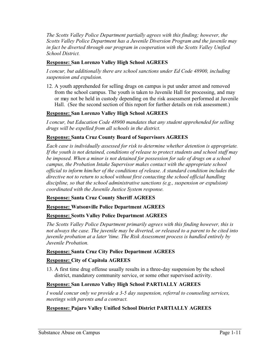*The Scotts Valley Police Department partially agrees with this finding; however, the Scotts Valley Police Department has a Juvenile Diversion Program and the juvenile may in fact be diverted through our program in cooperation with the Scotts Valley Unified School District.* 

#### **Response: San Lorenzo Valley High School AGREES**

*I concur, but additionally there are school sanctions under Ed Code 48900, including suspension and expulsion.* 

12. A youth apprehended for selling drugs on campus is put under arrest and removed from the school campus. The youth is taken to Juvenile Hall for processing, and may or may not be held in custody depending on the risk assessment performed at Juvenile Hall. (See the second section of this report for further details on risk assessment.)

#### **Response: San Lorenzo Valley High School AGREES**

*I concur, but Education Code 48900 mandates that any student apprehended for selling drugs will be expelled from all schools in the district.* 

#### **Response: Santa Cruz County Board of Supervisors AGREES**

*Each case is individually assessed for risk to determine whether detention is appropriate. If the youth is not detained, conditions of release to protect students and school staff may be imposed. When a minor is not detained for possession for sale of drugs on a school campus, the Probation Intake Supervisor makes contact with the appropriate school official to inform him/her of the conditions of release. A standard condition includes the directive not to return to school without first contacting the school official handling discipline, so that the school administrative sanctions (e.g., suspension or expulsion) coordinated with the Juvenile Justice System response.* 

#### **Response: Santa Cruz County Sheriff AGREES**

#### **Response: Watsonville Police Department AGREES**

#### **Response: Scotts Valley Police Department AGREES**

*The Scotts Valley Police Department primarily agrees with this finding however, this is not always the case. The juvenile may be diverted, or released to a parent to be cited into juvenile probation at a later 'time. The Risk Assessment process is handled entirely by Juvenile Probation.* 

#### **Response: Santa Cruz City Police Department AGREES**

#### **Response: City of Capitola AGREES**

13. A first time drug offense usually results in a three-day suspension by the school district, mandatory community service, or some other supervised activity.

#### **Response: San Lorenzo Valley High School PARTIALLY AGREES**

*I would concur only we provide a 3-5 day suspension, referral to counseling services, meetings with parents and a contract.* 

#### **Response: Pajaro Valley Unified School District PARTIALLY AGREES**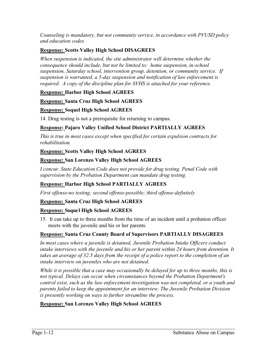*Counseling is mandatory, but not community service, in accordance with PVUSD policy and education codes.* 

#### **Response: Scotts Valley High School DISAGREES**

*When suspension is indicated, the site administrator will determine whether the consequence should include, but not be limited to: home suspension, in-school suspension, Saturday school, intervention group, detention, or community service. If suspension is warranted, a 5-day suspension and notification of law enforcement is required. A copy of the discipline plan for SVHS is attached for your reference.*

#### **Response: Harbor High School AGREES**

#### **Response: Santa Cruz High School AGREES**

#### **Response: Soquel High School AGREES**

14. Drug testing is not a prerequisite for returning to campus.

#### **Response: Pajaro Valley Unified School District PARTIALLY AGREES**

*This is true in most cases except when specified for certain expulsion contracts for rehabilitation.*

#### **Response: Scotts Valley High School AGREES**

#### **Response: San Lorenzo Valley High School AGREES**

*I concur. State Education Code does not provide for drug testing. Penal Code with supervision by the Probation Department can mandate drug testing.* 

#### **Response: Harbor High School PARTIALLY AGREES**

*First offense-no testing; second offense-possible; third offense-definitely*

#### **Response: Santa Cruz High School AGREES**

#### **Response: Soquel High School AGREES**

15. It can take up to three months from the time of an incident until a probation officer meets with the juvenile and his or her parents.

#### **Response: Santa Cruz County Board of Supervisors PARTIALLY DISAGREES**

*In most cases where a juvenile is detained, Juvenile Probation Intake Officers conduct intake interviews with the juvenile and his or her parent within 24 hours from detention. It takes an average of 32.5 days from the receipt of a police report to the completion of an intake interview on juveniles who are not detained.* 

*While it is possible that a case may occasionally be delayed for up to three months, this is not typical. Delays can occur when circumstances beyond the Probation Department's control exist, such as the law enforcement investigation was not completed, or a youth and parents failed to keep the appointment for an interview. The Juvenile Probation Division is presently working on ways to further streamline the process.* 

#### **Response: San Lorenzo Valley High School AGREES**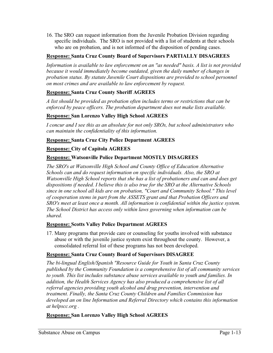16. The SRO can request information from the Juvenile Probation Division regarding specific individuals. The SRO is not provided with a list of students at their schools who are on probation, and is not informed of the disposition of pending cases.

#### **Response: Santa Cruz County Board of Supervisors PARTIALLY DISAGREES**

*Information is available to law enforcement on an ''as needed" basis. A list is not provided because it would immediately become outdated, given the daily number of changes in probation status. By statute Juvenile Court dispositions are provided to school personnel on most crimes and are available to law enforcement by request.* 

#### **Response: Santa Cruz County Sheriff AGREES**

*A list should be provided as probation often includes terms or restrictions that can be enforced by peace officers. The probation department does not make lists available.* 

#### **Response: San Lorenzo Valley High School AGREES**

*I concur and I see this as an absolute for not only SROs, but school administrators who can maintain the confidentiality of this information.* 

#### **Response: Santa Cruz City Police Department AGREES**

#### **Response: City of Capitola AGREES**

#### **Response: Watsonville Police Department MOSTLY DISAGREES**

*The SRO's at Watsonville High School and County Office of Education Alternative Schools can and do request information on specific individuals. Also, the SRO at Watsonville High School reports that she has a list of probationers and can and does get dispositions if needed. I believe this is also true for the SRO at the Alternative Schools since in one school all kids are on probation, "Court and Community School." This level of cooperation stems in part from the ASSETS grant and that Probation Officers and SRO's meet at least once a month. All information is confidential within the justice system. The School District has access only within laws governing when information can be shared.*

#### **Response: Scotts Valley Police Department AGREES**

17. Many programs that provide care or counseling for youths involved with substance abuse or with the juvenile justice system exist throughout the county. However, a consolidated referral list of these programs has not been developed.

#### **Response: Santa Cruz County Board of Supervisors DISAGREE**

*The bi-lingual English/Spanish "Resource Guide for Youth in Santa Cruz County published by the Community Foundation is a comprehensive list of all community services to youth. This list includes substance abuse services available to youth and families. In addition, the Health Services Agency has also produced a comprehensive list of all referral agencies providing youth alcohol and drug prevention, intervention and treatment. Finally, the Santa Cruz County Children and Families Commission has developed an on line Information and Referral Directory which contains this information at helpscc.org .* 

**Response: San Lorenzo Valley High School AGREES**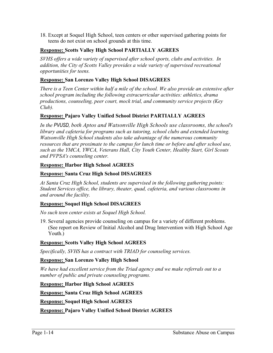18. Except at Soquel High School, teen centers or other supervised gathering points for teens do not exist on school grounds at this time.

#### **Response: Scotts Valley High School PARTIALLY AGREES**

*SVHS offers a wide variety of supervised after school sports, clubs and activities. In addition, the City of Scotts Valley provides a wide variety of supervised recreational opportunities for teens.*

#### **Response: San Lorenzo Valley High School DISAGREES**

*There is a Teen Center within half a mile of the school. We also provide an extensive after school program including the following extracurricular activities: athletics, drama productions, counseling, peer court, mock trial, and community service projects (Key Club).*

#### **Response: Pajaro Valley Unified School District PARTIALLY AGREES**

*In the PVUSD, both Aptos and Watsonville High Schools use classrooms, the school's library and cafeteria for programs such as tutoring, school clubs and extended learning. Watsonville High School students also take advantage of the numerous community resources that are proximate to the campus for lunch time or before and after school use, such as the YMCA, YWCA, Veterans Hall, City Youth Center, Healthy Start, Girl Scouts and PVPSA's counseling center.* 

#### **Response: Harbor High School AGREES**

#### **Response: Santa Cruz High School DISAGREES**

*At Santa Cruz High School, students are supervised in the following gathering points: Student Services office, the library, theater, quad, cafeteria, and various classrooms in and around the facility.* 

#### **Response: Soquel High School DISAGREES**

*No such teen center exists at Soquel High School.* 

19. Several agencies provide counseling on campus for a variety of different problems. (See report on Review of Initial Alcohol and Drug Intervention with High School Age Youth.)

#### **Response: Scotts Valley High School AGREES**

*Specifically, SVHS has a contract with TRIAD for counseling services.*

#### **Response: San Lorenzo Valley High School**

*We have had excellent service from the Triad agency and we make referrals out to a number of public and private counseling programs.* 

**Response: Harbor High School AGREES**

**Response: Santa Cruz High School AGREES**

**Response: Soquel High School AGREES**

#### **Response: Pajaro Valley Unified School District AGREES**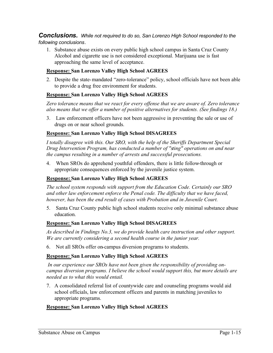*Conclusions. While not required to do so, San Lorenzo High School responded to the following conclusions.*

1. Substance abuse exists on every public high school campus in Santa Cruz County Alcohol and cigarette use is not considered exceptional. Marijuana use is fast approaching the same level of acceptance.

#### **Response: San Lorenzo Valley High School AGREES**

2. Despite the state-mandated "zero-tolerance" policy, school officials have not been able to provide a drug free environment for students.

#### **Response: San Lorenzo Valley High School AGREES**

*Zero tolerance means that we react for every offense that we are aware of. Zero tolerance also means that we offer a number of positive alternatives for students. (See findings 18.)* 

3. Law enforcement officers have not been aggressive in preventing the sale or use of drugs on or near school grounds.

#### **Response: San Lorenzo Valley High School DISAGREES**

*I totally disagree with this. Our SRO, with the help of the Sheriffs Department Special Drug Intervention Program, has conducted a number of "sting" operations on and near the campus resulting in a number of arrests and successful prosecutions.* 

4. When SROs do apprehend youthful offenders, there is little follow-through or appropriate consequences enforced by the juvenile justice system.

#### **Response: San Lorenzo Valley High School AGREES**

*The school system responds with support from the Education Code. Certainly our SRO and other law enforcement enforce the Penal code. The difficulty that we have faced, however, has been the end result of cases with Probation and in Juvenile Court.* 

5. Santa Cruz County public high school students receive only minimal substance abuse education.

#### **Response: San Lorenzo Valley High School DISAGREES**

*As described in Findings No.3, we do provide health care instruction and other support. We are currently considering a second health course in the junior year.* 

6. Not all SROs offer on-campus diversion programs to students.

#### **Response: San Lorenzo Valley High School AGREES**

 *In our experience our SROs have not been given the responsibility of providing oncampus diversion programs. I believe the school would support this, but more details are needed as to what this would entail.* 

7. A consolidated referral list of countywide care and counseling programs would aid school officials, law enforcement officers and parents in matching juveniles to appropriate programs.

#### **Response: San Lorenzo Valley High School AGREES**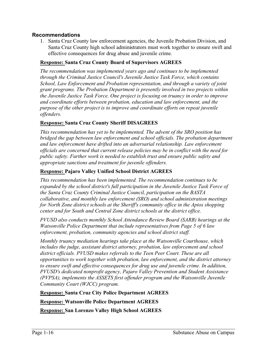#### **Recommendations**

1. Santa Cruz County law enforcement agencies, the Juvenile Probation Division, and Santa Cruz County high school administrators must work together to ensure swift and effective consequences for drug abuse and juvenile crime.

#### **Response: Santa Cruz County Board of Supervisors AGREES**

*The recommendation was implemented years ago and continues to be implemented through the Criminal Justice Council's Juvenile Justice Task Force, which contains School, Law Enforcement and Probation representation, and through a variety of joint grant programs. The Probation Department is presently involved in two projects within the Juvenile Justice Task Force. One project is focusing on truancy in order to improve and coordinate efforts between probation, education and law enforcement, and the purpose of the other project is to improve and coordinate efforts on repeat juvenile offenders.*

#### **Response: Santa Cruz County Sheriff DISAGREES**

*This recommendation has yet to be implemented. The advent of the SRO position has bridged the gap between law enforcement and school officials. The probation department*  and law enforcement have drifted into an adversarial relationship. Law enforcement *officials are concerned that current release policies may be in conflict with the need for public safety. Further work is needed to establish trust and ensure public safety and appropriate sanctions and treatment for juvenile offenders.* 

#### **Response: Pajaro Valley Unified School District AGREES**

*This recommendation has been implemented. The recommendation continues to be expanded by the school district's full participation in the Juvenile Justice Task Force of the Santa Cruz County Criminal Justice Council, participation on the BASTA collaborative, and monthly law enforcement (SRO) and school administration meetings for North Zone district schools at the Sheriff's community office in the Aptos shopping center and for South and Central Zone district schools at the district office.* 

*PVUSD also conducts monthly School Attendance Review Board (SARB) hearings at the Watsonville Police Department that include representatives from Page 5 of 6 law enforcement, probation, community agencies and school district staff.* 

*Monthly truancy mediation hearings take place at the Watsonville Courthouse, which includes the judge, assistant district attorney, probation, law enforcement and school district officials. PVUSD makes referrals to the Teen Peer Court. These are all opportunities to work together with probation, law enforcement, and the district attorney to ensure swift and effective consequences for drug use and juvenile crime. In addition, PVUSD's dedicated nonprofit agency, Pajaro Valley Prevention and Student Assistance (PVPSA), implements the ASSETS first offender program and the Watsonville Juvenile Community Court (WJCC) program.* 

#### **Response: Santa Cruz City Police Department AGREES**

**Response: Watsonville Police Department AGREES**

**Response: San Lorenzo Valley High School AGREES**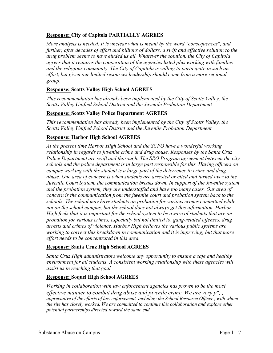#### **Response: City of Capitola PARTIALLY AGREES**

*More analysis is needed. It is unclear what is meant by the word "consequences", and further, after decades of effort and billions of dollars, a swift and effective solution to the drug problem seems to have eluded us all. Whatever the solution, the City of Capitola agrees that it requires the cooperation of the agencies listed plus working with families and the religious community. The City of Capitola is willing to participate in such an effort, but given our limited resources leadership should come from a more regional group.*

#### **Response: Scotts Valley High School AGREES**

*This recommendation has already been implemented by the City of Scotts Valley, the Scotts Valley Unified School District and the Juvenile Probation Department.*

#### **Response: Scotts Valley Police Department AGREES**

*This recommendation has already been implemented by the City of Scotts Valley, the Scotts Valley Unified School District and the Juvenile Probation Department.*

#### **Response: Harbor High School AGREES**

*At the present time Harbor High School and the SCPO have a wonderful working relationship in regards to juvenile crime and drug abuse. Responses by the Santa Cruz Police Department are swift and thorough. The SRO Program agreement between the city schools and the police department is in large part responsible for this. Having officers on campus working with the student is a large part of the deterrence to crime and drug abuse. One area of concern is when students are arrested or cited and turned over to the Juvenile Court System, the communication breaks down. In support of the Juvenile system and the probation system, they are understaffed and have too many cases. Our area of concern is the communication from the juvenile court and probation system back to the schools. The school may have students on probation for various crimes committed while not on the school campus, but the school does not always get this information. Harbor High feels that it is important for the school system to be aware of students that are on probation for various crimes, especially but not limited to, gang-related offenses, drug arrests and crimes of violence. Harbor High believes the various public systems are working to correct this breakdown in communication and it is improving, but that more effort needs to be concentrated in this area.* 

#### **Response: Santa Cruz High School AGREES**

*Santa Cruz High administrators welcome any opportunity to ensure a safe and healthy environment for all students. A consistent working relationship with these agencies will assist us in reaching that goal.* 

#### **Response: Soquel High School AGREES**

*Working in collaboration with law enforcement agencies has proven to be the most effective manner to combat drug abuse and juvenile crime. We are very p", ; appreciative of the efforts of law enforcement, including the School Resource Officer , with whom the site has closely worked. We are committed to continue this collaboration and explore other potential partnerships directed toward the same end.*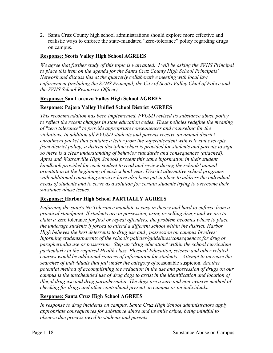2. Santa Cruz County high school administrations should explore more effective and realistic ways to enforce the state-mandated "zero-tolerance" policy regarding drugs on campus.

#### **Response: Scotts Valley High School AGREES**

*We agree that further study of this topic is warranted. I will be asking the SVHS Principal to place this item on the agenda for the Santa Cruz County High School Principals' Network and discuss this at the quarterly collaborative meeting with local law enforcement (including the SVHS Principal, the City of Scotts Valley Chief of Police and the SVHS School Resources Officer).*

#### **Response: San Lorenzo Valley High School AGREES**

#### **Response: Pajaro Valley Unified School District AGREES**

*This recommendation has been implemented. PVUSD revised its substance abuse policy to reflect the recent changes in state education codes. These policies redefine the meaning of "zero tolerance" to provide appropriate consequences and counseling for the violations. In addition all PVUSD students and parents receive an annual district enrollment packet that contains a letter from the superintendent with relevant excerpts from district policy; a district discipline chart is provided for students and parents to sign so there is a clear understanding of behavior standards and consequences (attached). Aptos and Watsonville High Schools present this same information in their student handbook provided for each student to read and review during the schools' annual orientation at the beginning of each school year. District alternative school programs with additional counseling services have also been put in place to address the individual needs of students and to serve as a solution for certain students trying to overcome their substance abuse issues.* 

#### **Response: Harbor High School PARTIALLY AGREES**

*Enforcing the state's No Tolerance mandate is easy in theory and hard to enforce from a practical standpoint. If students are in possession, using or selling drugs and we are to claim a* zero tolerance *for first or repeat offenders, the problem becomes where to place the underage students if forced to attend a different school within the district. Harbor High believes the best deterrents to drug use and , possession on campus Involves: Informing students/parents of the schools policies/guidelines/consequences for drug or paraphernalia use or possession. Step up "drug education" within the school curriculum particularly in the required Health class. Physical Education, science and other related courses would be additional sources of information for students. . Attempt to increase the searches of individuals that fall under the category of* reasonable suspicion. *Another potential method of accomplishing the reduction in the use and possession of drugs on our campus is the unscheduled use of drug dogs to assist in the identification and location of illegal drug use and drug paraphernalia. The dogs are a sure and non-evasive method of checking for drugs and other contraband present on campus or on individuals.* 

#### **Response: Santa Cruz High School AGREES**

*In response to drug incidents on campus, Santa Cruz High School administrators apply appropriate consequences for substance abuse and juvenile crime, being mindful to observe due process owed to students and parents.*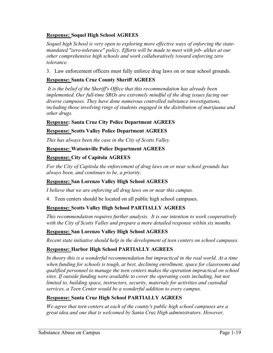#### **Response: Soquel High School AGREES**

*Soquel high School is very open to exploring more effective ways of enforcing the statemandated "zero-tolerance" policy. Efforts will be made to meet with job- alikes at our other comprehensive high schools and work collaboratively toward enforcing zero tolerance.*

3. Law enforcement officers must fully enforce drug laws on or near school grounds.

#### **Response: Santa Cruz County Sheriff AGREES**

 *It is the belief of the Sheriff's Office that this recommendation has already been implemented. Our full-time SROs are extremely mindful of the drug issues facing our diverse campuses. They have done numerous controlled substance investigations, including those involving rings of students engaged in the distribution of marijuana and other drugs.* 

#### **Response: Santa Cruz City Police Department AGREES**

#### **Response: Scotts Valley Police Department AGREES**

*This has always been the case in the City of Scotts Valley.* 

#### **Response: Watsonville Police Department AGREES**

#### **Response: City of Capitola AGREES**

*For the City of Capitola the enforcement of drug laws on or near school grounds has always been, and continues to be, a priority.* 

#### **Response: San Lorenzo Valley High School AGREES**

*I believe that we are enforcing all drug laws on or near this campus.* 

4. Teen centers should be located on all public high school campuses.

#### **Response: Scotts Valley High School PARTIALLY AGREES**

*This recommendation requires further analysis. It is our intention to work cooperatively with the City of Scotts Valley and prepare a more detailed response within six months.*

#### **Response: San Lorenzo Valley High School AGREES**

*Recent state initiative should help in the development of teen centers on school campuses.* 

#### **Response: Harbor High School PARTIALLY AGREES**

In theory this is a wonderful recommendation but impractical in the real world. At a time *when funding for schools is tough, at best, declining enrollment, space for classrooms and qualified personnel to manage the teen centers makes the operation impractical on school sites. If outside funding were available to cover the operating costs including, but not limited to, building space, instructors, security, materials for activities and custodial services, a Teen Center would be a wonderful addition to every campus.* 

#### **Response: Santa Cruz High School PARTIALLY AGREES**

*We agree that teen centers at each of the county's public high school campuses are a great idea and one that is welcomed by Santa Cruz High administrators. However,*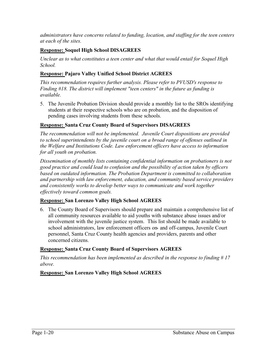*administrators have concerns related to funding, location, and staffing for the teen centers at each of the sites.* 

#### **Response: Soquel High School DISAGREES**

*Unclear as to what constitutes a teen center and what that would entail for Soquel High School.*

#### **Response: Pajaro Valley Unified School District AGREES**

*This recommendation requires further analysis. Please refer to PVUSD's response to Finding #18. The district will implement "teen centers" in the future as funding is available.*

5. The Juvenile Probation Division should provide a monthly list to the SROs identifying students at their respective schools who are on probation, and the disposition of pending cases involving students from these schools.

#### **Response: Santa Cruz County Board of Supervisors DISAGREES**

*The recommendation will not be implemented. Juvenile Court dispositions are provided to school superintendents by the juvenile court on a broad range of offenses outlined in the Welfare and Institutions Code. Law enforcement officers have access to information for all youth on probation.* 

*Dissemination of monthly lists containing confidential information on probationers is not good practice and could lead to confusion and the possibility of action taken by officers based on outdated information. The Probation Department is committed to collaboration and partnership with law enforcement, education, and community based service providers and consistently works to develop better ways to communicate and work together effectively toward common goals.* 

#### **Response: San Lorenzo Valley High School AGREES**

6. The County Board of Supervisors should prepare and maintain a comprehensive list of all community resources available to aid youths with substance abuse issues and/or involvement with the juvenile justice system. This list should be made available to school administrators, law enforcement officers on- and off-campus, Juvenile Court personnel, Santa Cruz County health agencies and providers, parents and other concerned citizens.

#### **Response: Santa Cruz County Board of Supervisors AGREES**

*This recommendation has been implemented as described in the response to finding # 17 above.*

#### **Response: San Lorenzo Valley High School AGREES**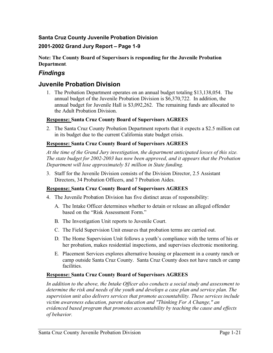#### **Santa Cruz County Juvenile Probation Division**

#### **2001-2002 Grand Jury Report – Page 1-9**

#### **Note: The County Board of Supervisors is responding for the Juvenile Probation Department**.

#### *Findings*

#### **Juvenile Probation Division**

1. The Probation Department operates on an annual budget totaling \$13,138,054. The annual budget of the Juvenile Probation Division is \$6,370,722. In addition, the annual budget for Juvenile Hall is \$3,092,262. The remaining funds are allocated to the Adult Probation Division.

#### **Response: Santa Cruz County Board of Supervisors AGREES**

2. The Santa Cruz County Probation Department reports that it expects a \$2.5 million cut in its budget due to the current California state budget crisis.

#### **Response: Santa Cruz County Board of Supervisors AGREES**

*At the time of the Grand Jury investigation, the department anticipated losses of this size. The state budget for 2002-2003 has now been approved, and it appears that the Probation Department will lose approximately \$1 million in State funding.* 

3. Staff for the Juvenile Division consists of the Division Director, 2.5 Assistant Directors, 34 Probation Officers, and 7 Probation Aides.

#### **Response: Santa Cruz County Board of Supervisors AGREES**

- 4. The Juvenile Probation Division has five distinct areas of responsibility:
	- A. The Intake Officer determines whether to detain or release an alleged offender based on the "Risk Assessment Form."
	- B. The Investigation Unit reports to Juvenile Court.
	- C. The Field Supervision Unit ensures that probation terms are carried out.
	- D. The Home Supervision Unit follows a youth's compliance with the terms of his or her probation, makes residential inspections, and supervises electronic monitoring.
	- E. Placement Services explores alternative housing or placement in a county ranch or camp outside Santa Cruz County. Santa Cruz County does not have ranch or camp facilities.

#### **Response: Santa Cruz County Board of Supervisors AGREES**

*In addition to the above, the Intake Officer also conducts a social study and assessment to determine the risk and needs of the youth and develops a case plan and service plan. The supervision unit also delivers services that promote accountability. These services include victim awareness education, parent education and "Thinking For A Change," an evidenced based program that promotes accountability by teaching the cause and effects of behavior.*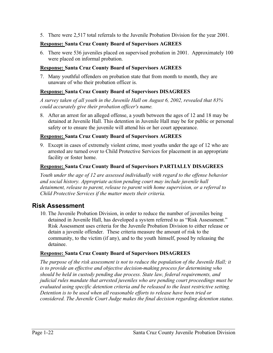5. There were 2,517 total referrals to the Juvenile Probation Division for the year 2001.

#### **Response: Santa Cruz County Board of Supervisors AGREES**

6. There were 536 juveniles placed on supervised probation in 2001. Approximately 100 were placed on informal probation.

#### **Response: Santa Cruz County Board of Supervisors AGREES**

7. Many youthful offenders on probation state that from month to month, they are unaware of who their probation officer is.

#### **Response: Santa Cruz County Board of Supervisors DISAGREES**

*A survey taken of all youth in the Juvenile Hall on August 6, 2002, revealed that 83% could accurately give their probation officer's name.* 

8. After an arrest for an alleged offense, a youth between the ages of 12 and 18 may be detained at Juvenile Hall. This detention in Juvenile Hall may be for public or personal safety or to ensure the juvenile will attend his or her court appearance.

#### **Response: Santa Cruz County Board of Supervisors AGREES**

9. Except in cases of extremely violent crime, most youths under the age of 12 who are arrested are turned over to Child Protective Services for placement in an appropriate facility or foster home.

#### **Response: Santa Cruz County Board of Supervisors PARTIALLY DISAGREES**

*Youth under the age of 12 are assessed individually with regard to the offense behavior and social history. Appropriate action pending court may include juvenile hall detainment, release to parent, release to parent with home supervision, or a referral to Child Protective Services if the matter meets their criteria.* 

#### **Risk Assessment**

10. The Juvenile Probation Division, in order to reduce the number of juveniles being detained in Juvenile Hall, has developed a system referred to as "Risk Assessment." Risk Assessment uses criteria for the Juvenile Probation Division to either release or detain a juvenile offender. These criteria measure the amount of risk to the community, to the victim (if any), and to the youth himself, posed by releasing the detainee.

#### **Response: Santa Cruz County Board of Supervisors DISAGREES**

*The purpose of the risk assessment is not to reduce the population of the Juvenile Hall; it is to provide an effective and objective decision-making process for determining who should be held in custody pending due process. State law, federal requirements, and judicial rules mandate that arrested juveniles who are pending court proceedings must be evaluated using specific detention criteria and be released to the least restrictive setting. Detention is to be used when all reasonable efforts to release have been tried or considered. The Juvenile Court Judge makes the final decision regarding detention status.*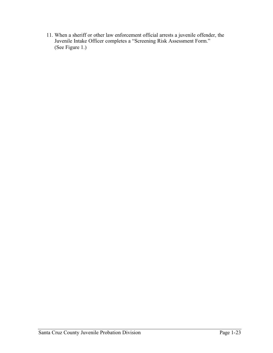11. When a sheriff or other law enforcement official arrests a juvenile offender, the Juvenile Intake Officer completes a "Screening Risk Assessment Form." (See Figure 1.)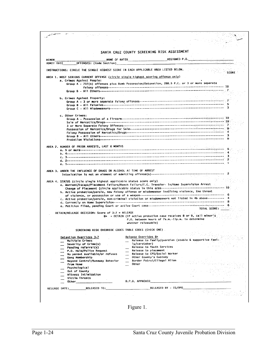|                     |                                                                                                                                                                                                                                                                    |                                                        | SANTA CRUZ COUNTY SCREENING RISK ASSESSMENT                                                                                                         |                                                                                                       |
|---------------------|--------------------------------------------------------------------------------------------------------------------------------------------------------------------------------------------------------------------------------------------------------------------|--------------------------------------------------------|-----------------------------------------------------------------------------------------------------------------------------------------------------|-------------------------------------------------------------------------------------------------------|
|                     |                                                                                                                                                                                                                                                                    |                                                        | NAME OF RATER ASSIGNED P.O.                                                                                                                         |                                                                                                       |
| MINOR<br>ADMIT ÑATE | OFFENSES: (Code Section) ______                                                                                                                                                                                                                                    |                                                        |                                                                                                                                                     |                                                                                                       |
|                     | INSTRUCTIONS: CIRCLE THE SINGLE HIGHEST SCORE IN EACH APPLICABLE AREA LISTED BELOW.                                                                                                                                                                                |                                                        |                                                                                                                                                     |                                                                                                       |
|                     | AREA 1. MOST SERIOUS CURRENT OFFENSE (circle single highest scoring offense only)                                                                                                                                                                                  |                                                        |                                                                                                                                                     | SCORE                                                                                                 |
|                     | a. Crimes Against People:                                                                                                                                                                                                                                          |                                                        |                                                                                                                                                     |                                                                                                       |
|                     |                                                                                                                                                                                                                                                                    |                                                        | Group A - 707(b) offenses plus Bomb Possession/Detonation, 288.5 P.C. or 3 or more separate                                                         |                                                                                                       |
|                     |                                                                                                                                                                                                                                                                    |                                                        |                                                                                                                                                     |                                                                                                       |
|                     | b. Crimes Against Property:                                                                                                                                                                                                                                        |                                                        |                                                                                                                                                     |                                                                                                       |
|                     |                                                                                                                                                                                                                                                                    |                                                        |                                                                                                                                                     |                                                                                                       |
|                     |                                                                                                                                                                                                                                                                    |                                                        |                                                                                                                                                     |                                                                                                       |
|                     |                                                                                                                                                                                                                                                                    |                                                        |                                                                                                                                                     |                                                                                                       |
|                     | c. Other Crimes:                                                                                                                                                                                                                                                   |                                                        |                                                                                                                                                     |                                                                                                       |
|                     |                                                                                                                                                                                                                                                                    |                                                        |                                                                                                                                                     | -∸ 10                                                                                                 |
|                     |                                                                                                                                                                                                                                                                    |                                                        |                                                                                                                                                     |                                                                                                       |
|                     |                                                                                                                                                                                                                                                                    |                                                        |                                                                                                                                                     |                                                                                                       |
|                     |                                                                                                                                                                                                                                                                    |                                                        |                                                                                                                                                     |                                                                                                       |
|                     |                                                                                                                                                                                                                                                                    |                                                        |                                                                                                                                                     |                                                                                                       |
|                     |                                                                                                                                                                                                                                                                    |                                                        |                                                                                                                                                     |                                                                                                       |
|                     | AREA 2. NUMBER OF PRIOR ARRESTS, LAST 6 MONTHS                                                                                                                                                                                                                     |                                                        |                                                                                                                                                     |                                                                                                       |
|                     |                                                                                                                                                                                                                                                                    |                                                        |                                                                                                                                                     |                                                                                                       |
|                     |                                                                                                                                                                                                                                                                    |                                                        |                                                                                                                                                     |                                                                                                       |
|                     |                                                                                                                                                                                                                                                                    |                                                        |                                                                                                                                                     |                                                                                                       |
|                     |                                                                                                                                                                                                                                                                    |                                                        |                                                                                                                                                     |                                                                                                       |
|                     | AREA 3, UNDER THE INFLUENCE OF DRUGS OR ALCOHOL AT TIME OF ARREST                                                                                                                                                                                                  |                                                        |                                                                                                                                                     |                                                                                                       |
|                     | AREA 4. STATUS (circle single highest applicable status score only)<br>a. Warrant/Escape/Placement Failure/Ranch Failure/I.C. Transfer- In/Home Supervision Arrest<br>b. Active probation/parole, new felony offense or misdemeanor involving violence, the threat |                                                        |                                                                                                                                                     |                                                                                                       |
|                     |                                                                                                                                                                                                                                                                    |                                                        |                                                                                                                                                     | c. Active probation/parole, non-criminal violation or misdemeanors not listed in 4b above---------- 4 |
|                     |                                                                                                                                                                                                                                                                    |                                                        |                                                                                                                                                     | TOTAL SCORE:                                                                                          |
|                     | DETAIN/RELEASE DECISION: Score of 3-7 = RELEASE                                                                                                                                                                                                                    |                                                        |                                                                                                                                                     |                                                                                                       |
|                     |                                                                                                                                                                                                                                                                    |                                                        | $8+$ = DETAIN (If active probation case receives 8 or 9, call minor $\pm$<br>P.O. between hours of 7a.m.-11p.m. to determine<br>whether releasable) |                                                                                                       |
|                     |                                                                                                                                                                                                                                                                    |                                                        |                                                                                                                                                     |                                                                                                       |
|                     |                                                                                                                                                                                                                                                                    | SCREENING RISK OVERRIDE CODES TABLE CODES (CHECK ONE). |                                                                                                                                                     |                                                                                                       |
|                     |                                                                                                                                                                                                                                                                    |                                                        | Release Overrides B+                                                                                                                                | $\sqrt{s_{\rm B}T_{\rm eff}}$<br>and and                                                              |
|                     | Detention Overrides 3-7<br>Multiple Crimes                                                                                                                                                                                                                         |                                                        | Release to family/guardian (stable & supportive fami-                                                                                               |                                                                                                       |
|                     | Severity of Crime(s)                                                                                                                                                                                                                                               |                                                        | ly/caretaker)                                                                                                                                       |                                                                                                       |
|                     | Pending referral(s)                                                                                                                                                                                                                                                |                                                        | Release to Youth Services                                                                                                                           |                                                                                                       |
|                     | P.O. Hold/Police Request<br>No parent available/or refuses                                                                                                                                                                                                         | $\sim$                                                 | Release to placement<br>Release to CPS/Social Worker                                                                                                |                                                                                                       |
|                     | Gang Membership                                                                                                                                                                                                                                                    |                                                        | Other County's Custody                                                                                                                              |                                                                                                       |
|                     | Beyond Control/Runaway Behavior                                                                                                                                                                                                                                    |                                                        | Border Patrol/Illegal Alien                                                                                                                         |                                                                                                       |
|                     | from Home<br>Psychological                                                                                                                                                                                                                                         | Other                                                  |                                                                                                                                                     |                                                                                                       |
|                     | Out of County                                                                                                                                                                                                                                                      |                                                        |                                                                                                                                                     |                                                                                                       |
|                     | Witness Intimidation                                                                                                                                                                                                                                               |                                                        |                                                                                                                                                     |                                                                                                       |
|                     | Victim Threats<br>0ther 20                                                                                                                                                                                                                                         | D.P.O. APPROVED                                        |                                                                                                                                                     |                                                                                                       |
|                     |                                                                                                                                                                                                                                                                    |                                                        | RELEASED BY - IS/DPO                                                                                                                                |                                                                                                       |
|                     |                                                                                                                                                                                                                                                                    | and the con-                                           |                                                                                                                                                     |                                                                                                       |

Figure 1.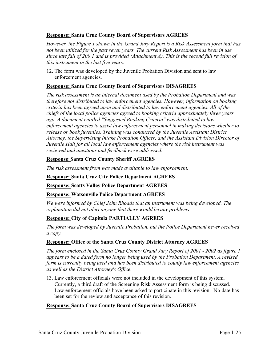#### **Response: Santa Cruz County Board of Supervisors AGREES**

*However, the Figure 1 shown in the Grand Jury Report is a Risk Assessment form that has not been utilized for the past seven years. The current Risk Assessment has been in use since late fall of 200 1 and is provided (Attachment A). This is the second full revision of this instrument in the last five years.* 

12. The form was developed by the Juvenile Probation Division and sent to law enforcement agencies.

#### **Response: Santa Cruz County Board of Supervisors DISAGREES**

*The risk assessment is an internal document used by the Probation Department and was therefore not distributed to law enforcement agencies. However, information on booking criteria has been agreed upon and distributed to law enforcement agencies. All of the chiefs of the local police agencies agreed to booking criteria approximately three years ago. A document entitled "Suggested Booking Criteria" was distributed to law enforcement agencies to assist law enforcement personnel in making decisions whether to release or book juveniles. Training was conducted by the Juvenile Assistant District Attorney, the Supervising Intake Probation Officer, and the Assistant Division Director of Juvenile Hall for all local law enforcement agencies where the risk instrument was reviewed and questions and feedback were addressed.* 

#### **Response**: **Santa Cruz County Sheriff AGREES**

*The risk assessment from was made available to law enforcement.*

#### **Response: Santa Cruz City Police Department AGREES**

**Response: Scotts Valley Police Department AGREES**

#### **Response: Watsonville Police Department AGREES**

*We were informed by Chief John Rhoads that an instrument was being developed. The explanation did not alert anyone that there would be any problems.* 

#### **Response: City of Capitola PARTIALLY AGREES**

*The form was developed by Juvenile Probation, but the Police Department never received a copy.* 

#### **Response: Office of the Santa Cruz County District Attorney AGREES**

*The form enclosed in the Santa Cruz County Grand Jury Report of 2001 - 2002 as figure 1 appears to be a dated form no longer being used by the Probation Department. A revised form is currently being used and has been distributed to county law enforcement agencies as well as the District Attorney's Office.* 

13. Law enforcement officials were not included in the development of this system. Currently, a third draft of the Screening Risk Assessment form is being discussed. Law enforcement officials have been asked to participate in this revision. No date has been set for the review and acceptance of this revision.

#### **Response: Santa Cruz County Board of Supervisors DISAGREES**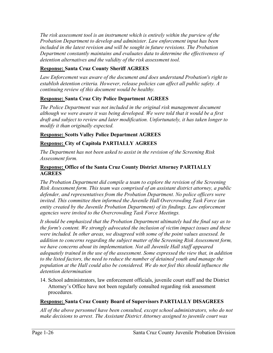*The risk assessment tool is an instrument which is entirely within the purview of the Probation Department to develop and administer. Law enforcement input has been included in the latest revision and will be sought in future revisions. The Probation Department constantly maintains and evaluates data to determine the effectiveness of detention alternatives and the validity of the risk assessment tool.*

#### **Response: Santa Cruz County Sheriff AGREES**

*Law Enforcement was aware of the document and does understand Probation's right to establish detention criteria. However, release policies can affect all public safety. A continuing review of this document would be healthy.* 

#### **Response: Santa Cruz City Police Department AGREES**

*The Police Department was not included in the original risk management document although we were aware it was being developed. We were told that it would be a first draft and subject to review and later modification. Unfortunately, it has taken longer to modify it than originally expected.* 

#### **Response: Scotts Valley Police Department AGREES**

#### **Response: City of Capitola PARTIALLY AGREES**

*The Department has not been asked to assist in the revision of the Screening Risk Assessment form.* 

#### **Response: Office of the Santa Cruz County District Attorney PARTIALLY AGREES**

*The Probation Department did compile a team to explore the revision of the Screening Risk Assessment form. This team was comprised of an assistant district attorney, a public defender, and representatives from the Probation Department. No police officers were invited. This committee then informed the Juvenile Hall Overcrowding Task Force (an entity created by the Juvenile Probation Department) of its findings. Law enforcement agencies were invited to the Overcrowding Task Force Meetings.* 

*It should be emphasized that the Probation Department ultimately had the final say as to the form's content. We strongly advocated the inclusion of victim impact issues and these were included. In other areas, we disagreed with some of the point values assessed. In addition to concerns regarding the subject matter of the Screening Risk Assessment form, we have concerns about its implementation. Not all Juvenile Hall staff appeared adequately trained in the use of the assessment. Some expressed the view that, in addition to the listed factors, the need to reduce the number of detained youth and manage the population at the Hall could also be considered. We do not feel this should influence the detention determination*

14. School administrators, law enforcement officials, juvenile court staff and the District Attorney's Office have not been regularly consulted regarding risk assessment procedures.

#### **Response: Santa Cruz County Board of Supervisors PARTIALLY DISAGREES**

*All of the above personnel have been consulted, except school administrators, who do not make decisions to arrest. The Assistant District Attorney assigned to juvenile court was*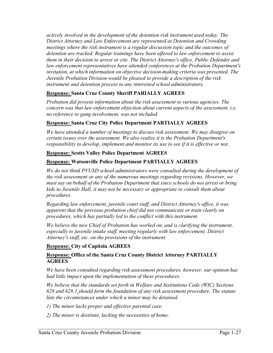*actively involved in the development of the detention risk instrument used today. The District Attorney and Law Enforcement are represented at Detention and Crowding meetings where the risk instrument is a regular discussion topic and the outcomes of detention are tracked. Regular trainings have been offered to law enforcement to assist them in their decision to arrest or cite. The District Attorney's office, Public Defender and law enforcement representatives have attended conferences at the Probation Department's invitation, at which information on objective decision-making criteria was presented. The Juvenile Probation Division would be pleased to provide a description of the risk instrument and detention process to any interested school administrators.* 

#### **Response: Santa Cruz County Sheriff PARIALLY AGREES**

*Probation did present information about the risk assessment to various agencies. The concern was that law enforcement objection about current aspects of the assessment, i.e. no reference to gang involvement, was not included.* 

#### **Response: Santa Cruz City Police Department PARTIALLY AGREES**

*We have attended a number of meetings to discuss risk assessment. We may disagree on certain issues over the assessment. We also realize it is the Probation Department's responsibility to develop, implement and monitor its use to see if it is effective or not.* 

#### **Response: Scotts Valley Police Department AGREES**

#### **Response: Watsonville Police Department PARTIALLY AGREES**

*We do not think PVUSD school administrators were consulted during the development of the risk assessment or any of the numerous meetings regarding revisions. However, we must say on behalf of the Probation Department that since schools do not arrest or bring kids to Juvenile Hall, it may not be necessary or appropriate to consult them about procedures.*

*Regarding law enforcement, juvenile court staff, and District Attorney's office, it was apparent that the previous probation chief did not communicate or train clearly on procedures, which has partially led to the conflict with this instrument.* 

*We believe the new Chief of Probation has worked on, and is clarifying the instrument, especially to juvenile intake staff, meeting regularly with law enforcement, District Attorney's staff, etc. on the provisions of the instrument.* 

#### **Response: City of Capitola AGREES**

#### **Response: Office of the Santa Cruz County District Attorney PARTIALLY AGREES**

*We have been consulted regarding risk assessment procedures, however, our opinion has had little impact upon the implementation of these procedures.* 

*We believe that the standards set forth in Welfare and Institutions Code (WIC) Sections 628 and 628.1 should form the foundation of any risk assessment procedure. The statute lists the circumstances under which a minor may be detained.* 

- *1) The minor lacks proper and effective parental care.*
- *2) The minor is destitute, lacking the necessities of home.*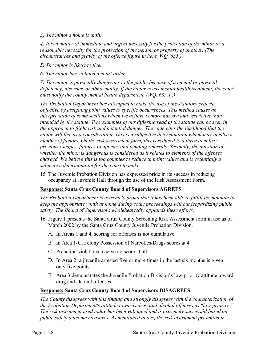*3) The minor's home is unfit.* 

*4) It is a matter of immediate and urgent necessity for the protection of the minor or a reasonable necessity for the protection of the person or property of another. (The circumstances and gravity of the offense figure in here. WQ. 635.)* 

*5) The minor is likely to flee.* 

*6) The minor has violated a court order.* 

*7) The minor is physically dangerous to the public because of a mental or physical deficiency, disorder, or abnormality. If the minor needs mental health treatment, the court must notify the county mental health department. (WQ. 635.1 .)* 

*The Probation Department has attempted to make the use of the statutory criteria objective by assigning point values to specific occurrences. This method causes an interpretation of some sections which we believe is more narrow and restrictive than intended by the statute. Two examples of our differing read of the statute can be seen in the approach to flight risk and potential danger. The code cites the likelihood that the minor will flee as a consideration. This is a subjective determination which may involve a number of factors. On the risk assessment form, this is reduced to a three item list: previous escapes, failures to appear, and pending referrals. Secondly, the question of whether the minor is dangerous is considered as it relates to elements of the offenses charged. We believe this is too complex to reduce to point values and is essentially a subjective determination for the court to make.* 

15. The Juvenile Probation Division has expressed pride in its success in reducing occupancy at Juvenile Hall through the use of the Risk Assessment Form.

#### **Response: Santa Cruz County Board of Supervisors AGREES**

*The Probation Department is extremely proud that it has been able to fulfill its mandate to keep the appropriate youth at home during court proceedings without jeopardizing public safety. The Board of Supervisors wholeheartedly applauds these efforts.* 

- 16. Figure 1 presents the Santa Cruz County Screening Risk Assessment form in use as of March 2002 by the Santa Cruz County Juvenile Probation Division.
	- A. In Areas 1 and 4, scoring for offenses is not cumulative.
	- B. In Area 1-C, Felony Possession of Narcotics/Drugs scores at 4.
	- C. Probation violations receive no score at all.
	- D. In Area 2, a juvenile arrested five or more times in the last six months is given only five points.
	- E. Area 3 demonstrates the Juvenile Probation Division's low-priority attitude toward drug and alcohol offenses.

#### **Response: Santa Cruz County Board of Supervisors DISAGREES**

*The County disagrees with this finding and strongly disagrees with the characterization of the Probation Department's attitude towards drug and alcohol offenses as "low-priority." The risk instrument used today has been validated and is extremely successful based on public safety outcome measures. As mentioned above, the risk instrument presented in*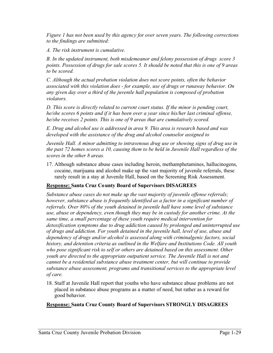*Figure 1 has not been used by this agency for over seven years. The following corrections to the findings are submitted:* 

*A. The risk instrument is cumulative.* 

*B. In the updated instrument, both misdemeanor and felony possession of drugs score 3 points. Possession of drugs for sale scores 5. It should be noted that this is one of 9 areas to be scored.* 

*C. Although the actual probation violation does not score points, often the behavior associated with this violation does - for example, use of drugs or runaway behavior. On any given day over a third of the juvenile hall population is composed of probation violators.*

*D. This score is directly related to current court status. If the minor is pending court, he/she scores 6 points and if it has been over a year since his/her last criminal offense, he/she receives 2 points. This is one of 9 areas that are cumulatively scored.* 

*E. Drug and alcohol use is addressed in area 9. This area is research based and was developed with the assistance of the drug and alcohol counselor assigned to* 

*Juvenile Hall. A minor admitting to intravenous drug use or showing signs of drug use in the past 72 homes scores a 10, causing them to be held in Juvenile Hall regardless of the scores in the other 8 areas.* 

17. Although substance abuse cases including heroin, methamphetamines, hallucinogens, cocaine, marijuana and alcohol make up the vast majority of juvenile referrals, these rarely result in a stay at Juvenile Hall, based on the Screening Risk Assessment.

### **Response: Santa Cruz County Board of Supervisors DISAGREES**

*Substance abuse cases do not make up the vast majority of juvenile offense referrals; however, substance abuse is frequently identified as a factor in a significant number of referrals. Over 80% of the youth detained in juvenile hall have some level of substance use, abuse or dependency, even though they may be in custody for another crime. At the same time, a small percentage of these youth require medical intervention for detoxification symptoms due to drug addiction caused by prolonged and uninterrupted use of drugs and addiction. For youth detained in the juvenile hall, level of use, abuse and dependency of drugs and/or alcohol is assessed along with criminalgenic factors, social history, and detention criteria as outlined in the Welfare and Institutions Code. All youth who pose significant risk to self or others are detained based on this assessment. Other youth are directed to the appropriate outpatient service. The Juvenile Hall is not and cannot be a residential substance abuse treatment center, but will continue to provide substance abuse assessment, programs and transitional services to the appropriate level of care.* 

18. Staff at Juvenile Hall report that youths who have substance abuse problems are not placed in substance abuse programs as a matter of need, but rather as a reward for good behavior.

### **Response: Santa Cruz County Board of Supervisors STRONGLY DISAGREES**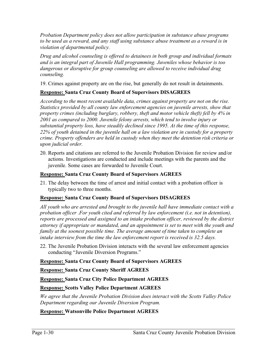*Probation Department policy does not allow participation in substance abuse programs to be used as a reward, and any staff using substance abuse treatment as a reward is in violation of departmental policy.* 

*Drug and alcohol counseling is offered to detainees in both group and individual formats and is an integral part of Juvenile Hall programming. Juveniles whose behavior is too dangerous or disruptive for group counseling are allowed to receive individual drug counseling.*

19. Crimes against property are on the rise, but generally do not result in detainments.

### **Response: Santa Cruz County Board of Supervisors DISAGREES**

*According to the most recent available data, crimes against property are not on the rise. Statistics provided by all county law enforcement agencies on juvenile arrests, show that property crimes (including burglary, robbery, theft and motor vehicle theft) fell by 4% in 2001 as compared to 2000. Juvenile felony arrests, which tend to involve injury or substantial property loss, have steadily declined since 1995. At the time of this response, 22% of youth detained in the juvenile hall on a law violation are in custody for a property crime. Property offenders are held in custody when they meet the detention risk criteria or upon judicial order.* 

20. Reports and citations are referred to the Juvenile Probation Division for review and/or actions. Investigations are conducted and include meetings with the parents and the juvenile. Some cases are forwarded to Juvenile Court.

### **Response: Santa Cruz County Board of Supervisors AGREES**

21. The delay between the time of arrest and initial contact with a probation officer is typically two to three months.

### **Response: Santa Cruz County Board of Supervisors DISAGREES**

*All youth who are arrested and brought to the juvenile hall have immediate contact with a probation officer .For youth cited and referred by law enforcement (i.e. not in detention), reports are processed and assigned to an intake probation officer, reviewed by the district attorney if appropriate or mandated, and an appointment is set to meet with the youth and family at the soonest possible time. The average amount of time taken to complete an intake interview from the time the law enforcement report is received is 32.5 days.* 

22. The Juvenile Probation Division interacts with the several law enforcement agencies conducting "Juvenile Diversion Programs."

### **Response: Santa Cruz County Board of Supervisors AGREES**

**Response: Santa Cruz County Sheriff AGREES**

**Response: Santa Cruz City Police Department AGREES**

### **Response: Scotts Valley Police Department AGREES**

*We agree that the Juvenile Probation Division does interact with the Scotts Valley Police Department regarding our Juvenile Diversion Program.* 

### **Response: Watsonville Police Department AGREES**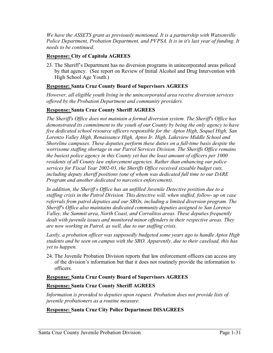*We have the ASSETS grant as previously mentioned. It is a partnership with Watsonville Police Department, Probation Department, and PVPSA. It is in it's last year of funding. It needs to be continued.* 

### **Response: City of Capitola AGREES**

23. The Sheriff's Department has no diversion programs in unincorporated areas policed by that agency. (See report on Review of Initial Alcohol and Drug Intervention with High School Age Youth.)

### **Response: Santa Cruz County Board of Supervisors AGREES**

*However, all eligible youth living in the unincorporated area receive diversion services offered by the Probation Department and community providers.* 

### **Response: Santa Cruz County Sheriff AGREES**

*The Sheriff's Office does not maintain a formal diversion system. The Sheriff's Office has demonstrated its commitment to the youth of our County by being the only agency to have five dedicated school resource officers responsible for the Aptos High, Soquel High, San Lorenzo Valley High, Renaissance High, Aptos Ir. High, Lakeview Middle School and Shoreline campuses. These deputies perform these duties on a full-time basis despite the worrisome staffing shortage in our Patrol Services Division. The Sheriffs Office remains the busiest police agency in this County yet has the least amount of officers per 1000 residents of all County law enforcement agencies. Rather than enhancing our police services for Fiscal Year 2002-03, the Sheriffs Office received sizeable budget cuts, including deputy sheriff positions (one of whom was dedicated full time to our DARE Program and another dedicated to narcotics enforcement).* 

*In addition, the Sheriff s Office has an unfilled Juvenile Detective position due to a staffing crisis in the Patrol Division. This detective will, when staffed, follow- up on case referrals from patrol deputies and our SROs, including a limited diversion program. The Sheriff's Office also maintains dedicated community deputies assigned to San Lorenzo Valley, the Summit area, North Coast, and Corralitos areas. These deputies frequently dealt with juvenile issues and monitored minor offenders in their respective areas. They are now working in Patrol, as well, due to our staffing crisis.* 

*Lastly, a probation officer was supposedly budgeted some years ago to handle Aptos High students and be seen on campus with the SRO. Apparently, due to their caseload, this has yet to happen.*

24. The Juvenile Probation Division reports that law enforcement officers can access any of the division's information but that it does not routinely provide the information to officers.

### **Response: Santa Cruz County Board of Supervisors AGREES**

### **Response: Santa Cruz County Sheriff AGREES**

*Information is provided to deputies upon request. Probation does not provide lists of juvenile probationers as a routine measure.* 

### **Response: Santa Cruz City Police Department DISAGREES**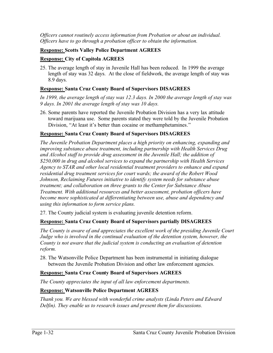*Officers cannot routinely access information from Probation or about an individual. Officers have to go through a probation officer to obtain the information.* 

### **Response: Scotts Valley Police Department AGREES**

### **Response: City of Capitola AGREES**

25. The average length of stay in Juvenile Hall has been reduced. In 1999 the average length of stay was 32 days. At the close of fieldwork, the average length of stay was 8.9 days.

### **Response: Santa Cruz County Board of Supervisors DISAGREES**

*In 1999, the average length of stay was 12.3 days. In 2000 the average length of stay was 9 days. In 2001 the average length of stay was 10 days.* 

26. Some parents have reported the Juvenile Probation Division has a very lax attitude toward marijuana use. Some parents stated they were told by the Juvenile Probation Division, "At least it's better than cocaine or methamphetamines."

### **Response: Santa Cruz County Board of Supervisors DISAGREES**

*The Juvenile Probation Department places a high priority on enhancing, expanding and improving substance abuse treatment, including partnership with Health Services Drug and Alcohol staff to provide drug assessment in the Juvenile Hall; the addition of \$250,000 in drug and alcohol services to expand the partnership with Health Services Agency to STAR and other local residential treatment providers to enhance and expand residential drug treatment services for court wards; the award of the Robert Wood Johnson, Reclaiming Futures initiative to identify system needs for substance abuse treatment; and collaboration on three grants to the Center for Substance Abuse Treatment. With additional resources and better assessment, probation officers have become more sophisticated at differentiating between use, abuse and dependency and using this information to form service plans.* 

27. The County judicial system is evaluating juvenile detention reform.

### **Response: Santa Cruz County Board of Supervisors partially DISAGREES**

*The County is aware of and appreciates the excellent work of the presiding Juvenile Court Judge who is involved in the continual evaluation of the detention system, however, the County is not aware that the judicial system is conducting an evaluation of detention reform.*

28. The Watsonville Police Department has been instrumental in initiating dialogue between the Juvenile Probation Division and other law enforcement agencies.

### **Response: Santa Cruz County Board of Supervisors AGREES**

*The County appreciates the input of all law enforcement departments.* 

### **Response: Watsonville Police Department AGREES**

*Thank you. We are blessed with wonderful crime analysts (Linda Peters and Edward Delfin). They enable us to research issues and present them for discussions.*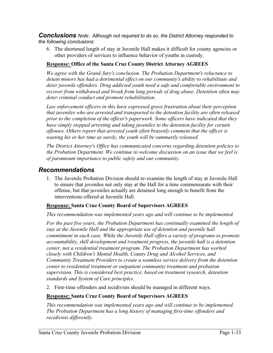*Conclusions Note: Although not required to do so, the District Attorney responded to the following conclusions:*

6. The shortened length of stay at Juvenile Hall makes it difficult for county agencies or other providers of services to influence behavior of youths in custody.

### **Response: Office of the Santa Cruz County District Attorney AGREES**

*We agree with the Grand Jury's conclusion. The Probation Department's reluctance to detain minors has had a detrimental effect on our community's ability to rehabilitate and deter juvenile offenders. Drug addicted youth need a safe and comfortable environment to recover from withdrawal and break from long periods of drug abuse. Detention often may deter criminal conduct and promote rehabilitation.* 

*Law enforcement officers in this have expressed grave frustration about their perception that juveniles who are arrested and transported to the detention facility are often released prior to the completion of the officer's paperwork. Some officers have indicated that they have simply stopped arresting and taking juveniles to the detention facility for certain offenses. Others report that arrested youth often brazenly comment that the officer is wasting his or her time as surely, the youth will be summarily released.* 

*The District Attorney's Office has communicated concerns regarding detention policies to the Probation Department. We continue to welcome discussion on an issue that we feel is of paramount importance to public safety and our community.* 

### *Recommendations*

1. The Juvenile Probation Division should re-examine the length of stay at Juvenile Hall to ensure that juveniles not only stay at the Hall for a time commensurate with their offense, but that juveniles actually are detained long enough to benefit from the interventions offered at Juvenile Hall.

### **Response: Santa Cruz County Board of Supervisors AGREES**

*This recommendation was implemented years ago and will continue to be implemented.* 

For the past five years, the Probation Department has continually examined the length of *stay at the Juvenile Hall and the appropriate use of detention and juvenile hall commitment in each case. While the Juvenile Hall offers a variety of programs to promote accountability, skill development and treatment progress, the juvenile hall is a detention center, not a residential treatment program. The Probation Department has worked closely with Children's Mental Health, County Drug and Alcohol Services, and Community Treatment Providers to create a seamless service delivery from the detention center to residential treatment or outpatient community treatment and probation supervision. This is considered best practice, based on treatment research, detention standards and System of Care principles.*

2. First-time offenders and recidivists should be managed in different ways.

### **Response: Santa Cruz County Board of Supervisors AGREES**

*This recommendation was implemented years ago and will continue to be implemented. The Probation Department has a long history of managing first-time offenders and recidivists differently.*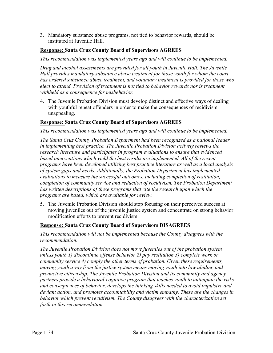3. Mandatory substance abuse programs, not tied to behavior rewards, should be instituted at Juvenile Hall.

### **Response: Santa Cruz County Board of Supervisors AGREES**

*This recommendation was implemented years ago and will continue to be implemented.* 

*Drug and alcohol assessments are provided for all youth in Juvenile Hall. The Juvenile Hall provides mandatory substance abuse treatment for those youth for whom the court has ordered substance abuse treatment, and voluntary treatment is provided for those who elect to attend. Provision of treatment is not tied to behavior rewards nor is treatment withheld as a consequence for misbehavior.* 

4. The Juvenile Probation Division must develop distinct and effective ways of dealing with youthful repeat offenders in order to make the consequences of recidivism unappealing.

### **Response: Santa Cruz County Board of Supervisors AGREES**

*This recommendation was implemented years ago and will continue to be implemented.* 

*The Santa Cruz County Probation Department had been recognized as a national leader in implementing best practice. The Juvenile Probation Division actively reviews the research literature and participates in program evaluations to ensure that evidenced*  based interventions which yield the best results are implemented. All of the recent *programs have been developed utilizing best practice literature as well as a local analysis of system gaps and needs. Additionally, the Probation Department has implemented evaluations to measure the successful outcomes, including completion of restitution, completion of community service and reduction of recidivism. The Probation Department has written descriptions of these programs that cite the research upon which the programs are based, which are available for review.* 

5. The Juvenile Probation Division should stop focusing on their perceived success at moving juveniles out of the juvenile justice system and concentrate on strong behavior modification efforts to prevent recidivism.

### **Response: Santa Cruz County Board of Supervisors DISAGREES**

*This recommendation will not be implemented because the County disagrees with the recommendation.*

*The Juvenile Probation Division does not move juveniles out of the probation system unless youth 1) discontinue offense behavior 2) pay restitution 3) complete work or community service 4) comply the other terms of probation. Given these requirements, moving youth away from the justice system means moving youth into law abiding and productive citizenship. The Juvenile Probation Division and its community and agency partners provide a behavioral-cognitive program that teaches youth to anticipate the risks and consequences of behavior, develops the thinking skills needed to avoid impulsive and deviant action, and promotes accountability and victim empathy. These are the changes in behavior which prevent recidivism. The County disagrees with the characterization set forth in this recommendation.*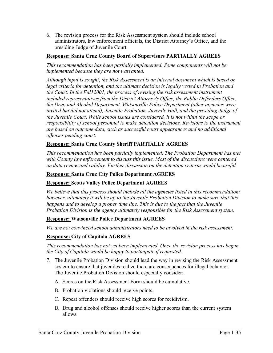6. The revision process for the Risk Assessment system should include school administrators, law enforcement officials, the District Attorney's Office, and the presiding Judge of Juvenile Court.

### **Response: Santa Cruz County Board of Supervisors PARTIALLY AGREES**

*This recommendation has been partially implemented. Some components will not be implemented because they are not warranted.* 

*Although input is sought, the Risk Assessment is an internal document which is based on legal criteria for detention, and the ultimate decision is legally vested in Probation and the Court. In the Fal12001, the process of revising the risk assessment instrument included representatives from the District Attorney's Office, the Public Defenders Office, the Drug and Alcohol Department, Watsonville Police Department (other agencies were invited but did not attend), Juvenile Probation, Juvenile Hall, and the presiding Judge of the Juvenile Court. While school issues are considered, it is not within the scope or responsibility of school personnel to make detention decisions. Revisions to the instrument are based on outcome data, such as successful court appearances and no additional offenses pending court.* 

### **Response: Santa Cruz County Sheriff PARTIALLY AGREES**

*This recommendation has been partially implemented. The Probation Department has met with County law enforcement to discuss this issue. Most of the discussions were centered on data review and validity. Further discussion on the detention criteria would be useful.*

### **Response: Santa Cruz City Police Department AGREES**

### **Response: Scotts Valley Police Department AGREES**

*We believe that this process should include all the agencies listed in this recommendation; however, ultimately it will be up to the Juvenile Probation Division to make sure that this happens and to develop a proper time line. This is due to the fact that the Juvenile Probation Division is the agency ultimately responsible for the Risk Assessment system.* 

### **Response: Watsonville Police Department AGREES**

*We are not convinced school administrators need to be involved in the risk assessment.* 

### **Response: City of Capitola AGREES**

*This recommendation has not yet been implemented. Once the revision process has begun, the City of Capitola would be happy to participate if requested.*

- 7. The Juvenile Probation Division should lead the way in revising the Risk Assessment system to ensure that juveniles realize there are consequences for illegal behavior. The Juvenile Probation Division should especially consider:
	- A. Scores on the Risk Assessment Form should be cumulative.
	- B. Probation violations should receive points.
	- C. Repeat offenders should receive high scores for recidivism.
	- D. Drug and alcohol offenses should receive higher scores than the current system allows.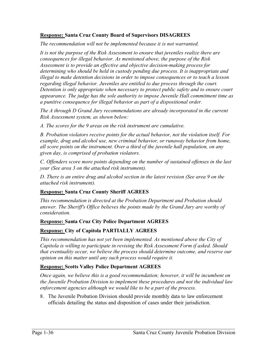### **Response: Santa Cruz County Board of Supervisors DISAGREES**

*The recommendation will not be implemented because it is not warranted.* 

*It is not the purpose of the Risk Assessment to ensure that juveniles realize there are consequences for illegal behavior. As mentioned above, the purpose of the Risk Assessment is to provide an effective and objective decision-making process for determining who should be held in custody pending due process. It is inappropriate and illegal to make detention decisions in order to impose consequences or to teach a lesson regarding illegal behavior. Juveniles are entitled to due process through the court. Detention is only appropriate when necessary to protect public safety and to ensure court appearance. The judge has the sole authority to impose Juvenile Hall commitment time as a punitive consequence for illegal behavior as part of a dispositional order.* 

*The A through D Grand Jury recommendations are already incorporated in the current Risk Assessment system, as shown below:* 

*A. The scores for the 9 areas on the risk instrument are cumulative.* 

*B. Probation violators receive points for the actual behavior, not the violation itself. For example, drug and alcohol use, new criminal behavior, or runaway behavior from home, all score points on the instrument. Over a third of the juvenile hall population, on any given day, is comprised of probation violators.* 

*C. Offenders score more points depending on the number of sustained offenses in the last year (See area 3 on the attached risk instrument).* 

*D. There is an entire drug and alcohol section in the latest revision (See area 9 on the attached risk instrument).* 

### **Response: Santa Cruz County Sheriff AGREES**

*This recommendation is directed at the Probation Department and Probation should answer. The Sheriff's Office believes the points made by the Grand Jury are worthy of consideration.*

### **Response: Santa Cruz City Police Department AGREES**

### **Response: City of Capitola PARTIALLY AGREES**

*This recommendation has not yet been implemented. As mentioned above the City of Capitola is willing to participate in revising the Risk Assessment Form if asked. Should that eventuality occur, we believe the process should determine outcome, and reserve our opinion on this matter until any such process would require it.* 

### **Response: Scotts Valley Police Department AGREES**

*Once again, we believe this is a good recommendation; however, it will be incumbent on the Juvenile Probation Division to implement these procedures and not the individual law enforcement agencies although we would like to be a part of the process.* 

8. The Juvenile Probation Division should provide monthly data to law enforcement officials detailing the status and disposition of cases under their jurisdiction.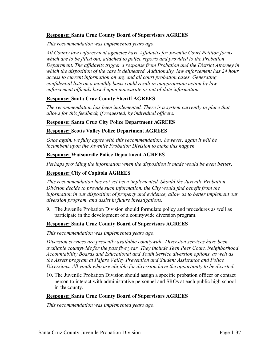### **Response: Santa Cruz County Board of Supervisors AGREES**

*This recommendation was implemented years ago.* 

*All County law enforcement agencies have Affidavits for Juvenile Court Petition forms which are to be filled out, attached to police reports and provided to the Probation Department. The affidavits trigger a response from Probation and the District Attorney in which the disposition of the case is delineated. Additionally, law enforcement has 24 hour access to current information on any and all court probation cases. Generating confidential lists on a monthly basis could result in inappropriate action by law enforcement officials based upon inaccurate or out of date information.* 

#### **Response: Santa Cruz County Sheriff AGREES**

*The recommendation has been implemented. There is a system currently in place that allows for this feedback, if requested, by individual officers.* 

#### **Response: Santa Cruz City Police Department AGREES**

#### **Response: Scotts Valley Police Department AGREES**

*Once again, we fully agree with this recommendation; however, again it will be incumbent upon the Juvenile Probation Division to make this happen.* 

#### **Response: Watsonville Police Department AGREES**

*Perhaps providing the information when the disposition is made would be even better.*

#### **Response: City of Capitola AGREES**

*This recommendation has not yet been implemented. Should the Juvenile Probation Division decide to provide such information, the City would find benefit from the information in our disposition of property and evidence, allow us to better implement our diversion program, and assist in future investigations.* 

9. The Juvenile Probation Division should formulate policy and procedures as well as participate in the development of a countywide diversion program.

#### **Response: Santa Cruz County Board of Supervisors AGREES**

*This recommendation was implemented years ago.*

*Diversion services are presently available countywide. Diversion services have been available countywide for the past five year. They include Teen Peer Court, Neighborhood Accountability Boards and Educational and Youth Service diversion options, as well as the Assets program at Pajaro Valley Prevention and Student Assistance and Police Diversions. All youth who are eligible for diversion have the opportunity to be diverted.* 

10. The Juvenile Probation Division should assign a specific probation officer or contact person to interact with administrative personnel and SROs at each public high school in the county.

#### **Response: Santa Cruz County Board of Supervisors AGREES**

*This recommendation was implemented years ago.*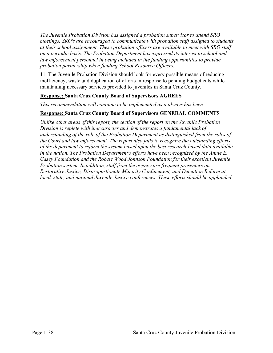*The Juvenile Probation Division has assigned a probation supervisor to attend SRO meetings. SRO's are encouraged to communicate with probation staff assigned to students at their school assignment. These probation officers are available to meet with SRO staff on a periodic basis. The Probation Department has expressed its interest to school and*  law enforcement personnel in being included in the funding opportunities to provide *probation partnership when funding School Resource Officers.* 

11. The Juvenile Probation Division should look for every possible means of reducing inefficiency, waste and duplication of efforts in response to pending budget cuts while maintaining necessary services provided to juveniles in Santa Cruz County.

### **Response: Santa Cruz County Board of Supervisors AGREES**

*This recommendation will continue to be implemented as it always has been.* 

### **Response: Santa Cruz County Board of Supervisors GENERAL COMMENTS**

*Unlike other areas of this report, the section of the report on the Juvenile Probation Division is replete with inaccuracies and demonstrates a fundamental lack of understanding of the role of the Probation Department as distinguished from the roles of the Court and law enforcement. The report also fails to recognize the outstanding efforts of the department to reform the system based upon the best research-based data available in the nation. The Probation Department's efforts have been recognized by the Annie E. Casey Foundation and the Robert Wood Johnson Foundation for their excellent Juvenile Probation system. In addition, staff from the agency are frequent presenters on Restorative Justice, Disproportionate Minority Confinement, and Detention Reform at local, state, and national Juvenile Justice conferences. These efforts should be applauded.*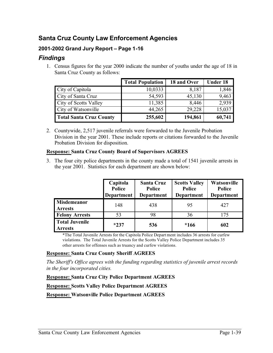### **Santa Cruz County Law Enforcement Agencies**

### **2001-2002 Grand Jury Report – Page 1-16**

### *Findings*

1. Census figures for the year 2000 indicate the number of youths under the age of 18 in Santa Cruz County as follows:

|                                | <b>Total Population</b> | 18 and Over | <b>Under 18</b> |
|--------------------------------|-------------------------|-------------|-----------------|
| City of Capitola               | 10,0333                 | 8,187       | 1,846           |
| City of Santa Cruz             | 54,593                  | 45,130      | 9,463           |
| <b>City of Scotts Valley</b>   | 11,385                  | 8,446       | 2,939           |
| City of Watsonville            | 44,265                  | 29,228      | 15,037          |
| <b>Total Santa Cruz County</b> | 255,602                 | 194,861     | 60,741          |

2. Countywide, 2,517 juvenile referrals were forwarded to the Juvenile Probation Division in the year 2001. These include reports or citations forwarded to the Juvenile Probation Division for disposition.

### **Response: Santa Cruz County Board of Supervisors AGREES**

3. The four city police departments in the county made a total of 1541 juvenile arrests in the year 2001. Statistics for each department are shown below:

|                                         | Capitola<br>Police<br><b>Department</b> | <b>Santa Cruz</b><br><b>Police</b><br><b>Department</b> | <b>Scotts Valley</b><br>Police<br><b>Department</b> | Watsonville<br><b>Police</b><br><b>Department</b> |
|-----------------------------------------|-----------------------------------------|---------------------------------------------------------|-----------------------------------------------------|---------------------------------------------------|
| <b>Misdemeanor</b><br><b>Arrests</b>    | 148                                     | 438                                                     | 95                                                  | 427                                               |
| <b>Felony Arrests</b>                   | 53                                      | 98                                                      | 36                                                  | 175                                               |
| <b>Total Juvenile</b><br><b>Arrests</b> | $*237$                                  | 536                                                     | $*166$                                              | 602                                               |

\*The Total Juvenile Arrests for the Capitola Police Depart ment includes 36 arrests for curfew violations. The Total Juvenile Arrests for the Scotts Valley Police Department includes 35 other arrests for offenses such as truancy and curfew violations.

### **Response: Santa Cruz County Sheriff AGREES**

*The Sheriff's Office agrees with the funding regarding statistics of juvenile arrest records in the four incorporated cities.* 

**Response: Santa Cruz City Police Department AGREES**

**Response: Scotts Valley Police Department AGREES**

**Response: Watsonville Police Department AGREES**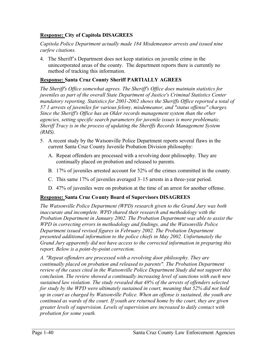### **Response: City of Capitola DISAGREES**

*Capitola Police Department actually made 184 Misdemeanor arrests and issued nine curfew citations.* 

4. The Sheriff's Department does not keep statistics on juvenile crime in the unincorporated areas of the county. The department reports there is currently no method of tracking this information.

### **Response: Santa Cruz County Sheriff PARTIALLY AGREES**

*The Sheriff's Office somewhat agrees. The Sheriff's Office does maintain statistics for juveniles as part of the overall State Department of Justice's Criminal Statistics Center mandatory reporting. Statistics for 2001-2002 shows the Sheriffs Office reported a total of 57 1 arrests of juveniles for various felony, misdemeanor, and "status offense" charges. Since the Sheriff's Office has an Older records management system than the other agencies, setting specific search parameters for juvenile issues is more problematic. Sheriff Tracy is in the process of updating the Sheriffs Records Management System (RMS).*

- 5. A recent study by the Watsonville Police Department reports several flaws in the current Santa Cruz County Juvenile Probation Division philosophy:
	- A. Repeat offenders are processed with a revolving door philosophy. They are continually placed on probation and released to parents.
	- B. 17% of juveniles arrested account for 52% of the crimes committed in the county.
	- C. This same 17% of juveniles averaged 3–15 arrests in a three-year period.
	- D. 47% of juveniles were on probation at the time of an arrest for another offense.

### **Response: Santa Cruz County Board of Supervisors DISAGREES**

*The Watsonville Police Department (WPD) research given to the Grand Jury was both inaccurate and incomplete. WPD shared their research and methodology with the Probation Department in January 2002. The Probation Department was able to assist the WPD in correcting errors in methodology and findings, and the Watsonville Police Department issued revised figures in February 2002. The Probation Department presented additional information to the police chiefs in May 2002. Unfortunately the Grand Jury apparently did not have access to the corrected information in preparing this report. Below is a point-by-point correction.* 

*A. "Repeat offenders are processed with a revolving door philosophy. They are continually placed on probation and released to parents". The Probation Department review of the cases cited in the Watsonville Police Department Study did not support this conclusion. The review showed a continually increasing level of sanctions with each new sustained law violation. The study revealed that 48% of the arrests of offenders selected for study by the WPD were ultimately sustained in court, meaning that 52% did not hold up in court as charged by Watsonville Police. When an offense is sustained, the youth are continued as wards of the court. If youth are returned home by the court, they are given greater levels of supervision. Levels of supervision are increased to daily contact with probation for some youth.*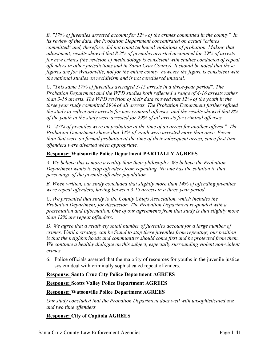*B. "17% of juveniles arrested account for 52% of the crimes committed in the county". In its review of the data, the Probation Department concentrated on actual "crimes committed" and, therefore, did not count technical violations of probation. Making that adjustment, results showed that 8.2% of juveniles arrested accounted for 29% of arrests for new crimes (the revision of methodology is consistent with studies conducted of repeat offenders in other jurisdictions and in Santa Cruz County). It should be noted that these figures are for Watsonville, not for the entire county, however the figure is consistent with the national studies on recidivism and is not considered unusual.* 

*C. "This same 17% of juveniles averaged 3-15 arrests in a three-year period". The Probation Department and the WPD studies both reflected a range of 4-16 arrests rather than 3-16 arrests. The WPD revision of their data showed that 12% of the youth in the three year study committed 39% of all arrests. The Probation Department further refined the study to reflect only arrests for new criminal offenses, and the results showed that 8% of the youth in the study were arrested for 29% of all arrests for criminal offenses.* 

*D. "47% of juveniles were on probation at the time of an arrest for another offense". The Probation Department shows that 34% of youth were arrested more than once. Fewer than that were on formal probation at the time of their subsequent arrest, since first time offenders were diverted when appropriate.*

### **Response: Watsonville Police Department PARTIALLY AGREES**

*A. We believe this is more a reality than their philosophy. We believe the Probation Department wants to stop offenders from repeating. No one has the solution to that percentage of the juvenile offender population.* 

*B. When written, our study concluded that slightly more than 14% of offending juveniles were repeat offenders, having between 3-15 arrests in a three-year period.* 

*C. We presented that study to the County Chiefs Association, which includes the Probation Department, for discussion. The Probation Department responded with a presentation and information. One of our agreements from that study is that slightly more than 12% are repeat offenders.* 

*D. We agree that a relatively small number of juveniles account for a large number of crimes. Until a strategy can be found to stop these juveniles from repeating, our position is that the neighborhoods and communities should come first and be protected from them. We continue a healthy dialogue on this subject, especially surrounding violent non-violent crimes.*

6. Police officials asserted that the majority of resources for youths in the juvenile justice system deal with criminally sophisticated repeat offenders.

### **Response: Santa Cruz City Police Department AGREES**

**Response: Scotts Valley Police Department AGREES**

### **Response: Watsonville Police Department AGREES**

*Our study concluded that the Probation Department does well with unsophisticated* one *and two time offenders.* 

### **Response: City of Capitola AGREES**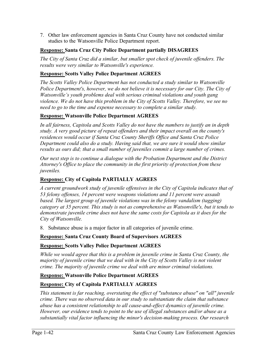7. Other law enforcement agencies in Santa Cruz County have not conducted similar studies to the Watsonville Police Department report.

### **Response: Santa Cruz City Police Department partially DISAGREES**

*The City of Santa Cruz did a similar, but smaller spot check of juvenile offenders. The results were very similar to Watsonville's experience.* 

### **Response: Scotts Valley Police Department AGREES**

*The Scotts Valley Police Department has not conducted a study similar to Watsonville Police Department's, however, we do not believe it is necessary for our City. The City of Watsonville's youth problems deal with serious criminal violations and youth gang violence. We do not have this problem in the City of Scotts Valley. Therefore, we see no need to go to the time and expense necessary to complete a similar study.* 

### **Response: Watsonville Police Department AGREES**

*In all fairness, Capitola and Scotts Valley do not have the numbers to justify an in depth study. A very good picture of repeat offenders and their impact overall on the county's residences would occur if Santa Cruz County Sheriffs Office and Santa Cruz Police Department could also do a study. Having said that, we are sure it would show similar results as ours did; that a small number of juveniles commit a large number of crimes.* 

*Our next step is to continue a dialogue with the Probation Department and the District Attorney's Office to place the community in the first priority of protection from these juveniles.*

### **Response: City of Capitola PARTIALLY AGREES**

*A current groundwork study of juvenile offensives in the City of Capitola indicates that of 53 felony offenses, 14 percent were weapons violations and 11 percent were assault based. The largest group of juvenile violations was in the felony vandalism (tagging) category at 35 percent. This study is not as comprehensive as Watsonville's, but it tends to demonstrate juvenile crime does not have the same costs for Capitola as it does for the City of Watsonville.* 

8. Substance abuse is a major factor in all categories of juvenile crime.

### **Response: Santa Cruz County Board of Supervisors AGREES**

### **Response: Scotts Valley Police Department AGREES**

*While we would agree that this is a problem in juvenile crime in Santa Cruz County, the majority of juvenile crime that we deal with in the City of Scotts Valley is not violent crime. The majority of juvenile crime we deal with are minor criminal violations.* 

### **Response: Watsonville Police Department AGREES**

### **Response: City of Capitola PARTIALLY AGREES**

*This statement is far reaching, overstating the effect of "substance abuse" on "all" juvenile crime. There was no observed data in our study to substantiate the claim that substance abuse has a consistent relationship to all cause-and-effect dynamics of juvenile crime. However, our evidence tends to point to the use of illegal substances and/or abuse as a substantially vital factor influencing the minor's decision-making process. Our research*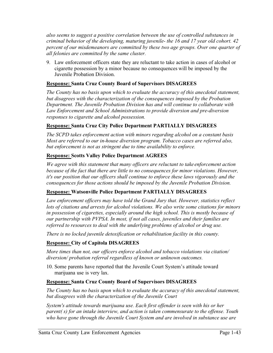*also seems to suggest a positive correlation between the use of controlled substances in criminal behavior of the developing, maturing juvenile- the 16 and 17 year old cohort. 42 percent of our misdemeanors are committed by these two age groups. Over one quarter of all felonies are committed by the same cluster.* 

9. Law enforcement officers state they are reluctant to take action in cases of alcohol or cigarette possession by a minor because no consequences will be imposed by the Juvenile Probation Division.

### **Response: Santa Cruz County Board of Supervisors DISAGREES**

*The County has no basis upon which to evaluate the accuracy of this anecdotal statement, but disagrees with the characterization of the consequences imposed by the Probation Department. The Juvenile Probation Division has and will continue to collaborate with Law Enforcement and School Administrations to provide diversion and pre-diversion responses to cigarette and alcohol possession.* 

### **Response: Santa Cruz City Police Department PARTIALLY DISAGREES**

*The SCPD takes enforcement action with minors regarding alcohol on a constant basis Most are referred to our in-house diversion program. Tobacco cases are referred also, but enforcement is not as stringent due to time availability to enforce.*

### **Response: Scotts Valley Police Department AGREES**

*We agree with this statement that many officers are reluctant to take enforcement action because of the fact that there are little to no consequences for minor violations. However, it's our position that our officers shall continue to enforce these laws vigorously and the consequences for those actions should be imposed by the Juvenile Probation Division.* 

### **Response: Watsonville Police Department PARTIALLY DISAGREES**

*Law enforcement officers may have told the Grand Jury that. However, statistics reflect lots of citations and arrests for alcohol violations. We also write some citations for minors in possession of cigarettes, especially around the high school. This is mostly because of our partnership with PVPSA. In most, if not all cases, juveniles and their families are*  referred to resources to deal with the underlying problems of alcohol or drug use.

*There is no locked juvenile detoxification or rehabilitation facility in this county.* 

### **Response: City of Capitola DISAGREES**

*More times than not, our officers enforce alcohol and tobacco violations via citation/ diversion/ probation referral regardless of known or unknown outcomes.* 

10. Some parents have reported that the Juvenile Court System's attitude toward marijuana use is very lax.

### **Response: Santa Cruz County Board of Supervisors DISAGREES**

*The County has no basis upon which to evaluate the accuracy of this anecdotal statement, but disagrees with the characterization of the Juvenile Court* 

*System's attitude towards marijuana use. Each first offender is seen with his or her parent( s) for an intake interview, and action is taken commensurate to the offense. Youth who have gone through the Juvenile Court System and are involved in substance use are*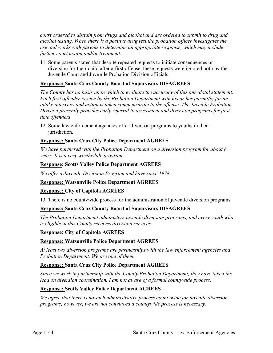*court ordered to abstain from drugs and alcohol and are ordered to submit to drug and alcohol testing. When there is a positive drug test the probation officer investigates the use and works with parents to determine an appropriate response, which may include further court action and/or treatment.* 

11. Some parents stated that despite repeated requests to initiate consequences or diversion for their child after a first offense, these requests were ignored both by the Juvenile Court and Juvenile Probation Division officials.

### **Response: Santa Cruz County Board of Supervisors DISAGREES**

*The County has no basis upon which to evaluate the accuracy of this anecdotal statement. Each first offender is seen by the Probation Department with his or her parent(s) for an intake interview and action is taken commensurate to the offense. The Juvenile Probation Division presently provides early referral to assessment and diversion programs for firsttime offenders.* 

12. Some law enforcement agencies offer diversion programs to youths in their jurisdiction.

### **Response: Santa Cruz City Police Department AGREES**

*We have partnered with the Probation Department on a diversion program for about 8 years. It is a very worthwhile program.* 

### **Response: Scotts Valley Police Department AGREES**

*We offer a Juvenile Diversion Program and have since 1978.*

### **Response: Watsonville Police Department AGREES**

### **Response: City of Capitola AGREES**

13. There is no countywide process for the administration of juvenile diversion programs.

### **Response: Santa Cruz County Board of Supervisors DISAGREES**

*The Probation Department administers juvenile diversion programs, and every youth who is eligible in this County receives diversion services.* 

### **Response: City of Capitola AGREES**

### **Response: Watsonville Police Department AGREES**

*At least two diversion programs are partnerships with the law enforcement agencies and Probation Department. We are one of them.* 

### **Response: Santa Cruz City Police Department AGREES**

*Since we work in partnership with the County Probation Department, they have taken the lead on diversion coordination. I am not aware of a formal countywide process.*

### **Response: Scotts Valley Police Department AGREES**

*We agree that there is no such administrative process countywide for juvenile diversion programs; however, we are not convinced a countywide process is necessary.*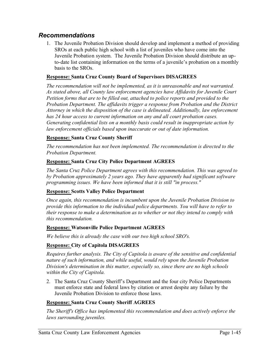### *Recommendations*

1. The Juvenile Probation Division should develop and implement a method of providing SROs at each public high school with a list of juveniles who have come into the Juvenile Probation system. The Juvenile Probation Division should distribute an upto-date list containing information on the terms of a juvenile's probation on a monthly basis to the SROs.

### **Response: Santa Cruz County Board of Supervisors DISAGREES**

*The recommendation will not be implemented, as it is unreasonable and not warranted. As stated above, all County law enforcement agencies have Affidavits for Juvenile Court Petition forms that are to be filled out, attached to police reports and provided to the Probation Department. The affidavits trigger a response from Probation and the District Attorney in which the disposition of the case is delineated. Additionally, law enforcement has 24 hour access to current information on any and all court probation cases. Generating confidential lists on a monthly basis could result in inappropriate action by law enforcement officials based upon inaccurate or out of date information.* 

### **Response: Santa Cruz County Sheriff**

*The recommendation has not been implemented. The recommendation is directed to the Probation Department.*

### **Response: Santa Cruz City Police Department AGREES**

*The Santa Cruz Police Department agrees with this recommendation. This was agreed to by Probation approximately 2 years ago. They have apparently had significant software programming issues. We have been informed that it is still "in process."* 

### **Response: Scotts Valley Police Department**

*Once again, this recommendation is incumbent upon the Juvenile Probation Division to provide this information to the individual police departments. You will have to refer to their response to make a determination as to whether or not they intend to comply with this recommendation.* 

### **Response: Watsonville Police Department AGREES**

*We believe this is already the case with our two high school SRO's.*

### **Response: City of Capitola DISAGREES**

*Requires further analysis. The City of Capitola is aware of the sensitive and confidential nature of such information, and while useful, would rely upon the Juvenile Probation Division's determination in this matter, especially so, since there are no high schools within the City of Capitola.* 

2. The Santa Cruz County Sheriff's Department and the four city Police Departments must enforce state and federal laws by citation or arrest despite any failure by the Juvenile Probation Division to enforce those laws.

### **Response: Santa Cruz County Sheriff AGREES**

*The Sheriff's Office has implemented this recommendation and does actively enforce the laws surrounding juveniles.*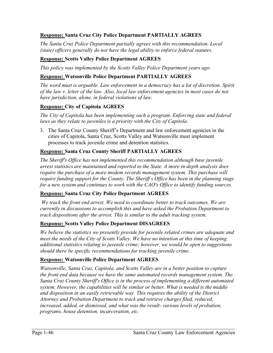### **Response: Santa Cruz City Police Department PARTIALLY AGREES**

*The Santa Cruz Police Department partially agrees with this recommendation. Local (state) officers generally do not have the legal ability to enforce federal statutes.*

### **Response: Scotts Valley Police Department AGREES**

*This policy was implemented by the Scotts Valley Police Department years ago.*

### **Response: Watsonville Police Department PARTIALLY AGREES**

*The word must is arguable. Law enforcement in a democracy has a lot of discretion. Spirit of the law v. letter of the law. Also, local law enforcement agencies in most cases do not have jurisdiction, alone, in federal violations of law.* 

### **Response: City of Capitola AGREES**

*The City of Capitola has been implementing such a program. Enforcing state and federal*  laws as they relate to juveniles is a priority with the City of Capitola.

3. The Santa Cruz County Sheriff's Department and law enforcement agencies in the cities of Capitola, Santa Cruz, Scotts Valley and Watsonville must implement processes to track juvenile crime and detention statistics.

### **Response: Santa Cruz County Sheriff PARTIALLY AGREES**

*The Sheriff's Office has not implemented this recommendation although base juvenile arrest statistics are maintained and reported to the State. A more in-depth analysis does require the purchase of a more modem records management system. This purchase will require funding support for the County. The Sheriff s Office has been in the planning stage for a new system and continues to work with the CAO's Office to identify funding sources.*

### **Response: Santa Cruz City Police Department AGREES**

 *We track the front end arrest. We need to coordinate better to track outcomes. We are currently in discussions to accomplish this and have asked the Probation Department to track dispositions after the arrest. This is similar to the adult tracking system.*

### **Response: Scotts Valley Police Department DISAGREES**

*We believe the statistics we presently provide for juvenile related crimes are adequate and meet the needs of the City of Scotts Valley. We have no intention at this time of keeping additional statistics relating to juvenile crime; however, we would be open to suggestions should there be specific recommendations for tracking juvenile crime.*

### **Response: Watsonville Police Department AGREES**

*Watsonville, Santa Cruz, Capitola, and Scotts Valley are in a better position to capture the front end data because we have the same automated records management system. The Santa Cruz County Sheriff's Office is in the process of implementing a different automated system. However, the capabilities will be similar or better. What is needed is the middle and disposition in an easily retrievable way. This requires the ability of the District Attorney and Probation Department to track and retrieve charges filed, reduced, increased, added, or dismissed, and what was the result- various levels of probation, programs, house detention, incarceration, etc.*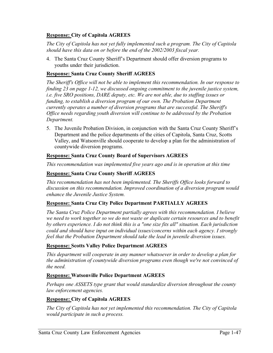### **Response: City of Capitola AGREES**

*The City of Capitola has not yet fully implemented such a program. The City of Capitola should have this data on or before the end of the 2002/2003 fiscal year.* 

4. The Santa Cruz County Sheriff's Department should offer diversion programs to youths under their jurisdiction.

### **Response: Santa Cruz County Sheriff AGREES**

*The Sheriff's Office will not be able to implement this recommendation. In our response to finding 23 on page 1-12, we discussed ongoing commitment to the juvenile justice system, i.e. five SRO positions, DARE deputy, etc. We are not able, due to staffing issues or funding, to establish a diversion program of our own. The Probation Department currently operates a number of diversion programs that are successful. The Sheriff's Office needs regarding youth diversion will continue to be addressed by the Probation Department.*

5. The Juvenile Probation Division, in conjunction with the Santa Cruz County Sheriff's Department and the police departments of the cities of Capitola, Santa Cruz, Scotts Valley, and Watsonville should cooperate to develop a plan for the administration of countywide diversion programs.

### **Response: Santa Cruz County Board of Supervisors AGREES**

*This recommendation was implemented five years ago and is in operation at this time*

### **Response: Santa Cruz County Sheriff AGREES**

*This recommendation has not been implemented. The Sheriffs Office looks forward to discussion on this recommendation. Improved coordination of a diversion program would enhance the Juvenile Justice System.* 

### **Response: Santa Cruz City Police Department PARTIALLY AGREES**

*The Santa Cruz Police Department partially agrees with this recommendation. I believe we need to work together so we do not waste or duplicate certain resources and to benefit by others experience. I do not think this is a "one size fits all" situation. Each jurisdiction could and should have input on individual issues/concerns within each agency. I strongly feel that the Probation Department should take the lead in juvenile diversion issues.*

### **Response: Scotts Valley Police Department AGREES**

*This department will cooperate in any manner whatsoever in order to develop a plan for the administration of countywide diversion programs even though we're not convinced of the need.*

### **Response: Watsonville Police Department AGREES**

*Perhaps one ASSETS type grant that would standardize diversion throughout the county law enforcement agencies.* 

### **Response: City of Capitola AGREES**

*The City of Capitola has not yet implemented this recommendation. The City of Capitola would participate in such a process.*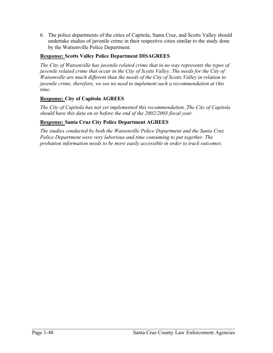6. The police departments of the cities of Capitola, Santa Cruz, and Scotts Valley should undertake studies of juvenile crime in their respective cities similar to the study done by the Watsonville Police Department.

### **Response: Scotts Valley Police Department DISAGREES**

*The City of Watsonville has juvenile related crime that in no way represents the types of juvenile related crime that occur in the City of Scotts Valley. The needs for the City of Watsonville are much different than the needs of the City of Scotts Valley in relation to juvenile crime, therefore, we see no need to implement such a recommendation at this time.*

### **Response: City of Capitola AGREES**

*The City of Capitola has not yet implemented this recommendation. The City of Capitola should have this data on or before the end of the 2002/2003 fiscal year.* 

### **Response: Santa Cruz City Police Department AGREES**

*The studies conducted by both the Watsonville Police Department and the Santa Cruz Police Department were very laborious and time consuming to put together. The probation information needs to be more easily accessible in order to track outcomes.*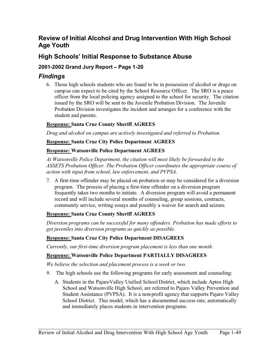### **Review of Initial Alcohol and Drug Intervention With High School Age Youth**

### **High Schools' Initial Response to Substance Abuse**

### **2001-2002 Grand Jury Report – Page 1-20**

### *Findings*

6. Those high schools students who are found to be in possession of alcohol or drugs on campus can expect to be cited by the School Resource Officer. The SRO is a peace officer from the local policing agency assigned to the school for security. The citation issued by the SRO will be sent to the Juvenile Probation Division. The Juvenile Probation Division investigates the incident and arranges for a conference with the student and parents.

### **Response: Santa Cruz County Sheriff AGREES**

*Drug and alcohol on campus are actively investigated and referred to Probation.* 

### **Response: Santa Cruz City Police Department AGREES**

### **Response: Watsonville Police Department AGREES**

*At Watsonville Police Department, the citation will most likely be forwarded to the ASSETS Probation Officer. The Probation Officer coordinates the appropriate course of action with input from school, law enforcement, and PVPSA.* 

7. A first-time offender may be placed on probation or may be considered for a diversion program. The process of placing a first-time offender on a diversion program frequently takes two months to initiate. A diversion program will avoid a permanent record and will include several months of counseling, group sessions, contracts, community service, writing essays and possibly a waiver for search and seizure.

### **Response: Santa Cruz County Sheriff AGREES**

*Diversion programs can be successful for many offenders. Probation has made efforts to get juveniles into diversion programs as quickly as possible.* 

### **Response: Santa Cruz City Police Department DISAGREES**

*Currently, our first-time diversion program placement is less than one month.*

### **Response: Watsonville Police Department PARTIALLY DISAGREES**

*We believe the selection and placement process is a week or two.* 

- 9. The high schools use the following programs for early assessment and counseling:
	- A. Students in the PajaroValley Unified School District, which include Aptos High School and Watsonville High School, are referred to Pajaro Valley Prevention and Student Assistance (PVPSA). It is a non-profit agency that supports Pajaro Valley School District. This model, which has a documented success rate, automatically and immediately places students in intervention programs.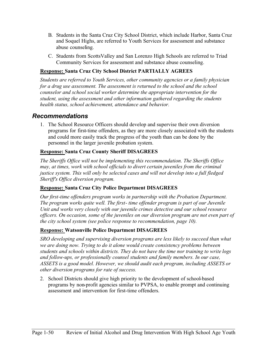- B. Students in the Santa Cruz City School District, which include Harbor, Santa Cruz and Soquel Highs, are referred to Youth Services for assessment and substance abuse counseling.
- C. Students from ScottsValley and San Lorenzo High Schools are referred to Triad Community Services for assessment and substance abuse counseling.

### **Response: Santa Cruz City School District PARTIALLY AGREES**

*Students are referred to Youth Services, other community agencies or a family physician for a drug use assessment. The assessment is returned to the school and the school counselor and school social worker determine the appropriate intervention for the student, using the assessment and other information gathered regarding the students health status, school achievement, attendance and behavior.* 

### *Recommendations*

1. The School Resource Officers should develop and supervise their own diversion programs for first-time offenders, as they are more closely associated with the students and could more easily track the progress of the youth than can be done by the personnel in the larger juvenile probation system.

### **Response: Santa Cruz County Sheriff DISAGREES**

*The Sheriffs Office will not be implementing this recommendation. The Sheriffs Office may, at times, work with school officials to divert certain juveniles from the criminal justice system. This will only be selected cases and will not develop into a full fledged Sheriff's Office diversion program.*

### **Response: Santa Cruz City Police Department DISAGREES**

*Our first-time offenders program works in partnership with the Probation Department. The program works quite well. The first- time offender program is part of our Juvenile Unit and works very closely with our juvenile crimes detective and our school resource officers. On occasion, some of the juveniles on our diversion program are not even part of the city school system (see police response to recommendation, page 10).* 

### **Response: Watsonville Police Department DISAGREES**

*SRO developing and supervising diversion programs are less likely to succeed than what we are doing now. Trying to do it alone would create consistency problems between students and schools within districts. They do not have the time nor training to write logs and follow-ups, or professionally counsel students and family members. In our case, ASSETS is a good model. However, we should audit each program, including ASSETS or other diversion programs for rate of success.* 

2. School Districts should give high priority to the development of school-based programs by non-profit agencies similar to PVPSA, to enable prompt and continuing assessment and intervention for first-time offenders.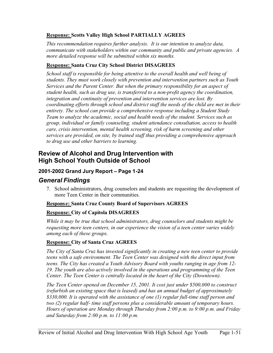### **Response: Scotts Valley High School PARTIALLY AGREES**

*This recommendation requires further analysis. It is our intention to analyze data, communicate with stakeholders within our community and public and private agencies. A more detailed response will be submitted within six months.*

### **Response: Santa Cruz City School District DISAGREES**

*School staff is responsible for being attentive to the overall health and well being of students. They must work closely with prevention and intervention partners such as Youth Services and the Parent Center. But when the primary responsibility for an aspect of student health, such as drug use, is transferred to a non-profit agency the coordination, integration and continuity of prevention and intervention services are lost. By coordinating efforts through school and district staff the needs of the child are met in their entirety. The school can provide a comprehensive response including a Student Study Team to analyze the academic, social and health needs of the student. Services such as group, individual or family counseling, student attendance consultation, access to health care, crisis intervention, mental health screening, risk of harm screening and other services are provided, on site, by trained staff thus providing a comprehensive approach to drug use and other barriers to learning.* 

### **Review of Alcohol and Drug Intervention with High School Youth Outside of School**

### **2001-2002 Grand Jury Report – Page 1-24**

### *General Findings*

7. School administrators, drug counselors and students are requesting the development of more Teen Center in their communities.

### **Response: Santa Cruz County Board of Supervisors AGREES**

### **Response: City of Capitola DISAGREES**

*While it may be true that school administrators, drug counselors and students might be requesting more teen centers, in our experience the vision of a teen center varies widely among each of these groups.* 

### **Response: City of Santa Cruz AGREES**

*The City of Santa Cruz has invested significantly in creating a new teen center to provide teens with a safe environment. The Teen Center was designed with the direct input from teens. The City has created a Youth Advisory Board with youths ranging in age from 12- 19. The youth are also actively involved in the operations and programming of the Teen Center. The Teen Center is centrally located in the heart of the City (Downtown).* 

*The Teen Center opened on December 15, 2001. It cost just under \$500,000 to construct (refurbish an existing space that is leased) and has an annual budget of approximately \$330,000. It is operated with the assistance of one (1) regular full-time staff person and two (2) regular half- time staff persons plus a considerable amount of temporary hours. Hours of operation are Monday through Thursday from 2:00 p.m. to 9:00 p.m. and Friday and Saturday from 2:00 p.m. to 11:00 p.m.*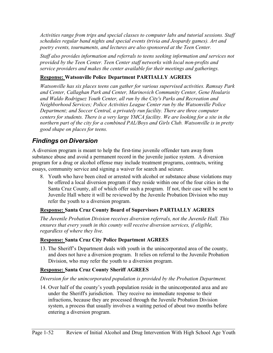*Activities range from trips and special classes to computer labs and tutorial sessions. Staff schedules regular band nights and special events (trivia and Jeopardy games). Art and poetry events, tournaments, and lectures are also sponsored at the Teen Center.* 

*Staff also provides information and referrals to teens seeking information and services not provided by the Teen Center. Teen Center staff networks with local non-profits and service providers and makes the center available for their meetings and gatherings.* 

### **Response: Watsonville Police Department PARTIALLY AGREES**

*Watsonville has six places teens can gather for various supervised activities. Ramsay Park and Center, Callaghan Park and Center, Marinovich Community Center, Gene Hoularis and Waldo Rodriguez Youth Center, all run by the City's Parks and Recreation and Neighborhood Services; Police Activities League Center run by the Watsonville Police Department; and Soccer Central, a privately run facility. There are three computer centers for students. There is a very large YMCA facility. We are looking for a site in the northern part of the city for a combined PAL/Boys and Girls Club. Watsonville is in pretty good shape on places for teens.* 

### *Findings on Diversion*

A diversion program is meant to help the first-time juvenile offender turn away from substance abuse and avoid a permanent record in the juvenile justice system. A diversion program for a drug or alcohol offense may include treatment programs, contracts, writing essays, community service and signing a waiver for search and seizure.

8. Youth who have been cited or arrested with alcohol or substance abuse violations may be offered a local diversion program if they reside within one of the four cities in the Santa Cruz County, all of which offer such a program. If not, their case will be sent to Juvenile Hall where it will be reviewed by the Juvenile Probation Division who may refer the youth to a diversion program.

### **Response: Santa Cruz County Board of Supervisors PARTIALLY AGREES**

*The Juvenile Probation Division receives diversion referrals, not the Juvenile Hall. This ensures that every youth in this county will receive diversion services, if eligible, regardless of where they live.* 

### **Response: Santa Cruz City Police Department AGREES**

13. The Sheriff's Department deals with youth in the unincorporated area of the county, and does not have a diversion program. It relies on referral to the Juvenile Probation Division, who may refer the youth to a diversion program.

### **Response: Santa Cruz County Sheriff AGREES**

### *Diversion for the unincorporated population is provided by the Probation Department.*

14. Over half of the county's youth population reside in the unincorporated area and are under the Sheriff's jurisdiction. They receive no immediate response to their infractions, because they are processed through the Juvenile Probation Division system, a process that usually involves a waiting period of about two months before entering a diversion program.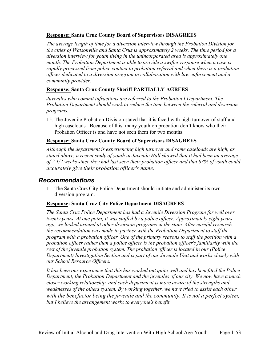### **Response: Santa Cruz County Board of Supervisors DISAGREES**

*The average length of time for a diversion interview through the Probation Division for the cities of Watsonville and Santa Cruz is approximately 2 weeks. The time period for a diversion interview for youth living in the unincorporated area is approximately one month. The Probation Department is able to provide a swifter response when a case is rapidly processed from police contact to probation referral and when there is a probation officer dedicated to a diversion program in collaboration with law enforcement and a community provider.* 

### **Response: Santa Cruz County Sheriff PARTIALLY AGREES**

*Juveniles who commit infractions are referred to the Probation I Department. The Probation Department should work to reduce the time between the referral and diversion programs.*

15. The Juvenile Probation Division stated that it is faced with high turnover of staff and high caseloads. Because of this, many youth on probation don't know who their Probation Officer is and have not seen them for two months.

### **Response: Santa Cruz County Board of Supervisors DISAGREES**

*Although the department is experiencing high turnover and some caseloads are high, as stated above, a recent study of youth in Juvenile Hall showed that it had been an average of 2 1/2 weeks since they had last seen their probation officer and that 83% of youth could accurately give their probation officer's name.* 

### *Recommendations*

1. The Santa Cruz City Police Department should initiate and administer its own diversion program.

### **Response: Santa Cruz City Police Department DISAGREES**

*The Santa Cruz Police Department has had a Juvenile Diversion Program for well over twenty years. At one point, it was staffed by a police officer. Approximately eight years ago, we looked around at other diversion programs in the state. After careful research, the recommendation was made to partner with the Probation Department to staff the program with a probation officer. One of the primary reasons to staff the position with a probation officer rather than a police officer is the probation officer's familiarity with the rest of the juvenile probation system. The probation officer is located in our (Police Department) Investigation Section and is part of our Juvenile Unit and works closely with our School Resource Officers.* 

*It has been our experience that this has worked out quite well and has benefited the Police Department, the Probation Department and the juveniles of our city. We now have a much closer working relationship, and each department is more aware of the strengths and weaknesses of the others system. By working together, we have tried to assist each other with the benefactor being the juvenile and the community. It is not a perfect system, but I believe the arrangement works to everyone's benefit.*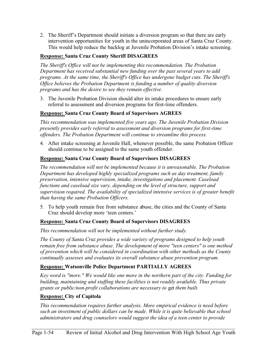2. The Sheriff's Department should initiate a diversion program so that there are early intervention opportunities for youth in the unincorporated areas of Santa Cruz County. This would help reduce the backlog at Juvenile Probation Division's intake screening.

### **Response: Santa Cruz County Sheriff DISAGREES**

*The Sheriff's Office will not be implementing this recommendation. The Probation Department has received substantial new funding over the past several years to add programs. At the same time, the Sheriff's Office has undergone budget cuts. The Sheriff's Office believes the Probation Department is funding a number of quality diversion programs and has the desire to see they remain effective.* 

3. The Juvenile Probation Division should alter its intake procedures to ensure early referral to assessment and diversion programs for first-time offenders.

### **Response: Santa Cruz County Board of Supervisors AGREES**

*This recommendation was implemented five years ago. The Juvenile Probation Division presently provides early referral to assessment and diversion programs for first-time offenders. The Probation Department will continue to streamline this process.* 

4. After intake screening at Juvenile Hall, whenever possible, the same Probation Officer should continue to be assigned to the same youth offender.

### **Response: Santa Cruz County Board of Supervisors DISAGREES**

*The recommendation will not be implemented because it is unreasonable. The Probation Department has developed highly specialized programs such as day treatment, family preservation, intensive supervision, intake, investigations and placement. Caseload functions and caseload size vary, depending on the level of structure, support and supervision required. The availability of specialized intensive services is of greater benefit than having the same Probation Officers.* 

5. To help youth remain free from substance abuse, the cities and the County of Santa Cruz should develop more 'teen centers.'

### **Response: Santa Cruz County Board of Supervisors DISAGREES**

*This recommendation will not be implemented without further study.* 

*The County of Santa Cruz provides a wide variety of programs designed to help youth remain free from substance abuse. The development of more "teen centers" is one method of prevention which will be considered in coordination with other methods as the County continually assesses and evaluates its overall substance abuse prevention program.* 

### **Response: Watsonville Police Department PARTIALLY AGREES**

*Key word is "more." We would like one more in the northern part of the city. Funding for building, maintaining and staffing these facilities is not readily available. Thus private grants or public/non-profit collaborations are necessary to* get *them built.* 

### **Response: City of Capitola**

*This recommendation requires further analysis. More empirical evidence is need before such an investment of public dollars can be made. While it is quite believable that school administrators and drug counselors would suggest the idea of a teen center to provide*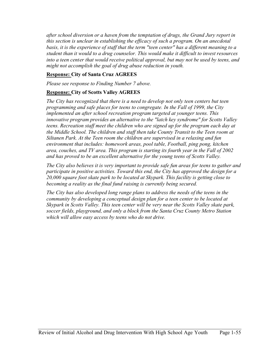*after school diversion or a haven from the temptation of drugs, the Grand Jury report in this section is unclear in establishing the efficacy of such a program. On an anecdotal basis, it is the experience of staff that the term "teen center" has a different meaning to a student than it would to a drug counselor. This would make it difficult to invest resources into a teen center that would receive political approval, but may not be used by teens, and might not accomplish the goal of drug abuse reduction in youth.* 

### **Response: City of Santa Cruz AGREES**

*Please see response to Finding Number 7 above.* 

### **Response: City of Scotts Valley AGREES**

*The City has recognized that there is a need to develop not only teen centers but teen programming and safe places for teens to congregate. In the Fall of 1999, the City implemented an after school recreation program targeted at younger teens. This innovative program provides an alternative to the "latch key syndrome" for Scotts Valley teens. Recreation staff meet the children who are signed up for the program each day at the Middle School. The children and staff then take County Transit to the Teen room at Siltanen Park. At the Teen room the children are supervised in a relaxing and fun environment that includes: homework areas, pool table, Football, ping pong, kitchen area, couches, and TV area. This program is starting its fourth year in the Fall of 2002 and has proved to be an excellent alternative for the young teens of Scotts Valley.* 

*The City also believes it is very important to provide safe fun areas for teens to gather and participate in positive activities. Toward this end, the City has approved the design for a 20,000 square foot skate park to be located at Skypark. This facility is getting close to becoming a reality as the final fund raising is currently being secured.* 

*The City has also developed long range plans to address the needs of the teens in the community by developing a conceptual design plan for a teen center to be located at Skypark in Scotts Valley. This teen center will be very near the Scotts Valley skate park, soccer fields, playground, and only a block from the Santa Cruz County Metro Station which will allow easy access by teens who do not drive.*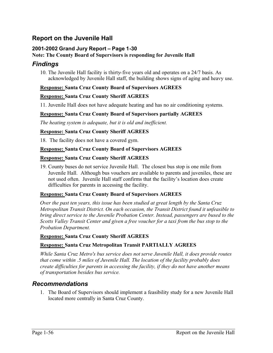### **Report on the Juvenile Hall**

### **2001-2002 Grand Jury Report – Page 1-30**

### **Note: The County Board of Supervisors is responding for Juvenile Hall**

### *Findings*

10. The Juvenile Hall facility is thirty-five years old and operates on a 24/7 basis. As acknowledged by Juvenile Hall staff, the building shows signs of aging and heavy use.

### **Response: Santa Cruz County Board of Supervisors AGREES**

### **Response: Santa Cruz County Sheriff AGREES**

11. Juvenile Hall does not have adequate heating and has no air conditioning systems.

### **Response: Santa Cruz County Board of Supervisors partially AGREES**

*The heating system is adequate, but it is old and inefficient.* 

### **Response: Santa Cruz County Sheriff AGREES**

18. The facility does not have a covered gym.

### **Response: Santa Cruz County Board of Supervisors AGREES**

### **Response: Santa Cruz County Sheriff AGREES**

19. County buses do not service Juvenile Hall. The closest bus stop is one mile from Juvenile Hall. Although bus vouchers are available to parents and juveniles, these are not used often. Juvenile Hall staff confirms that the facility's location does create difficulties for parents in accessing the facility.

### **Response: Santa Cruz County Board of Supervisors AGREES**

*Over the past ten years, this issue has been studied at great length by the Santa Cruz Metropolitan Transit District. On each occasion, the Transit District found it unfeasible to bring direct service to the Juvenile Probation Center. Instead, passengers are bused to the Scotts Valley Transit Center and given a free voucher for a taxi from the bus stop to the Probation Department.* 

### **Response: Santa Cruz County Sheriff AGREES**

### **Response: Santa Cruz Metropolitan Transit PARTIALLY AGREES**

*While Santa Cruz Metro's bus service does not serve Juvenile Hall, it does provide routes that come within .5 miles of Juvenile Hall. The location of the facility probably does create difficulties for parents in accessing the facility, if they do not have another means of transportation besides bus service.*

### *Recommendations*

1. The Board of Supervisors should implement a feasibility study for a new Juvenile Hall located more centrally in Santa Cruz County.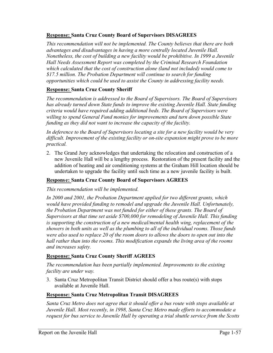### **Response: Santa Cruz County Board of Supervisors DISAGREES**

*This recommendation will not be implemented. The County believes that there are both advantages and disadvantages in having a more centrally located Juvenile Hall. Nonetheless, the cost of building a new facility would be prohibitive. In 1999 a Juvenile Hall Needs Assessment Report was completed by the Criminal Research Foundation which calculated that the cost of construction alone (land not included) would come to \$17.5 million. The Probation Department will continue to search for funding opportunities which could be used to assist the County in addressing facility needs.*

### **Response: Santa Cruz County Sheriff**

*The recommendation is addressed to the Board of Supervisors. The Board of Supervisors has already turned down State funds to improve the existing Juvenile Hall. State funding criteria would have required adding additional beds. The Board of Supervisors were willing to spend General Fund monies for improvements and turn down possible State funding as they did not want to increase the capacity of the facility.* 

*In deference to the Board of Supervisors locating a site for a new facility would be very difficult. Improvement of the existing facility or on-site expansion might prove to be more practical.*

2. The Grand Jury acknowledges that undertaking the relocation and construction of a new Juvenile Hall will be a lengthy process. Restoration of the present facility and the addition of heating and air conditioning systems at the Graham Hill location should be undertaken to upgrade the facility until such time as a new juvenile facility is built.

### **Response: Santa Cruz County Board of Supervisors AGREES**

### *This recommendation will be implemented.*

In 2000 and 2001, the Probation Department applied for two different grants, which *would have provided funding to remodel and upgrade the Juvenile Hall. Unfortunately, the Probation Department was not funded for either of these grants. The Board of Supervisors at that time set aside \$700,000 for remodeling of Juvenile Hall. This funding is supporting the construction of a new medical/mental health wing, replacement of the showers in both units as well as the plumbing to all of the individual rooms. Those funds were also used to replace 20 of the room doors to allows the doors to open out into the hall rather than into the rooms. This modification expands the living area of the rooms and increases safety.* 

### **Response: Santa Cruz County Sheriff AGREES**

*The recommendation has been partially implemented. Improvements to the existing facility are under way.* 

3. Santa Cruz Metropolitan Transit District should offer a bus route(s) with stops available at Juvenile Hall.

### **Response: Santa Cruz Metropolitan Transit DISAGREES**

*Santa Cruz Metro does not agree that it should offer a bus route with stops available at Juvenile Hall. Most recently, in 1998, Santa Cruz Metro made efforts to accommodate a request for bus service to Juvenile Hall by operating a trial shuttle service from the Scotts*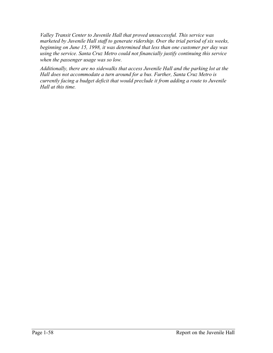*Valley Transit Center to Juvenile Hall that proved unsuccessful. This service was marketed by Juvenile Hall staff to generate ridership. Over the trial period of six weeks, beginning on June 15, 1998, it was determined that less than one customer per day was using the service. Santa Cruz Metro could not financially justify continuing this service when the passenger usage was so low.* 

*Additionally, there are no sidewalks that access Juvenile Hall and the parking lot at the Hall does not accommodate a turn around for a bus. Further, Santa Cruz Metro is currently facing a budget deficit that would preclude it from adding a route to Juvenile Hall at this time.*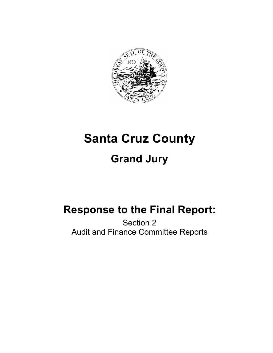

# **Santa Cruz County Grand Jury**

## **Response to the Final Report:**

Section 2 Audit and Finance Committee Reports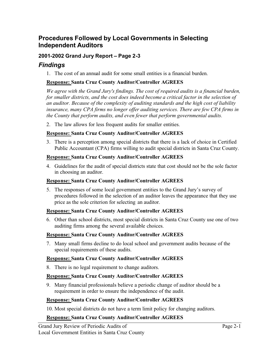### **Procedures Followed by Local Governments in Selecting Independent Auditors**

### **2001-2002 Grand Jury Report – Page 2-3**

### *Findings*

1. The cost of an annual audit for some small entities is a financial burden.

### **Response: Santa Cruz County Auditor/Controller AGREES**

*We agree with the Grand Jury's findings. The cost of required audits is a financial burden, for smaller districts, and the cost does indeed become a critical factor in the selection of an auditor. Because of the complexity of auditing standards and the high cost of liability insurance, many CPA firms no longer offer auditing services. There are few CPA firms in the County that perform audits, and even fewer that perform governmental audits.* 

2. The law allows for less frequent audits for smaller entities.

### **Response: Santa Cruz County Auditor/Controller AGREES**

3. There is a perception among special districts that there is a lack of choice in Certified Public Accountant (CPA) firms willing to audit special districts in Santa Cruz County.

### **Response: Santa Cruz County Auditor/Controller AGREES**

4. Guidelines for the audit of special districts state that cost should not be the sole factor in choosing an auditor.

### **Response: Santa Cruz County Auditor/Controller AGREES**

5. The responses of some local government entities to the Grand Jury's survey of procedures followed in the selection of an auditor leaves the appearance that they use price as the sole criterion for selecting an auditor.

### **Response: Santa Cruz County Auditor/Controller AGREES**

6. Other than school districts, most special districts in Santa Cruz County use one of two auditing firms among the several available choices.

### **Response: Santa Cruz County Auditor/Controller AGREES**

7. Many small firms decline to do local school and government audits because of the special requirements of these audits.

### **Response: Santa Cruz County Auditor/Controller AGREES**

8. There is no legal requirement to change auditors.

### **Response: Santa Cruz County Auditor/Controller AGREES**

9. Many financial professionals believe a periodic change of auditor should be a requirement in order to ensure the independence of the audit.

### **Response: Santa Cruz County Auditor/Controller AGREES**

10. Most special districts do not have a term limit policy for changing auditors.

### **Response: Santa Cruz County Auditor/Controller AGREES**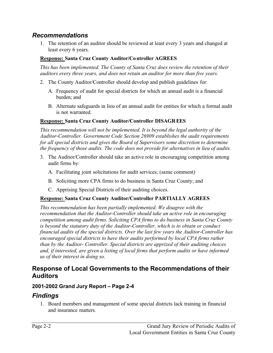### *Recommendations*

1. The retention of an auditor should be reviewed at least every 3 years and changed at least every 6 years.

### **Response: Santa Cruz County Auditor/Controller AGREES**

*This has been implemented. The County of Santa Cruz does review the retention of their auditors every three years, and does not retain an auditor for more than five years.*

- 2. The County Auditor/Controller should develop and publish guidelines for:
	- A. Frequency of audit for special districts for which an annual audit is a financial burden; and
	- B. Alternate safeguards in lieu of an annual audit for entities for which a formal audit is not warranted.

### **Response: Santa Cruz County Auditor/Controller DISAGREES**

*This recommendation will not be implemented. It is beyond the legal authority of the Auditor-Controller. Government Code Section 26909 establishes the audit requirements for all special districts and gives the Board of Supervisors some discretion to determine the frequency of those audits. The code does not provide for alternatives in lieu of audits.*

- 3. The Auditor/Controller should take an active role in encouraging competition among audit firms by:
	- A. Facilitating joint solicitations for audit services; (same comment)
	- B. Soliciting more CPA firms to do business in Santa Cruz County; and
	- C. Apprising Special Districts of their auditing choices.

### **Response: Santa Cruz County Auditor/Controller PARTIALLY AGREES**

*This recommendation has been partially implemented. We disagree with the recommendation that the Auditor-Controller should take an active role in encouraging competition among audit firms. Soliciting CPA firms to do business in Santa Cruz County is beyond the statutory duty of the Auditor-Controller, which is to obtain or conduct financial audits of the special districts. Over the last few years the Auditor-Controller has encouraged special districts to have their audits performed by local CPA firms rather than by the Auditor- Controller. Special districts are apprized of their auditing choices and, if interested, are given a listing of local firms that perform audits or have informed us of their interest in doing so.*

### **Response of Local Governments to the Recommendations of their Auditors**

### **2001-2002 Grand Jury Report – Page 2-4**

### *Findings*

1. Board members and management of some special districts lack training in financial and insurance matters.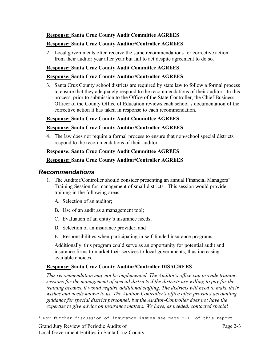### **Response: Santa Cruz County Audit Committee AGREES**

### **Response: Santa Cruz County Auditor/Controller AGREES**

2. Local governments often receive the same recommendations for corrective action from their auditor year after year but fail to act despite agreement to do so.

### **Response: Santa Cruz County Audit Committee AGREES**

#### **Response: Santa Cruz County Auditor/Controller AGREES**

3. Santa Cruz County school districts are required by state law to follow a formal process to ensure that they adequately respond to the recommendations of their auditor. In this process, prior to submission to the Office of the State Controller, the Chief Business Officer of the County Office of Education reviews each school's documentation of the corrective action it has taken in response to each recommendation.

#### **Response: Santa Cruz County Audit Committee AGREES**

### **Response: Santa Cruz County Auditor/Controller AGREES**

4. The law does not require a formal process to ensure that non-school special districts respond to the recommendations of their auditor.

#### **Response: Santa Cruz County Audit Committee AGREES**

### **Response: Santa Cruz County Auditor/Controller AGREES**

### *Recommendations*

- 1. The Auditor/Controller should consider presenting an annual Financial Managers' Training Session for management of small districts. This session would provide training in the following areas:
	- A. Selection of an auditor;
	- B. Use of an audit as a management tool;
	- C. Evaluation of an entity's insurance needs;  $\frac{1}{1}$
	- D. Selection of an insurance provider; and
	- E. Responsibilities when participating in self-funded insurance programs.

Additionally, this program could serve as an opportunity for potential audit and insurance firms to market their services to local governments; thus increasing available choices.

### **Response: Santa Cruz County Auditor/Controller DISAGREES**

*This recommendation may not be implemented. The Auditor's office can provide training sessions for the management of special districts if the districts are willing to pay for the training because it would require additional staffing. The districts will need to make their wishes and needs known to us. The Auditor-Controller's office often provides accounting guidance for special district personnel, but the Auditor-Controller does not have the expertise to give advice on insurance matters. We have, as needed, contacted special* 

 $^{\rm 1}$  For further discussion of insurance issues see page 2-11 of this report.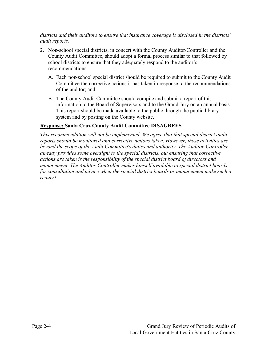*districts and their auditors to ensure that insurance coverage is disclosed in the districts' audit reports.*

- 2. Non-school special districts, in concert with the County Auditor/Controller and the County Audit Committee, should adopt a formal process similar to that followed by school districts to ensure that they adequately respond to the auditor's recommendations:
	- A. Each non-school special district should be required to submit to the County Audit Committee the corrective actions it has taken in response to the recommendations of the auditor; and
	- B. The County Audit Committee should compile and submit a report of this information to the Board of Supervisors and to the Grand Jury on an annual basis. This report should be made available to the public through the public library system and by posting on the County website.

### **Response: Santa Cruz County Audit Committee DISAGREES**

*This recommendation will not be implemented. We agree that that special district audit reports should be monitored and corrective actions taken. However, those activities are beyond the scope of the Audit Committee's duties and authority. The Auditor-Controller already provides some oversight to the special districts, but ensuring that corrective actions are taken is the responsibility of the special district board of directors and management. The Auditor-Controller makes himself available to special district boards for consultation and advice when the special district boards or management make such a request.*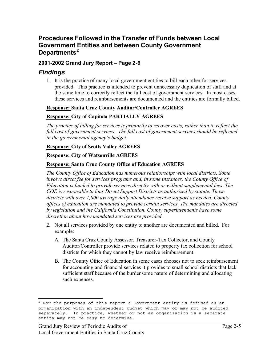# **Procedures Followed in the Transfer of Funds between Local Government Entities and between County Government Departments<sup>2</sup>**

# **2001-2002 Grand Jury Report – Page 2-6**

# *Findings*

1. It is the practice of many local government entities to bill each other for services provided. This practice is intended to prevent unnecessary duplication of staff and at the same time to correctly reflect the full cost of government services. In most cases, these services and reimbursements are documented and the entities are formally billed.

#### **Response: Santa Cruz County Auditor/Controller AGREES**

#### **Response: City of Capitola PARTIALLY AGREES**

*The practice of billing for services is primarily to recover costs, rather than to reflect the full cost of government services. The full cost of government services should be reflected in the governmental agency's budget.*

#### **Response: City of Scotts Valley AGREES**

#### **Response: City of Watsonville AGREES**

#### **Response: Santa Cruz County Office of Education AGREES**

*The County Office of Education has numerous relationships with local districts. Some involve direct fee for services programs and, in some instances, the County Office of Education is funded to provide services directly with or without supplemental fees. The COE is responsible to four Direct Support Districts as authorized by statute. Those districts with over 1,000 average daily attendance receive support as needed. County offices of education are mandated to provide certain services. The mandates are directed by legislation and the California Constitution. County superintendents have some discretion about how mandated services are provided.* 

- 2. Not all services provided by one entity to another are documented and billed. For example:
	- A. The Santa Cruz County Assessor, Treasurer-Tax Collector, and County Auditor/Controller provide services related to property tax collection for school districts for which they cannot by law receive reimbursement.
	- B. The County Office of Education in some cases chooses not to seek reimbursement for accounting and financial services it provides to small school districts that lack sufficient staff because of the burdensome nature of determining and allocating such expenses.

 $2$  For the purposes of this report a Government entity is defined as an organization with an independent budget which may or may not be audited separately. In practice, whether or not an organization is a separate entity may not be easy to determine.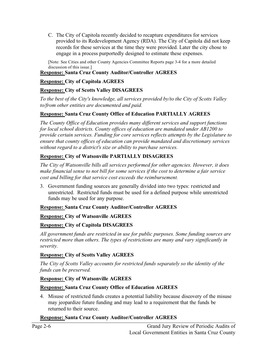C. The City of Capitola recently decided to recapture expenditures for services provided to its Redevelopment Agency (RDA). The City of Capitola did not keep records for these services at the time they were provided. Later the city chose to engage in a process purportedly designed to estimate these expenses.

[Note: See Cities and other County Agencies Committee Reports page 3-4 for a more detailed discussion of this issue.]

# **Response: Santa Cruz County Auditor/Controller AGREES**

# **Response: City of Capitola AGREES**

# **Response: City of Scotts Valley DISAGREES**

*To the best of the City's knowledge, all services provided by/to the City of Scotts Valley to/from other entities are documented and paid.* 

# **Response: Santa Cruz County Office of Education PARTIALLY AGREES**

*The County Office of Education provides many different services and support functions for local school districts. County offices of education are mandated under AB1200 to provide certain services. Funding for core services reflects attempts by the Legislature to ensure that county offices of education can provide mandated and discretionary services without regard to a district's size or ability to purchase services.* 

# **Response: City of Watsonville PARTIALLY DISAGREES**

*The City of Watsonville bills all services performed for other agencies. However, it does make financial sense to not bill for some services if the cost to determine a fair service cost and billing for that service cost exceeds the reimbursement.* 

3. Government funding sources are generally divided into two types: restricted and unrestricted. Restricted funds must be used for a defined purpose while unrestricted funds may be used for any purpose.

# **Response: Santa Cruz County Auditor/Controller AGREES**

# **Response: City of Watsonville AGREES**

# **Response: City of Capitola DISAGREES**

*All government funds are restricted in use for public purposes. Some funding sources are restricted more than others. The types of restrictions are many and vary significantly in severity.*

# **Response: City of Scotts Valley AGREES**

*The City of Scotts Valley accounts for restricted funds separately so the identity of the funds can be preserved.* 

# **Response: City of Watsonville AGREES**

# **Response: Santa Cruz County Office of Education AGREES**

4. Misuse of restricted funds creates a potential liability because discovery of the misuse may jeopardize future funding and may lead to a requirement that the funds be returned to their source.

# **Response: Santa Cruz County Auditor/Controller AGREES**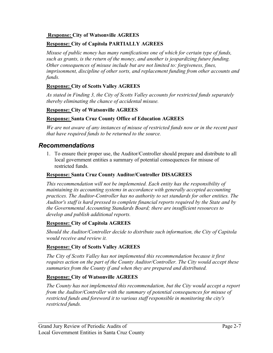#### **Response: City of Watsonville AGREES**

# **Response: City of Capitola PARTIALLY AGREES**

*Misuse of public money has many ramifications one of which for certain type of funds, such as grants, is the return of the money, and another is jeopardizing future funding. Other consequences of misuse include but are not limited to: forgiveness, fines, imprisonment, discipline of other sorts, and replacement funding from other accounts and funds.*

# **Response: City of Scotts Valley AGREES**

*As stated in Finding 3, the City of Scotts Valley accounts for restricted funds separately thereby eliminating the chance of accidental misuse.* 

# **Response: City of Watsonville AGREES**

# **Response: Santa Cruz County Office of Education AGREES**

*We are not aware of any instances of misuse of restricted funds now or in the recent past that have required funds to be returned to the source.* 

# *Recommendations*

1. To ensure their proper use, the Auditor/Controller should prepare and distribute to all local government entities a summary of potential consequences for misuse of restricted funds.

#### **Response: Santa Cruz County Auditor/Controller DISAGREES**

*This recommendation will not be implemented. Each entity has the responsibility of maintaining its accounting systems in accordance with generally accepted accounting practices. The Auditor-Controller has no authority to set standards for other entities. The Auditor's staff is hard pressed to complete financial reports required by the State and by the Governmental Accounting Standards Board; there are insufficient resources to develop and publish additional reports.*

# **Response: City of Capitola AGREES**

*Should the Auditor/Controller decide to distribute such information, the City of Capitola would receive and review it.* 

# **Response: City of Scotts Valley AGREES**

*The City of Scotts Valley has not implemented this recommendation because it first requires action on the part of the County Auditor/Controller. The City would accept these summaries from the County if and when they are prepared and distributed.* 

# **Response: City of Watsonville AGREES**

*The County has not implemented this recommendation, but the City would accept a report from the Auditor/Controller with the summary of potential consequences for misuse of restricted funds and foreword it to various staff responsible in monitoring the city's restricted funds.*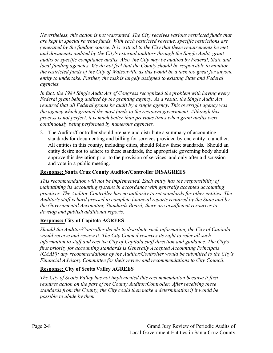*Nevertheless, this action is not warranted. The City receives various restricted funds that are kept in special revenue funds. With each restricted revenue, specific restrictions are generated by the funding source. It is critical to the City that these requirements be met and documents audited by the City's external auditors through the Single Audit, grant audits or specific compliance audits. Also, the City may be audited by Federal, State and local funding agencies. We do not feel that the County should be responsible to monitor the restricted funds of the City of Watsonville as this would be a task too great for anyone entity to undertake. Further, the task is largely assigned to existing State and Federal agencies.*

*In fact, the 1984 Single Audit Act of Congress recognized the problem with having every Federal grant being audited by the granting agency. As a result, the Single Audit Act required that all Federal grants be audit by a single agency. This oversight agency was the agency which granted the most funds to the recipient government. Although this process is not perfect, it is much better than previous times when grant audits were continuously being performed by numerous agencies.* 

2. The Auditor/Controller should prepare and distribute a summary of accounting standards for documenting and billing for services provided by one entity to another. All entities in this county, including cities, should follow these standards. Should an entity desire not to adhere to these standards, the appropriate governing body should approve this deviation prior to the provision of services, and only after a discussion and vote in a public meeting.

# **Response: Santa Cruz County Auditor/Controller DISAGREES**

*This recommendation will not be implemented. Each entity has the responsibility of maintaining its accounting systems in accordance with generally accepted accounting practices. The Auditor-Controller has no authority to set standards for other entities. The Auditor's staff is hard pressed to complete financial reports required by the State and by the Governmental Accounting Standards Board; there are insufficient resources to develop and publish additional reports.*

# **Response: City of Capitola AGREES**

*Should the Auditor/Controller decide to distribute such information, the City of Capitola would receive and review it. The City Council reserves its right to refer all such information to staff and receive City of Capitola staff direction and guidance. The City's first priority for accounting standards is Generally Accepted Accounting Principals (GAAP); any recommendations by the Auditor/Controller would be submitted to the City's Financial Advisory Committee for their review and recommendations to City Council.* 

# **Response: City of Scotts Valley AGREES**

*The City of Scotts Valley has not implemented this recommendation because it first requires action on the part of the County Auditor/Controller. After receiving these standards from the County, the City could then make a determination if it would be possible to abide by them.*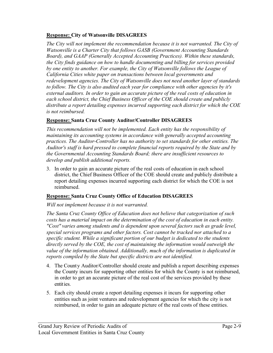### **Response: City of Watsonville DISAGREES**

*The City will not implement the recommendation because it is not warranted. The City of Watsonville is a Charter City that follows GASB (Government Accounting Standards Board), and GAAP (Generally Accepted Accounting Practices). Within these standards, the City finds guidance on how to handle documenting and billing for services provided by one entity to another. For example, the City of Watsonville follows the League of California Cities white paper on transactions between local governments and redevelopment agencies. The City of Watsonville does not need another layer of standards to follow. The City is also audited each year for compliance with other agencies by it's external auditors. In order to gain an accurate picture of the real costs of education in each school district, the Chief Business Officer of the COE should create and publicly distribute a report detailing expenses incurred supporting each district for which the COE is not reimbursed.*

# **Response: Santa Cruz County Auditor/Controller DISAGREES**

*This recommendation will not be implemented. Each entity has the responsibility of maintaining its accounting systems in accordance with generally accepted accounting practices. The Auditor-Controller has no authority to set standards for other entities. The Auditor's staff is hard pressed to complete financial reports required by the State and by the Governmental Accounting Standards Board; there are insufficient resources to develop and publish additional reports.*

3. In order to gain an accurate picture of the real costs of education in each school district, the Chief Business Officer of the COE should create and publicly distribute a report detailing expenses incurred supporting each district for which the COE is not reimbursed.

# **Response: Santa Cruz County Office of Education DISAGREES**

# *Will not implement because it is not warranted.*

*The Santa Cruz County Office of Education does not believe that categorization of such costs has a material impact on the determination of the cost of education in each entity. "Cost" varies among students and is dependent upon several factors such as grade level, special services programs and other factors. Cost cannot be tracked nor attached to a specific student. While a significant portion of our budget is dedicated to the students directly served by the COE, the cost of maintaining the information would outweigh the value of the information obtained. Additionally, much of the information is duplicated in reports compiled by the State but specific districts are not identified.* 

- 4. The County Auditor/Controller should create and publish a report describing expenses the County incurs for supporting other entities for which the County is not reimbursed, in order to get an accurate picture of the real cost of the services provided by these entities.
- 5. Each city should create a report detailing expenses it incurs for supporting other entities such as joint ventures and redevelopment agencies for which the city is not reimbursed, in order to gain an adequate picture of the real costs of these entities.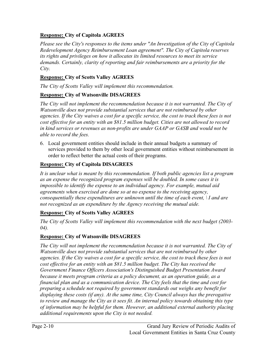# **Response: City of Capitola AGREES**

*Please see the City's responses to the items under "An Investigation of the City of Capitola Redevelopment Agency Reimbursement Loan agreement". The City of Capitola reserves its rights and privileges on how it allocates its limited resources to meet its service demands. Certainly, clarity of reporting and fair reimbursements are a priority for the City.*

### **Response: City of Scotts Valley AGREES**

*The City of Scotts Valley will implement this recommendation.* 

#### **Response: City of Watsonville DISAGREES**

*The City will not implement the recommendation because it is not warranted. The City of Watsonville does not provide substantial services that are not reimbursed by other agencies. If the City waives a cost for a specific service, the cost to track these fees is not cost effective for an entity with an \$81.5 million budget. Cities are not allowed to record in kind services or revenues as non-profits are under GAAP or GASB and would not be able to record the fees.* 

6. Local government entities should include in their annual budgets a summary of services provided to them by other local government entities without reimbursement in order to reflect better the actual costs of their programs.

#### **Response: City of Capitola DISAGREES**

*It is unclear what is meant by this recommendation. If both public agencies list a program as an expense the recognized program expenses will be doubled. In some cases it is impossible to identify the expense to an individual agency. For example, mutual aid agreements when exercised are done so at no expense to the receiving agency, consequentially these expenditures are unknown until the time of each event, \ I and are not recognized as an expenditure by the Agency receiving the mutual aide.* 

#### **Response: City of Scotts Valley AGREES**

*The City of Scotts Valley will implement this recommendation with the next budget (2003- 04).*

#### **Response: City of Watsonville DISAGREES**

*The City will not implement the recommendation because it is not warranted. The City of Watsonville does not provide substantial services that are not reimbursed by other agencies. If the City waives a cost for a specific service, the cost to track these fees is not cost effective for an entity with an \$81.5 million budget. The City has received the Government Finance Officers Association's Distinguished Budget Presentation Award because it meets program criteria as a policy document, as an operation guide, as a financial plan and as a communication device. The City feels that the time and cost for preparing a schedule not required by government standards out weighs any benefit for displaying these costs (if any). At the same time, City Council always has the prerogative to review and manage the City as it sees fit. An internal policy towards obtaining this type of information may be helpful for them. However, an additional external authority placing additional requirements upon the City is not needed.*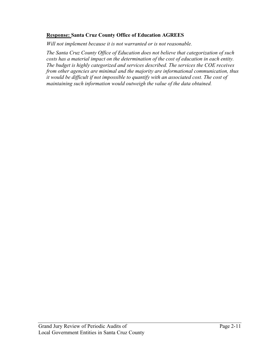#### **Response: Santa Cruz County Office of Education AGREES**

*Will not implement because it is not warranted or is not reasonable.*

*The Santa Cruz County Office of Education does not believe that categorization of such costs has a material impact on the determination of the cost of education in each entity. The budget is highly categorized and services described. The services the COE receives from other agencies are minimal and the majority are informational communication, thus it would be difficult if not impossible to quantify with an associated cost. The cost of maintaining such information would outweigh the value of the data obtained.*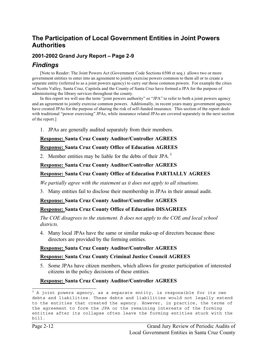# **The Participation of Local Government Entities in Joint Powers Authorities**

# **2001-2002 Grand Jury Report – Page 2-9**

# *Findings*

[Note to Reader: The Joint Powers Act (Government Code Sections 6500 et seq.) allows two or more government entities to enter into an agreement to jointly exercise powers common to them all or to create a separate entity (referred to as a joint powers agency) to carry out those common powers. For example the cities of Scotts Valley, Santa Cruz, Capitola and the County of Santa Cruz have formed a JPA for the purpose of administering the library services throughout the county.

In this report we will use the term "joint powers authority" or "JPA" to refer to both a joint powers agency and an agreement to jointly exercise common powers. Additionally, in recent years many government agencies have created JPAs for the purpose of sharing the risk of self-funded insurance. This section of the report deals with traditional "power exercising" JPAs, while insurance related JPAs are covered separately in the next section of the report.]

1. JPAs are generally audited separately from their members.

#### **Response: Santa Cruz County Auditor/Controller AGREES**

#### **Response: Santa Cruz County Office of Education AGREES**

2. Member entities may be liable for the debts of their JPA. $<sup>3</sup>$ </sup>

#### **Response: Santa Cruz County Auditor/Controller AGREES**

#### **Response: Santa Cruz County Office of Education PARTIALLY AGREES**

*We partially agree with the statement as it does not apply to all situations.*

3. Many entities fail to disclose their membership in JPAs in their annual audit.

#### **Response: Santa Cruz County Auditor/Controller AGREES**

#### **Response: Santa Cruz County Office of Education DISAGREES**

*The COE disagrees to the statement. It does not apply to the COE and local school districts.*

4. Many local JPAs have the same or similar make-up of directors because these directors are provided by the forming entities.

#### **Response: Santa Cruz County Auditor/Controller AGREES**

#### **Response: Santa Cruz County Criminal Justice Council AGREES**

5. Some JPAs have citizen members, which allows for greater participation of interested citizens in the policy decisions of these entities.

#### **Response: Santa Cruz County Auditor/Controller AGREES**

 $3$  A joint powers agency, as a separate entity, is responsible for its own debts and liabilities. These debts and liabilities would not legally extend to the entities that created the agency. However, in practice, the terms of the agreement to form the JPA or the remaining interests of the forming entities after its collapse often leave the forming entities stuck with the bill.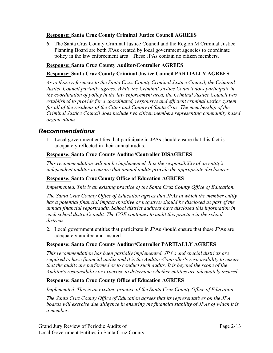#### **Response: Santa Cruz County Criminal Justice Council AGREES**

6. The Santa Cruz County Criminal Justice Council and the Region M Criminal Justice Planning Board are both JPAs created by local government agencies to coordinate policy in the law enforcement area. These JPAs contain no citizen members.

#### **Response: Santa Cruz County Auditor/Controller AGREES**

#### **Response: Santa Cruz County Criminal Justice Council PARTIALLY AGREES**

*As to those references to the Santa Cruz. County Criminal Justice Council, the Criminal Justice Council partially agrees. While the Criminal Justice Council does participate in the coordination of policy in the law enforcement area, the Criminal Justice Council was established to provide for a coordinated, responsive and efficient criminal justice system for all of the residents of the Cities and County of Santa Cruz. The membership of the Criminal Justice Council does include two citizen members representing community based organizations.*

# *Recommendations*

1. Local government entities that participate in JPAs should ensure that this fact is adequately reflected in their annual audits.

#### **Response: Santa Cruz County Auditor/Controller DISAGREES**

*This recommendation will not be implemented. It is the responsibility of an entity's independent auditor to ensure that annual audits provide the appropriate disclosures.* 

#### **Response: Santa Cruz County Office of Education AGREES**

*Implemented. This is an existing practice of the Santa Cruz County Office of Education.* 

*The Santa Cruz County Office of Education agrees that JPAs in which the member entity has a potential financial impact (positive or negative) should be disclosed as part of the annual financial report/audit. School district auditors have disclosed this information in each school district's audit. The COE continues to audit this practice in the school districts.*

2. Local government entities that participate in JPAs should ensure that these JPAs are adequately audited and insured.

# **Response: Santa Cruz County Auditor/Controller PARTIALLY AGREES**

*This recommendation has been partially implemented. JPA's and special districts are required to have financial audits and it is the Auditor-Controller's responsibility to ensure that the audits are performed or to conduct such audits. It is beyond the scope of the Auditor's responsibility or expertise to determine whether entities are adequately insured.*

#### **Response: Santa Cruz County Office of Education AGREES**

*Implemented. This is an existing practice of the Santa Cruz County Office of Education.* 

*The Santa Cruz County Office of Education agrees that its representatives on the JPA boards will exercise due diligence in ensuring the financial stability of JPAs of which it is a member.*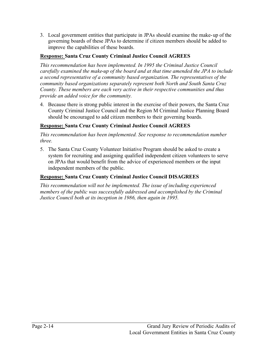3. Local government entities that participate in JPAs should examine the make-up of the governing boards of these JPAs to determine if citizen members should be added to improve the capabilities of these boards.

# **Response: Santa Cruz County Criminal Justice Council AGREES**

*This recommendation has been implemented. In 1995 the Criminal Justice Council carefully examined the make-up of the board and at that time amended the JPA to include a second representative of a community based organization. The representatives of the community based organizations separately represent both North and South Santa Cruz County. These members are each very active in their respective communities and thus provide an added voice for the community.* 

4. Because there is strong public interest in the exercise of their powers, the Santa Cruz County Criminal Justice Council and the Region M Criminal Justice Planning Board should be encouraged to add citizen members to their governing boards.

# **Response: Santa Cruz County Criminal Justice Council AGREES**

*This recommendation has been implemented. See response to recommendation number three.*

5. The Santa Cruz County Volunteer Initiative Program should be asked to create a system for recruiting and assigning qualified independent citizen volunteers to serve on JPAs that would benefit from the advice of experienced members or the input independent members of the public.

# **Response: Santa Cruz County Criminal Justice Council DISAGREES**

*This recommendation will not be implemented. The issue of including experienced members of the public was successfully addressed and accomplished by the Criminal Justice Council both at its inception in 1986, then again in 1995.*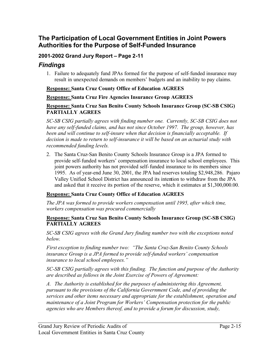# **The Participation of Local Government Entities in Joint Powers Authorities for the Purpose of Self-Funded Insurance**

# **2001-2002 Grand Jury Report – Page 2-11**

# *Findings*

1. Failure to adequately fund JPAs formed for the purpose of self-funded insurance may result in unexpected demands on members' budgets and an inability to pay claims.

#### **Response: Santa Cruz County Office of Education AGREES**

**Response: Santa Cruz Fire Agencies Insurance Group AGREES**

#### **Response: Santa Cruz San Benito County Schools Insurance Group (SC-SB CSIG) PARTIALLY AGREES**

*SC-SB CSIG partially agrees with finding number one. Currently, SC-SB CSIG does not have any self-funded claims, and has not since October 1997. The group, however, has been and will continue to self-insure when that decision is financially acceptable. If decision is made to return to self-insurance it will be based on an actuarial study with recommended funding levels.*

2. The Santa Cruz-San Benito County Schools Insurance Group is a JPA formed to provide self-funded workers' compensation insurance to local school employees. This joint powers authority has not provided self-funded insurance to its members since 1995. As of year-end June 30, 2001, the JPA had reserves totaling \$2,948,286. Pajaro Valley Unified School District has announced its intention to withdraw from the JPA and asked that it receive its portion of the reserve, which it estimates at \$1,300,000.00.

#### **Response: Santa Cruz County Office of Education AGREES**

*The JPA was formed to provide workers compensation until 1995, after which time, workers compensation was procured commercially* 

#### **Response: Santa Cruz San Benito County Schools Insurance Group (SC-SB CSIG) PARTIALLY AGREES**

*SC-SB CSIG agrees with the Grand Jury finding number two with the exceptions noted below.*

*First exception to finding number two: "The Santa Cruz-San Benito County Schools insurance Group is a JPA formed to provide self-funded workers' compensation insurance to local school employees."*

*SC-SB CSIG partially agrees with this finding. The function and purpose of the Authority are described as follows in the Joint Exercise of Powers of Agreement:*

*A. The Authority is established for the purposes of administering this Agreement, pursuant to the provisions of the California Government Code, and of providing the services and other items necessary and appropriate for the establishment, operation and maintenance of a Joint Program for Workers' Compensation protection for the public agencies who are Members thereof, and to provide a forum for discussion, study,*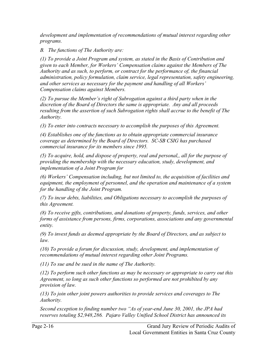*development and implementation of recommendations of mutual interest regarding other programs.*

*B. The functions of The Authority are:*

*(1) To provide a Joint Program and system, as stated in the Basis of Contribution and given to each Member, for Workers' Compensation claims against the Members of The Authority and as such, to perform, or contract for the performance of, the financial administration, policy formulation, claim service, legal representation, safety engineering, and other services as necessary for the payment and handling of all Workers' Compensation claims against Members.*

*(2) To pursue the Member's right of Subrogation against a third party when in the discretion of the Board of Directors the same is appropriate. Any and all proceeds resulting from the assertion of such Subrogation rights shall accrue to the benefit of The Authority.*

*(3) To enter into contracts necessary to accomplish the purposes of this Agreement.*

*(4) Establishes one of the functions as to obtain appropriate commercial insurance coverage as determined by the Board of Directors. SC-SB CSIG has purchased commercial insurance for its members since 1995.*

*(5) To acquire, hold, and dispose of property, real and personal,, all for the purpose of providing the membership with the necessary education, study, development, and implementation of a Joint Program for* 

*(6) Workers' Compensation including, but not limited to, the acquisition of facilities and equipment, the employment of personnel, and the operation and maintenance of a system for the handling of the Joint Program.*

*(7) To incur debts, liabilities, and Obligations necessary to accomplish the purposes of this Agreement.*

*(8) To receive gifts, contributions, and donations of property, funds, services, and other forms of assistance from persons, firms, corporations, associations and any governmental entity.*

*(9) To invest funds as deemed appropriate by the Board of Directors, and as subject to law.*

*(10) To provide a forum for discussion, study, development, and implementation of recommendations of mutual interest regarding other Joint Programs.*

*(11) To sue and be sued in the name of The Authority.*

*(12) To perform such other functions as may be necessary or appropriate to carry out this Agreement, so long as such other functions so performed are not prohibited by any provision of law.*

*(13) To join other joint powers authorities to provide services and coverages to The Authority.*

*Second exception to finding number two "As of year-end June 30, 2001, the JPA had reserves totaling \$2,948,286. Pajaro Valley Unified School District has announced its*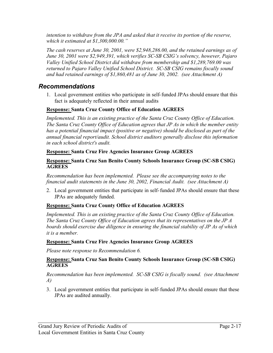*intention to withdraw from the JPA and asked that it receive its portion of the reserve, which it estimated at \$1,300,000.00."* 

*The cash reserves at June 30, 2001, were \$2,948,286.00, and the retained earnings as of June 30, 2001 were \$2,949,391, which verifies SC-SB CSIG's solvency, however, Pajaro Valley Unified School District did withdraw from membership and \$1,289,769.00 was returned to Pajaro Valley Unified School District. SC-SB CSIG remains fiscally sound and had retained earnings of \$1,860,481 as of June 30, 2002. (see Attachment A)*

# *Recommendations*

1. Local government entities who participate in self-funded JPAs should ensure that this fact is adequately reflected in their annual audits

#### **Response: Santa Cruz County Office of Education AGREES**

*Implemented. This is an existing practice of the Santa Cruz County Office of Education. The Santa Cruz County Office of Education agrees that JP As in which the member entity has a potential financial impact (positive or negative) should be disclosed as part of the annual financial report/audit. School district auditors generally disclose this information in each school district's audit.* 

#### **Response: Santa Cruz Fire Agencies Insurance Group AGREES**

#### **Response: Santa Cruz San Benito County Schools Insurance Group (SC-SB CSIG) AGREES**

*Recommendation has been implemented. Please see the accompanying notes to the financial audit statements in the June 30, 2002, Financial Audit. (see Attachment A)*

2. Local government entities that participate in self-funded JPAs should ensure that these JPAs are adequately funded.

# **Response: Santa Cruz County Office of Education AGREES**

*Implemented. This is an existing practice of the Santa Cruz County Office of Education. The Santa Cruz County Office of Education agrees that its representatives on the JP A boards should exercise due diligence in ensuring the financial stability of JP As of which it is a member.* 

#### **Response: Santa Cruz Fire Agencies Insurance Group AGREES**

*Please note response to Recommendation 6.* 

#### **Response: Santa Cruz San Benito County Schools Insurance Group (SC-SB CSIG) AGREES**

#### *Recommendation has been implemented. SC-SB CSIG is fiscally sound. (see Attachment A)*

3. Local government entities that participate in self-funded JPAs should ensure that these JPAs are audited annually.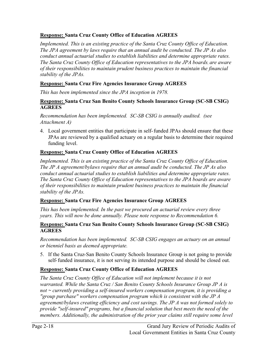# **Response: Santa Cruz County Office of Education AGREES**

*Implemented. This is an existing practice of the Santa Cruz County Office of Education. The JPA agreement by laws require that an annual audit be conducted. The JP As also conduct annual actuarial studies to establish liabilities and determine appropriate rates. The Santa Cruz County Office of Education representatives to the JPA boards, are aware of their responsibilities to maintain prudent business practices to maintain the financial stability of the JPAs.* 

#### **Response: Santa Cruz Fire Agencies Insurance Group AGREES**

*This has been implemented since the JPA inception in 1978.* 

#### **Response: Santa Cruz San Benito County Schools Insurance Group (SC-SB CSIG) AGREES**

*Recommendation has been implemented. SC-SB CSIG is annually audited. (see Attachment A)*

4. Local government entities that participate in self-funded JPAs should ensure that these JPAs are reviewed by a qualified actuary on a regular basis to determine their required funding level.

# **Response: Santa Cruz County Office of Education AGREES**

*Implemented. This is an existing practice of the Santa Cruz County Office of Education. The JP A agreement/bylaws require that an annual audit be conducted. The JP As also conduct annual actuarial studies to establish liabilities and determine appropriate rates. The Santa Cruz County Office of Education representatives to the JPA boards are aware of their responsibilities to maintain prudent business practices to maintain the financial stability of the JPAs.* 

#### **Response: Santa Cruz Fire Agencies Insurance Group AGREES**

*This has been implemented. In the past we procured an actuarial review every three years. This will now be done annually. Please note response to Recommendation 6.*

#### **Response: Santa Cruz San Benito County Schools Insurance Group (SC-SB CSIG) AGREES**

*Recommendation has been implemented. SC-SB CSIG engages an actuary on an annual or bienniel basis as deemed appropriate.*

5. If the Santa Cruz-San Benito County Schools Insurance Group is not going to provide self-funded insurance, it is not serving its intended purpose and should be closed out.

# **Response: Santa Cruz County Office of Education AGREES**

*The Santa Cruz County Office of Education will not implement because it is not warranted. While the Santa Cruz / San Benito County Schools Insurance Group JP A is not ~ currently providing a self-insured workers compensation program, it is providing a "group purchase" workers compensation program which is consistent with the JP A agreement/bylaws creating efficiency and cost savings. The JP A was not formed solely to provide "self-insured" programs, but a financial solution that best meets the need of the members. Additionally, the administration of the prior year claims still require some level*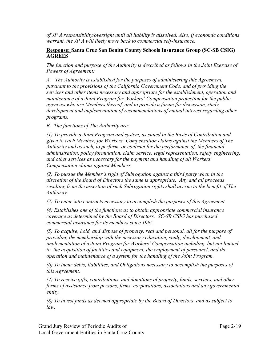*of JP A responsibility/oversight until all liability is dissolved. Also, if economic conditions warrant, the JP A will likely move back to commercial self-insurance.*

#### **Response: Santa Cruz San Benito County Schools Insurance Group (SC-SB CSIG) AGREES**

*The function and purpose of the Authority is described as follows in the Joint Exercise of Powers of Agreement:*

*A. The Authority is established for the purposes of administering this Agreement, pursuant to the provisions of the California Government Code, and of providing the services and other items necessary and appropriate for the establishment, operation and maintenance of a Joint Program for Workers' Compensation protection for the public agencies who are Members thereof, and to provide a forum for discussion, study, development and implementation of recommendations of mutual interest regarding other programs.*

*B. The functions of The Authority are:*

*(1) To provide a Joint Program and system, as stated in the Basis of Contribution and given to each Member, for Workers' Compensation claims against the Members of The Authority and as such, to perform, or contract for the performance of, the financial administration, policy formulation, claim service, legal representation, safety engineering, and other services as necessary for the payment and handling of all Workers' Compensation claims against Members.*

*(2) To pursue the Member's right of Subrogation against a third party when in the discretion of the Board of Directors the same is appropriate. Any and all proceeds resulting from the assertion of such Subrogation rights shall accrue to the benefit of The Authority.*

*(3) To enter into contracts necessary to accomplish the purposes of this Agreement.*

*(4) Establishes one of the functions as to obtain appropriate commercial insurance coverage as determined by the Board of Directors. SC-SB CSIG has purchased commercial insurance for its members since 1995.*

*(5) To acquire, hold, and dispose of property, real and personal, all for the purpose of providing the membership with the necessary education, study, development, and implementation of a Joint Program for Workers' Compensation including, but not limited to, the acquisition of facilities and equipment, the employment of personnel, and the operation and maintenance of a system for the handling of the Joint Program.*

*(6) To incur debts, liabilities, and Obligations necessary to accomplish the purposes of this Agreement.*

*(7) To receive gifts, contributions, and donations of property, funds, services, and other forms of assistance from persons, firms, corporations, associations and any governmental entity.*

*(8) To invest funds as deemed appropriate by the Board of Directors, and as subject to law.*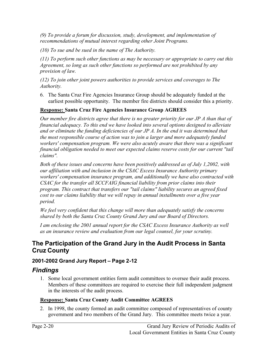*(9) To provide a forum for discussion, study, development, and implementation of recommendations of mutual interest regarding other Joint Programs.*

*(10) To sue and be sued in the name of The Authority.*

*(11) To perform such other functions as may be necessary or appropriate to carry out this Agreement, so long as such other functions so performed are not prohibited by any provision of law.*

*(12) To join other joint powers authorities to provide services and coverages to The Authority.*

6. The Santa Cruz Fire Agencies Insurance Group should be adequately funded at the earliest possible opportunity. The member fire districts should consider this a priority.

# **Response: Santa Cruz Fire Agencies Insurance Group AGREES**

*Our member fire districts agree that there is no greater priority for our JP A than that of financial adequacy. To this end we have looked into several options designed to alleviate and or eliminate the funding deficiencies of our JP A. In the end it was determined that the most responsible course of action was to join a larger and more adequately funded workers' compensation program. We were also acutely aware that there was a significant financial obligation needed to meet our expected claims reserve costs for our current "tail claims".*

*Both of these issues and concerns have been positively addressed as of July 1,2002, with our affiliation with and inclusion in the CSAC Excess Insurance Authority primary workers' compensation insurance program, and additionally we have also contracted with CSAC for the transfer all SCCFAIG financial liability from prior claims into their program. This contract that transfers our "tail claims" liability secures an agreed fixed cost to our claims liability that we will repay in annual installments over a five year period.*

*We feel very confident that this change will more than adequately satisfy the concerns shared by both the Santa Cruz County Grand Jury and our Board of Directors.* 

*I am enclosing the 2001 annual report for the CSAC Excess Insurance Authority as well as an insurance review and evaluation from our legal counsel, for your scrutiny.* 

# **The Participation of the Grand Jury in the Audit Process in Santa Cruz County**

# **2001-2002 Grand Jury Report – Page 2-12**

# *Findings*

1. Some local government entities form audit committees to oversee their audit process. Members of these committees are required to exercise their full independent judgment in the interests of the audit process.

# **Response: Santa Cruz County Audit Committee AGREES**

2. In 1998, the county formed an audit committee composed of representatives of county government and two members of the Grand Jury. This committee meets twice a year.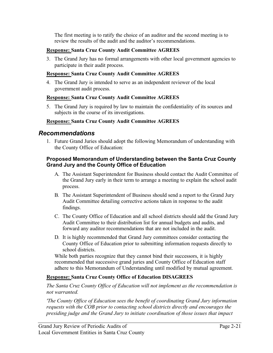The first meeting is to ratify the choice of an auditor and the second meeting is to review the results of the audit and the auditor's recommendations.

### **Response: Santa Cruz County Audit Committee AGREES**

3. The Grand Jury has no formal arrangements with other local government agencies to participate in their audit process.

#### **Response: Santa Cruz County Audit Committee AGREES**

4. The Grand Jury is intended to serve as an independent reviewer of the local government audit process.

#### **Response: Santa Cruz County Audit Committee AGREES**

5. The Grand Jury is required by law to maintain the confidentiality of its sources and subjects in the course of its investigations.

#### **Response: Santa Cruz County Audit Committee AGREES**

# *Recommendations*

1. Future Grand Juries should adopt the following Memorandum of understanding with the County Office of Education:

#### **Proposed Memorandum of Understanding between the Santa Cruz County Grand Jury and the County Office of Education**

- A. The Assistant Superintendent for Business should contact the Audit Committee of the Grand Jury early in their term to arrange a meeting to explain the school audit process.
- B. The Assistant Superintendent of Business should send a report to the Grand Jury Audit Committee detailing corrective actions taken in response to the audit findings.
- C. The County Office of Education and all school districts should add the Grand Jury Audit Committee to their distribution list for annual budgets and audits, and forward any auditor recommendations that are not included in the audit.
- D. It is highly recommended that Grand Jury committees consider contacting the County Office of Education prior to submitting information requests directly to school districts.

While both parties recognize that they cannot bind their successors, it is highly recommended that successive grand juries and County Office of Education staff adhere to this Memorandum of Understanding until modified by mutual agreement.

# **Response: Santa Cruz County Office of Education DISAGREES**

*The Santa Cruz County Office of Education will not implement as the recommendation is not warranted.* 

*'The County Office of Education sees the benefit of coordinating Grand Jury information requests with the COB prior to contacting school districts directly and encourages the presiding judge and the Grand Jury to initiate coordination of those issues that impact*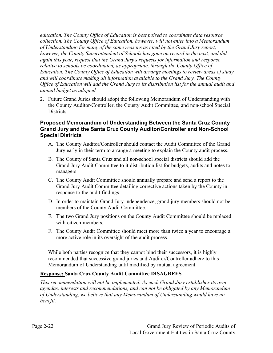*education. The County Office of Education is best poised to coordinate data resource collection. The County Office of Education, however, will not enter into a Memorandum of Understanding for many of the same reasons as cited by the Grand Jury report; however, the County Superintendent of Schools has gone on record in the past, and did again this year, request that the Grand Jury's requests for information and response relative to schools be coordinated, as appropriate, through the County Office of Education. The County Office of Education will arrange meetings to review areas of study*  and will coordinate making all information available to the Grand Jury. The County *Office of Education will add the Grand Jury to its distribution list for the annual audit and annual budget as adopted.* 

2. Future Grand Juries should adopt the following Memorandum of Understanding with the County Auditor/Controller, the County Audit Committee, and non-school Special Districts:

# **Proposed Memorandum of Understanding Between the Santa Cruz County Grand Jury and the Santa Cruz County Auditor/Controller and Non-School Special Districts**

- A. The County Auditor/Controller should contact the Audit Committee of the Grand Jury early in their term to arrange a meeting to explain the County audit process.
- B. The County of Santa Cruz and all non-school special districts should add the Grand Jury Audit Committee to it distribution list for budgets, audits and notes to managers
- C. The County Audit Committee should annually prepare and send a report to the Grand Jury Audit Committee detailing corrective actions taken by the County in response to the audit findings.
- D. In order to maintain Grand Jury independence, grand jury members should not be members of the County Audit Committee.
- E. The two Grand Jury positions on the County Audit Committee should be replaced with citizen members.
- F. The County Audit Committee should meet more than twice a year to encourage a more active role in its oversight of the audit process.

While both parties recognize that they cannot bind their successors, it is highly recommended that successive grand juries and Auditor/Controller adhere to this Memorandum of Understanding until modified by mutual agreement.

# **Response: Santa Cruz County Audit Committee DISAGREES**

*This recommendation will not be implemented. As each Grand Jury establishes its own agendas, interests and recommendations, and can not be obligated by any Memorandum of Understanding, we believe that any Memorandum of Understanding would have no benefit.*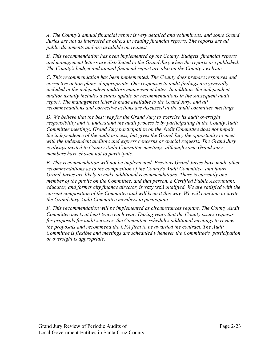*A. The County's annual financial report is very detailed and voluminous, and some Grand Juries are not as interested as others in reading financial reports. The reports are all public documents and are available on request.* 

*B. This recommendation has been implemented by the County. Budgets, financial reports and management letters are distributed to the Grand Jury when the reports are published. The County's budget and annual financial report are also on the County's website.* 

*C. This recommendation has been implemented. The County does prepare responses and corrective action plans, if appropriate. Our responses to audit findings are generally*  included in the independent auditors management letter. In addition, the independent *auditor usually includes a status update on recommendations in the subsequent audit report. The management letter is made available to the Grand Jury, and all recommendations and corrective actions are discussed at the audit committee meetings.* 

*D. We believe that the best way for the Grand Jury to exercise its audit oversight responsibility and to understand the audit process is by participating in the County Audit Committee meetings. Grand Jury participation on the Audit Committee does not impair the independence of the audit process, but gives the Grand Jury the opportunity to meet with the independent auditors and express concerns or special requests. The Grand Jury is always invited to County Audit Committee meetings, although some Grand Jury members have chosen not to participate.* 

*E. This recommendation will not be implemented. Previous Grand Juries have made other recommendations as to the composition of the County's Audit Committee, and future Grand Juries are likely to make additional recommendations. There is currently one member of the public on the Committee, and that person, a Certified Public Accountant, educator, and former city finance director, is* very well *qualified. We are satisfied with the current composition of the Committee and will keep it this way. We will continue to invite the Grand Jury Audit Committee members to participate.* 

*F. This recommendation will be implemented as circumstances require. The County Audit Committee meets at least twice each year. During years that the County issues requests for proposals for audit services, the Committee schedules additional meetings to review the proposals and recommend the CPA firm to be awarded the contract. The Audit Committee is flexible and meetings are scheduled whenever the Committee's . 1 participation or oversight is appropriate.*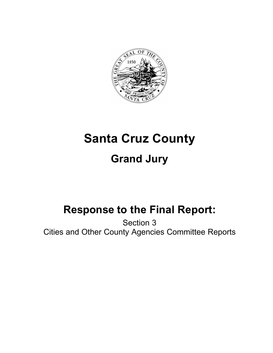

# **Santa Cruz County Grand Jury**

# **Response to the Final Report:**

Section 3 Cities and Other County Agencies Committee Reports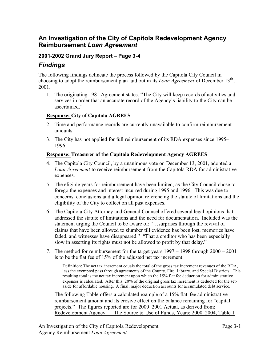# **An Investigation of the City of Capitola Redevelopment Agency Reimbursement** *Loan Agreement*

# **2001-2002 Grand Jury Report – Page 3-4**

# *Findings*

The following findings delineate the process followed by the Capitola City Council in choosing to adopt the reimbursement plan laid out in its *Loan Agreement* of December 13th, 2001.

1. The originating 1981 Agreement states: "The City will keep records of activities and services in order that an accurate record of the Agency's liability to the City can be ascertained."

#### **Response: City of Capitola AGREES**

- 2. Time and performance records are currently unavailable to confirm reimbursement amounts.
- 3. The City has not applied for full reimbursement of its RDA expenses since 1995– 1996.

#### **Response: Treasurer of the Capitola Redevelopment Agency AGREES**

- 4. The Capitola City Council, by a unanimous vote on December 13, 2001, adopted a *Loan Agreement* to receive reimbursement from the Capitola RDA for administrative expenses.
- 5. The eligible years for reimbursement have been limited, as the City Council chose to forego the expenses and interest incurred during 1995 and 1996. This was due to concerns, conclusions and a legal opinion referencing the statute of limitations and the eligibility of the City to collect on all past expenses.
- 6. The Capitola City Attorney and General Counsel offered several legal opinions that addressed the statute of limitations and the need for documentation. Included was the statement urging the Council to be aware of: "…surprises through the revival of claims that have been allowed to slumber till evidence has been lost, memories have faded, and witnesses have disappeared." "That a creditor who has been especially slow in asserting its rights must not be allowed to profit by that delay."
- 7. The method for reimbursement for the target years 1997 1998 through 2000 2001 is to be the flat fee of 15% of the adjusted net tax increment.

Definition: The net tax increment equals the total of the gross tax increment revenues of the RDA, less the exempted pass through agreements of the County, Fire, Library, and Special Districts. This resulting total is the net tax increment upon which the 15% flat fee deduction for administrative expenses is calculated. After this, 20% of the original gross tax increment is deducted for the setaside for affordable housing. A final, major deduction accounts for accumulated debt service.

The following Table offers a calculated example of a 15% flat-fee administrative reimbursement amount and its erosive effect on the balance remaining for "capital projects." The figures reported are for 2000–2001 Actual, as derived from: Redevelopment Agency — The Source & Use of Funds, Years: 2000–2004, Table 1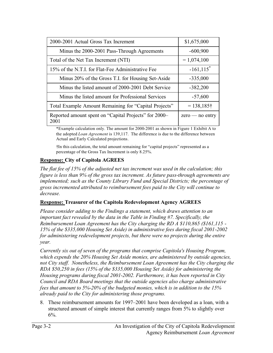| 2000-2001 Actual Gross Tax Increment                          | \$1,675,000              |
|---------------------------------------------------------------|--------------------------|
| Minus the 2000-2001 Pass-Through Agreements                   | $-600,900$               |
| Total of the Net Tax Increment (NTI)                          | $= 1,074,100$            |
| 15% of the N.T.I. for Flat-Fee Administrative Fee             | $-161, 115$ <sup>*</sup> |
| Minus 20% of the Gross T.I. for Housing Set-Aside             | $-335,000$               |
| Minus the listed amount of 2000-2001 Debt Service             | $-382,200$               |
| Minus the listed amount for Professional Services             | $-57,600$                |
| Total Example Amount Remaining for "Capital Projects"         | $= 138,185\dagger$       |
| Reported amount spent on "Capital Projects" for 2000-<br>2001 | $zero - no$ entry        |

\*Example calculation only. The amount for 2000-2001 as shown in Figure 1 Exhibit A to the adopted *Loan Agreement* is 139,117. The difference is due to the difference between Actual and Early Calculated projections.

†In this calculation, the total amount remaining for "capital projects" represented as a percentage of the Gross Tax Increment is only 8.25%.

# **Response: City of Capitola AGREES**

*The flat fee of 15% of the adjusted net tax increment was used in the calculation; this figure is less than 9% of the gross tax increment. As future pass-through agreements are implemented; such as the County Library Fund and Special Districts; the percentage of gross incremented attributed to reimbursement fees paid to the City will continue to decrease.*

#### **Response: Treasurer of the Capitola Redevelopment Agency AGREES**

*Please consider adding to the Findings a statement, which draws attention to an important fact revealed by the data in the Table in Finding #7. Specifically, the Reimbursement Loan Agreement has the City charging the RD A \$110,865 (\$161,115 - 15% of the \$335,000 Housing Set Aside) in administrative fees during fiscal 2001-2002 for administering redevelopment projects, but there were no projects during the entire year.*

*Currently six out of seven of the programs that comprise Capitola's Housing Program, which expends the 20% Housing Set Aside monies, are administered by outside agencies, not City staff. Nonetheless, the Reimbursement Loan Agreement has the City charging the RDA \$50,250 in fees (15% of the \$335,000 Housing Set Aside) for administering the Housing programs during fiscal 2001-2002. Furthermore, it has been reported in City Council and RDA Board meetings that the outside agencies also charge administrative fees that amount to 5%-20% of the budgeted monies, which is in addition to the 15% already paid to the City for administering those programs.*

8. These reimbursement amounts for 1997–2001 have been developed as a loan, with a structured amount of simple interest that currently ranges from 5% to slightly over  $6\%$ .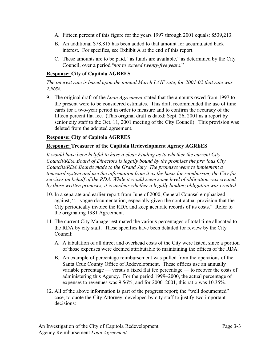- A. Fifteen percent of this figure for the years 1997 through 2001 equals: \$539,213.
- B. An additional \$78,815 has been added to that amount for accumulated back interest. For specifics, see Exhibit A at the end of this report.
- C. These amounts are to be paid, "as funds are available," as determined by the City Council, over a period "*not to exceed twenty-five years*."

# **Response: City of Capitola AGREES**

*The interest rate is based upon the annual March LAIF rate, for 2001-02 that rate was 2.96%.*

9. The original draft of the *Loan Agreement* stated that the amounts owed from 1997 to the present were to be considered estimates. This draft recommended the use of time cards for a two-year period in order to measure and to confirm the accuracy of the fifteen percent flat fee. (This original draft is dated: Sept. 26, 2001 as a report by senior city staff to the Oct. 11, 2001 meeting of the City Council). This provision was deleted from the adopted agreement.

# **Response: City of Capitola AGREES**

# **Response: Treasurer of the Capitola Redevelopment Agency AGREES**

*It would have been helpful to have a clear Finding as to whether the current City Council/RDA Board of Directors is legally bound by the promises the previous City Councils/RDA Boards made to the Grand Jury. The promises were to implement a timecard system and use the information from it as the basis for reimbursing the City for services on behalf of the RDA. While it would seem some level of obligation was created by those written promises, it is unclear whether a legally binding obligation was created.*

- 10. In a separate and earlier report from June of 2000, General Counsel emphasized against, "…vague documentation, especially given the contractual provision that the City periodically invoice the RDA and keep accurate records of its costs." Refer to the originating 1981 Agreement.
- 11. The current City Manager estimated the various percentages of total time allocated to the RDA by city staff. These specifics have been detailed for review by the City Council:
	- A. A tabulation of all direct and overhead costs of the City were listed, since a portion of those expenses were deemed attributable to maintaining the offices of the RDA.
	- B. An example of percentage reimbursement was pulled from the operations of the Santa Cruz County Office of Redevelopment. These offices use an annually variable percentage — versus a fixed flat fee percentage — to recover the costs of administering this Agency. For the period 1999–2000, the actual percentage of expenses to revenues was 9.56%; and for 2000–2001, this ratio was 10.35%.
- 12. All of the above information is part of the progress report; the "well documented" case, to quote the City Attorney, developed by city staff to justify two important decisions: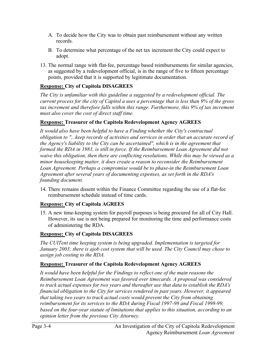- A. To decide how the City was to obtain past reimbursement without any written records.
- B. To determine what percentage of the net tax increment the City could expect to adopt.
- 13. The normal range with flat-fee, percentage based reimbursements for similar agencies, as suggested by a redevelopment official, is in the range of five to fifteen percentage points, provided that it is supported by legitimate documentation.

# **Response: City of Capitola DISAGREES**

*The City is unfamiliar with this guideline a suggested by a redevelopment official. The current process for the city of Capitol a uses a percentage that is less than 9% of the gross tax increment and therefore falls within this range. Furthermore, this 9% of tax increment must also cover the cost of direct staff time.* 

# **Response: Treasurer of the Capitola Redevelopment Agency AGREES**

*It would also have been helpful to have a Finding whether the City's contractual obligation to "...keep records of activities and services in order that an accurate record of the Agency's liability to the City can be ascertained", which is in the agreement that formed the RDA in 1981, is still in force. If the Reimbursement Loan Agreement did not waive this obligation, then there are conflicting resolutions. While this may be viewed as a minor housekeeping matter, it does create a reason to reconsider the Reimbursement Loan Agreement. Perhaps a compromise would be to phase-in the Reimbursement Loan Agreement after several years of documenting expenses, as set forth in the RDA's founding document.*

14. There remains dissent within the Finance Committee regarding the use of a flat-fee reimbursement schedule instead of time cards.

# **Response: City of Capitola AGREES**

15. A new time-keeping system for payroll purposes is being procured for all of City Hall. However, its use is not being prepared for monitoring the time and performance costs of administering the RDA.

# **Response: City of Capitola DISAGREES**

*The CUlTent time keeping system is being upgraded. Implementation is targeted for January 2003; there is ajob cost system that will be used. The City Council may chose to assign job costing to the RDA.* 

# **Response: Treasurer of the Capitola Redevelopment Agency AGREES**

It would have been helpful for the Findings to reflect one of the main reasons the *Reimbursement Loan Agreement was favored over timecards. A proposal was considered to track actual expenses for two years and thereafter use that data to establish the RDA's financial obligation to the City for services rendered in past years. However, it appeared that taking two years to track actual costs would prevent the City from obtaining reimbursement for its services to the RDA during Fiscal 1997-98 and Fiscal 1998-99, based on the four-year statute of limitations that applies to this situation, according to an opinion letter from the previous City Attorney.*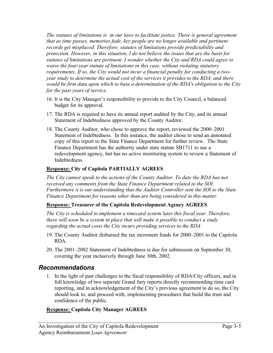*The statutes of limitations is in our laws to facilitate justice. There is general agreement that as time passes, memories fade, key people are no longer available and pertinent records get misplaced. Therefore, statutes of limitations provide predictability and protection. However, in this situation, I do not believe the issues that are the basis for statutes of limitations are pertinent. I wonder whether the City and RDA could agree to waive the four-year statute of limitations in this case, without violating statutory requirements. If so, the City would not incur a financial penalty for conducting a twoyear study to determine the actual cost of the services it provides to the RDA, and there would be firm data upon which to base a determination of the RDA's obligation to the City for the past years of service.*

- 16. It is the City Manager's responsibility to provide to the City Council, a balanced budget for its approval.
- 17. The RDA is required to have its annual report audited by the City, and its annual Statement of Indebtedness approved by the County Auditor.
- 18. The County Auditor, who chose to approve the report, reviewed the 2000–2001 Statement of Indebtedness. In this instance, the auditor chose to send an annotated copy of this report to the State Finance Department for further review. The State Finance Department has the authority under state statute SB1711 to sue a redevelopment agency, but has no active monitoring system to review a Statement of Indebtedness.

# **Response: City of Capitola PARTIALLY AGREES**

*The City cannot speak to the actions of the County Auditor. To date the RDA has not received any comments from the State Finance Department related to the SOl. Furthermore it is our understanding that the Auditor Controller sent the SOl to the State Finance Department for reasons other than are being considered in this matter.* 

# **Response: Treasurer of the Capitola Redevelopment Agency AGREES**

*The City is scheduled to implement a timecard system later this fiscal year. Therefore, there will soon be a system in place that will make it possible to conduct a study regarding the actual costs the City incurs providing services to the RDA*

- 19. The County Auditor disbursed the tax increment funds for 2000–2001 to the Capitola RDA.
- 20. The 2001–2002 Statement of Indebtedness is due for submission on September 30, covering the year inclusively through June 30th, 2002.

# *Recommendations*

1. In the light of past challenges to the fiscal responsibility of RDA/City officers, and in full knowledge of two separate Grand Jury reports directly recommending time card reporting, and in acknowledgement of the City's previous agreement to do so, the City should look to, and proceed with, implementing procedures that build the trust and confidence of the public.

# **Response: Capitola City Manager AGREES**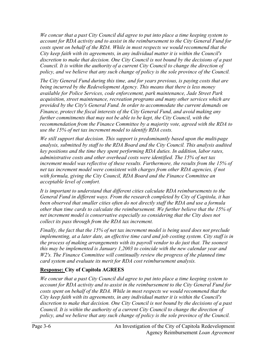*We concur that a past City Council did agree to put into place a time keeping system to account for RDA activity and to assist in the reimbursement to the City General Fund for costs spent on behalf of the RDA. While in most respects we would recommend that the City keep faith with its agreements, in any individual matter it is within the Council's discretion to make that decision. One City Council is not bound by the decisions of a past Council. It is within the authority of a current City Council to change the direction of policy, and we believe that any such change of policy is the sole province of the Council.* 

*The City General Fund during this time, and for years previous, is paying costs that are being incurred by the Redevelopment Agency. This means that there is less money available for Police Services, code enforcement, park maintenance, Jade Street Park acquisition, street maintenance, recreation programs and many other services which are provided by the City's General Fund. In order to accommodate the current demands on Finance, protect the fiscal interests of the City General Fund, and avoid making any further commitments that may not be able to be kept, the City Council, with the recommendation from the Finance Committee by a majority vote, agreed with the RDA to use the 15% of net tax increment model to identify RDA costs.* 

*We still support that decision. This support is predominantly based upon the multi-page analysis, submitted by staff to the RDA Board and the City Council. This analysis audited key positions and the time they spent performing RDA duties. In addition, labor rates, administrative costs and other overhead costs were identified. The 15% of net tax increment model was reflective of these results. Furthermore, the results from the 15% of net tax increment model were consistent with charges from other RDA agencies, if not with formula, giving the City Council, RDA Board and the Finance Committee an acceptable level of comfort.*

*It is important to understand that different cities calculate RDA reimbursements to the General Fund in different ways. From the research completed by City of Capitola, it has been observed that smaller cities often do not directly staff the RDA and use a formula other than time cards to calculate the reimbursement. We further believe that the 15% of net increment model is conservative especially so considering that the City does not collect its pass through from the RDA tax increment.* 

*Finally, the fact that the 15% of net tax increment model is being used does not preclude implementing, at a later date, an effective time card and job costing system. City staff is in the process of making arrangements with its payroll vendor to do just that. The soonest this may be implemented is January 1,2003 to coincide with the new calendar year and W2's. The Finance Committee will continually review the progress of the planned time card system and evaluate its merit for RDA cost reimbursement analysis.* 

# **Response: City of Capitola AGREES**

*We concur that a past City Council did agree to put into place a time keeping system to account for RDA activity and to assist in the reimbursement to the City General Fund for*  costs spent on behalf of the RDA. While in most respects we would recommend that the *City keep faith with its agreements, in any individual matter it is within the Council's discretion to make that decision. One City Council is not bound by the decisions of a past Council. It is within the authority of a current City Council to change the direction of policy, and we believe that any such change of policy is the sole province of the Council.*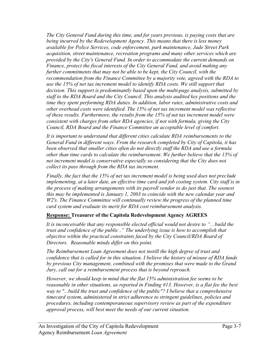*The City General Fund during this time, and for years previous, is paying costs that are being incurred by the Redevelopment Agency. This means that there is less money available for Police Services, code enforcement, park maintenance, Jade Street Park acquisition, street maintenance, recreation programs and many other services which are provided by the City's General Fund. In order to accommodate the current demands on Finance, protect the fiscal interests of the City General Fund, and avoid making any further commitments that may not be able to be kept, the City Council, with the recommendation from the Finance Committee by a majority vote, agreed with the RDA to use the 15% of net tax increment model to identify RDA costs. We still support that decision. This support is predominantly based upon the multi-page analysis, submitted by staff to the RDA Board and the City Council. This analysis audited key positions and the time they spent performing RDA duties. In addition, labor rates, administrative costs and other overhead costs were identified. The 15% of net tax increment model was reflective of these results. Furthermore, the results from the 15% of net tax increment model were consistent with charges from other RDA agencies, if not with formula, giving the City Council, RDA Board and the Finance Committee an acceptable level of comfort.* 

*It is important to understand that different cities calculate RDA reimbursements to the General Fund in different ways. From the research completed by City of Capitola, it has been observed that smaller cities often do not directly staff the RDA and use a formula other than time cards to calculate the reimbursement. We further believe that the 15% of net increment model is conservative especially so considering that the City does not collect its pass through from the RDA tax increment.* 

*Finally, the fact that the 15% of net tax increment model is being used does not preclude implementing, at a later date, an effective time card and job costing system. City staff is in the process of making arrangements with its payroll vendor to do just that. The soonest this may be implemented is January 1, 2003 to coincide with the new calendar year and W2's. The Finance Committee will continually review the progress of the planned time card system and evaluate its merit for RDA cost reimbursement analysis.*

# **Response: Treasurer of the Capitola Redevelopment Agency AGREES**

*It is inconceivable that any responsible elected official would not desire to "…build the trust and confidence of the public ." The underlying issue is how to accomplish that objective within the practical constraints faced by the City Council/RDA Board of Directors. Reasonable minds differ on this point.* 

*The Reimbursement Loan Agreement does not instill the high degree of trust and confidence that is called for in this situation. I believe the history of misuse of RDA funds by previous City management, combined with the promises that were made to the Grand Jury, call out for a reimbursement process that is beyond reproach.* 

*However, we should keep in mind that the flat 15% administration fee seems to be reasonable in other situations, as reported in Finding #13. However, is a flat fee the best way to "...build the trust and confidence of the public"? I believe that a comprehensive timecard system, administered in strict adherence to stringent guidelines, policies and procedures, including contemporaneous supervisory review as part of the expenditure approval process, will best meet the needs of our current situation.*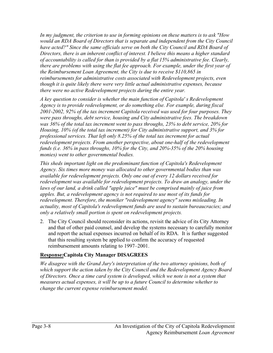*In my judgment, the criterion to use in forming opinions on these matters is to ask "How would an RDA Board of Directors that is separate and independent from the City Council have acted?" Since the same officials serve on both the City Council and RDA Board of Directors, there is an inherent conflict of interest. I believe this means a higher standard of accountability is called for than is provided by a flat 15% administrative fee. Clearly, there are problems with using the flat fee approach. For example, under the first year of the Reimbursement Loan Agreement, the City is due to receive \$110,865 in reimbursements for administrative costs associated with Redevelopment projects, even though it is quite likely there were very little actual administrative expenses, because there were no active Redevelopment projects during the entire year.* 

*A key question to consider is whether the main function of Capitola' s Redevelopment Agency is to provide redevelopment, or do something else. For example, during fiscal 2001-2002, 92% of the tax increment Capitola received was used for four purposes. They were pass throughs, debt service, housing and City administrative fees. The breakdown was 36% of the total tax increment went to pass throughs, 23% to debt service, 20% for Housing, 10% (of the total tax increment) for City administrative support, and 3% for professional services. That left only 8.25% of the total tax increment for actual redevelopment projects. From another perspective, about one-half of the redevelopment funds (i.e. 36% in pass throughs, 10% for the City, and 20%-35% of the 20% housing monies) went to other governmental bodies.* 

*This sheds important light on the predominant function of Capitola's Redevelopment Agency. Six times more money was allocated to other governmental bodies than was available for redevelopment projects. Only one out of every 12 dollars received for redevelopment was available for redevelopment projects. To draw an analogy, under the*  laws of our land, a drink called "apple juice" must be comprised mainly of juice from *apples. But, a redevelopment agency is not required to use most of its funds for redevelopment. Therefore, the moniker "redevelopment agency" seems misleading. In actuality, most of Capitola's redevelopment funds are used to sustain bureaucracies; and only a relatively small portion is spent on redevelopment projects.*

2. The City Council should reconsider its actions, revisit the advice of its City Attorney and that of other paid counsel, and develop the systems necessary to carefully monitor and report the actual expenses incurred on behalf of its RDA. It is further suggested that this resulting system be applied to confirm the accuracy of requested reimbursement amounts relating to 1997–2001.

# **Response:Capitola City Manager DISAGREES**

*We disagree with the Grand Jury's interpretation of the two attorney opinions, both of which support the action taken by the City Council and the Redevelopment Agency Board of Directors. Once a time card system is developed, which we note is not a system that measures actual expenses, it will be up to a future Council to determine whether to change the current expense reimbursement model.*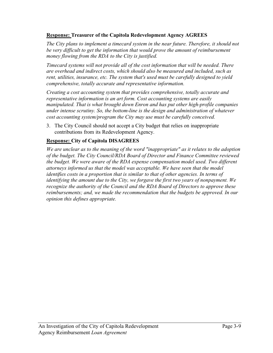#### **Response: Treasurer of the Capitola Redevelopment Agency AGREES**

*The City plans to implement a timecard system in the near future. Therefore, it should not be very difficult to get the information that would prove the amount of reimbursement money flowing from the RDA to the City is justified.*

*Timecard systems will not provide all of the cost information that will be needed. There are overhead and indirect costs, which should also be measured and included, such as rent, utilities, insurance, etc. The system that's used must be carefully designed to yield comprehensive, totally accurate and representative information.* 

*Creating a cost accounting system that provides comprehensive, totally accurate and representative information is an art form. Cost accounting systems are easily manipulated. That is what brought down Enron and has put other high-profile companies under intense scrutiny. So, the bottom-line is the design and administration of whatever cost accounting system/program the City may use must be carefully conceived.*

3. The City Council should not accept a City budget that relies on inappropriate contributions from its Redevelopment Agency.

# **Response: City of Capitola DISAGREES**

*We are unclear as to the meaning of the word "inappropriate" as it relates to the adoption of the budget. The City Council/RDA Board of Director and Finance Committee reviewed the budget. We were aware of the RDA expense compensation model used. Two different attorneys informed us that the model was acceptable. We have seen that the model identifies costs in a proportion that is similar to that of other agencies. In terms of identifying the amount due to the City, we forgave the first two years of nonpayment. We recognize the authority of the Council and the RDA Board of Directors to approve these reimbursements; and, we made the recommendation that the budgets be approved. In our opinion this defines appropriate.*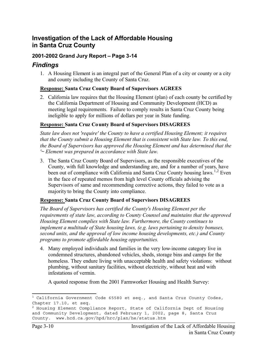# **Investigation of the Lack of Affordable Housing in Santa Cruz County**

# **2001-2002 Grand Jury Report – Page 3-14**

# *Findings*

1. A Housing Element is an integral part of the General Plan of a city or county or a city and county including the County of Santa Cruz.

# **Response: Santa Cruz County Board of Supervisors AGREES**

2. California law requires that the Housing Element (plan) of each county be certified by the California Department of Housing and Community Development (HCD) as meeting legal requirements. Failure to comply results in Santa Cruz County being ineligible to apply for millions of dollars per year in State funding.

# **Response: Santa Cruz County Board of Supervisors DISAGREES**

*State law does not 'require' the County to have a certified Housing Element; it requires that the County submit a Housing Element that is consistent with State law. To this end, the Board of Supervisors has approved the Housing Element and has determined that the '~ Element was prepared in accordance with State law.* 

3. The Santa Cruz County Board of Supervisors, as the responsible executives of the County, with full knowledge and understanding are, and for a number of years, have been out of compliance with California and Santa Cruz County housing laws.<sup>1,2</sup> Even in the face of repeated memos from high level County officials advising the Supervisors of same and recommending corrective actions, they failed to vote as a majority to bring the County into compliance.

# **Response: Santa Cruz County Board of Supervisors DISAGREES**

*The Board of Supervisors has certified the County's Housing Element per the requirements of state law, according to County Counsel and maintains that the approved Housing Element complies with State law. Furthermore, the County continues to implement a multitude of State housing laws, (e.g. laws pertaining to density bonuses, second units, and the approval of low income housing developments, etc.) and County programs to promote affordable housing opportunities.* 

4. Many employed individuals and families in the very low-income category live in condemned structures, abandoned vehicles, sheds, storage bins and camps for the homeless. They endure living with unacceptable health and safety violations: without plumbing, without sanitary facilities, without electricity, without heat and with infestations of vermin.

A quoted response from the 2001 Farmworker Housing and Health Survey:

 $1$  California Government Code 65580 et seq., and Santa Cruz County Codes, Chapter 17.10, et seq.

 $^2$  Housing Element Compliance Report, State of California Dept of Housing and Community Development, dated February 1, 2002, page 8, Santa Cruz County. www.hcd.ca.gov/hpd/hrc/plan/he/status.htm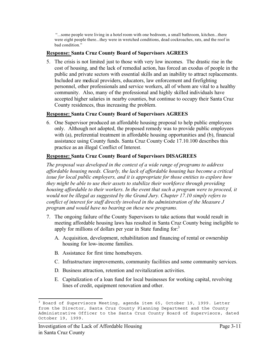"...some people were living in a hotel room with one bedroom, a small bathroom, kitchen...there were eight people there...they were in wretched conditions, dead cockroaches, rats, and the roof in bad condition."

### **Response: Santa Cruz County Board of Supervisors AGREES**

5. The crisis is not limited just to those with very low incomes. The drastic rise in the cost of housing, and the lack of remedial action, has forced an exodus of people in the public and private sectors with essential skills and an inability to attract replacements. Included are medical providers, educators, law enforcement and firefighting personnel, other professionals and service workers, all of whom are vital to a healthy community. Also, many of the professional and highly skilled individuals have accepted higher salaries in nearby counties, but continue to occupy their Santa Cruz County residences, thus increasing the problem.

#### **Response: Santa Cruz County Board of Supervisors AGREES**

6. One Supervisor produced an affordable housing proposal to help public employees only. Although not adopted, the proposed remedy was to provide public employees with (a), preferential treatment in affordable housing opportunities and (b), financial assistance using County funds. Santa Cruz County Code 17.10.100 describes this practice as an illegal Conflict of Interest.

#### **Response: Santa Cruz County Board of Supervisors DISAGREES**

*The proposal was developed in the context of a wide range of programs to address affordable housing needs. Clearly, the lack of affordable housing has become a critical issue for local public employers, and it is appropriate for those entities to explore how they might be able to use their assets to stabilize their workforce through providing housing affordable to their workers. In the event that such a program were to proceed, it would not be illegal as suggested by the Grand Jury. Chapter 17.10 simply refers to conflict of interest for staff directly involved in the administration of the Measure J program and would have no bearing on these new programs.* 

- 7. The ongoing failure of the County Supervisors to take actions that would result in meeting affordable housing laws has resulted in Santa Cruz County being ineligible to apply for millions of dollars per year in State funding for.<sup>3</sup>
	- A. Acquisition, development, rehabilitation and financing of rental or ownership housing for low-income families.
	- B. Assistance for first time homebuyers.
	- C. Infrastructure improvements, community facilities and some community services.
	- D. Business attraction, retention and revitalization activities.
	- E. Capitalization of a loan fund for local businesses for working capital, revolving lines of credit, equipment renovation and other.

<sup>&</sup>lt;sup>3</sup> Board of Supervisors Meeting, agenda item 65, October 19, 1999. Letter from the Director, Santa Cruz County Planning Department and the County Administrative Officer to the Santa Cruz County Board of Supervisors, dated October 19, 1999.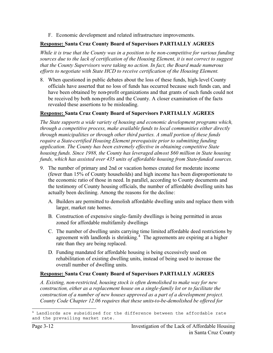F. Economic development and related infrastructure improvements.

# **Response: Santa Cruz County Board of Supervisors PARTIALLY AGREES**

*While it is true that the County was in a position to be non-competitive for various funding sources due to the lack of certification of the Housing Element, it is not correct to suggest that the County Supervisors were taking no action. In fact, the Board made numerous efforts to negotiate with State HCD to receive certification of the Housing Element.* 

8. When questioned in public debates about the loss of these funds, high-level County officials have asserted that no loss of funds has occurred because such funds can, and have been obtained by non-profit organizations and that grants of such funds could not be received by both non-profits and the County. A closer examination of the facts revealed these assertions to be misleading.

# **Response: Santa Cruz County Board of Supervisors PARTIALLY AGREES**

*The State supports a wide variety of housing and economic development programs which, through a competitive process, make available funds to local communities either directly through municipalities or through other third parties. A small portion of these funds require a State-certified Housing Element prerequisite prior to submitting funding application. The County has been extremely effective in obtaining competitive State housing funds. Since 1988, the County has leveraged almost \$60 million in State housing funds, which has assisted over 435 units of affordable housing from State-funded sources.* 

- 9. The number of primary and 2nd or vacation homes created for moderate income (fewer than 15% of County households) and high income has been disproportionate to the economic ratio of those in need. In parallel, according to County documents and the testimony of County housing officials, the number of affordable dwelling units has actually been declining. Among the reasons for the decline:
	- A. Builders are permitted to demolish affordable dwelling units and replace them with larger, market rate homes.
	- B. Construction of expensive single-family dwellings is being permitted in areas zoned for affordable multifamily dwellings
	- C. The number of dwelling units carrying time limited affordable deed restrictions by agreement with landlords is shrinking.<sup>4</sup> The agreements are expiring at a higher rate than they are being replaced.
	- D. Funding mandated for affordable housing is being excessively used on rehabilitation of existing dwelling units, instead of being used to increase the overall number of dwelling units.

# **Response: Santa Cruz County Board of Supervisors PARTIALLY AGREES**

*A. Existing, non-restricted, housing stock is often demolished to make way for new construction, either as a replacement house on a single-family lot or to facilitate the construction of a number of new houses approved as a part of a development project. County Code Chapter 12.06 requires that these units-to-be-demolished be offered for* 

<sup>4</sup> Landlords are subsidized for the difference between the affordable rate and the prevailing market rate.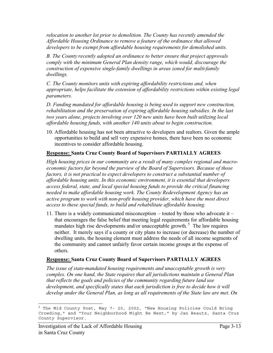*relocation to another lot prior to demolition. The County has recently amended the Affordable Housing Ordinance to remove a feature of the ordinance that allowed developers to be exempt from affordable housing requirements for demolished units.* 

*B. The County recently adopted an ordinance to better ensure that project approvals comply with the minimum General Plan density range, which would, discourage the construction of expensive single-family dwellings in areas zoned for multi-family dwellings.*

*C. The County monitors units with expiring affordability restrictions and, when appropriate, helps facilitate the extension of affordability restrictions within existing legal parameters.*

*D. Funding mandated for affordable housing is being used to support new construction, rehabilitation and the preservation of expiring affordable housing subsidies. In the last two years alone, projects involving over 120 new units have been built utilizing local affordable housing funds, with another 140 units about to begin construction.*

10. Affordable housing has not been attractive to developers and realtors. Given the ample opportunities to build and sell very expensive homes, there have been no economic incentives to consider affordable housing.

# **Response: Santa Cruz County Board of Supervisors PARTIALLY AGREES**

*High housing prices in our community are a result of many complex regional and macroeconomic factors far beyond the purview of the Board of Supervisors. Because of those factors, it is not practical to expect developers to construct a substantial number of affordable housing units. In this economic environment, it is essential that developers access federal, state, and local special housing funds to provide the critical financing needed to make affordable housing work. The County Redevelopment Agency has an*  active program to work with non-profit housing provider, which have the most direct *access to these special funds, to build and rehabilitate affordable housing.* 

11. There is a widely communicated misconception – touted by those who advocate it – that encourages the false belief that meeting legal requirements for affordable housing mandates high rise developments and/or unacceptable growth.<sup>5</sup> The law requires neither. It merely says if a county or city plans to increase (or decrease) the number of dwelling units, the housing element must address the needs of all income segments of the community and cannot unfairly favor certain income groups at the expense of others.

# **Response: Santa Cruz County Board of Supervisors PARTIALLY AGREES**

*The issue of state-mandated housing requirements and unacceptable growth is very complex. On one hand, the State requires that all jurisdictions maintain a General Plan that reflects the goals and policies of the community regarding future land use*  development, and specifically states that each jurisdiction is free to decide how it will *develop under the General Plan, as long as all requirements of the State law are met. On* 

<sup>&</sup>lt;sup>5</sup> The Mid County Post, May 7- 20, 2002, "New Housing Policies Could Bring Crowding," and "Your Neighborhood Might Be Next," by Jan Beautz, Santa Cruz County Supervisor.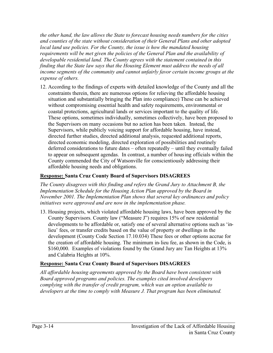*the other hand, the law allows the State to forecast housing needs numbers for the cities and counties of the state without consideration of their General Plans and other adopted local land use policies. For the County, the issue is how the mandated housing requirements will be met given the policies of the General Plan and the availability of developable residential land. The County agrees with the statement contained in this finding that the State law says that the Housing Element must address the needs of all income segments of the community and cannot unfairly favor certain income groups at the expense of others.* 

12. According to the findings of experts with detailed knowledge of the County and all the constraints therein, there are numerous options for relieving the affordable housing situation and substantially bringing the Plan into compliance) These can be achieved without compromising essential health and safety requirements, environmental or coastal protections, agricultural lands or services important to the quality of life. These options, sometimes individually, sometimes collectively, have been proposed to the Supervisors on many occasions but no action has been taken. Instead, the Supervisors, while publicly voicing support for affordable housing, have instead, directed further studies, directed additional analysis, requested additional reports, directed economic modeling, directed exploration of possibilities and routinely deferred considerations to future dates – often repeatedly – until they eventually failed to appear on subsequent agendas. In contrast, a number of housing officials within the County commended the City of Watsonville for conscientiously addressing their affordable housing needs and obligations.

# **Response: Santa Cruz County Board of Supervisors DISAGREES**

*The County disagrees with this finding and refers the Grand Jury to Attachment B, the Implementation Schedule for the Housing Action Plan approved by the Board in November 2001. The Implementation Plan shows that several key ordinances and policy initiatives were approved and are now in the implementation phase.*

13. Housing projects, which violated affordable housing laws, have been approved by the County Supervisors. County law ("Measure J") requires 15% of new residential developments to be affordable or, satisfy one of several alternative options such as 'inlieu' fees, or transfer credits based on the value of property or dwellings in the development (County Code Section 17.10.034) These fees or other options accrue for the creation of affordable housing. The minimum in-lieu fee, as shown in the Code, is \$160,000. Examples of violations found by the Grand Jury are Tan Heights at 13% and Calabria Heights at 10%.

# **Response: Santa Cruz County Board of Supervisors DISAGREES**

*All affordable housing agreements approved by the Board have been consistent with Board approved programs and policies. The examples cited involved developers complying with the transfer of credit program, which was an option available to developers at the time to comply with Measure J. That program has been eliminated.*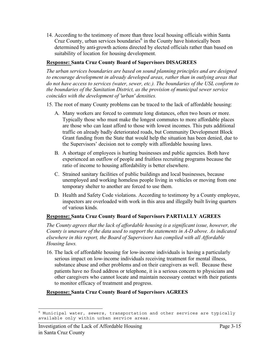14. According to the testimony of more than three local housing officials within Santa Cruz County, urban services boundaries<sup>6</sup> in the County have historically been determined by anti-growth actions directed by elected officials rather than based on suitability of location for housing development.

# **Response: Santa Cruz County Board of Supervisors DISAGREES**

*The urban services boundaries are based on sound planning principles and are designed to encourage development in already developed areas, rather than in outlying areas that*  do not have access to services (water, sewer, etc.). The boundaries of the USL conform to *the boundaries of the Sanitation District, as the provision of municipal sewer service coincides with the development of 'urban' densities.* 

- 15. The root of many County problems can be traced to the lack of affordable housing:
	- A. Many workers are forced to commute long distances, often two hours or more. Typically those who must make the longest commutes to more affordable places are those who can least afford to those with lowest incomes. This puts additional traffic on already badly deteriorated roads, but Community Development Block Grant funding from the State that would help the situation has been denied, due to the Supervisors' decision not to comply with affordable housing laws.
	- B. A shortage of employees is hurting businesses and public agencies. Both have experienced an outflow of people and fruitless recruiting programs because the ratio of income to housing affordability is better elsewhere.
	- C. Strained sanitary facilities of public buildings and local businesses, because unemployed and working homeless people living in vehicles or moving from one temporary shelter to another are forced to use them.
	- D. Health and Safety Code violations. According to testimony by a County employee, inspectors are overloaded with work in this area and illegally built living quarters of various kinds.

# **Response: Santa Cruz County Board of Supervisors PARTIALLY AGREES**

*The County agrees that the lack of affordable housing is a significant issue, however, the County is unaware of the data used to support the statements in A-D above. As indicated elsewhere in this report, the Board of Supervisors has complied with all Affordable Housing laws.* 

16. The lack of affordable housing for low-income individuals is having a particularly serious impact on low-income individuals receiving treatment for mental illness, substance abuse and other problems and on their caregivers as well. Because these patients have no fixed address or telephone, it is a serious concern to physicians and other caregivers who cannot locate and maintain necessary contact with their patients to monitor efficacy of treatment and progress.

# **Response: Santa Cruz County Board of Supervisors AGREES**

 $6$  Municipal water, sewers, transportation and other services are typically available only within urban service areas.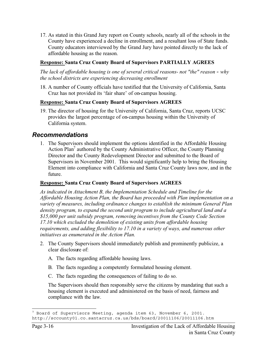17. As stated in this Grand Jury report on County schools, nearly all of the schools in the County have experienced a decline in enrollment, and a resultant loss of State funds. County educators interviewed by the Grand Jury have pointed directly to the lack of affordable housing as the reason.

# **Response: Santa Cruz County Board of Supervisors PARTIALLY AGREES**

*The lack of affordable housing is one of several critical reasons- not "the" reason - why the school districts are experiencing decreasing enrollment* 

18. A number of County officials have testified that the University of California, Santa Cruz has not provided its 'fair share' of on-campus housing.

# **Response: Santa Cruz County Board of Supervisors AGREES**

19. The director of housing for the University of California, Santa Cruz, reports UCSC provides the largest percentage of on-campus housing within the University of California system.

# *Recommendations*

1. The Supervisors should implement the options identified in the Affordable Housing Action Plan<sup>7</sup> authored by the County Administrative Officer, the County Planning Director and the County Redevelopment Director and submitted to the Board of Supervisors in November 2001. This would significantly help to bring the Housing Element into compliance with California and Santa Cruz County laws now, and in the future.

# **Response: Santa Cruz County Board of Supervisors AGREES**

*As indicated in Attachment B, the Implementation Schedule and Timeline for the Affordable Housing Action Plan, the Board has proceeded with Plan implementation on a variety of measures, including ordinance changes to establish the minimum General Plan density program, to expand the second unit program to include agricultural land and a \$15,000 per unit subsidy program, removing incentives from the County Code Section 17.10 which excluded the demolition of existing units from affordable housing requirements, and adding flexibility to 17.10 in a variety of ways, and numerous other initiatives as enumerated in the Action Plan.*

- 2. The County Supervisors should immediately publish and prominently publicize, a clear disclosure of:
	- A. The facts regarding affordable housing laws.
	- B. The facts regarding a competently formulated housing element.
	- C. The facts regarding the consequences of failing to do so.

The Supervisors should then responsibly serve the citizens by mandating that such a housing element is executed and administered on the basis of need, fairness and compliance with the law.

 $7$  Board of Supervisors Meeting, agenda item 63, November 6, 2001. http://sccounty01.co.santacruz.ca.us/bds/board/20011106/20011106.htm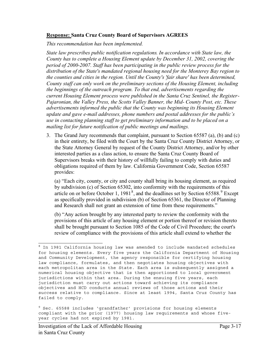### **Response: Santa Cruz County Board of Supervisors AGREES**

*This recommendation has been implemented.* 

*State law prescribes public notification regulations. In accordance with State law, the County has to complete a Housing Element update by December 31, 2002, covering the period of 2000-2007. Staff has been participating in the public review process for the distribution of the State's mandated regional housing need for the Monterey Bay region to the counties and cities in the region. Until the County's 'fair share' has been determined, County staff can only work on the preliminary sections of the Housing Element, including the beginnings of the outreach program. To that end, advertisements regarding the current Housing Element process were published in the Santa Cruz Sentinel, the Register-Pajaronian, the Valley Press, the Scotts Valley Banner, the Mid- County Post, etc. These advertisements informed the public that the County was beginning its Housing Element update and gave e-mail addresses, phone numbers and postal addresses for the public's use in contacting planning staff to get preliminary information and to be placed on a mailing list for future notification of public meetings and mailings.* 

3. The Grand Jury recommends that complaint, pursuant to Section 65587 (a), (b) and (c) in their entirety, be filed with the Court by the Santa Cruz County District Attorney, or the State Attorney General by request of the County District Attorney, and/or by other interested parties as a class action, to ensure the Santa Cruz County Board of Supervisors breaks with their history of willfully failing to comply with duties and obligations required of them by law. California Government Code, Section 65587 provides:

(a) "Each city, county, or city and county shall bring its housing element, as required by subdivision (c) of Section 65302, into conformity with the requirements of this article on or before October 1,  $1981<sup>8</sup>$ , and the deadlines set by Section 65588.<sup>9</sup> Except as specifically provided in subdivision (b) of Section 65361, the Director of Planning and Research shall not grant an extension of time from these requirements."

(b) "Any action brought by any interested party to review the conformity with the provisions of this article of any housing element or portion thereof or revision thereto shall be brought pursuant to Section 1085 of the Code of Civil Procedure; the court's review of compliance with the provisions of this article shall extend to whether the

 $8$  In 1981 California housing law was amended to include mandated schedules for housing elements. Every five years the California Department of Housing and Community Development, the agency responsible for certifying housing law compliance, formulates, and then negotiates housing objectives with each metropolitan area in the State. Each area is subsequently assigned a numerical housing objective that is then apportioned to local government jurisdictions within that area. During the ensuing five years, each jurisdiction must carry out actions toward achieving its compliance objectives and HCD conducts annual reviews of those actions and their success relative to compliance. Since at least 1994, Santa Cruz County has failed to comply.

<sup>&</sup>lt;sup>9</sup> Sec. 65588 includes 'grandfather' provisions for housing elements compliant with the prior (1977) housing law requirements and whose fiveyear cycles had not expired by 1981.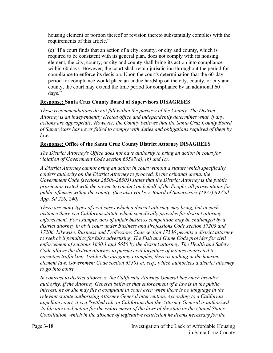housing element or portion thereof or revision thereto substantially complies with the requirements of this article."

(c) "If a court finds that an action of a city, county, or city and county, which is required to be consistent with its general plan, does not comply with its housing element, the city, county, or city and county shall bring its action into compliance within 60 days. However, the court shall retain jurisdiction throughout the period for compliance to enforce its decision. Upon the court's determination that the 60-day period for compliance would place an undue hardship on the city, county, or city and county, the court may extend the time period for compliance by an additional 60 days."

# **Response: Santa Cruz County Board of Supervisors DISAGREES**

*These recommendations do not fall within the purview of the County. The District Attorney is an independently elected office and independently determines what, if any, actions are appropriate. However, the County believes that the Santa Cruz County Board of Supervisors has never failed to comply with duties and obligations required of them by law.*

# **Response: Office of the Santa Cruz County District Attorney DISAGREES**

*The District Attorney's Office does not have authority to bring an action in court for violation of Government Code section 65587(a), (b) and (c).* 

*A District Attorney cannot bring an action in court without a statute which specifically confers authority on the District Attorney to proceed. In the criminal arena, the Government Code (sections 26500-26503) states that the District Attorney is the public prosecutor vested with the power to conduct on behalf of the People, all prosecutions for public offenses within the county. (See also Hicks v. Board of Supervisors (1977) 69 Cal. App. 3d 228, 240).* 

*There are many types of civil cases which a district attorney may bring, but in each instance there is a California statute which specifically provides for district attorney enforcement. For example, acts of unfair business competition may be challenged by a district attorney in civil court under Business and Professions Code section 17203 and 17206. Likewise, Business and Professions Code section 17536 permits a district attorney to seek civil penalties for false advertising. The Fish and Game Code provides for civil enforcement of sections 1600.1 and 5650 by the district attorney. The Health and Safety Code allows the district attorney to pursue civil forfeiture of monies connected to narcotics trafficking. Unlike the foregoing examples, there is nothing in the housing element law, Government Code section 65581 et. seq., which authorizes a district attorney to go into court.* 

*In contrast to district attorneys, the California Attorney General has much broader authority. If the Attorney General believes that enforcement of a law is in the public interest, he or she may file a complaint in court even when there is no language in the relevant statute authorizing Attorney General intervention. According to a California appellate court, it is a "settled rule in California that the Attorney General is authorized 'to file any civil action for the enforcement of the laws of the state or the United States Constitution, which in the absence of legislative restriction he deems necessary for the*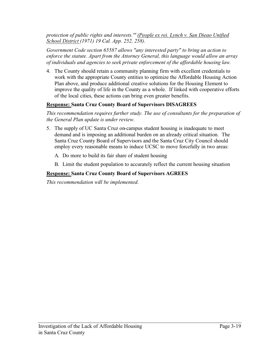*protection of public rights and interests.'" (People ex rei. Lynch v. San Dieao Unified School District (1971) 19 Cal. App. 252, 258).* 

*Government Code section 65587 allows "any interested party" to bring an action to enforce the statute. Apart from the Attorney General, this language would allow an array of individuals and agencies to seek private enforcement of the affordable housing law.* 

4. The County should retain a community planning firm with excellent credentials to work with the appropriate County entities to optimize the Affordable Housing Action Plan above, and produce additional creative solutions for the Housing Element to improve the quality of life in the County as a whole. If linked with cooperative efforts of the local cities, these actions can bring even greater benefits.

# **Response: Santa Cruz County Board of Supervisors DISAGREES**

*This recommendation requires further study. The use of consultants for the preparation of the General Plan update is under review.* 

- 5. The supply of UC Santa Cruz on-campus student housing is inadequate to meet demand and is imposing an additional burden on an already critical situation. The Santa Cruz County Board of Supervisors and the Santa Cruz City Council should employ every reasonable means to induce UCSC to move forcefully in two areas:
	- A. Do more to build its fair share of student housing
	- B. Limit the student population to accurately reflect the current housing situation

# **Response: Santa Cruz County Board of Supervisors AGREES**

*This recommendation will be implemented.*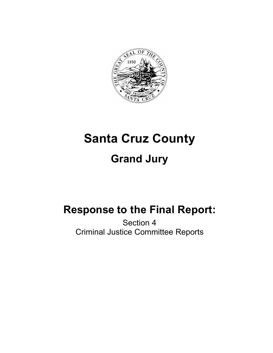

# **Santa Cruz County Grand Jury**

# **Response to the Final Report:**

Section 4 Criminal Justice Committee Reports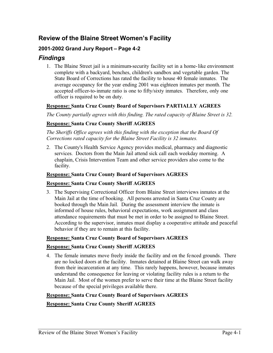# **Review of the Blaine Street Women's Facility**

# **2001-2002 Grand Jury Report – Page 4-2**

# *Findings*

1. The Blaine Street jail is a minimum-security facility set in a home-like environment complete with a backyard, benches, children's sandbox and vegetable garden. The State Board of Corrections has rated the facility to house 40 female inmates. The average occupancy for the year ending 2001 was eighteen inmates per month. The accepted officer-to-inmate ratio is one to fifty/sixty inmates. Therefore, only one officer is required to be on duty.

# **Response: Santa Cruz County Board of Supervisors PARTIALLY AGREES**

*The County partially agrees with this finding. The rated capacity of Blaine Street is 32.*

# **Response: Santa Cruz County Sheriff AGREES**

*The Sheriffs Office agrees with this finding with the exception that the Board Of Corrections rated capacity for the Blaine Street Facility is 32 inmates.* 

2. The County's Health Service Agency provides medical, pharmacy and diagnostic services. Doctors from the Main Jail attend sick call each weekday morning. A chaplain, Crisis Intervention Team and other service providers also come to the facility.

# **Response: Santa Cruz County Board of Supervisors AGREES**

# **Response: Santa Cruz County Sheriff AGREES**

3. The Supervising Correctional Officer from Blaine Street interviews inmates at the Main Jail at the time of booking. All persons arrested in Santa Cruz County are booked through the Main Jail. During the assessment interview the inmate is informed of house rules, behavioral expectations, work assignment and class attendance requirements that must be met in order to be assigned to Blaine Street. According to the supervisor, inmates must display a cooperative attitude and peaceful behavior if they are to remain at this facility.

# **Response: Santa Cruz County Board of Supervisors AGREES**

# **Response: Santa Cruz County Sheriff AGREES**

4. The female inmates move freely inside the facility and on the fenced grounds. There are no locked doors at the facility. Inmates detained at Blaine Street can walk away from their incarceration at any time. This rarely happens, however, because inmates understand the consequence for leaving or violating facility rules is a return to the Main Jail. Most of the women prefer to serve their time at the Blaine Street facility because of the special privileges available there.

# **Response: Santa Cruz County Board of Supervisors AGREES**

# **Response: Santa Cruz County Sheriff AGREES**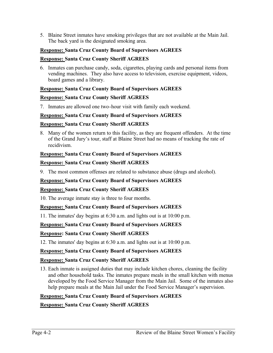5. Blaine Street inmates have smoking privileges that are not available at the Main Jail. The back yard is the designated smoking area.

# **Response: Santa Cruz County Board of Supervisors AGREES**

# **Response: Santa Cruz County Sheriff AGREES**

6. Inmates can purchase candy, soda, cigarettes, playing cards and personal items from vending machines. They also have access to television, exercise equipment, videos, board games and a library.

# **Response: Santa Cruz County Board of Supervisors AGREES**

# **Response: Santa Cruz County Sheriff AGREES**

7. Inmates are allowed one two-hour visit with family each weekend.

# **Response: Santa Cruz County Board of Supervisors AGREES**

# **Response: Santa Cruz County Sheriff AGREES**

8. Many of the women return to this facility, as they are frequent offenders. At the time of the Grand Jury's tour, staff at Blaine Street had no means of tracking the rate of recidivism.

# **Response: Santa Cruz County Board of Supervisors AGREES**

# **Response: Santa Cruz County Sheriff AGREES**

9. The most common offenses are related to substance abuse (drugs and alcohol).

# **Response: Santa Cruz County Board of Supervisors AGREES**

# **Response: Santa Cruz County Sheriff AGREES**

10. The average inmate stay is three to four months.

# **Response: Santa Cruz County Board of Supervisors AGREES**

11. The inmates' day begins at 6:30 a.m. and lights out is at 10:00 p.m.

# **Response: Santa Cruz County Board of Supervisors AGREES**

# **Response: Santa Cruz County Sheriff AGREES**

12. The inmates' day begins at 6:30 a.m. and lights out is at 10:00 p.m.

# **Response: Santa Cruz County Board of Supervisors AGREES**

# **Response: Santa Cruz County Sheriff AGREES**

13. Each inmate is assigned duties that may include kitchen chores, cleaning the facility and other household tasks. The inmates prepare meals in the small kitchen with menus developed by the Food Service Manager from the Main Jail. Some of the inmates also help prepare meals at the Main Jail under the Food Service Manager's supervision.

# **Response: Santa Cruz County Board of Supervisors AGREES**

# **Response: Santa Cruz County Sheriff AGREES**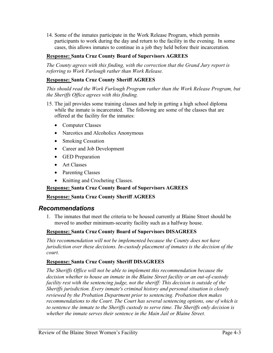14. Some of the inmates participate in the Work Release Program, which permits participants to work during the day and return to the facility in the evening. In some cases, this allows inmates to continue in a job they held before their incarceration.

# **Response: Santa Cruz County Board of Supervisors AGREES**

*The County agrees with this finding, with the correction that the Grand Jury report is referring to Work Furlough rather than Work Release.* 

# **Response: Santa Cruz County Sheriff AGREES**

*This should read the Work Furlough Program rather than the Work Release Program, but the Sheriffs Office agrees with this finding.* 

- 15. The jail provides some training classes and help in getting a high school diploma while the inmate is incarcerated. The following are some of the classes that are offered at the facility for the inmates:
	- Computer Classes
	- Narcotics and Alcoholics Anonymous
	- Smoking Cessation
	- Career and Job Development
	- GED Preparation
	- Art Classes
	- Parenting Classes
	- Knitting and Crocheting Classes.

# **Response: Santa Cruz County Board of Supervisors AGREES**

#### **Response: Santa Cruz County Sheriff AGREES**

# *Recommendations*

1. The inmates that meet the criteria to be housed currently at Blaine Street should be moved to another minimum-security facility such as a halfway house.

# **Response: Santa Cruz County Board of Supervisors DISAGREES**

*This recommendation will not be implemented because the County does not have jurisdiction over these decisions. In-custody placement of inmates is the decision of the court.*

#### **Response: Santa Cruz County Sheriff DISAGREES**

*The Sheriffs Office will not be able to implement this recommendation because the decision whether to house an inmate in the Blaine Street facility or an out-of-custody facility rest with the sentencing judge, not the sheriff: This decision is outside of the Sheriffs jurisdiction. Every inmate's criminal history and personal situation is closely reviewed by the Probation Department prior to sentencing. Probation then makes recommendations to the Court. The Court has several sentencing options, one of which is to sentence the inmate to the Sheriffs custody to serve time. The Sheriffs only decision is whether the inmate serves their sentence in the Main Jail or Blaine Street.*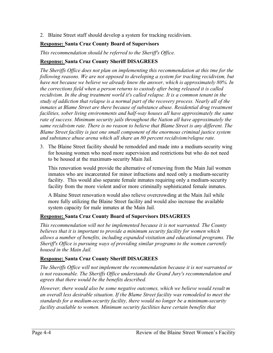2. Blaine Street staff should develop a system for tracking recidivism.

# **Response: Santa Cruz County Board of Supervisors**

*This recommendation should be referred to the Sheriff's Office.* 

### **Response: Santa Cruz County Sheriff DISAGREES**

*The Sheriffs Office does not plan on implementing this recommendation at this tme for the following reasons. We are not opposed to developing a system for tracking recidivism, but have not because we believe we already know the answer, which is approximately 80%. In the corrections field when a person returns to custody after being released it is called recidivism. In the drug treatment world it's called relapse. It is a common tenant in the study of addiction that relapse is a normal part of the recovery process. Nearly all of the inmates at Blame Street are there because of substance abuse. Residential drug treatment facilities, sober living environments and half-way houses all have approximately the same rate of success. Minimum security jails throughout the Nation all have approximately the same recidivism rate. There is no reason to believe that Blame Street is any different. The Blame Street facility is just one small component of the enormous criminal justice system and substance abuse arena which all share an 80 percent recidivism/relapse rate.* 

3. The Blaine Street facility should be remodeled and made into a medium-security wing for housing women who need more supervision and restrictions but who do not need to be housed at the maximum-security Main Jail.

This renovation would provide the alternative of removing from the Main Jail women inmates who are incarcerated for minor infractions and need only a medium-security facility. This would also separate female inmates requiring only a medium-security facility from the more violent and/or more criminally sophisticated female inmates.

A Blaine Street renovation would also relieve overcrowding at the Main Jail while more fully utilizing the Blaine Street facility and would also increase the available system capacity for male inmates at the Main Jail.

# **Response: Santa Cruz County Board of Supervisors DISAGREES**

*This recommendation will not be implemented because it is not warranted. The County believes that it is important to provide a minimum security facility for women which allows a number of benefits, including expanded visitation and educational programs. The Sheriff's Office is pursuing ways of providing similar programs to the women currently housed in the Main Jail.* 

# **Response: Santa Cruz County Sheriff DISAGREES**

*The Sheriffs Office will not implement the recommendation because it is not warranted or is not reasonable. The Sheriffs Office understands the Grand Jury's recommendation and agrees that there would be the benefits described.* 

*However, there would also be some negative outcomes, which we believe would result m an overall less desirable situation. If the Blame Street facility was remodeled to meet the standards for a medium-security facility, there would no longer be a minimum-security facility available to women. Minimum security facilities have certain benefits that*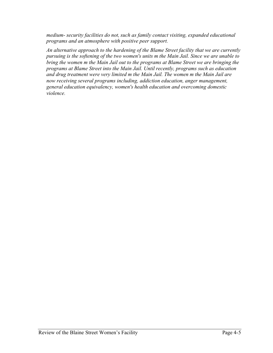*medium- security facilities do not, such as family contact visiting, expanded educational programs and an atmosphere with positive peer support.* 

*An alternative approach to the hardening of the Blame Street facility that we are currently pursuing is the softening of the two women's units m the Main Jail. Since we are unable to bring the women m the Main Jail out to the programs at Blame Street we are bringing the programs at Blame Street into the Main Jail. Until recently, programs such as education and drug treatment were very limited m the Main Jail. The women m the Main Jail are now receiving several programs including, addiction education, anger management, general education equivalency, women's health education and overcoming domestic violence.*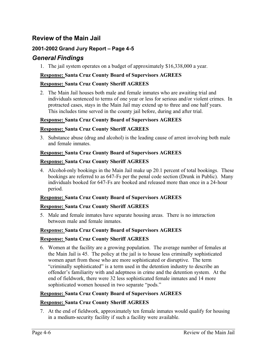# **Review of the Main Jail**

# **2001-2002 Grand Jury Report – Page 4-5**

# *General Findings*

1. The jail system operates on a budget of approximately \$16,338,000 a year.

# **Response: Santa Cruz County Board of Supervisors AGREES**

# **Response: Santa Cruz County Sheriff AGREES**

2. The Main Jail houses both male and female inmates who are awaiting trial and individuals sentenced to terms of one year or less for serious and/or violent crimes. In protracted cases, stays in the Main Jail may extend up to three and one half years. This includes time served in the county jail before, during and after trial.

# **Response: Santa Cruz County Board of Supervisors AGREES**

# **Response: Santa Cruz County Sheriff AGREES**

3. Substance abuse (drug and alcohol) is the leading cause of arrest involving both male and female inmates.

# **Response: Santa Cruz County Board of Supervisors AGREES**

# **Response: Santa Cruz County Sheriff AGREES**

4. Alcohol-only bookings in the Main Jail make up 20.1 percent of total bookings. These bookings are referred to as 647-Fs per the penal code section (Drunk in Public). Many individuals booked for 647-Fs are booked and released more than once in a 24-hour period.

# **Response: Santa Cruz County Board of Supervisors AGREES**

# **Response: Santa Cruz County Sheriff AGREES**

5. Male and female inmates have separate housing areas. There is no interaction between male and female inmates.

# **Response: Santa Cruz County Board of Supervisors AGREES**

# **Response: Santa Cruz County Sheriff AGREES**

6. Women at the facility are a growing population. The average number of females at the Main Jail is 45. The policy at the jail is to house less criminally sophisticated women apart from those who are more sophisticated or disruptive. The term "criminally sophisticated" is a term used in the detention industry to describe an offender's familiarity with and adeptness in crime and the detention system. At the end of fieldwork, there were 32 less sophisticated female inmates and 14 more sophisticated women housed in two separate "pods."

# **Response: Santa Cruz County Board of Supervisors AGREES**

# **Response: Santa Cruz County Sheriff AGREES**

7. At the end of fieldwork, approximately ten female inmates would qualify for housing in a medium-security facility if such a facility were available.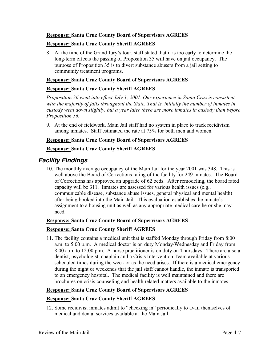# **Response: Santa Cruz County Board of Supervisors AGREES**

# **Response: Santa Cruz County Sheriff AGREES**

8. At the time of the Grand Jury's tour, staff stated that it is too early to determine the long-term effects the passing of Proposition 35 will have on jail occupancy. The purpose of Proposition 35 is to divert substance abusers from a jail setting to community treatment programs.

# **Response: Santa Cruz County Board of Supervisors AGREES**

#### **Response: Santa Cruz County Sheriff AGREES**

*Proposition 36 went into effect July 1, 2001. Our experience in Santa Cruz is consistent with the majority of jails throughout the State. That is, initially the number of inmates in custody went down slightly, but a year later there are more inmates in custody than before Proposition 36.* 

9. At the end of fieldwork, Main Jail staff had no system in place to track recidivism among inmates. Staff estimated the rate at 75% for both men and women.

#### **Response: Santa Cruz County Board of Supervisors AGREES**

# **Response: Santa Cruz County Sheriff AGREES**

# *Facility Findings*

10. The monthly average occupancy of the Main Jail for the year 2001 was 348. This is well above the Board of Corrections rating of the facility for 249 inmates. The Board of Corrections has approved an upgrade of 62 beds. After remodeling, the board rated capacity will be 311. Inmates are assessed for various health issues (e.g., communicable disease, substance abuse issues, general physical and mental health) after being booked into the Main Jail. This evaluation establishes the inmate's assignment to a housing unit as well as any appropriate medical care he or she may need.

# **Response: Santa Cruz County Board of Supervisors AGREES**

# **Response: Santa Cruz County Sheriff AGREES**

11. The facility contains a medical unit that is staffed Monday through Friday from 8:00 a.m. to 5:00 p.m. A medical doctor is on duty Monday-Wednesday and Friday from 8:00 a.m. to 12:00 p.m. A nurse practitioner is on duty on Thursdays. There are also a dentist, psychologist, chaplain and a Crisis Intervention Team available at various scheduled times during the week or as the need arises. If there is a medical emergency during the night or weekends that the jail staff cannot handle, the inmate is transported to an emergency hospital. The medical facility is well maintained and there are brochures on crisis counseling and health-related matters available to the inmates.

# **Response: Santa Cruz County Board of Supervisors AGREES**

# **Response: Santa Cruz County Sheriff AGREES**

12. Some recidivist inmates admit to "checking in" periodically to avail themselves of medical and dental services available at the Main Jail.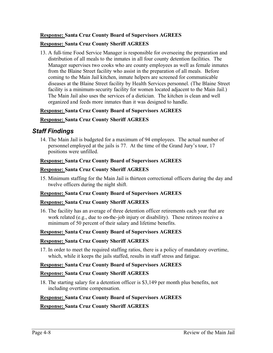# **Response: Santa Cruz County Board of Supervisors AGREES**

# **Response: Santa Cruz County Sheriff AGREES**

13. A full-time Food Service Manager is responsible for overseeing the preparation and distribution of all meals to the inmates in all four county detention facilities. The Manager supervises two cooks who are county employees as well as female inmates from the Blaine Street facility who assist in the preparation of all meals. Before coming to the Main Jail kitchen, inmate helpers are screened for communicable diseases at the Blaine Street facility by Health Services personnel. (The Blaine Street facility is a minimum-security facility for women located adjacent to the Main Jail.) The Main Jail also uses the services of a dietician. The kitchen is clean and well organized and feeds more inmates than it was designed to handle.

# **Response: Santa Cruz County Board of Supervisors AGREES**

# **Response: Santa Cruz County Sheriff AGREES**

# *Staff Findings*

14. The Main Jail is budgeted for a maximum of 94 employees. The actual number of personnel employed at the jails is 77. At the time of the Grand Jury's tour, 17 positions were unfilled.

# **Response: Santa Cruz County Board of Supervisors AGREES**

# **Response: Santa Cruz County Sheriff AGREES**

15. Minimum staffing for the Main Jail is thirteen correctional officers during the day and twelve officers during the night shift.

# **Response: Santa Cruz County Board of Supervisors AGREES**

# **Response: Santa Cruz County Sheriff AGREES**

16. The facility has an average of three detention officer retirements each year that are work related (e.g., due to on-the-job injury or disability). These retirees receive a minimum of 50 percent of their salary and lifetime benefits.

# **Response: Santa Cruz County Board of Supervisors AGREES**

# **Response: Santa Cruz County Sheriff AGREES**

17. In order to meet the required staffing ratios, there is a policy of mandatory overtime, which, while it keeps the jails staffed, results in staff stress and fatigue.

# **Response: Santa Cruz County Board of Supervisors AGREES**

# **Response: Santa Cruz County Sheriff AGREES**

18. The starting salary for a detention officer is \$3,149 per month plus benefits, not including overtime compensation.

# **Response: Santa Cruz County Board of Supervisors AGREES**

# **Response: Santa Cruz County Sheriff AGREES**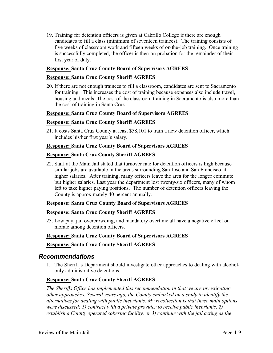19. Training for detention officers is given at Cabrillo College if there are enough candidates to fill a class (minimum of seventeen trainees). The training consists of five weeks of classroom work and fifteen weeks of on-the-job training. Once training is successfully completed, the officer is then on probation for the remainder of their first year of duty.

# **Response: Santa Cruz County Board of Supervisors AGREES**

# **Response: Santa Cruz County Sheriff AGREES**

20. If there are not enough trainees to fill a classroom, candidates are sent to Sacramento for training. This increases the cost of training because expenses also include travel, housing and meals. The cost of the classroom training in Sacramento is also more than the cost of training in Santa Cruz.

# **Response: Santa Cruz County Board of Supervisors AGREES**

#### **Response: Santa Cruz County Sheriff AGREES**

21. It costs Santa Cruz County at least \$58,101 to train a new detention officer, which includes his/her first year's salary.

#### **Response: Santa Cruz County Board of Supervisors AGREES**

#### **Response: Santa Cruz County Sheriff AGREES**

22. Staff at the Main Jail stated that turnover rate for detention officers is high because similar jobs are available in the areas surrounding San Jose and San Francisco at higher salaries. After training, many officers leave the area for the longer commute but higher salaries. Last year the department lost twenty-six officers, many of whom left to take higher paying positions. The number of detention officers leaving the County is approximately 40 percent annually.

#### **Response: Santa Cruz County Board of Supervisors AGREES**

#### **Response: Santa Cruz County Sheriff AGREES**

23. Low pay, jail overcrowding, and mandatory overtime all have a negative effect on morale among detention officers.

#### **Response: Santa Cruz County Board of Supervisors AGREES**

#### **Response: Santa Cruz County Sheriff AGREES**

# *Recommendations*

1. The Sheriff's Department should investigate other approaches to dealing with alcoholonly administrative detentions.

# **Response: Santa Cruz County Sheriff AGREES**

*The Sheriffs Office has implemented this recommendation in that we are investigating other approaches. Several years ago, the County embarked on a study to identify the alternatives for dealing with public inebriants. My recollection is that three main options were discussed; 1) contract with a private provider to receive public inebriants, 2) establish a County operated sobering facility, or 3) continue with the jail acting as the*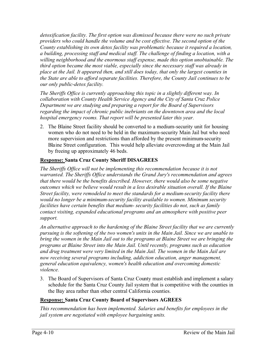*detoxification facility. The first option was dismissed because there were no such private providers who could handle the volume and be cost effective. The second option of the County establishing its own detox facility was problematic because it required a location, a building, processing staff and medical staff. The challenge of finding a location, with a willing neighborhood and the enormous staff expense, made this option unobtainable. The third option became the most viable, especially since the necessary staff was already in place at the Jail. It appeared then, and still does today, that only the largest counties in the State are able to afford separate facilities. Therefore, the County Jail continues to be our only public-detox facility.* 

*The Sheriffs Office is currently approaching this topic in a slightly different way. In collaboration with County Health Service Agency and the City of Santa Cruz Police Department we are studying and preparing a report for the Board of Supervisors regarding the impact of chronic public inebriants on the downtown area and the local hospital emergency rooms. That report will be presented later this year.* 

2. The Blaine Street facility should be converted to a medium-security unit for housing women who do not need to be held in the maximum-security Main Jail but who need more supervision and restrictions than afforded by the present minimum-security Blaine Street configuration. This would help alleviate overcrowding at the Main Jail by freeing up approximately 46 beds.

# **Response: Santa Cruz County Sheriff DISAGREES**

*The Sheriffs Office will not be implementing this recommendation because it is not warranted. The Sheriffs Office understands the Grand Jury's recommendation and agrees that there would be the benefits described. However, there would also be some negative outcomes which we believe would result in a less desirable situation overall. If the Blaine Street facility, were remodeled to meet the standards for a medium-security facility there would no longer be a minimum-security facility available to women. Minimum security facilities have certain benefits that medium- security facilities do not, such as family contact visiting, expanded educational programs and an atmosphere with positive peer support.*

*An alternative approach to the hardening of the Blaine Street facility that we are currently pursuing is the softening of the two women's units in the Main Jail. Since we are unable to bring the women in the Main Jail out to the programs at Blaine Street we are bringing the programs at Blaine Street into the Main Jail. Until recently, programs such as education and drug treatment were very limited in the Main Jail. The women in the Main Jail are now receiving several programs including, addiction education, anger management, general education equivalency, women's health education and overcoming domestic violence.*

3. The Board of Supervisors of Santa Cruz County must establish and implement a salary schedule for the Santa Cruz County Jail system that is competitive with the counties in the Bay area rather than other central California counties.

# **Response: Santa Cruz County Board of Supervisors AGREES**

*This recommendation has been implemented. Salaries and benefits for employees in the jail system are negotiated with employee bargaining units.*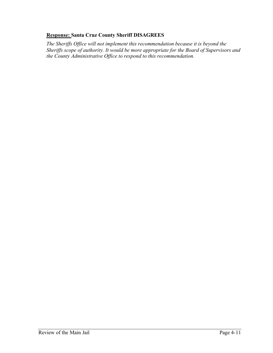# **Response: Santa Cruz County Sheriff DISAGREES**

*The Sheriffs Office will not implement this recommendation because it is beyond the Sheriffs scope of authority. It would be more appropriate for the Board of Supervisors and the County Administrative Office to respond to this recommendation.*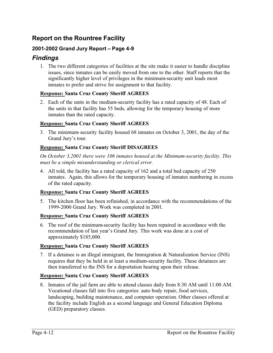# **Report on the Rountree Facility**

# **2001-2002 Grand Jury Report – Page 4-9**

# *Findings*

1. The two different categories of facilities at the site make it easier to handle discipline issues, since inmates can be easily moved from one to the other. Staff reports that the significantly higher level of privileges in the minimum-security unit leads most inmates to prefer and strive for assignment to that facility.

# **Response: Santa Cruz County Sheriff AGREES**

2. Each of the units in the medium-security facility has a rated capacity of 48. Each of the units in that facility has 55 beds, allowing for the temporary housing of more inmates than the rated capacity.

# **Response: Santa Cruz County Sheriff AGREES**

3. The minimum-security facility housed 68 inmates on October 3, 2001, the day of the Grand Jury's tour.

# **Response: Santa Cruz County Sheriff DISAGREES**

*On October 3,2001 there were 106 inmates housed at the Minimum-security facility. This must be a simple misunderstanding or clerical error.*

4. All told, the facility has a rated capacity of 162 and a total bed capacity of 250 inmates. Again, this allows for the temporary housing of inmates numbering in excess of the rated capacity.

# **Response: Santa Cruz County Sheriff AGREES**

5. The kitchen floor has been refinished, in accordance with the recommendations of the 1999-2000 Grand Jury. Work was completed in 2001.

# **Response: Santa Cruz County Sheriff AGREES**

6. The roof of the minimum-security facility has been repaired in accordance with the recommendation of last year's Grand Jury. This work was done at a cost of approximately \$185,000.

# **Response: Santa Cruz County Sheriff AGREES**

7. If a detainee is an illegal immigrant, the Immigration & Naturalization Service (INS) requires that they be held in at least a medium-security facility. These detainees are then transferred to the INS for a deportation hearing upon their release.

# **Response: Santa Cruz County Sheriff AGREES**

8. Inmates of the jail farm are able to attend classes daily from 8:30 AM until 11:00 AM. Vocational classes fall into five categories: auto body repair, food services, landscaping, building maintenance, and computer operation. Other classes offered at the facility include English as a second language and General Education Diploma (GED) preparatory classes.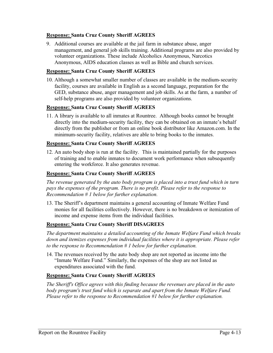# **Response: Santa Cruz County Sheriff AGREES**

9. Additional courses are available at the jail farm in substance abuse, anger management, and general job skills training. Additional programs are also provided by volunteer organizations. These include Alcoholics Anonymous, Narcotics Anonymous, AIDS education classes as well as Bible and church services.

#### **Response: Santa Cruz County Sheriff AGREES**

10. Although a somewhat smaller number of classes are available in the medium-security facility, courses are available in English as a second language, preparation for the GED, substance abuse, anger management and job skills. As at the farm, a number of self-help programs are also provided by volunteer organizations.

#### **Response: Santa Cruz County Sheriff AGREES**

11. A library is available to all inmates at Rountree. Although books cannot be brought directly into the medium-security facility, they can be obtained on an inmate's behalf directly from the publisher or from an online book distributor like Amazon.com. In the minimum-security facility, relatives are able to bring books to the inmates.

#### **Response: Santa Cruz County Sheriff AGREES**

12. An auto body shop is run at the facility. This is maintained partially for the purposes of training and to enable inmates to document work performance when subsequently entering the workforce. It also generates revenue.

#### **Response: Santa Cruz County Sheriff AGREES**

*The revenue generated by the auto body program is placed into a trust fund which in turn*  pays the expenses of the program. There is no profit. Please refer to the response to *Recommendation # 1 below for further explanation.* 

13. The Sheriff's department maintains a general accounting of Inmate Welfare Fund monies for all facilities collectively. However, there is no breakdown or itemization of income and expense items from the individual facilities.

#### **Response: Santa Cruz County Sheriff DISAGREES**

*The department maintains a detailed accounting of the Inmate Welfare Fund which breaks down and itemizes expenses from individual facilities where it is appropriate. Please refer to the response to Recommendation # 1 below for further explanation.* 

14. The revenues received by the auto body shop are not reported as income into the "Inmate Welfare Fund." Similarly, the expenses of the shop are not listed as expenditures associated with the fund.

#### **Response: Santa Cruz County Sheriff AGREES**

*The Sheriff's Office agrees with this finding because the revenues are placed in the auto*  body program's trust fund which is separate and apart from the Inmate Welfare Fund. *Please refer to the response to Recommendation #1 below for further explanation.*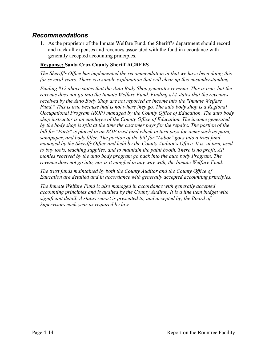# *Recommendations*

1. As the proprietor of the Inmate Welfare Fund, the Sheriff's department should record and track all expenses and revenues associated with the fund in accordance with generally accepted accounting principles.

# **Response: Santa Cruz County Sheriff AGREES**

*The Sheriff's Office has implemented the recommendation in that we have been doing this for several years. There is a simple explanation that will clear up this misunderstanding.* 

*Finding #12 above states that the Auto Body Shop generates revenue. This is true, but the revenue does not go into the Inmate Welfare Fund. Finding #14 states that the revenues received by the Auto Body Shop are not reported as income into the "Inmate Welfare Fund." This is true because that is not where they go. The auto body shop is a Regional Occupational Program (ROP) managed by the County Office of Education. The auto body shop instructor is an employee of the County Office of Education. The income generated by the body shop is split at the time the customer pays for the repairs. The portion of the bill for "Parts" is placed in an ROP trust fund which in turn pays for items such as paint, sandpaper, and body filler. The portion of the bill for "Labor" goes into a trust fund managed by the Sheriffs Office and held by the County Auditor's Office. It is, in turn, used to buy tools, teaching supplies, and to maintain the paint booth. There is no profit. All monies received by the auto body program go back into the auto body Program. The revenue does not go into, nor is it mingled in any way with, the Inmate Welfare Fund.* 

*The trust funds maintained by both the County Auditor and the County Office of Education are detailed and in accordance with generally accepted accounting principles.* 

*The Inmate Welfare Fund is also managed in accordance with generally accepted accounting principles and is audited by the County Auditor. It is a line item budget with significant detail. A status report is presented to, and accepted by, the Board of Supervisors each year as required by law.*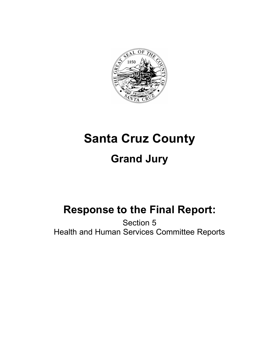

# **Santa Cruz County Grand Jury**

# **Response to the Final Report:**

Section 5 Health and Human Services Committee Reports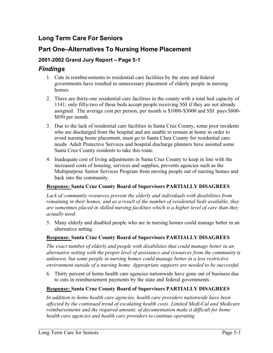# **Long Term Care For Seniors**

# **Part One–Alternatives To Nursing Home Placement**

# **2001-2002 Grand Jury Report – Page 5-1**

# *Findings*

- 1. Cuts in reimbursements to residential care facilities by the state and federal governments have resulted in unnecessary placement of elderly people in nursing homes.
- 2. There are thirty-one residential care facilities in the county with a total bed capacity of 1141; only fifty-two of these beds accept people receiving SSI if they are not already assigned. The average cost per person, per month is \$1000-\$3000 and SSI pays \$800- \$850 per month.
- 3. Due to the lack of residential care facilities in Santa Cruz County, some poor residents who are discharged from the hospital and are unable to remain at home in order to avoid nursing home placement, must go to Santa Clara County for residential care needs. Adult Protective Services and hospital discharge planners have assisted some Santa Cruz County residents to take this route.
- 4. Inadequate cost of living adjustments in Santa Cruz County to keep in line with the increased costs of housing, services and supplies, prevents agencies such as the Multipurpose Senior Services Program from moving people out of nursing homes and back into the community.

# **Response: Santa Cruz County Board of Supervisors PARTIALLY DISAGREES**

*Lack of community resources prevent the elderly and individuals with disabilities from remaining in their homes, and as a result of the number of residential beds available, they are sometimes placed in skilled nursing facilities which is a higher level of care than they actually need.* 

5. Many elderly and disabled people who are in nursing homes could manage better in an alternative setting.

# **Response: Santa Cruz County Board of Supervisors PARTIALLY DISAGREES**

*The exact number of elderly and people with disabilities that could manage better in an alternative setting with the proper level of assistance and resources from the community is unknown, but some people in nursing homes could manage better in a less restrictive environment outside of a nursing home. Appropriate supports are needed to be successful.* 

6. Thirty percent of home health care agencies nationwide have gone out of business due to cuts in reimbursement payments by the state and federal governments.

# **Response: Santa Cruz County Board of Supervisors PARTIALLY DISAGREES**

*In addition to home health care agencies, health care providers nationwide have been affected by the continued trend of escalating health costs. Limited Medi-Cal and Medicare reimbursements and the required amount. of documentation make it difficult for home health care agencies and health care providers to continue operating.*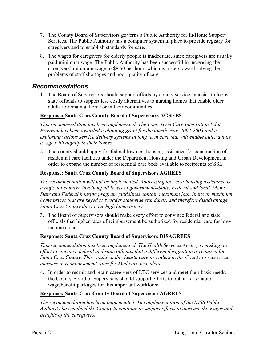- 7. The County Board of Supervisors governs a Public Authority for In-Home Support Services. The Public Authority has a computer system in place to provide registry for caregivers and to establish standards for care.
- 8. The wages for caregivers for elderly people is inadequate, since caregivers are usually paid minimum wage. The Public Authority has been successful in increasing the caregivers' minimum wage to \$8.50 per hour, which is a step toward solving the problems of staff shortages and poor quality of care.

# *Recommendations*

1. The Board of Supervisors should support efforts by county service agencies to lobby state officials to support less costly alternatives to nursing homes that enable older adults to remain at home or in their communities.

# **Response: Santa Cruz County Board of Supervisors AGREES**

*This recommendation has been implemented. The Long Term Care Integration Pilot Program has been awarded a planning grant for the fourth year, 2002-2003 and is exploring various service delivery systems in long term care that will enable older adults to age with dignity in their homes.*

2. The county should apply for federal low-cost housing assistance for construction of residential care facilities under the Department Housing and Urban Development in order to expand the number of residential care beds available to recipients of SSI.

# **Response: Santa Cruz County Board of Supervisors AGREES**

*The recommendation will not be implemented. Addressing low-cost housing assistance is a regional concern involving all levels of government--State, Federal and local. Many State and Federal housing program guidelines contain maximum loan limits or maximum home prices that are keyed to broader statewide standards, and therefore disadvantage Santa Cruz County due to our high home prices.* 

3. The Board of Supervisors should make every effort to convince federal and state officials that higher rates of reimbursement be authorized for residential care for lowincome elders.

# **Response: Santa Cruz County Board of Supervisors DISAGREES**

*This recommendation has been implemented. The Health Services Agency is making an effort to convince federal and state officials that a different designation is required for Santa Cruz County. This would enable health care providers in the County to receive an increase in reimbursement rates for Medicare providers.*

4. In order to recruit and retain caregivers of LTC services and meet their basic needs, the County Board of Supervisors should support efforts to obtain reasonable wage/benefit packages for this important workforce.

# **Response: Santa Cruz County Board of Supervisors AGREES**

*The recommendation has been implemented. The implementation of the IHSS Public Authority has enabled the County to continue to support efforts to increase the wages and benefits of the caregivers.*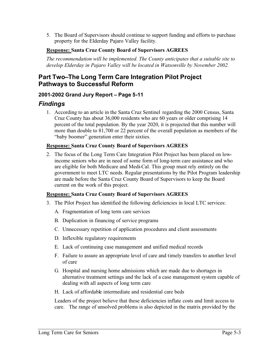5. The Board of Supervisors should continue to support funding and efforts to purchase property for the Elderday Pajaro Valley facility.

# **Response: Santa Cruz County Board of Supervisors AGREES**

*The recommendation will be implemented. The County anticipates that a suitable site to develop Elderday in Pajaro Valley will be located in Watsonville by November 2002.* 

# **Part Two–The Long Term Care Integration Pilot Project Pathways to Successful Reform**

# **2001-2002 Grand Jury Report – Page 5-11**

# *Findings*

1. According to an article in the Santa Cruz Sentinel regarding the 2000 Census, Santa Cruz County has about 36,000 residents who are 60 years or older comprising 14 percent of the total population. By the year 2020, it is projected that this number will more than double to 81,700 or 22 percent of the overall population as members of the "baby boomer" generation enter their sixties.

# **Response: Santa Cruz County Board of Supervisors AGREES**

2. The focus of the Long Term Care Integration Pilot Project has been placed on lowincome seniors who are in need of some form of long-term care assistance and who are eligible for both Medicare and Medi-Cal. This group must rely entirely on the government to meet LTC needs. Regular presentations by the Pilot Program leadership are made before the Santa Cruz County Board of Supervisors to keep the Board current on the work of this project.

# **Response: Santa Cruz County Board of Supervisors AGREES**

- 3. The Pilot Project has identified the following deficiencies in local LTC services:
	- A. Fragmentation of long term care services
	- B. Duplication in financing of service programs
	- C. Unnecessary repetition of application procedures and client assessments
	- D. Inflexible regulatory requirements
	- E. Lack of continuing case management and unified medical records
	- F. Failure to assure an appropriate level of care and timely transfers to another level of care
	- G. Hospital and nursing home admissions which are made due to shortages in alternative treatment settings and the lack of a case management system capable of dealing with all aspects of long term care
	- H. Lack of affordable intermediate and residential care beds

Leaders of the project believe that these deficiencies inflate costs and limit access to care. The range of unsolved problems is also depicted in the matrix provided by the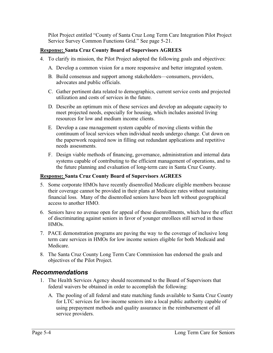Pilot Project entitled "County of Santa Cruz Long Term Care Integration Pilot Project Service Survey Common Functions Grid." See page 5-21.

# **Response: Santa Cruz County Board of Supervisors AGREES**

- 4. To clarify its mission, the Pilot Project adopted the following goals and objectives:
	- A. Develop a common vision for a more responsive and better integrated system.
	- B. Build consensus and support among stakeholders—consumers, providers, advocates and public officials.
	- C. Gather pertinent data related to demographics, current service costs and projected utilization and costs of services in the future.
	- D. Describe an optimum mix of these services and develop an adequate capacity to meet projected needs, especially for housing, which includes assisted living resources for low and medium income clients.
	- E. Develop a case management system capable of moving clients within the continuum of local services when individual needs undergo change. Cut down on the paperwork required now in filling out redundant applications and repetitive needs assessments.
	- F. Design viable methods of financing, governance, administration and internal data systems capable of contributing to the efficient management of operations, and to the future planning and evaluation of long-term care in Santa Cruz County.

# **Response: Santa Cruz County Board of Supervisors AGREES**

- 5. Some corporate HMOs have recently disenrolled Medicare eligible members because their coverage cannot be provided in their plans at Medicare rates without sustaining financial loss. Many of the disenrolled seniors have been left without geographical access to another HMO.
- 6. Seniors have no avenue open for appeal of these disenrollments, which have the effect of discriminating against seniors in favor of younger enrollees still served in these HMOs.
- 7. PACE demonstration programs are paving the way to the coverage of inclusive long term care services in HMOs for low income seniors eligible for both Medicaid and Medicare.
- 8. The Santa Cruz County Long Term Care Commission has endorsed the goals and objectives of the Pilot Project.

# *Recommendations*

- 1. The Health Services Agency should recommend to the Board of Supervisors that federal waivers be obtained in order to accomplish the following:
	- A. The pooling of all federal and state matching funds available to Santa Cruz County for LTC services for low-income seniors into a local public authority capable of using prepayment methods and quality assurance in the reimbursement of all service providers.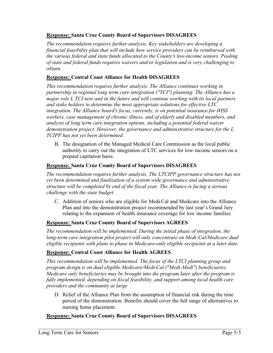# **Response: Santa Cruz County Board of Supervisors DISAGREES**

*The recommendation requires further analysis. Key stakeholders are developing a financial feasibility plan that will include how service providers can be reimbursed with the various federal and state funds allocated to the County's low-income seniors. Pooling of state and federal funds requires waivers and/or legislation and is very challenging to obtain.*

# **Response: Central Coast Alliance for Health DISAGREES**

*This recommendation requires further analysis. The Alliance continues working in partnership in regional long term care integration ("TCI") planning. The Alliance has a major role L TCI now and in the future and will continue working with its local partners and stake holders to determine the most appropriate solutions for effective LTC integration. The Alliance board's focus, currently, is on potential insurance for IHSS workers, case management of chronic illness, and of elderly and disabled members, and analysis of long term care integration options, including a potential federal waiver demonstration project. However, the governance and administrative structure for the L TCIPP has not yet been determined.* 

B. The designation of the Managed Medical Care Commission as the local public authority to carry out the integration of LTC services for low-income seniors on a prepaid capitation basis.

# **Response: Santa Cruz County Board of Supervisors DISAGREES**

*The recommendation requires further analysis. The LTCIPP governance structure has not yet been determined and finalization of a system wide governance and administrative structure will be completed by end of the fiscal year. The Alliance is facing a serious challenge with the state budget.* 

C. Addition of seniors who are eligible for Medi-Cal and Medicare into the Alliance Plan and into the demonstration project recommended by last year's Grand Jury relating to the expansion of health insurance coverage for low income families.

# **Response: Santa Cruz County Board of Supervisors AGREES**

*The recommendation will be implemented. During the initial phase of integration, the long-term care integration pilot project will only concentrate on Medi-Cal/Medicare dual eligible recipients with plans to phase in Medicare-only eligible recipients at a later date.* 

# **Response: Central Coast Alliance for Health AGREES**

*This recommendation will be implemented. The focus of the LTCI planning group and program design is on dual eligible Medicare/Medi-Cal ("Medi-Medi") beneficiaries. Medicare only beneficiaries may be brought into the program later after the program is fully implemented, depending on fiscal feasibility, and support among local health care providers and the community at large* 

D. Relief of the Alliance Plan from the assumption of financial risk during the time period of the demonstration. Benefits should cover the full range of alternatives to nursing home placement.

# **Response: Santa Cruz County Board of Supervisors DISAGREES**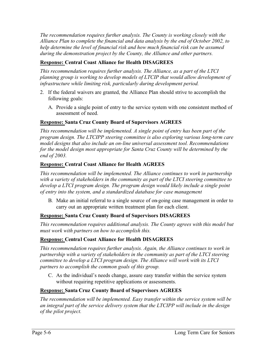*The recommendation requires further analysis. The County is working closely with the Alliance Plan to complete the financial and data analysis by the end of October 2002, to help determine the level of financial risk and how much financial risk can be assumed during the demonstration project by the County, the Alliance and other partners.* 

# **Response: Central Coast Alliance for Health DISAGREES**

*This recommendation requires further analysis. The Alliance, as a part of the LTCI planning group is working to develop models of LTCIP that would allow development of infrastructure while limiting risk, particularly during development period.* 

- 2. If the federal waivers are granted, the Alliance Plan should strive to accomplish the following goals:
	- A. Provide a single point of entry to the service system with one consistent method of assessment of need.

# **Response: Santa Cruz County Board of Supervisors AGREES**

*This recommendation will be implemented. A single point of entry has been part of the program design. The LTCIPP steering committee is also exploring various long-term care model designs that also include an on-line universal assessment tool. Recommendations for the model design most appropriate for Santa Cruz County will be determined by the end of 2003.* 

# **Response: Central Coast Alliance for Health AGREES**

*This recommendation will be implemented. The Alliance continues to work in partnership with a variety of stakeholders in the community as part of the LTCI steering committee to develop a LTCI program design. The program design would likely include a single point of entry into the system, and a standardized database for case management* 

B. Make an initial referral to a single source of on-going case management in order to carry out an appropriate written treatment plan for each client.

# **Response: Santa Cruz County Board of Supervisors DISAGREES**

*This recommendation requires additional analysis. The County agrees with this model but must work with partners on how to accomplish this.*

# **Response: Central Coast Alliance for Health DISAGREES**

*This recommendation requires further analysis. Again, the Alliance continues to work in partnership with a variety of stakeholders in the community as part of the LTCI steering committee to develop a LTCI program design. The Alliance will work with its LTCI partners to accomplish the common goals of this group.* 

C. As the individual's needs change, assure easy transfer within the service system without requiring repetitive applications or assessments.

# **Response: Santa Cruz County Board of Supervisors AGREES**

*The recommendation will be implemented. Easy transfer within the service system will be an integral part of the service delivery system that the LTCIPP will include in the design of the pilot project.*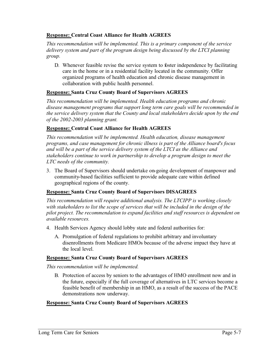# **Response: Central Coast Alliance for Health AGREES**

*This recommendation will be implemented. This is a primary component of the service delivery system and part of the program design being discussed by the LTCI planning group.*

D. Whenever feasible revise the service system to foster independence by facilitating care in the home or in a residential facility located in the community. Offer organized programs of health education and chronic disease management in collaboration with public health personnel.

# **Response: Santa Cruz County Board of Supervisors AGREES**

*This recommendation will be implemented. Health education programs and chronic disease management programs that support long term care goals will be recommended in the service delivery system that the County and local stakeholders decide upon by the end of the 2002-2003 planning grant.* 

# **Response: Central Coast Alliance for Health AGREES**

*This recommendation will be implemented. Health education, disease management programs, and case management for chronic illness is part of the Alliance board's focus and will be a part of the service delivery system of the LTCI as the Alliance and stakeholders continue to work in partnership to develop a program design to meet the LTC needs of the community.* 

3. The Board of Supervisors should undertake on-going development of manpower and community-based facilities sufficient to provide adequate care within defined geographical regions of the county.

# **Response: Santa Cruz County Board of Supervisors DISAGREES**

*This recommendation will require additional analysis. The LTCIPP is working closely with stakeholders to list the scope of services that will be included in the design of the pilot project. The recommendation to expand facilities and staff resources is dependent on available resources.* 

- 4. Health Services Agency should lobby state and federal authorities for:
	- A. Promulgation of federal regulations to prohibit arbitrary and involuntary disenrollments from Medicare HMOs because of the adverse impact they have at the local level.

# **Response: Santa Cruz County Board of Supervisors AGREES**

*This recommendation will be implemented.*

B. Protection of access by seniors to the advantages of HMO enrollment now and in the future, especially if the full coverage of alternatives in LTC services become a feasible benefit of membership in an HMO, as a result of the success of the PACE demonstrations now underway.

# **Response: Santa Cruz County Board of Supervisors AGREES**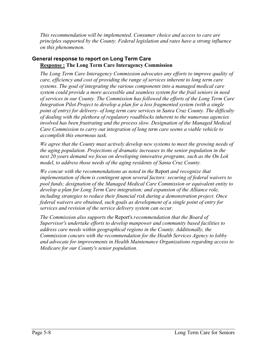*This recommendation will be implemented. Consumer choice and access to care are principles supported by the County. Federal legislation and rates have a strong influence on this phenomenon.* 

# **General response to report on Long Term Care Response : The Long Term Care Interagency Commission**

*The Long Term Care Interagency Commission advocates any efforts to improve quality of care, efficiency and cost of providing the range of services inherent to long term care systems. The goal of integrating the various components into a managed medical care system could provide a more accessible and seamless system for the frail seniors in need of services in our County. The Commission has followed the efforts of the Long Term Care Integration Pilot Project to develop a plan for a less fragmented system (with a single point of entry) for delivery- of long term care services in Santa Cruz County. The difficulty of dealing with the plethora of regulatory roadblocks inherent to the numerous agencies involved has been frustrating and the process slow. Designation of the Managed Medical Care Commission to carry out integration of long term care seems a viable vehicle to accomplish this enormous task.* 

*We agree that the County must actively develop new systems to meet the growing needs of the aging population. Projections of dramatic increases to the senior population in the next 20 years demand we focus on developing innovative programs, such as the On Lok model, to address those needs of the aging residents of Santa Cruz County.* 

*We concur with the recommendations as noted in the* Report *and recognize that implementation of them is contingent upon several factors: securing of federal waivers to pool funds; designation of the Managed Medical Care Commission or equivalent entity to develop a plan for Long Term Care integration; and expansion of the Alliance role, including strategies to reduce their financial risk during a demonstration project. Once federal waivers are obtained, such goals as development of a single point of entry for services and revision of the service delivery system can occur.* 

*The Commission also supports the* Report's *recommendation that the Board of Supervisor's undertake efforts to develop manpower and community based facilities to address care needs within geographical regions in the County. Additionally, the Commission concurs with the recommendation for the Health Services Agency to lobby and advocate for improvements in Health Maintenance Organizations regarding access to Medicare for our County's senior population.*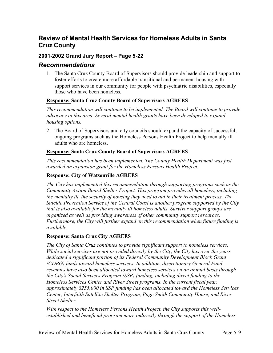# **Review of Mental Health Services for Homeless Adults in Santa Cruz County**

# **2001-2002 Grand Jury Report – Page 5-22**

# *Recommendations*

1. The Santa Cruz County Board of Supervisors should provide leadership and support to foster efforts to create more affordable transitional and permanent housing with support services in our community for people with psychiatric disabilities, especially those who have been homeless.

# **Response: Santa Cruz County Board of Supervisors AGREES**

*This recommendation will continue to be implemented. The Board will continue to provide advocacy in this area. Several mental health grants have been developed to expand housing options.* 

2. The Board of Supervisors and city councils should expand the capacity of successful, ongoing programs such as the Homeless Persons Health Project to help mentally ill adults who are homeless.

# **Response: Santa Cruz County Board of Supervisors AGREES**

*This recommendation has been implemented. The County Health Department was just awarded an expansion grant for the Homeless Persons Health Project.* 

# **Response: City of Watsonville AGREES**

*The City has implemented this recommendation through supporting programs such as the Community Action Board Shelter Project. This program provides all homeless, including the mentally ill, the security of housing they need to aid in their treatment process, The Suicide Prevention Service of the Central Coast is another program supported by the City that is also available for the mentally ill homeless adults. Survivor support groups are organized as well as providing awareness of other community support resources. Furthermore, the City will further expand on this recommendation when future funding is available.*

# **Response: Santa Cruz City AGREES**

*The City of Santa Cruz continues to provide significant support to homeless services. While social services are not provided directly by the City, the City has over the years dedicated a significant portion of its Federal Community Development Block Grant (CDBG) funds toward homeless services. In addition, discretionary General Fund revenues have also been allocated toward homeless services on an annual basis through the City's Social Services Program (SSP) funding, including direct funding to the Homeless Services Center and River Street programs. In the current fiscal year, approximately \$255,000 in SSP funding has been allocated toward the Homeless Services Center, Interfaith Satellite Shelter Program, Page Smith Community House, and River Street Shelter.* 

*With respect to the Homeless Persons Health Project, the City supports this wellestablished and beneficial program more indirectly through the support of the Homeless*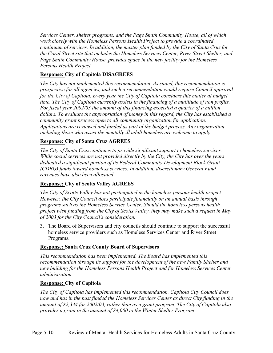*Services Center, shelter programs, and the Page Smith Community House, all of which work closely with the Homeless Persons Health Project to provide a coordinated continuum of services. In addition, the master plan funded by the City of Santa Cruz for the Coral Street site that includes the Homeless Services Center, River Street Shelter, and Page Smith Community House, provides space in the new facility for the Homeless Persons Health Project.* 

# **Response: City of Capitola DISAGREES**

*The City has not implemented this recommendation. As stated, this recommendation is prospective for all agencies, and such a recommendation would require Council approval for the City of Capitola. Every year the City of Capitola considers this matter at budget time. The City of Capitola currently assists in the financing of a multitude of non profits. For fiscal year 2002/03 the amount of this financing exceeded a quarter of a million dollars. To evaluate the appropriation of money in this regard, the City has established a community grant process open to all community organization for application. Applications are reviewed and funded as part of the budget process. Any organization including those who assist the mentally ill adult homeless are welcome to apply.*

# **Response: City of Santa Cruz AGREES**

*The City of Santa Cruz continues to provide significant support to homeless services. While social services are not provided directly by the City, the City has over the years dedicated a significant portion of its Federal Community Development Block Grant (CDBG) funds toward homeless services. In addition, discretionary General Fund revenues have also been allocated* 

# **Response: City of Scotts Valley AGREES**

*The City of Scotts Valley has not participated in the homeless persons health project. However, the City Council does participate financially on an annual basis through programs such as the Homeless Service Center. Should the homeless persons health project wish funding from the City of Scotts Valley, they may make such a request in May of 2003 for the City Council's consideration.* 

3. The Board of Supervisors and city councils should continue to support the successful homeless service providers such as Homeless Services Center and River Street Programs.

# **Response: Santa Cruz County Board of Supervisors**

*This recommendation has been implemented. The Board has implemented this*  recommendation through its support for the development of the new Family Shelter and *new building for the Homeless Persons Health Project and for Homeless Services Center administration.*

# **Response: City of Capitola**

*The City of Capitola has implemented this recommendation. Capitola City Council does now and has in the past funded the Homeless Services Center as direct City funding in the amount of \$2,334 for 2002/03, rather than as a grant program. The City of Capitola also provides a grant in the amount of \$4,000 to the Winter Shelter Program*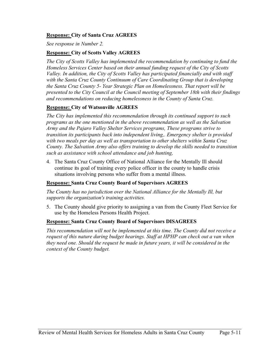# **Response: City of Santa Cruz AGREES**

*See response in Number 2.* 

# **Response: City of Scotts Valley AGREES**

*The City of Scotts Valley has implemented the recommendation by continuing to fund the Homeless Services Center based on their annual funding request of the City of Scotts Valley. In addition, the City of Scotts Valley has participated financially and with staff with the Santa Cruz County Continuum of Care Coordinating Group that is developing the Santa Cruz County 5- Year Strategic Plan on Homelessness. That report will be presented to the City Council at the Council meeting of September 18th with their findings and recommendations on reducing homelessness in the County of Santa Cruz.* 

# **Response: City of Watsonville AGREES**

*The City has implemented this recommendation through its continued support to such programs as the one mentioned in the above recommendation as well as the Salvation Army and the Pajaro Valley Shelter Services programs, These programs strive to transition its participants back into independent living,. Emergency shelter is provided with two meals per day as well as transportation to other shelters within Santa Cruz County. The Salvation Army also offers training to develop the skills needed to transition such as assistance with school attendance and job hunting,* 

4. The Santa Cruz County Office of National Alliance for the Mentally Ill should continue its goal of training every police officer in the county to handle crisis situations involving persons who suffer from a mental illness.

# **Response: Santa Cruz County Board of Supervisors AGREES**

*The County has no jurisdiction over the National Alliance for the Mentally Ill, but supports the organization's training activities.* 

5. The County should give priority to assigning a van from the County Fleet Service for use by the Homeless Persons Health Project.

# **Response: Santa Cruz County Board of Supervisors DISAGREES**

*This recommendation will not be implemented at this time. The County did not receive a request of this nature during budget hearings. Staff at HPHP can check out a van when they need one. Should the request be made in future years, it will be considered in the context of the County budget.*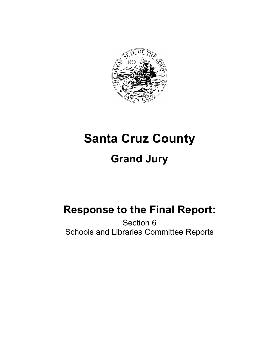

# **Santa Cruz County Grand Jury**

## **Response to the Final Report:**

Section 6 Schools and Libraries Committee Reports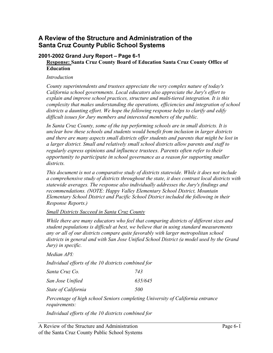## **A Review of the Structure and Administration of the Santa Cruz County Public School Systems**

#### **2001-2002 Grand Jury Report – Page 6-1 Response: Santa Cruz County Board of Education Santa Cruz County Office of Education**

#### *Introduction*

*County superintendents and trustees appreciate the very complex nature of today's California school governments. Local educators also appreciate the Jury's effort to explain and improve school practices, structure and multi-tiered integration. It is this complexity that makes understanding the operations, efficiencies and integration of school districts a daunting effort. We hope the following response helps to clarify and edify difficult issues for Jury members and interested members of the public.* 

*In Santa Cruz County, some of the top performing schools are in small districts. It is unclear how these schools and students would benefit from inclusion in larger districts and there are many aspects small districts offer students and parents that might be lost in a larger district. Small and relatively small school districts allow parents and staff to regularly express opinions and influence trustees. Parents often refer to their opportunity to participate in school governance as a reason for supporting smaller districts.*

*This document is not a comparative study of districts statewide. While it does not include a comprehensive study of districts throughout the state, it does contrast local districts with statewide averages. The response also individually addresses the Jury's findings and recommendations. (NOTE: Happy Valley Elementary School District, Mountain Elementary School District and Pacific School District included the following in their Response Reports.)*

#### *Small Districts Succeed in Santa Cruz County*

*While there are many educators who feel that comparing districts of different sizes and student populations is difficult at best, we believe that in using standard measurements any or all of our districts compare quite favorably with larger metropolitan school districts in general and with San Jose Unified School District (a model used by the Grand Jury) in specific.* 

*Median API:* 

*Individual efforts of the 10 districts combined for* 

| Santa Cruz Co.      | 743     |
|---------------------|---------|
| San Jose Unified    | 635/645 |
| State of California | 500     |

*Percentage of high school Seniors completing University of California entrance requirements:*

*Individual efforts of the 10 districts combined for*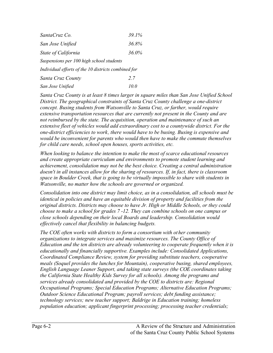| SantaCruz Co.                                       | 39.1% |
|-----------------------------------------------------|-------|
| San Jose Unified                                    | 36.8% |
| <b>State of California</b>                          | 36.0% |
| Suspensions per 100 high school students            |       |
| Individual efforts of the 10 districts combined for |       |
| Santa Cruz County                                   | 2.7   |
| San Jose Unified                                    | 10.0  |

*Santa Cruz County is at least 8 times larger in square miles than San Jose Unified School District. The geographical constraints of Santa Cruz County challenge a one-district concept. Busing students from Watsonville to Santa Cruz, or farther, would require extensive transportation resources that are currently not present in the County and are not reimbursed by the state. The acquisition, operation and maintenance of such an extensive fleet of vehicles would add extraordinary cost to a countywide district. For the one-district efficiencies to work, there would have to be busing. Busing is expensive and would be inconvenient for parents who would then have to make the commute themselves for child care needs, school open houses, sports activities, etc.* 

*When looking to balance the intention to make the most of scarce educational resources and create appropriate curriculum and environments to promote student learning and achievement, consolidation may not be the best choice. Creating a central administration doesn't in all instances allow for the sharing of resources. If, in fact, there is classroom space in Boulder Creek, that is going to be virtually impossible to share with students in Watsonville, no matter how the schools are governed or organized.* 

*Consolidation into one district may limit choice, as in a consolidation, all schools must be identical in policies and have an equitable division of property and facilities from the original districts. Districts may choose to have Jr. High or Middle Schools, or they could choose to make a school for grades 7 -12. They can combine schools on one campus or close schools depending on their local Boards and leadership. Consolidation would effectively cancel that flexibility in balancing budgets.* 

*The COE often works with districts to form a consortium with other community organizations to integrate services and maximize resources. The County Office of Education and the ten districts are already volunteering to cooperate frequently when it is educationally and financially supportive. Examples include: Consolidated Applications, Coordinated Compliance Review, system for providing substitute teachers, cooperative meals (Soquel provides the lunches for Mountain), cooperative busing, shared employees, English Language Leaner Support, and taking state surveys (the COE coordinates taking the California State Healthy Kids Survey for all schools). Among the programs and services already consolidated and provided by the COE to districts are: Regional Occupational Programs; Special Education Programs; Alternative Education Programs; Outdoor Science Educational Program; payroll services; debt funding assistance; technology services; new teacher support; Baldrige in Education training; homeless population education; applicant fingerprint processing; processing teacher credentials;*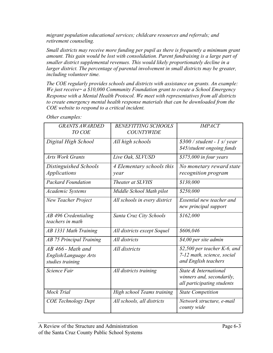*migrant population educational services; childcare resources and referrals; and retirement counseling.* 

*Small districts may receive more funding per pupil as there is frequently a minimum grant amount. This gain would be lost with consolidation. Parent fundraising is a large part of smaller district supplemental revenues. This would likely proportionately decline in a*  larger district. The percentage of parental involvement in small districts may be greater, *including volunteer time.* 

*The COE regularly provides schools and districts with assistance on grants. An example: We just receive~ a \$10,000 Community Foundation grant to create a School Emergency Response with a Mental Health Protocol. We meet with representatives from all districts*  to create emergency mental health response materials that can be downloaded from the *COE website to respond to a critical incident.* 

| <b>GRANTS AWARDED</b>                    | <b>BENEFITTING SCHOOLS</b>    | <b>IMPACT</b>                                      |
|------------------------------------------|-------------------------------|----------------------------------------------------|
| TO COE                                   | <b>COUNTYWIDE</b>             |                                                    |
| Digital High School                      | All high schools              | $$300$ / student - 1 s/ year                       |
|                                          |                               | \$45/student ongoing funds                         |
| <b>Arts Work Grants</b>                  | Live Oak, SLVUSD              | \$375,000 in four years                            |
| Distinguished Schools                    | 4 Elementary schools this     | No monetary reward state                           |
| <i>Applications</i>                      | year                          | recognition program                                |
| <b>Packard Foundation</b>                | Theater at SLVHS              | \$130,000                                          |
| <b>Academic Systems</b>                  | Middle School Math pilot      | \$250,000                                          |
| New Teacher Project                      | All schools in every district | Essential new teacher and<br>new principal support |
| AB 496 Credentialing<br>teachers in math | Santa Cruz City Schools       | \$162,000                                          |
| AB 1331 Math Training                    | All districts except Soquel   | \$606,046                                          |
| <b>AB 75 Principal Training</b>          | All districts                 | \$4,00 per site admin                              |
| $AB$ 466 - Math and                      | All districts                 | \$2,500 per teacher $K$ -6, and                    |
| English/Language Arts                    |                               | 7-12 math, science, social                         |
| studies training                         |                               | and English teachers                               |
| Science Fair                             | All districts training        | State & International<br>winners and, secondarily, |
|                                          |                               | all participating students                         |
| Mock Trial                               | High school Teams training    | <b>State Competition</b>                           |
| <b>COE</b> Technology Dept               | All schools, all districts    | Network structure, e-mail<br>county wide           |

*Other examples:*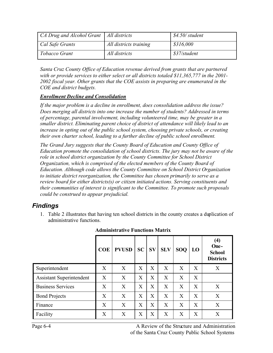| $CA$ Drug and Alcohol Grant   All districts |                        | \$4.50/student |
|---------------------------------------------|------------------------|----------------|
| Cal Safe Grants                             | All districts training | \$316,000      |
| Tobacco Grant                               | All districts          | \$37/student   |

*Santa Cruz County Office of Education revenue derived from grants that are partnered with or provide services to either select or all districts totaled \$11,365,777 in the 2001- 2002 fiscal year. Other grants that the COE assists in preparing are enumerated in the COE and district budgets.* 

#### *Enrollment Decline and Consolidation*

*If the major problem is a decline in enrollment, does consolidation address the issue? Does merging all districts into one increase the number of students? Addressed in terms of percentage, parental involvement, including volunteered time, may be greater in a smaller district. Eliminating parent choice of district of attendance will likely lead to an increase in opting out of the public school system, choosing private schools, or creating their own charter school, leading to a further decline of public school enrollment.* 

*The Grand Jury suggests that the County Board of Education and County Office of Education promote the consolidation of school districts. The jury may not be aware of the role in school district organization by the County Committee for School District Organization, which is comprised of the elected members of the County Board of Education. Although code allows the County Committee on School District Organization to initiate district reorganization, the Committee has chosen primarily to serve as a review board for either districts(s) or citizen initiated actions. Serving constituents and their communities of interest is significant to the Committee. To promote such proposals could be construed to appear prejudicial.* 

## *Findings*

1. Table 2 illustrates that having ten school districts in the county creates a duplication of administrative functions.

|                                 | <b>COE</b> | <b>PVUSD</b> | <b>SC</b> | $S_{V}$ | <b>SLV</b> | <b>SOQ</b> | LO | (4)<br>One-<br><b>School</b><br><b>Districts</b> |
|---------------------------------|------------|--------------|-----------|---------|------------|------------|----|--------------------------------------------------|
| Superintendent                  | X          | X            | X         | X       | X          | X          | X  | X                                                |
| <b>Assistant Superintendent</b> | X          | X            | X         | X       | X          | X          | X  |                                                  |
| <b>Business Services</b>        | X          | X            | X         | X       | X          | X          | X  | X                                                |
| <b>Bond Projects</b>            | X          | X            | X         | X       | X          | X          | X  | X                                                |
| Finance                         | X          | X            | X         | X       | X          | X          | X  | X                                                |
| Facility                        | X          | X            | X         | X       | X          | X          | X  | X                                                |

**Administrative Functions Matrix**

Page 6-4 A Review of the Structure and Administration of the Santa Cruz County Public School Systems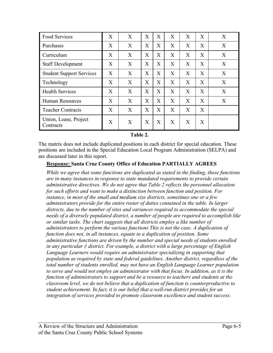| Food Services                      | X | X | X | X | X | X | X | X |
|------------------------------------|---|---|---|---|---|---|---|---|
| Purchases                          | X | X | X | X | X | X | X | X |
| Curriculum                         | X | X | X | X | X | X | X | X |
| <b>Staff Development</b>           | X | X | X | X | X | X | X | X |
| <b>Student Support Services</b>    | X | X | X | X | X | X | X | X |
| Technology                         | X | X | X | X | X | X | X | X |
| <b>Health Services</b>             | X | X | X | X | X | X | X | X |
| Human Resources                    | X | X | X | X | X | X | X | X |
| <b>Teacher Contracts</b>           | X | X | X | X | X | X | X |   |
| Union, Lease, Project<br>Contracts | X | X | X | X | X | X | X |   |

#### **Table 2.**

The matrix does not include duplicated positions in each district for special education. These positions are included in the Special Education Local Program Administration (SELPA) and are discussed later in this report.

#### **Response: Santa Cruz County Office of Education PARTIALLY AGREES**

*While we agree that some functions are duplicated as stated in the finding, those functions are in many instances in response to state mandated requirements to provide certain administrative directives. We do not agree that Table 2 reflects the personnel allocation for such efforts and want to make a distinction between function and position. For instance, in most of the small and medium size districts, sometimes one or a few administrators provide for the entire roster of duties contained in the table. In larger districts, due to the number of sites and variances required to accommodate the special needs of a diversely populated district, a number of people are required to accomplish like or similar tasks. The chart suggests that all districts employ a like number of administrators to perform the various functions This is not the case. A duplication of function does not, in all instances, equate to a duplication of position. Some administrative functions are driven by the number and special needs of students enrolled in any particular (\ district. For example, a district with a large percentage of English Language Learners would require an administrator specializing in supporting that population as required by state and federal guidelines. Another district, regardless of the total number of students enrolled, may not have an English Language Learner population to serve and would not employ an administrator with that focus. In addition, as it is the function of administrators to support and be a resource to teachers and students at the classroom level, we do not believe that a duplication of function is counterproductive to student achievement. In fact, it is our belief that a well-run district provides for an integration of services provided to promote classroom excellence and student success.*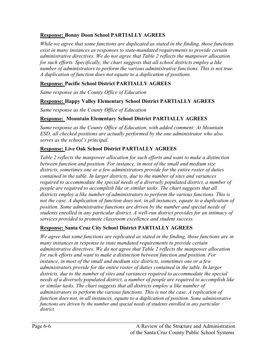## **Response: Bonny Doon School PARTIALLY AGREES**

*While we agree that some functions are duplicated as stated in the finding, those functions exist in many instances as responses to state-mandated requirements to provide certain administrative directives. We do not agree that Table 2 reflects the manpower allocation for such efforts. Specifically, the chart suggests that all school districts employ a like number of administrators to perform the various administrative functions. This is not true. A duplication of function does not equate to a duplication of positions.* 

## **Response: Pacific School District PARTIALLY AGREES**

*Same response as the County Office of Education*

## **Response: Happy Valley Elementary School District PARTIALLY AGREES**

*Same response as the County Office of Education*

## **Response: Mountain Elementary School District PARTIALLY AGREES**

*Same response as the County Office of Education, with added comment: At Mountain ESD, all checked positions are actually performed by the one administrator who also serves as the school's principal.*

## **Response: Live Oak School District PARTIALLY AGREES**

*Table 2 reflects the manpower allocation for such efforts and want to make a distinction between function and position. For instance, in most of the small and medium size districts, sometimes one or a few administrators provide for the entire roster of duties contained in the table. In larger districts, due to the number of sites and variances required to accommodate the special needs of a diversely populated district, a number of people are required to accomplish like or similar tasks. The chart suggests that all districts employ a like number of administrators to perform the various functions. This is not the case. A duplication of function does not, in all instances, equate to a duplication of position. Some administrative functions are driven by the number and special needs of students enrolled in any particular district. A well-run district provides for an intimacy of services provided to promote classroom excellence and student success.* 

## **Response: Santa Cruz City School District PARTIALLY AGREES**

*We agree that some functions are replicated as stated in the finding, those functions are in many instances in response to state mandated requirements to provide certain administrative directives. We do not agree that Table 2 reflects the manpower allocation for such efforts and want to make a distinction between function and position. For instance, in most of the small and medium size districts, sometimes one or a few administrators provide for the entire roster of duties contained in the table. In larger districts, due to the number of sites and variances required to accommodate the special needs of a diversely populated district, a number of people are required to accomplish like or similar tasks. The chart suggests that all districts employ a like number of administrators to perform the various functions. This is not the case. A replication of function does not, in all instances, equate to a duplication of position. Some administrative functions are driven by the number and special needs of students enrolled in any particular district.*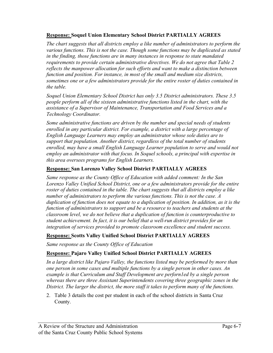#### **Response: Soquel Union Elementary School District PARTIALLY AGREES**

*The chart suggests that all districts employ a like number of administrators to perform the various functions. This is not the case. Though some functions may be duplicated as stated in the finding, those functions are in many instances in response to state mandated requirements to provide certain administrative directives. We do not agree that Table 2 reflects the manpower allocation for such efforts and want to make a distinction between function and position. For instance, in most of the small and medium size districts, sometimes one or a few administrators provide for the entire roster of duties contained in the table.* 

*Soquel Union Elementary School District has only 3.5 District administrators. These 3.5 people perform all of the sixteen administrative functions listed in the chart, with the assistance of a Supervisor of Maintenance, Transportation and Food Services and a Technology Coordinator.* 

*Some administrative functions are driven by the number and special needs of students enrolled in any particular district. For example, a district with a large percentage of English Language Learners may employ an administrator whose sole duties are to support that population. Another district, regardless of the total number of students enrolled, may have a small English Language Learner population to serve and would not employ an administrator with that focus. In Soquel schools, a principal with expertise in this area oversees programs for English Learners.* 

#### **Response: San Lorenzo Valley School District PARTIALLY AGREES**

*Same response as the County Office of Education with added comment: In the San Lorenzo Valley Unified School District, one or a few administrators provide for the entire roster of duties contained in the table. The chart suggests that all districts employ a like number of administrators to perform the various functions. This is not the case. A duplication of function does not equate to a duplication of position. In addition, as it is the function of administrators to support and be a resource to teachers and students at the classroom level, we do not believe that a duplication of function is counterproductive to student achievement. In fact, it is our belief that a well-run district provides for an integration of services provided to promote classroom excellence and student success.* 

## **Response: Scotts Valley Unified School District PARTIALLY AGREES**

*Same response as the County Office of Education*

## **Response: Pajaro Valley Unified School District PARTIALLY AGREES**

*In a large district like Pajaro Valley, the functions listed may be performed by more than one person in some cases and multiple functions by a single person in other cases. An example is that Curriculum and Staff Development are perforn1ed by a single person whereas there are three Assistant Superintendents covering three geographic zones in the District. The larger the district, the more staff it takes to perform many of the functions.* 

2. Table 3 details the cost per student in each of the school districts in Santa Cruz County.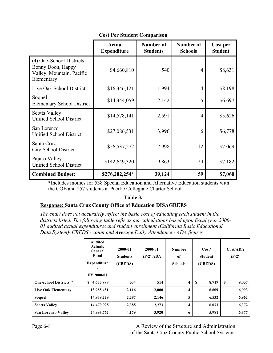|  |  | <b>Cost Per Student Comparison</b> |
|--|--|------------------------------------|
|--|--|------------------------------------|

|                                                                                           | <b>Actual</b><br><b>Expenditure</b> | Number of<br><b>Students</b> | Number of<br><b>Schools</b> | Cost per<br><b>Student</b> |
|-------------------------------------------------------------------------------------------|-------------------------------------|------------------------------|-----------------------------|----------------------------|
| (4) One-School Districts:<br>Bonny Doon, Happy<br>Valley, Mountain, Pacific<br>Elementary | \$4,660,810                         | 540                          | 4                           | \$8,631                    |
| Live Oak School District                                                                  | \$16,346,121                        | 1,994                        | $\overline{4}$              | \$8,198                    |
| Soquel<br><b>Elementary School District</b>                                               | \$14,344,059                        | 2,142                        | 5                           | \$6,697                    |
| Scotts Valley<br>Unified School District                                                  | \$14,578,141                        | 2,591                        | 4                           | \$5,626                    |
| San Lorenzo<br>Unified School District                                                    | \$27,086,531                        | 3,996                        | 6                           | \$6,778                    |
| Santa Cruz<br><b>City School District</b>                                                 | \$56,537,272                        | 7,998                        | 12                          | \$7,069                    |
| Pajaro Valley<br>Unified School District                                                  | \$142,649,320                       | 19,863                       | 24                          | \$7,182                    |
| <b>Combined Budget:</b>                                                                   | \$276,202,254*                      | 39,124                       | 59                          | \$7,060                    |

\*Includes monies for 538 Special Education and Alternative Education students with the COE and 257 students at Pacific Collegiate Charter School.

#### **Table 3.**

## **Response: Santa Cruz County Office of Education DISAGREES**

*The chart does not accurately reflect the basic cost of educating each student in the districts listed. The following table reflects our calculations based upon fiscal year 2000- 01 audited actual expenditures and student enrollment (California Basic Educational Data System)- CBEDS - count and Average Daily Attendance - ADA figures*

|                            | <b>Audited</b><br><b>Actuals</b><br>General<br>Fund<br><b>Expenditure</b><br>s<br>FY 2000-01 | 2000-01<br><b>Students</b><br>(CBEDS) | 2000-01<br>$(P-2)$ ADA | <b>Number</b><br>of<br><b>Schools</b> | Cost/<br><b>Student</b><br>(CBEDS) | Cost/ADA<br>$(P-2)$ |
|----------------------------|----------------------------------------------------------------------------------------------|---------------------------------------|------------------------|---------------------------------------|------------------------------------|---------------------|
| One-school Districts *     | 4,655,998<br>S                                                                               | 534                                   | 514                    | 4                                     | S<br>8,719                         | \$<br>9,057         |
| <b>Live Oak Elementary</b> | 13,985,451                                                                                   | 2,116                                 | 2,000                  | 4                                     | 6,609                              | 6,993               |
| Soquel                     | 14,939,229                                                                                   | 2,287                                 | 2,146                  | 5                                     | 6,532                              | 6,962               |
| <b>Scotts Valley</b>       | 14,479,925                                                                                   | 2,385                                 | 2,273                  | 4                                     | 6,071                              | 6,372               |
| <b>San Lorenzo Valley</b>  | 24,993,762                                                                                   | 4,179                                 | 3,920                  | 6                                     | 5,981                              | 6,377               |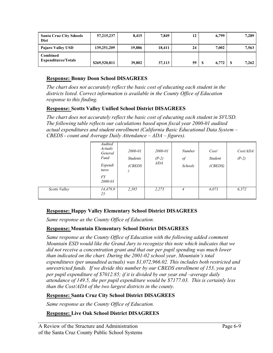| <b>Santa Cruz City Schools</b><br><b>Dist</b> | 57, 215, 237  | 8,415  | 7,849  | 12 | 6,799 | 7,289 |
|-----------------------------------------------|---------------|--------|--------|----|-------|-------|
| Pajaro Valley USD                             | 139,251,209   | 19.886 | 18.411 | 24 | 7.002 | 7,563 |
| Combined<br><b>Expenditures/Totals</b>        | \$269,520,811 | 39,802 | 37,113 | 59 | 6.772 | 7,262 |

## **Response: Bonny Doon School DISAGREES**

*The chart does not accurately reflect the basic cost of educating each student in the districts listed. Correct information is available in the County Office of Education response to this finding.* 

#### **Response: Scotts Valley Unified School District DISAGREES**

*The chart does not accurately reflect the basic cost of educating each student in SVUSD. The following table reflects our calculations based upon fiscal year 2000-01 audited actual expenditures and student enrollment (California Basic Educational Data System – CBEDS - count and Average Daily Attendance – ADA – figures).*

|               | Audited<br>Actuals<br>General<br>Fund<br>Expendi<br>tures<br><b>FY</b><br>2000-01 | 2000-01<br><b>Students</b><br>(CBEDS | 2000-01<br>$(P-2)$<br>ADA | <b>Number</b><br>$\int$<br>Schools | Cost/<br>Student<br>(CBEDS) | Cost/ADA<br>$(P-2)$ |
|---------------|-----------------------------------------------------------------------------------|--------------------------------------|---------------------------|------------------------------------|-----------------------------|---------------------|
| Scotts Valley | 14,479,9<br>25                                                                    | 2,385                                | 2,273                     | 4                                  | 6,071                       | 6,372               |

## **Response: Happy Valley Elementary School District DISAGREES**

*Same response as the County Office of Education.*

#### **Response: Mountain Elementary School District DISAGREES**

*Same response as the County Office of Education with the following added comment Mountain ESD would like the Grand Jury to recognize this note which indicates that we*  did not receive a concentration grant and that our per pupil spending was much lower *than indicated on the chart. During the 2001-02 school year, Mountain's total expenditures (per unaudited actuals) was \$1,072,966.02. This includes both restricted and unrestricted funds. If we divide this number by our CBEDS enrollment of 153, you get a per pupil expenditure of \$7012.85; if it is divided by our year end –average daily attendance of 149.5, the per pupil expenditure would be \$7177.03. This is certainly less than the Cost/ADA of the two largest districts in the county.*

## **Response: Santa Cruz City School District DISAGREES**

*Same response as the County Office of Education.*

#### **Response: Live Oak School District DISAGREES**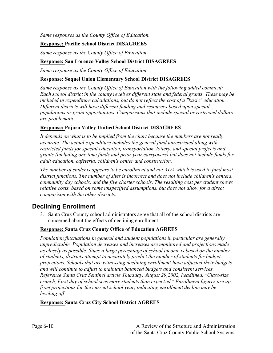*Same responses as the County Office of Education.*

## **Response: Pacific School District DISAGREES**

*Same response as the County Office of Education.*

#### **Response: San Lorenzo Valley School District DISAGREES**

*Same response as the County Office of Education.*

#### **Response: Soquel Union Elementary School District DISAGREES**

*Same response as the County Office of Education with the following added comment: Each school district in the county receives different state and federal grants. These may be included in expenditure calculations, but do not reflect the cost of a "basic" education. Different districts will have different funding and resources based upon special populations or grant opportunities. Comparisons that include special or restricted dollars are problematic.* 

#### **Response: Pajaro Valley Unified School District DISAGREES**

*It depends on what is to be implied from the chart because the numbers are not really accurate. The actual expenditure includes the general fund unrestricted along with restricted funds for special education, transportation, lottery, and special projects and grants (including one time funds and prior year carryovers) but does not include funds for adult education, cafeteria, children's center and construction.*

*The number of students appears to be enrollment and not ADA which is used to fund most district functions. The number of sites is incorrect and does not include children's centers, community day schools, and the five charter schools. The resulting cost per student shows relative costs, based on some unspecified assumptions, but does not allow for a direct comparison with the other districts.* 

## **Declining Enrollment**

3. Santa Cruz County school administrators agree that all of the school districts are concerned about the effects of declining enrollment.

#### **Response: Santa Cruz County Office of Education AGREES**

*Population fluctuations in general and student populations in particular are generally unpredictable. Population decreases and increases are monitored and projections made as closely as possible. Since a large percentage of school income is based on the number of students, districts attempt to accurately predict the number of students for budget projections. Schools that are witnessing declining enrollment have adjusted their budgets and will continue to adjust to maintain balanced budgets and consistent services. Reference Santa Cruz Sentinel article Thursday, August 29,2002, headlined, "Class-size crunch, First day of school sees more students than expected." Enrollment figures are up from projections for the current school year, indicating enrollment decline may be leveling off.* 

## **Response: Santa Cruz City School District AGREES**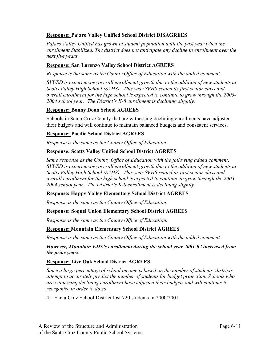#### **Response: Pajaro Valley Unified School District DISAGREES**

Pajaro Valley Unified has grown in student population until the past year when the *enrollment Stabilized. The district does not anticipate any decline in enrollment over the next five years.* 

#### **Response: San Lorenzo Valley School District AGREES**

 *Response is the same as the County Office of Education with the added comment:*

*SVUSD is experiencing overall enrollment growth due to the addition of new students at Scotts Valley High School (SVHS). This year SVHS seated its first senior class and overall enrollment for the high school is expected to continue to grow through the 2003- 2004 school year. The District's K-8 enrollment is declining slightly.*

#### **Response: Bonny Doon School AGREES**

Schools in Santa Cruz County that are witnessing declining enrollments have adjusted their budgets and will continue to maintain balanced budgets and consistent services.

#### **Response: Pacific School District AGREES**

*Response is the same as the County Office of Education.*

#### **Response: Scotts Valley Unified School District AGREES**

*Same response as the County Office of Education with the following added comment: SVUSD is experiencing overall enrollment growth due to the addition of new students at Scotts Valley High School (SVHS). This year SVHS seated its first senior class and overall enrollment for the high school is expected to continue to grow through the 2003- 2004 school year. The District's K-8 enrollment is declining slightly.*

#### **Response: Happy Valley Elementary School District AGREES**

*Response is the same as the County Office of Education.*

#### **Response: Soquel Union Elementary School District AGREES**

*Response is the same as the County Office of Education.*

#### **Response: Mountain Elementary School District AGREES**

*Response is the same as the County Office of Education with the added comment:*

#### *However, Mountain EDS's enrollment during the school year 2001-02 increased from the prior years.*

#### **Response: Live Oak School District AGREES**

*Since a large percentage of school income is based on the number of students, districts attempt to accurately predict the number of students for budget projection. Schools who are witnessing declining enrollment have adjusted their budgets and will continue to reorganize in order to do so.* 

4. Santa Cruz School District lost 720 students in 2000/2001.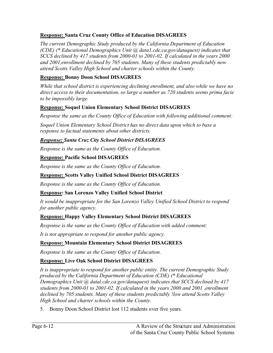## **Response: Santa Cruz County Office of Education DISAGREES**

*The current Demographic Study produced by the California Department of Education (CDE) (\* Educational Demographics Unit @ data1.cde.ca.gov/dataquest) indicates that SCCS declined by 417 students from 2000-01 to 2001-02. If calculated in the years 2000 and 2001,enrollment declined by 705 students. Many of these students predictably now attend Scotts Valley High School and charter schools within the County.* 

## **Response: Bonny Doon School DISAGREES**

*While that school district is experiencing declining enrollment, and also while we have no direct access to their documentation, so large a number as 720 students seems prima facie to be impossibly large.* 

## **Response: Soquel Union Elementary School District DISAGREES**

*Response the same as the County Office of Education with following additional comment:*

*Soquel Union Elementary School District has no direct data upon which to base a response to factual statements about other districts.* 

## *Response: Santa Cruz City School District DISAGREES*

*Response is the same as the County Office of Education.*

## **Response: Pacific School DISAGREES**

*Response is the same as the County Office of Education.*

## **Response: Scotts Valley Unified School District DISAGREES**

*Response is the same as the County Office of Education.* 

## **Response: San Lorenzo Valley Unified School District**

*It would be inappropriate for the San Lorenzo Valley Unified School District to respond for another public agency.*

## **Response: Happy Valley Elementary School District DISAGREES**

*Response is the same as the County Office of Education with added comment:*

*It is not appropriate to respond for another public agency.*

## **Response: Mountain Elementary School District DISAGREES**

*Response is the same as the County Office of Education.*

## **Response: Live Oak School District DISAGREES**

*It is inappropriate to respond for another public entity. The current Demographic Study produced by the California Department of Education (CDE) (\* Educational Demographics Unit @ datal.cde.ca.gov/dataquest) indicates that SCCS declined by 417 students from 2000-01 to 2001-02. If calculated in the years 2000 and 2001 ,enrollment declined by 705 students. Many of these students predictably !low attend Scotts Valley High School and charter schools within the County.*

5. Bonny Doon School District lost 112 students over five years.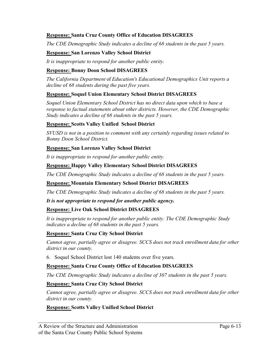#### **Response: Santa Cruz County Office of Education DISAGREES**

*The CDE Demographic Study indicates a decline of 68 students in the past 5 years.* 

#### **Response: San Lorenzo Valley School District**

*It is inappropriate to respond for another public entity.*

#### **Response: Bonny Doon School DISAGREES**

*The California Department* of *Education's Educational Demographics Unit reports a decline* of *68 students during the past five years.* 

#### **Response: Soquel Union Elementary School District DISAGREES**

*Soquel Union Elementary School District has no direct data upon which to base a response to factual statements about other districts. However, the CDE Demographic Study indicates a decline of 68 students in the past 5 years.* 

#### **Response: Scotts Valley Unified School District**

*SVUSD is not in a position to comment with any certainly regarding issues related to Bonny Doon School District.*

#### **Response: San Lorenzo Valley School District**

*It is inappropriate to respond for another public entity.*

## **Response: Happy Valley Elementary School District DISAGREES**

*The CDE Demographic Study indicates a decline of 68 students in the past 5 years.* 

#### **Response: Mountain Elementary School District DISAGREES**

*The CDE Demographic Study indicates a decline of 68 students in the past 5 years.* 

#### *It is not appropriate to respond for another public agency.*

#### **Response: Live Oak School District DISAGREES**

*It is inappropriate to respond for another public entity. The CDE Demographic Study indicates a decline of 68 students in the past 5 years.* 

#### **Response: Santa Cruz City School District**

*Cannot agree, partially agree or disagree. SCCS does not track enrollment data for other district in our county.* 

6. Soquel School District lost 140 students over five years.

#### **Response: Santa Cruz County Office of Education DISAGREES**

*The CDE Demographic Study indicates a decline of 307 students in the past 5 years.* 

#### **Response: Santa Cruz City School District**

*Cannot agree, partially agree or disagree. SCCS does not track enrollment data for other district in our county.* 

## **Response: Scotts Valley Unified School District**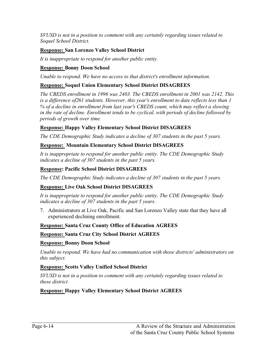*SVUSD is not in a position to comment with any certainly regarding issues related to Soquel School District.* 

## **Response: San Lorenzo Valley School District**

*It is inappropriate to respond for another public entity.*

## **Response: Bonny Doon School**

*Unable to respond. We have no access to that district's enrollment information.* 

#### **Response: Soquel Union Elementary School District DISAGREES**

*The CBEDS enrollment in 1996 was 2403. The CBEDS enrollment in 2001 was 2142. This is a difference of261 students. However, this year's enrollment to date reflects less than 1 % of a decline in enrollment from last year's CBEDS count, which may reflect a slowing in the rate of decline. Enrollment tends to be cyclical, with periods of decline followed by periods of growth over time.* 

#### **Response: Happy Valley Elementary School District DISAGREES**

*The CDE Demographic Study indicates a decline of 307 students in the past 5 years.* 

#### **Response: Mountain Elementary School District DISAGREES**

*It is inappropriate to respond for another public entity. The CDE Demographic Study indicates a decline of 307 students in the past 5 years.* 

#### **Response: Pacific School District DISAGREES**

*The CDE Demographic Study indicates a decline of 307 students in the past 5 years.* 

#### **Response: Live Oak School District DISAGREES**

*It is inappropriate to respond for another public entity. The CDE Demographic Study indicates a decline of 307 students in the past 5 years.* 

7. Administrators at Live Oak, Pacific and San Lorenzo Valley state that they have all experienced declining enrollment.

#### **Response: Santa Cruz County Office of Education AGREES**

**Response: Santa Cruz City School District AGREES**

#### **Response: Bonny Doon School**

*Unable to respond. We have had no communication with those districts' administrators on this subject.* 

#### **Response: Scotts Valley Unified School District**

*SVUSD is not in a position to comment with any certainly regarding issues related to these district.* 

#### **Response: Happy Valley Elementary School District AGREES**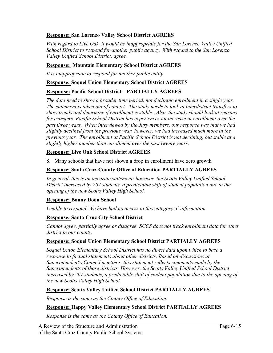#### **Response: San Lorenzo Valley School District AGREES**

*With regard to Live Oak, it would be inappropriate for the San Lorenzo Valley Unified School District to respond for another public agency. With regard to the San Lorenzo Valley Unified School District, agree.*

#### **Response: Mountain Elementary School District AGREES**

*It is inappropriate to respond for another public entity.*

#### **Response: Soquel Union Elementary School District AGREES**

## **Response: Pacific School District – PARTIALLY AGREES**

*The data need to show a broader time period, not declining enrollment in a single year. The statement is taken out of context. The study needs to look at interdistrict transfers to show trends and determine if enrollment is stable. Also, the study should look at reasons for transfers. Pacific School District has experiences an increase in enrollment over the past three years. When interviewed by the Jury members, our response was that we had slightly declined from the previous year, however, we had increased much more in the previous year. The enrollment at Pacific School District is not declining, but stable at a slightly higher number than enrollment over the past twenty years.*

#### **Response: Live Oak School District AGREES**

8. Many schools that have not shown a drop in enrollment have zero growth.

#### **Response: Santa Cruz County Office of Education PARTIALLY AGREES**

In general, this is an accurate statement; however, the Scotts Valley Unified School *District increased by 207 students, a predictable shift of student population due to the opening of the new Scotts Valley High School.*

## **Response: Bonny Doon School**

*Unable to respond. We have had no access to this category* of *information.*

## **Response: Santa Cruz City School District**

*Cannot agree, partially agree or disagree. SCCS does not track enrollment data for other district in our county.* 

## **Response: Soquel Union Elementary School District PARTIALLY AGREES**

*Soquel Union Elementary School District has no direct data upon which to base a response to factual statements about other districts. Based on discussions at Superintendent's Council meetings, this statement reflects comments made by the Superintendents of those districts. However, the Scotts Valley Unified School District increased by 207 students, a predictable shift of student population due to the opening of the new Scotts Valley High School.* 

## **Response: Scotts Valley Unified School District PARTIALLY AGREES**

*Response is the same as the County Office of Education.*

#### **Response: Happy Valley Elementary School District PARTIALLY AGREES**

*Response is the same as the County Office of Education.*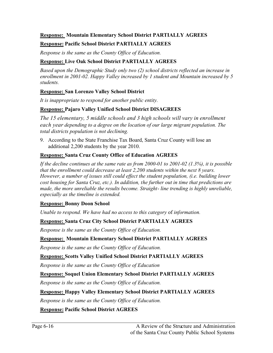#### **Response: Mountain Elementary School District PARTIALLY AGREES**

## **Response: Pacific School District PARTIALLY AGREES**

*Response is the same as the County Office of Education.*

## **Response: Live Oak School District PARTIALLY AGREES**

*Based upon the Demographic Study only two (2) school districts reflected an increase in enrollment in 2001-02. Happy Valley increased by 1 student and Mountain increased by 5 students.*

## **Response: San Lorenzo Valley School District**

*It is inappropriate to respond for another public entity.*

#### **Response: Pajaro Valley Unified School District DISAGREES**

*The 15 elementary, 5 middle schools and 3 high schools will vary in enrollment each year depending to a degree on the location of our large migrant population. The total districts population is not declining.*

9. According to the State Franchise Tax Board, Santa Cruz County will lose an additional 2,200 students by the year 2010.

#### **Response: Santa Cruz County Office of Education AGREES**

*If the decline continues at the same rate as from 2000-01 to 2001-02 (1.3%), it is possible that the enrollment could decrease at least 2,200 students within the next 8 years. However, a number of issues still could effect the student population, (i.e. building lower cost housing for Santa Cruz, etc.). In addition, the further out in time that predictions are*  made, the more unreliable the results become. Straight- line trending is highly unreliable, *especially as the timeline is extended.* 

#### **Response: Bonny Doon School**

*Unable to respond. We have had no access to this category* of *information.*

## **Response: Santa Cruz City School District PARTIALLY AGREES**

*Response is the same as the County Office of Education.*

#### **Response: Mountain Elementary School District PARTIALLY AGREES**

*Response is the same as the County Office of Education.*

#### **Response: Scotts Valley Unified School District PARTIALLY AGREES**

*Response is the same as the County Office of Education*

## **Response: Soquel Union Elementary School District PARTIALLY AGREES**

*Response is the same as the County Office of Education.*

## **Response: Happy Valley Elementary School District PARTIALLY AGREES**

*Response is the same as the County Office of Education.*

## **Response: Pacific School District AGREES**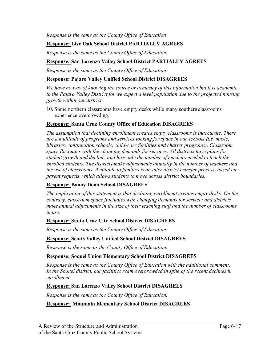*Response is the same as the County Office of Education*

## **Response: Live Oak School District PARTIALLY AGREES**

*Response is the same as the County Office of Education.* 

## **Response: San Lorenzo Valley School District PARTIALLY AGREES**

*Response is the same as the County Office of Education*

#### **Response: Pajaro Valley Unified School District DISAGREES**

*We have no way of knowing the source or accuracy of this information but it is academic to the Pajaro Valley District for we expect a level population due to the projected housing growth within our district.* 

10. Some northern classrooms have empty desks while many southern classrooms experience overcrowding.

#### **Response: Santa Cruz County Office of Education DISAGREES**

*The assumption that declining enrollment creates empty classrooms is inaccurate. There are a multitude of programs and services looking for space in our schools (i.e. music, libraries, continuation schools, child-care facilities and charter programs). Classroom space fluctuates with the changing demands for services. All districts have plans for student growth and decline, and hire only the number of teachers needed to teach the enrolled students. The districts make adjustments annually in the number of teachers and the use of classrooms. Available to families is an inter district transfer process, based on parent requests, which allows students to move across district boundaries.*

## **Response: Bonny Doon School DISAGREES**

*The implication of this statement is that declining enrollment creates empty desks. On the contrary, classroom space fluctuates with changing demands for service; and districts make annual adjustments in the size of their teaching staff and the number of classrooms in use.*

#### **Response: Santa Cruz City School District DISAGREES**

*Response is the same as the County Office of Education.*

## **Response: Scotts Valley Unified School District DISAGREES**

*Response is the same as the County Office of Education.* 

#### **Response: Soquel Union Elementary School District DISAGREES**

*Response is the same as the County Office of Education with the additional comment: In the Soquel district, our facilities ream overcrowded in spite of the recent declines in enrollment.*

#### **Response: San Lorenzo Valley School District DISAGREES**

*Response is the same as the County Office of Education.* 

## **Response: Mountain Elementary School District DISAGREES**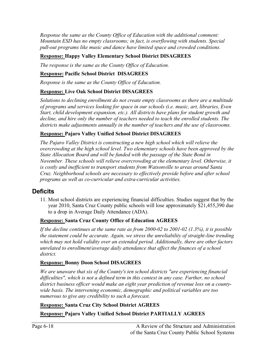*Response the same as the County Office of Education with the additional comment: Mountain ESD has no empty classrooms; in fact, is overflowing with students. Special pull-out programs like music and dance have limited space and crowded conditions.*

## **Response: Happy Valley Elementary School District DISAGREES**

*The response is the same as the County Office of Education.* 

## **Response: Pacific School District DISAGREES**

*Response is the same as the County Office of Education.*

## **Response: Live Oak School District DISAGREES**

*Solutions to declining enrollment do not create empty classrooms as there are a multitude of programs and services looking for space in our schools (i.e. music, art, libraries, Even Start, child development expansion, etc.). All districts have plans for student growth and decline, and hire only the number of teachers needed to teach the enrolled students. The districts make adjustments annually in the number of teachers and the use of classrooms.* 

## **Response: Pajaro Valley Unified School District DISAGREES**

*The Pajaro Valley District is constructing a new high school which will relieve the overcrowding at the high school level. Two elementary schools have been approved by the State Allocation Board and will be funded with the passage of the State Bond in November. These schools will relieve overcrowding at the elementary level. Otherwise, it is costly and inefficient to transport students from Watsonville to areas around Santa Cruz. Neighborhood schools are necessary to effectively provide before and after school programs as well as co-curricular and extra-curricular activities.* 

## **Deficits**

11. Most school districts are experiencing financial difficulties. Studies suggest that by the year 2010, Santa Cruz County public schools will lose approximately \$21,455,390 due to a drop in Average Daily Attendance (ADA).

## **Response: Santa Cruz County Office of Education AGREES**

*If the decline continues at the same rate as from 2000-02 to 2001-02 (1.3%), it is possible the statement could be accurate. Again, we stress the unreliability of straight-line trending which may not hold validity over an extended period. Additionally, there are other factors unrelated to enrollment/average daily attendance that affect the finances of a school district.*

## **Response: Bonny Doon School DISAGREES**

*We are unaware that six of the County's ten school districts "are experiencing financial difficulties", which is not a defined term in this context in any case. Further, no school district business officer would make an eight year prediction of revenue loss on a countywide basis. The intervening economic, demographic and political variables are too numerous to give any credibility to such a forecast.* 

## **Response: Santa Cruz City School District AGREES**

**Response: Pajaro Valley Unified School District PARTIALLY AGREES**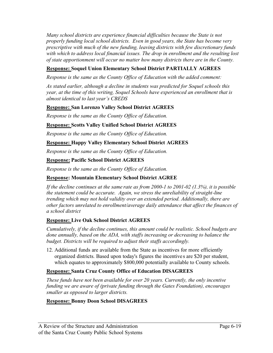*Many school districts are experience financial difficulties because the State is not properly funding local school districts. Even in good years, the State has become very prescriptive with much of the new funding, leaving districts with few discretionary funds with which to address local financial issues. The drop in enrollment and the resulting lost of state apportionment will occur no matter how many districts there are in the County.*

## **Response: Soquel Union Elementary School District PARTIALLY AGREES**

*Response is the same as the County Office of Education with the added comment:*

*As stated earlier, although a decline in students was predicted for Soquel schools this year, at the time of this writing, Soquel Schools have experienced an enrollment that is almost identical to last year's CBEDS*

## **Response: San Lorenzo Valley School District AGREES**

*Response is the same as the County Office of Education.*

## **Response: Scotts Valley Unified School District AGREES**

*Response is the same as the County Office of Education.* 

#### **Response: Happy Valley Elementary School District AGREES**

*Response is the same as the County Office of Education.*

#### **Response: Pacific School District AGREES**

*Response is the same as the County Office of Education.*

## **Response: Mountain Elementary School District AGREE**

*If the decline continues at the same rate as from 2000-1 to 2001-02 (1.3%), it is possible the statement could be accurate. Again, we stress the unreliability of straight-line trending which may not hold validity over an extended period. Additionally, there are other factors unrelated to enrollment/average daily attendance that affect the finances of a school district*

## **Response: Live Oak School District AGREES**

*Cumulatively, if the decline continues, this amount could be realistic. School budgets are done annually, based on the ADA, with staffs increasing or decreasing to balance the budget. Districts will be required to adjust their staffs accordingly.* 

12. Additional funds are available from the State as incentives for more efficiently organized districts. Based upon today's figures the incentives are \$20 per student, which equates to approximately \$800,000 potentially available to County schools.

## **Response: Santa Cruz County Office of Education DISAGREES**

*These funds have not been available for over 20 years. Currently, the only incentive funding we are aware of (private funding through the Gates Foundation), encourages smaller as opposed to larger districts.*

## **Response: Bonny Doon School DISAGREES**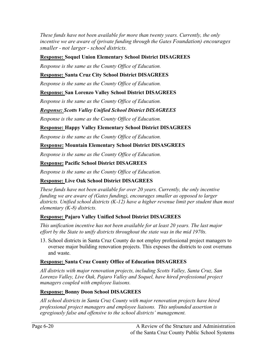*These funds have not been available for more than twenty years. Currently, the only incentive we are aware of (private funding through the Gates Foundation) encourages smaller - not larger - school districts.* 

## **Response: Soquel Union Elementary School District DISAGREES**

*Response is the same as the County Office of Education.*

## **Response: Santa Cruz City School District DISAGREES**

*Response is the same as the County Office of Education.*

#### **Response: San Lorenzo Valley School District DISAGREES**

*Response is the same as the County Office of Education.*

#### *Response: Scotts Valley Unified School District DISAGREES*

*Response is the same as the County Office of Education.*

#### **Response: Happy Valley Elementary School District DISAGREES**

*Response is the same as the County Office of Education.* 

#### **Response: Mountain Elementary School District DISASGREES**

*Response is the same as the County Office of Education.*

#### **Response: Pacific School District DISAGREES**

*Response is the same as the County Office of Education.*

## **Response: Live Oak School District DISAGREES**

*These funds have not been available for over 20 years. Currently, the only incentive funding we are aware of (Gates funding), encourages smaller as opposed to larger districts. Unified school districts (K-12) have a higher revenue limit per student than most elementary (K-8) districts.* 

#### **Response: Pajaro Valley Unified School District DISAGREES**

*This unification incentive has not been available for at least 20 years. The last major effort by the State to unify districts throughout the state was in the mid 1970s.* 

13. School districts in Santa Cruz County do not employ professional project managers to oversee major building renovation projects. This exposes the districts to cost overruns and waste.

#### **Response: Santa Cruz County Office of Education DISAGREES**

*All districts with major renovation projects, including Scotts Valley, Santa Cruz, San Lorenzo Valley, Live Oak, Pajaro Valley and Soquel, have hired professional project managers coupled with employee liaisons.* 

#### **Response: Bonny Doon School DISAGREES**

*All school districts in Santa Cruz County with major renovation projects have hired professional project managers and employee liaisons. This unfounded assertion is egregiously false and offensive to the school districts' management.*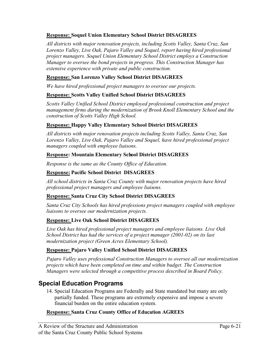#### **Response: Soquel Union Elementary School District DISAGREES**

*All districts with major renovation projects, including Scotts Valley, Santa Cruz, San Lorenzo Valley, Live Oak, Pajaro Valley and Soquel, report having hired professional project managers. Soquel Union Elementary School District employs a Construction Manager to oversee the bond projects in progress. This Construction Manager has extensive experience with private and public construction.* 

#### **Response: San Lorenzo Valley School District DISAGREES**

*We have hired professional project managers to oversee our projects.* 

#### **Response: Scotts Valley Unified School District DISAGREES**

*Scotts Valley Unified School District employed professional construction and project management firms during the modernization of Brook Knoll Elementary School and the construction of Scotts Valley High School.* 

#### **Response: Happy Valley Elementary School District DISAGREES**

*All districts with major renovation projects including Scotts Valley, Santa Cruz, San Lorenzo Valley, Live Oak, Pajaro Valley and Soquel, have hired professional project managers coupled with employee liaisons.*

#### **Response: Mountain Elementary School District DISAGREES**

*Response is the same as the County Office of Education.*

#### **Response: Pacific School District DISAGREES**

*All school districts in Santa Cruz County with major renovation projects have hired professional project managers and employee liaisons.*

#### **Response: Santa Cruz City School District DISAGREES**

*Santa Cruz City Schools has hired professions project managers coupled with employee liaisons to oversee our modernization projects.*

#### **Response: Live Oak School District DISAGREES**

*Live Oak has hired professional project managers and employee liaisons. Live Oak School District has had the services of a project manager (2001-02) on its last modernization project (Green Acres Elementary School).*

## **Response: Pajaro Valley Unified School District DISAGREES**

*Pajaro Valley uses professional Construction Managers to oversee all our modernization projects which have been completed on time and within budget. The Construction Managers were selected through a competitive process described in Board Policy.* 

## **Special Education Programs**

14. Special Education Programs are Federally and State mandated but many are only partially funded. These programs are extremely expensive and impose a severe financial burden on the entire education system.

#### **Response: Santa Cruz County Office of Education AGREES**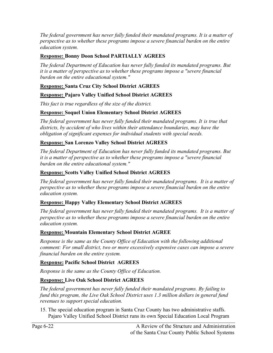*The federal government has never fully funded their mandated programs. It is a matter of perspective as to whether these programs impose a severe financial burden on the entire education system.* 

## **Response: Bonny Doon School PARTIALLY AGREES**

*The federal Department of Education has never fully funded its mandated programs. But it is a matter of perspective as to whether these programs impose a "severe financial burden on the entire educational system."* 

## **Response: Santa Cruz City School District AGREES**

## **Response: Pajaro Valley Unified School District AGREES**

*This fact is true regardless of the size of the district.*

## **Response: Soquel Union Elementary School District AGREES**

*The federal government has never fully funded their mandated programs. It is true that districts, by accident of who lives within their attendance boundaries, may have the obligation of significant expenses for individual students with special needs.* 

## **Response: San Lorenzo Valley School District AGREES**

*The federal Department of Education has never fully funded its mandated programs. But it is a matter of perspective as to whether these programs impose a "severe financial burden on the entire educational system."* 

## **Response: Scotts Valley Unified School District AGREES**

*The federal government has never fully funded their mandated programs. It is a matter of perspective as to whether these programs impose a severe financial burden on the entire education system.*

## **Response: Happy Valley Elementary School District AGREES**

*The federal government has never fully funded their mandated programs. It is a matter of perspective as to whether these programs impose a severe financial burden on the entire education system.*

## **Response: Mountain Elementary School District AGREE**

*Response is the same as the County Office of Education with the following additional comment: For small district, two or more excessively expensive cases can impose a severe financial burden on the entire system.*

## **Response: Pacific School District AGREES**

*Response is the same as the County Office of Education.*

## **Response: Live Oak School District AGREES**

*The federal government has never fully funded their mandated programs. By failing to fund this program, the Live Oak School District uses 1.3 million dollars in general fund revenues to support special education.* 

15. The special education program in Santa Cruz County has two administrative staffs. Pajaro Valley Unified School District runs its own Special Education Local Program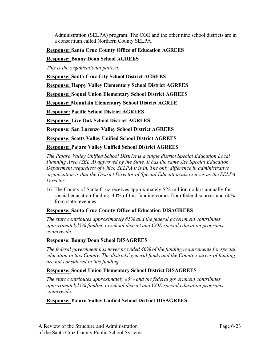Administration (SELPA) program. The COE and the other nine school districts are in a consortium called Northern County SELPA.

## **Response: Santa Cruz County Office of Education AGREES**

**Response: Bonny Doon School AGREES**

*This is the organizational pattern.*

**Response: Santa Cruz City School District AGREES**

**Response: Happy Valley Elementary School District AGREES**

**Response: Soquel Union Elementary School District AGREES**

**Response: Mountain Elementary School District AGREE**

**Response: Pacific School District AGREES**

**Response: Live Oak School District AGREES**

**Response: San Lorenzo Valley School District AGREES**

**Response: Scotts Valley Unified School District AGREES**

**Response: Pajaro Valley Unified School District AGREES**

*The Pajaro Valley Unified School District is a single district Special Education Local Planning Area (SEL A) approved by the State. It has the same size Special Education Department regardless of which SELPA it is in. The only difference in administrative organization is that the District Director of Special Education also serves as the SELPA Director.*

16. The County of Santa Cruz receives approximately \$22 million dollars annually for special education funding. 40% of this funding comes from federal sources and 60% from state revenues.

## **Response: Santa Cruz County Office of Education DISAGREES**

*The state contributes approximately 85% and the federal government contributes approximatelyl5% funding to school district and COE special education programs countywide.*

## **Response: Bonny Doon School DISAGREES**

*The federal government has never provided 40% of the funding requirements for special education in this County. The districts' general funds and the County sources of funding are not considered in this funding.* 

## **Response: Soquel Union Elementary School District DISAGREES**

*The state contributes approximately 85% and the federal government contributes approximatelyl5% funding to school district and COE special education programs countywide.*

## **Response: Pajaro Valley Unified School District DISAGREES**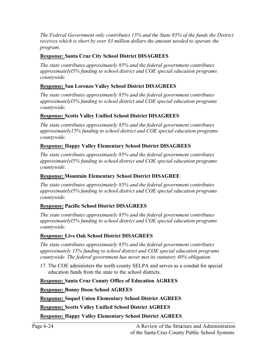*The Federal Government only contributes 15% and the State 85% of the funds the District receives which is short by over \$3 million dollars the amount needed to operate the program.*

## **Response: Santa Cruz City School District DISAGREES**

*The state contributes approximately 85% and the federal government contributes approximatelyl5% funding to school district and COE special education programs countywide.*

## **Response: San Lorenzo Valley School District DISAGREES**

*The state contributes approximately 85% and the federal government contributes approximatelyl5% funding to school district and COE special education programs countywide.*

## **Response: Scotts Valley Unified School District DISAGREES**

*The state contributes approximately 85% and the federal government contributes approximately15% funding to school district and COE special education programs countywide.*

## **Response: Happy Valley Elementary School District DISAGREES**

*The state contributes approximately 85% and the federal government contributes approximatelyl5% funding to school district and COE special education programs countywide.*

## **Response: Mountain Elementary School District DISAGREE**

*The state contributes approximately 85% and the federal government contributes approximatelyl5% funding to school district and COE special education programs countywide.*

## **Response: Pacific School District DISAGREES**

*The state contributes approximately 85% and the federal government contributes approximatelyl5% funding to school district and COE special education programs countywide.*

## **Response: Live Oak School District DISAGREES**

*The state contributes approximately 85% and the federal government contributes approximately 15% funding to school district and COE special education programs countywide. The federal government has never met its statutory 40% obligation.* 

17. The COE administers the north county SELPA and serves as a conduit for special education funds from the state to the school districts.

## **Response: Santa Cruz County Office of Education AGREES**

## **Response: Bonny Doon School AGREES**

**Response: Soquel Union Elementary School District AGREES**

**Response: Scotts Valley Unified School District AGREES**

**Response: Happy Valley Elementary School District AGREES**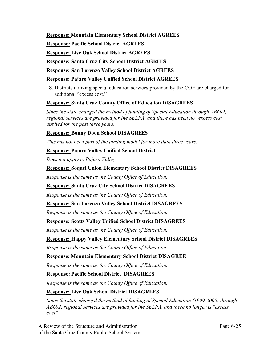#### **Response: Mountain Elementary School District AGREES**

**Response: Pacific School District AGREES**

**Response: Live Oak School District AGREES**

**Response: Santa Cruz City School District AGREES**

**Response: San Lorenzo Valley School District AGREES**

#### **Response: Pajaro Valley Unified School District AGREES**

18. Districts utilizing special education services provided by the COE are charged for additional "excess cost."

## **Response: Santa Cruz County Office of Education DISAGREES**

*Since the state changed the method of funding of Special Education through AB602, regional services are provided for the SELPA, and there has been no "excess cost" applied for the past three years.* 

## **Response: Bonny Doon School DISAGREES**

*This has not been part of the funding model for more than three years.*

#### **Response: Pajaro Valley Unified School District**

*Does not apply to Pajaro Valley*

#### **Response: Soquel Union Elementary School District DISAGREES**

*Response is the same as the County Office of Education.*

## **Response: Santa Cruz City School District DISAGREES**

*Response is the same as the County Office of Education.*

#### **Response: San Lorenzo Valley School District DISAGREES**

*Response is the same as the County Office of Education.*

## **Response: Scotts Valley Unified School District DISAGREES**

*Response is the same as the County Office of Education.*

## **Response: Happy Valley Elementary School District DISAGREES**

*Response is the same as the County Office of Education.*

## **Response: Mountain Elementary School District DISAGREE**

*Response is the same as the County Office of Education.*

## **Response: Pacific School District DISAGREES**

*Response is the same as the County Office of Education.*

## **Response: Live Oak School District DISAGREES**

*Since the state changed the method of funding of Special Education (1999-2000) through AB602, regional services are provided for the SELPA, and there no longer is "excess cost".*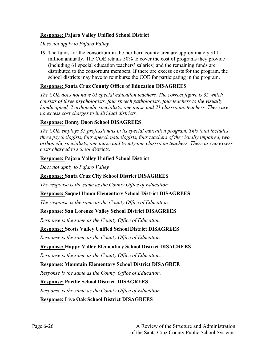#### **Response: Pajaro Valley Unified School District**

*Does not apply to Pajaro Valley*

19. The funds for the consortium in the northern county area are approximately \$11 million annually. The COE retains 50% to cover the cost of programs they provide (including 61 special education teachers' salaries) and the remaining funds are distributed to the consortium members. If there are excess costs for the program, the school districts may have to reimburse the COE for participating in the program.

#### **Response: Santa Cruz County Office of Education DISAGREES**

*The COE does not have 61 special education teachers. The correct figure is 35 which consists of three psychologists, four speech pathologists, four teachers to the visually handicapped, 2 orthopedic specialists, one nurse and 21 classroom, teachers. There are no excess cost charges to individual districts.* 

#### **Response: Bonny Doon School DISAGREES**

*The COE employs 35 professionals in its special education program. This total includes three psychologists, four speech pathologists, four teachers of the visually impaired, two orthopedic specialists, one nurse and twenty-one classroom teachers. There are no excess costs charged to school districts.* 

#### **Response: Pajaro Valley Unified School District**

*Does not apply to Pajaro Valley*

#### **Response: Santa Cruz City School District DISAGREES**

*The response is the same as the County Office of Education.*

#### **Response: Soquel Union Elementary School District DISAGREES**

*The response is the same as the County Office of Education.* 

#### **Response: San Lorenzo Valley School District DISAGREES**

*Response is the same as the County Office of Education.* 

#### **Response: Scotts Valley Unified School District DISAGREES**

*Response is the same as the County Office of Education.*

## **Response: Happy Valley Elementary School District DISAGREES**

*Response is the same as the County Office of Education.*

#### **Response: Mountain Elementary School District DISAGREE**

*Response is the same as the County Office of Education.*

## **Response: Pacific School District DISAGREES**

*Response is the same as the County Office of Education.*

#### **Response: Live Oak School District DISAGREES**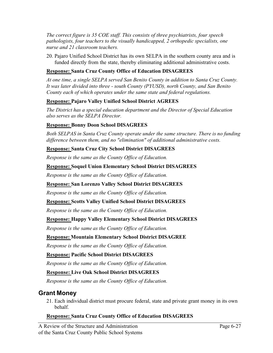*The correct figure is 35 COE staff. This consists of three psychiatrists, four speech pathologists, four teachers to the visually handicapped, 2 orthopedic specialists, one nurse and 21 classroom teachers.* 

20. Pajaro Unified School District has its own SELPA in the southern county area and is funded directly from the state, thereby eliminating additional administrative costs.

## **Response: Santa Cruz County Office of Education DISAGREES**

*At one time, a single SELPA served San Benito County in addition to Santa Cruz County. It was later divided into three - south County (PYUSD), north County, and San Benito County each of which operates under the same state and federal regulations.* 

## **Response: Pajaro Valley Unified School District AGREES**

*The District has a special education department and the Director of Special Education also serves as the SELPA Director.* 

#### **Response: Bonny Doon School DISAGREES**

*Both SELPAS in Santa Cruz County operate under the same structure. There is no funding difference between them, and no "elimination" of additional administrative costs.* 

#### **Response: Santa Cruz City School District DISAGREES**

*Response is the same as the County Office of Education.* 

#### **Response: Soquel Union Elementary School District DISAGREES**

*Response is the same as the County Office of Education.*

#### **Response: San Lorenzo Valley School District DISAGREES**

*Response is the same as the County Office of Education.* 

#### **Response: Scotts Valley Unified School District DISAGREES**

*Response is the same as the County Office of Education.*

## **Response: Happy Valley Elementary School District DISAGREES**

*Response is the same as the County Office of Education.* 

## **Response: Mountain Elementary School District DISAGREE**

*Response is the same as the County Office of Education.*

## **Response: Pacific School District DISAGREES**

*Response is the same as the County Office of Education.*

#### **Response: Live Oak School District DISAGREES**

*Response is the same as the County Office of Education.*

## **Grant Money**

21. Each individual district must procure federal, state and private grant money in its own behalf.

## **Response: Santa Cruz County Office of Education DISAGREES**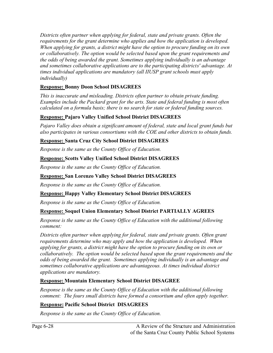*Districts often partner when applying for federal, state and private grants. Often the requirements for the grant determine who applies and how the application is developed. When applying for grants, a district might have the option to procure funding on its own or collaboratively. The option would be selected based upon the grant requirements and the odds of being awarded the grant. Sometimes applying individually is an advantage and sometimes collaborative applications are to the participating districts' advantage. At times individual applications are mandatory (all IIUSP grant schools must apply individually)*

## **Response: Bonny Doon School DISAGREES**

*This is inaccurate and misleading. Districts often partner to obtain private funding. Examples include the Packard grant for the arts. State and federal funding is most often calculated on a formula basis; there is no search for state or federal funding sources.* 

## **Response: Pajaro Valley Unified School District DISAGREES**

*Pajaro Valley does obtain a significant amount of federal, state and local grant funds but also participates in various consortiums with the COE and other districts to obtain funds.* 

## **Response: Santa Cruz City School District DISAGREES**

*Response is the same as the County Office of Education.*

## **Response: Scotts Valley Unified School District DISAGREES**

*Response is the same as the County Office of Education.*

## **Response: San Lorenzo Valley School District DISAGREES**

*Response is the same as the County Office of Education.*

## **Response: Happy Valley Elementary School District DISAGREES**

*Response is the same as the County Office of Education.*

## **Response: Soquel Union Elementary School District PARTIALLY AGREES**

*Response is the same as the County Office of Education with the additional following comment:*

*Districts often partner when applying for federal, state and private grants. Often grant requirements determine who may apply and how the application is developed. When applying for grants, a district might have the option to procure funding on its own or collaboratively. The option would be selected based upon the grant requirements and the odds of being awarded the grant. Sometimes applying individually is an advantage and sometimes collaborative applications are advantageous. At times individual district applications are mandatory.* 

## **Response: Mountain Elementary School District DISAGREE**

*Response is the same as the County Office of Education with the additional following comment: The fours small districts have formed a consortium and often apply together.*

## **Response: Pacific School District DISAGREES**

*Response is the same as the County Office of Education.*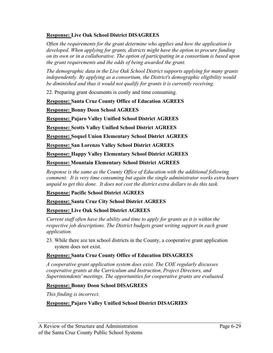## **Response: Live Oak School District DISAGREES**

*Often the requirements for the grant determine who applies and how the application is developed. When applying for grants, districts might have the option to procure funding on its own or in a collaborative. The option of participating in a consortium is based upon the grant requirements and the odds of being awarded the grant.* 

*The demographic data in the Live Oak School District supports applying for many grants independently. By applying as a consortium, the District's demographic eligibility would be diminished and thus it would not qualify for grants it is currently receiving.* 

22. Preparing grant documents is costly and time consuming.

#### **Response: Santa Cruz County Office of Education AGREES**

**Response: Bonny Doon School AGREES**

**Response: Pajaro Valley Unified School District AGREES**

**Response: Scotts Valley Unified School District AGREES**

**Response: Soquel Union Elementary School District AGREES**

**Response: San Lorenzo Valley School District AGREES**

**Response: Happy Valley Elementary School District AGREES**

**Response: Mountain Elementary School District AGREES**

*Response is the same as the County Office of Education with the additional following comment: It is very time consuming but again the single administrator works extra hours unpaid to get this done. It does not cost the district extra dollars to do this task.*

#### **Response: Pacific School District AGREES**

**Response: Santa Cruz City School District AGREES**

#### **Response: Live Oak School District AGREES**

*Current staff often have the ability and time to apply for grants as it is within the respective job descriptions. The District budgets grant writing support in each grant application.*

23. While there are ten school districts in the County, a cooperative grant application system does not exist.

#### **Response: Santa Cruz County Office of Education DISAGREES**

*A cooperative grant application system does exist. The COE regularly discusses cooperative grants at the Curriculum and Instruction, Project Directors, and Superintendents' meetings. The opportunities for cooperative grants are evaluated.* 

#### **Response: Bonny Doon School DISAGREES**

*This finding is incorrect.*

#### **Response: Pajaro Valley Unified School District DISAGREES**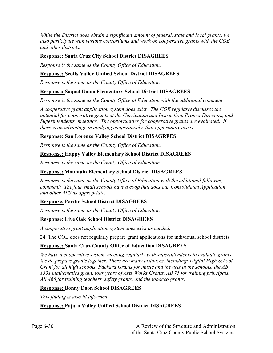*While the District does obtain a significant amount of federal, state and local grants, we also participate with various consortiums and work on cooperative grants with the COE and other districts.* 

## **Response: Santa Cruz City School District DISAGREES**

*Response is the same as the County Office of Education.* 

## **Response: Scotts Valley Unified School District DISAGREES**

*Response is the same as the County Office of Education.*

## **Response: Soquel Union Elementary School District DISAGREES**

*Response is the same as the County Office of Education with the additional comment:*

*A cooperative grant application system does exist. The COE regularly discusses the potential for cooperative grants at the Curriculum and Instruction, Project Directors, and Superintendents' meetings. The opportunities for cooperative grants are evaluated. If there is an advantage in applying cooperatively, that opportunity exists.* 

## **Response: San Lorenzo Valley School District DISAGREES**

*Response is the same as the County Office of Education.* 

## **Response: Happy Valley Elementary School District DISAGREES**

*Response is the same as the County Office of Education.*

## **Response: Mountain Elementary School District DISAGREES**

*Response is the same as the County Office of Education with the additional following comment: The four small schools have a coop that does our Consolidated Application and other APS as appropriate.* 

## **Response: Pacific School District DISAGREES**

*Response is the same as the County Office of Education.*

## **Response: Live Oak School District DISAGREES**

*A cooperative grant application system does exist as needed.* 

24. The COE does not regularly prepare grant applications for individual school districts.

## **Response: Santa Cruz County Office of Education DISAGREES**

*We have a cooperative system, meeting regularly with superintendents to evaluate grants. We do prepare grants together. There are many instances, including: Digital High School Grant for all high schools, Packard Grants for music and the arts in the schools, the AB 1331 mathematics grant, four years of Arts Works Grants, AB 75 for training principals, AB 466 for training teachers, safety grants, and the tobacco grants.* 

## **Response: Bonny Doon School DISAGREES**

*This finding is also ill informed.*

## **Response: Pajaro Valley Unified School District DISAGREES**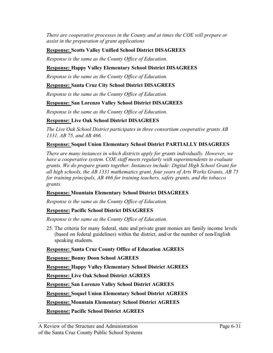*There are cooperative processes in the County and at times the COE will prepare or assist in the preparation of grant applications*

#### **Response: Scotts Valley Unified School District DISAGREES**

*Response is the same as the County Office of Education.*

#### **Response: Happy Valley Elementary School District DISAGREES**

*Response is the same as the County Office of Education.*

#### **Response: Santa Cruz City School District DISAGREES**

*Response is the same as the County Office of Education.*

#### **Response: San Lorenzo Valley School District DISAGREES**

*Response is the same as the County Office of Education.*

#### **Response: Live Oak School District DISAGREES**

*The Live Oak School District participates in three consortium cooperative grants AB 1331, AB 75, and AB 466.* 

#### **Response: Soquel Union Elementary School District PARTIALLY DISAGREES**

*There are many instances in which districts apply for grants individually. However, we have a cooperative system. COE staff meets regularly with superintendents to evaluate grants. We do prepare grants together. Instances include: Digital High School Grant for all high schools, the AB 1331 mathematics grant, four years of Arts Works Grants, AB 75 for training principals, AB 466 for training teachers, safety grants, and the tobacco grants.*

#### **Response: Mountain Elementary School District DISAGREES**

*Response is the same as the County Office of Education.*

#### **Response: Pacific School District DISAGREES**

*Response is the same as the County Office of Education.*

25. The criteria for many federal, state and private grant monies are family income levels (based on federal guidelines) within the district, and/or the number of non-English speaking students.

#### **Response: Santa Cruz County Office of Education AGREES**

#### **Response: Bonny Doon School AGREES**

**Response: Happy Valley Elementary School District AGREES**

**Response: Live Oak School District AGREES**

**Response: San Lorenzo Valley School District AGREES**

**Response: Soquel Union Elementary School District AGREES**

**Response: Mountain Elementary School District AGREES**

**Response: Pacific School District AGREES**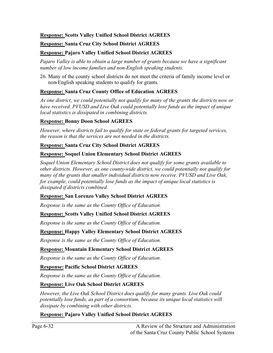#### **Response: Scotts Valley Unified School District AGREES**

#### **Response: Santa Cruz City School District AGREES**

## **Response: Pajaro Valley Unified School District AGREES**

*Pajaro Valley is able to obtain a large number of grants because we have a significant number of low income families and non-English speaking students.* 

26. Many of the county school districts do not meet the criteria of family income level or non-English speaking students to qualify for grants.

## **Response: Santa Cruz County Office of Education AGREES**

*As one district, we could potentially not qualify for many of the grants the districts now or have received. PVUSD and Live Oak could potentially lose funds as the impact of unique local statistics is dissipated in combining districts.*

#### **Response: Bonny Doon School AGREES**

*However, where districts fail to qualify for state or federal grants for targeted services, the reason is that the services are not needed in the districts.* 

#### **Response: Santa Cruz City School District AGREES**

#### **Response: Soquel Union Elementary School District AGREES**

*Soquel Union Elementary School District does not qualify for some grants available to other districts. However, as one county-wide district, we could potentially not qualify for many of the grants that smaller individual districts now receive. PVUSD and Live Oak, for example, could potentially lose funds as the impact of unique local statistics is dissipated if districts combined.* 

#### **Response: San Lorenzo Valley School District AGREES**

*Response is the same as the County Office of Education.*

## **Response: Scotts Valley Unified School District AGREES**

*Response is the same as the County Office of Education.*

## **Response: Happy Valley Elementary School District AGREES**

*Response is the same as the County Office of Education.*

## **Response: Mountain Elementary School District AGREES**

*Response is the same as the County Office of Education.*

## **Response: Pacific School District AGREES**

*Response is the same as the County Office of Education.*

## **Response: Live Oak School District AGREES**

*However, the Live Oak School District does qualify for many grants. Live Oak could potentially lose funds, as part of a consortium, because its unique local statistics will dissipate by combining with other districts.* 

## **Response: Pajaro Valley Unified School District AGREES**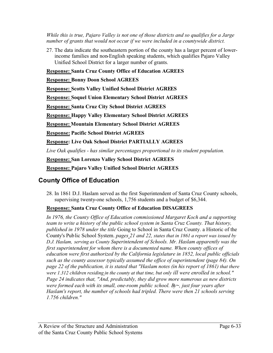*While this is true, Pajaro Valley is not one of those districts and so qualifies for a Jarge number of grants that would not occur if we were included in a countywide district.* 

27. The data indicate the southeastern portion of the county has a larger percent of lowerincome families and non-English speaking students, which qualifies Pajaro Valley Unified School District for a larger number of grants.

**Response: Santa Cruz County Office of Education AGREES**

**Response: Bonny Doon School AGREES**

**Response: Scotts Valley Unified School District AGREES**

**Response: Soquel Union Elementary School District AGREES**

**Response: Santa Cruz City School District AGREES**

**Response: Happy Valley Elementary School District AGREES**

**Response: Mountain Elementary School District AGREES**

**Response: Pacific School District AGREES**

**Response: Live Oak School District PARTIALLY AGREES**

*Live Oak qualifies - has similar percentages proportional to its student population.* 

**Response: San Lorenzo Valley School District AGREES**

**Response: Pajaro Valley Unified School District AGREES**

## **County Office of Education**

28. In 1861 D.J. Haslam served as the first Superintendent of Santa Cruz County schools, supervising twenty-one schools, 1,756 students and a budget of \$6,344.

## **Response: Santa Cruz County Office of Education DISAGREES**

*In 1976, the County Office of Education commissioned Margaret Koch and a supporting team to write a history of the public school system in Santa Cruz County. That history, published in 1978 under the title* Going to School in Santa Cruz County. a Historic of the County's Public School System. *pages 21 and 22, states that in 1861 a report was issued by D.J. Haslam, serving as County Superintendent of Schools. Mr. Haslam apparently was the first superintendent for whom there is a documented name. When county offices of education were first authorized by the California legislature in 1852, local public officials such as the county assessor typically assumed the office of superintendent (page 84). On page 22 of the publication, it is stated that "Haslam notes (in his report of 1861) that there were 1.312 children residing in the county at that time, but only ill were enrolled in school." Page 24 indicates that, "And, predictably, they did grow more numerous as new districts were formed each with its small, one-room public school. By~, just four years after Haslam's report, the number of schools had tripled. There were then 21 schools serving 1.756 children."*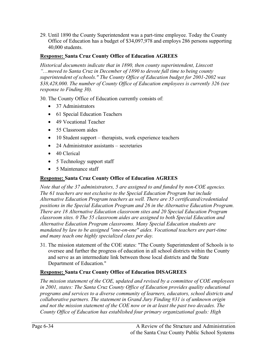29. Until 1890 the County Superintendent was a part-time employee. Today the County Office of Education has a budget of \$34,097,978 and employs 286 persons supporting 40,000 students.

## **Response: Santa Cruz County Office of Education AGREES**

*Historical documents indicate that in 1890, then county superintendent, Linscott "…moved to Santa Cruz in December of 1890 to devote full time to being county superintendent of schools." The County Office of Education budget for 2001-2002 was \$38,428,000. The number of County Office of Education employees is currently 326 (see response to Finding 30).* 

30. The County Office of Education currently consists of:

- 37 Administrators
- 61 Special Education Teachers
- 49 Vocational Teacher
- 55 Classroom aides
- 10 Student support therapists, work experience teachers
- 24 Administrator assistants secretaries
- 40 Clerical
- 5 Technology support staff
- 5 Maintenance staff

## **Response: Santa Cruz County Office of Education AGREES**

*Note that of the 37 administrators, 5 are assigned to and funded by non-COE agencies. The 61 teachers are not exclusive to the Special Education Program but include Alternative Education Program teachers as well. There are 35 certificated/credentialed positions in the Special Education Program and 26 in the Alternative Education Program. There are 18 Alternative Education classroom sites and 20 Special Education Program classroom sites. 0 The 55 classroom aides are assigned to both Special Education and Alternative Education Program classrooms. Many Special Education students are mandated by law to be assigned "one-on-one" aides. Vocational teachers are part-time and many teach one highly specialized class per day.* 

31. The mission statement of the COE states: "The County Superintendent of Schools is to oversee and further the progress of education in all school districts within the County and serve as an intermediate link between those local districts and the State Department of Education."

## **Response: Santa Cruz County Office of Education DISAGREES**

*The mission statement of the COE, updated and revised by a committee of COE employees in 2001, states: The Santa Cruz County Office of Education provides quality educational programs and services to a diverse community of learners, educators, school districts and collaborative partners. The statement in Grand Jury Finding #31 is of unknown origin and not the mission statement of the COE now or in at least the past two decades. The County Office of Education has established four primary organizational goals: High*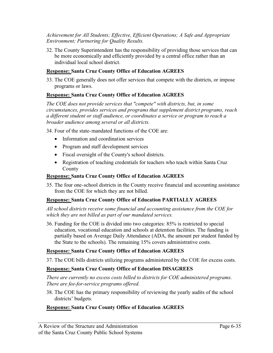#### *Achievement for All Students; Effective, Efficient Operations; A Safe and Appropriate Environment; Partnering for Quality Results.*

32. The County Superintendent has the responsibility of providing those services that can be more economically and efficiently provided by a central office rather than an individual local school district.

#### **Response: Santa Cruz County Office of Education AGREES**

33. The COE generally does not offer services that compete with the districts, or impose programs or laws.

#### **Response: Santa Cruz County Office of Education AGREES**

*The COE does not provide services that "compete" with districts, but, in some circumstances, provides services and programs that supplement district programs, reach a different student or staff audience, or coordinates a service or program to reach a broader audience among several or all districts.* 

34. Four of the state-mandated functions of the COE are:

- Information and coordination services
- Program and staff development services
- Fiscal oversight of the County's school districts.
- Registration of teaching credentials for teachers who teach within Santa Cruz County

#### **Response: Santa Cruz County Office of Education AGREES**

35. The four one-school districts in the County receive financial and accounting assistance from the COE for which they are not billed.

#### **Response: Santa Cruz County Office of Education PARTIALLY AGREES**

*All school districts receive some financial and accounting assistance from the COE for which they are not billed as part of our mandated services.* 

36. Funding for the COE is divided into two categories: 85% is restricted to special education, vocational education and schools at detention facilities. The funding is partially based on Average Daily Attendance (ADA, the amount per student funded by the State to the schools). The remaining 15% covers administrative costs.

#### **Response: Santa Cruz County Office of Education AGREES**

37. The COE bills districts utilizing programs administered by the COE for excess costs.

#### **Response: Santa Cruz County Office of Education DISAGREES**

*There are currently no excess costs billed to districts for COE administered programs. There are fee-for-service programs offered.* 

38. The COE has the primary responsibility of reviewing the yearly audits of the school districts' budgets.

#### **Response: Santa Cruz County Office of Education AGREES**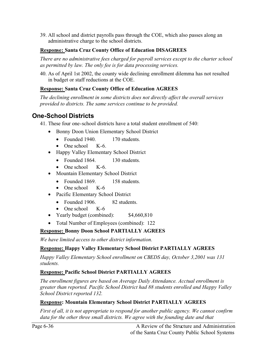39. All school and district payrolls pass through the COE, which also passes along an administrative charge to the school districts.

#### **Response: Santa Cruz County Office of Education DISAGREES**

*There are no administrative fees charged for payroll services except to the charter school as permitted by law. The only fee is for data processing services.* 

40. As of April 1st 2002, the county wide declining enrollment dilemma has not resulted in budget or staff reductions at the COE.

#### **Response: Santa Cruz County Office of Education AGREES**

*The declining enrollment in some districts does not directly affect the overall services provided to districts. The same services continue to be provided.* 

# **One-School Districts**

41. These four one-school districts have a total student enrollment of 540:

- Bonny Doon Union Elementary School District
	- Founded 1940. 170 students.
	- One school K-6.
- Happy Valley Elementary School District
	- Founded 1864. 130 students.
	- One school K-6.
- Mountain Elementary School District
	- Founded 1869. 158 students.
	- One school K-6
- Pacific Elementary School District
	- Founded 1906. 82 students.
	- One school K-6
- Yearly budget (combined): \$4,660,810
- Total Number of Employees (combined): 122

#### **Response: Bonny Doon School PARTIALLY AGREES**

*We have limited access to other district information.*

#### **Response: Happy Valley Elementary School District PARTIALLY AGREES**

*Happy Valley Elementary School enrollment on CBEDS day, October 3,2001 was 131 students.*

#### **Response: Pacific School District PARTIALLY AGREES**

*The enrollment figures are based on Average Daily Attendance. Acctual enrollment is greater than reported. Pacific School District had 88 students enrolled and Happy Valley School District reported 132.* 

#### **Response: Mountain Elementary School District PARTIALLY AGREES**

*First of all, it is not appropriate to respond for another public agency. We cannot confirm*  data for the other three small districts. We agree with the founding date and that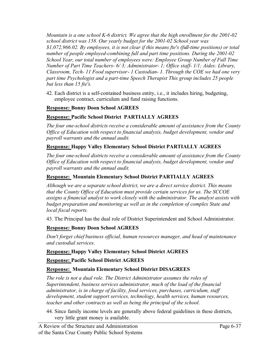*Mountain is a one school K-6 district. We agree that the high enrollment for the 2001-02 school district was 158. Our yearly budget for the 2001-02 School year was \$1,072,966.02. By employees, it is not clear if this means fte's (full-time positions) or total number of people employed-combining full and part time positions. During the 2001-02 School Year, our total number of employees were: Employee Group Number of Full Time Number of Part Time Teachers- 6/ 3; Administrator- 1; Office staff- 1/1; Aides: Library, Classroom, Tech- 11 Food supervisor- 1 Custodian- 1. Through the COE we had one very part time Psychologist and a part-time Speech Therapist This group includes 25 people but less than 15 fte's.* 

42. Each district is a self-contained business entity, i.e., it includes hiring, budgeting, employee contract, curriculum and fund raising functions.

#### **Response: Bonny Doon School AGREES**

#### **Response: Pacific School District PARTIALLY AGREES**

*The four one-school districts receive a considerable amount of assistance from the County Office of Education with respect to financial analysis, budget development, vendor and payroll warrants and the annual audit.* 

#### **Response: Happy Valley Elementary School District PARTIALLY AGREES**

*The four one-school districts receive a considerable amount of assistance from the County Office of Education with respect to financial analysis, budget development, vendor and payroll warrants and the annual audit.* 

#### **Response: Mountain Elementary School District PARTIALLY AGREES**

*Although we are a separate school district, we are a direct service district. This means that the County Office of Education must provide certain services for us. The SCCOE assigns a financial analyst to work closely with the administrator. The analyst assists with budget preparation and monitoring as well as in the completion of complex State and local fiscal reports.* 

43. The Principal has the dual role of District Superintendent and School Administrator.

#### **Response: Bonny Doon School AGREES**

*Don't forget chief business official, human resources manager, and head of maintenance and custodial services.* 

#### **Response: Happy Valley Elementary School District AGREES**

#### **Response: Pacific School District AGREES**

#### **Response: Mountain Elementary School District DISAGREES**

*The role is not a dual role. The District Administrator assumes the roles of Superintendent, business services administrator, much of the load of the financial administrator, is in charge of facility, food services, purchases, curriculum, staff development, student support services, technology, health services, human resources, teacher and other contracts as well as being the principal of the school.* 

44. Since family income levels are generally above federal guidelines in these districts, very little grant money is available.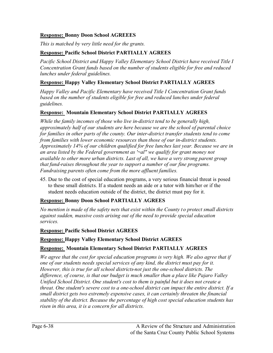#### **Response: Bonny Doon School AGREEES**

*This is matched by very little need for the grants.*

#### **Response: Pacific School District PARTIALLY AGREES**

*Pacific School District and Happy Valley Elementary School District have received Title I Concentration Grant funds based on the number of students eligible for free and reduced lunches under federal guidelines.* 

#### **Response: Happy Valley Elementary School District PARTIALLY AGREES**

*Happy Valley and Pacific Elementary have received Title I Concentration Grant funds*  based on the number of students eligible for free and reduced lunches under federal *guidelines.*

#### **Response: Mountain Elementary School District PARTIALLY AGREES**

*While the family incomes of those who live in-district tend to be generally high, approximately half of our students are here because we are the school of parental choice for families in other parts of the county. Our inter-district transfer students tend to come from families with lower economic resources than those of our in-district students. Approximately 14% of our children qualified for free lunches last year. Because we are in an area listed by the Federal government as '~al" we qualify for grant money not available to other more urban districts. Last of all, we have a very strong parent group that fund-raises throughout the year to support a number of our fine programs. Fundraising parents often come from the more affluent families.* 

45. Due to the cost of special education programs, a very serious financial threat is posed to these small districts. If a student needs an aide or a tutor with him/her or if the student needs education outside of the district, the district must pay for it.

#### **Response: Bonny Doon School PARTIALLY AGREES**

*No mention is made of the safety nets that exist within the County t o protect small districts against sudden, massive costs arising out of the need to provide special education services.*

#### **Response: Pacific School District AGREES**

#### **Response: Happy Valley Elementary School District AGREES**

#### **Response: Mountain Elementary School District PARTIALLY AGREES**

*We agree that the cost for special education programs is very high. We also agree that if one of our students needs special services of any kind, the district must pay for it. However, this is true for all school districts-not just the one-school districts. The difference, of course, is that our budget is much smaller than a place like Pajaro Valley Unified School District. One student's cost to them is painful but it does not create a threat. One student's severe cost to a one-school district can impact the entire district. If a small district gets two extremely expensive cases, it can certainly threaten the financial stability of the district. Because the percentage of high cost special education students has risen in this area, it is a concern for all districts.*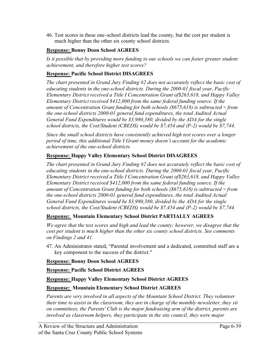46. Test scores in these one-school districts lead the county, but the cost per student is much higher than the other six county school districts.

#### **Response: Bonny Doon School AGREES**

Is it possible that by providing more funding to our schools we can foster greater student *achievement, and therefore higher test scores?* 

#### **Response: Pacific School District DISAGREES**

*The chart presented in Grand Jury Finding #2 does not accurately reflect the basic cost of educating students in the one-school districts. During the 2000-01 fiscal year, Pacific Elementary District received a Title I Concentration Grant of\$263,618, and Happy Valley Elementary District received \$412,000 from the same federal funding source. If the amount of Concentration Grant funding for both schools (\$675,618) is subtracted ~ from the one-school districts 2000-01 general fund expenditures, the total Audited Actual General Fund Expenditures would be \$3,980,380, divided by the ADA for the single school districts, the Cost/Student (CBEDS) would be \$7,454 and (P-2) would be \$7,744.* 

*Since the small school districts have consistently achieved high test scores over a longer period of time, this additional Title I Grant money doesn't account for the academic achievement of the one-school districts.*

#### **Response: Happy Valley Elementary School District DISAGREES**

*The chart presented in Grand Jury Finding #2 does not accurately reflect the basic cost of educating students in the one-school districts. During the 2000-01 fiscal year, Pacific Elementary District received a Title I Concentration Grant of\$263,618, and Happy Valley Elementary District received \$412,000 from the same federal funding source. If the amount of Concentration Grant funding for both schools (\$675,618) is subtracted ~ from the one-school districts 2000-01 general fund expenditures, the total Audited Actual General Fund Expenditures would be \$3,980,380, divided by the ADA for the single school districts, the Cost/Student (CBEDS) would be \$7,454 and (P-2) would be \$7,744.*

#### **Response: Mountain Elementary School District PARTIALLY AGREES**

*We agree that the test scores and high and lead the county; however, we disagree that the cost per student is much higher than the other six county school districts. See comments on Findings 2 and 41.* 

47. An Administrator stated, "Parental involvement and a dedicated, committed staff are a key component to the success of the district."

#### **Response: Bonny Doon School AGREES**

#### **Response: Pacific School District AGREES**

#### **Response: Happy Valley Elementary School District AGREES**

#### **Response: Mountain Elementary School District AGREES**

*Parents are very involved in all aspects of the Mountain School District. They volunteer their time to assist in the classroom, they are in charge of the monthly newsletter, they sit on committees, the Parents' Club is the major fundraising arm of the district, parents are involved as classroom helpers, they participate in the site council, they were major*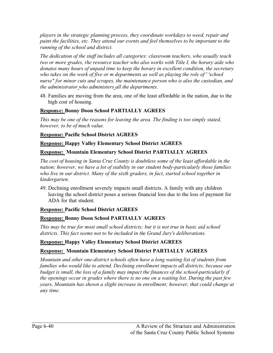*players in the strategic planning process, they coordinate workdays to weed, repair and paint the facilities, etc. They attend our events and feel themselves to be important to the running of the school and district.* 

*The dedication of the staff includes all categories: classroom teachers, who usually teach two or more grades, the resource teacher who also works with Title I, the horary aide who donates many hours of unpaid time to keep the horary in excellent condition, the secretary who takes on the work of five or m departments as well as playing the role of ' 'school nurse" for minor cuts and scrapes, the maintenance person who is also the custodian, and the administrator who administers all the departments.* 

48. Families are moving from the area, one of the least affordable in the nation, due to the high cost of housing.

#### **Response: Bonny Doon School PARTIALLY AGREES**

*This may be one of the reasons for leaving the area. The finding is too simply stated, however, to be of much value.* 

#### **Response: Pacific School District AGREES**

#### **Response: Happy Valley Elementary School District AGREES**

#### **Response: Mountain Elementary School District PARTIALLY AGREES**

*The cost of housing in Santa Cruz County is doubtless some of the least affordable in the nation; however, we have a lot of stability in our student body-particularly those families who live in our district. Many of the sixth graders, in fact, started school together in kindergarten.*

49. Declining enrollment severely impacts small districts. A family with any children leaving the school district poses a serious financial loss due to the loss of payment for ADA for that student.

#### **Response: Pacific School District AGREES**

#### **Response: Bonny Doon School PARTIALLY AGREES**

*This may be true for most small school districts; but it is not true in basic aid school districts. This fact seems not to be included in the Grand Jury's deliberations.* 

#### **Response: Happy Valley Elementary School District AGREES**

#### **Response: Mountain Elementary School District PARTIALLY AGREES**

*Mountain and other one-district schools often have a long waiting list of students from families who would like to attend. Declining enrollment impacts all districts; because our budget is small, the loss of a family may impact the finances of the school-particularly if the openings occur in grades where there is no one on a waiting list. During the past few years, Mountain has shown a slight increase in enrollment; however, that could change at any time.*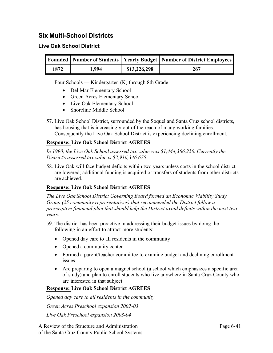# **Six Multi-School Districts**

#### **Live Oak School District**

|      |       |              | Founded   Number of Students   Yearly Budget   Number of District Employees ! |
|------|-------|--------------|-------------------------------------------------------------------------------|
| 1872 | 1.994 | \$13,226,298 | 267                                                                           |

Four Schools — Kindergarten (K) through 8th Grade

- Del Mar Elementary School
- Green Acres Elementary School
- Live Oak Elementary School
- Shoreline Middle School
- 57. Live Oak School District, surrounded by the Soquel and Santa Cruz school districts, has housing that is increasingly out of the reach of many working families. Consequently the Live Oak School District is experiencing declining enrollment.

#### **Response: Live Oak School District AGREES**

In 1990, the Live Oak School assessed tax value was \$1,444,366,250. Currently the *District's assessed tax value is \$2,916,346,675.* 

58. Live Oak will face budget deficits within two years unless costs in the school district are lowered; additional funding is acquired or transfers of students from other districts are achieved.

#### **Response: Live Oak School District AGREES**

*The Live Oak School District Governing Board formed an Economic Viability Study Group (25 community representatives) that recommended the District follow a prescriptive financial plan that should help the District avoid deficits within the next two years.*

- 59. The district has been proactive in addressing their budget issues by doing the following in an effort to attract more students:
	- Opened day care to all residents in the community
	- Opened a community center
	- Formed a parent/teacher committee to examine budget and declining enrollment issues.
	- Are preparing to open a magnet school (a school which emphasizes a specific area of study) and plan to enroll students who live anywhere in Santa Cruz County who are interested in that subject.

#### **Response: Live Oak School District AGREES**

*Opened day care to all residents in the community* 

*Green Acres Preschool expansion 2002-03*

*Live Oak Preschool expansion 2003-04*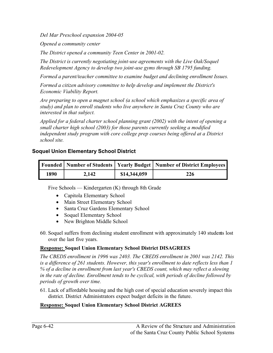*Del Mar Preschool expansion 2004-05*

*Opened a community center* 

*The District opened a community Teen Center in 2001-02.*

*The District is currently negotiating joint-use agreements with the Live Oak/Soquel Redevelopment Agency to develop two joint-use gyms through SB 1795 funding.* 

*Formed a parent/teacher committee to examine budget and declining enrollment Issues.* 

*Formed a citizen advisory committee to help develop and implement the District's Economic Viability Report.*

*Are preparing to open a magnet school (a school which emphasizes a specific area of study) and plan to enroll students who live anywhere in Santa Cruz County who are interested in that subject.*

*Applied for a federal charter school planning grant (2002) with the intent of opening a small charter high school (2003) for those parents currently seeking a modified independent study program with core college prep courses being offered at a District school site.* 

#### **Soquel Union Elementary School District**

|      |       |              | Founded   Number of Students   Yearly Budget   Number of District Employees |
|------|-------|--------------|-----------------------------------------------------------------------------|
| 1890 | 2,142 | \$14,344,059 | 226                                                                         |

Five Schools — Kindergarten (K) through 8th Grade

- Capitola Elementary School
- Main Street Elementary School
- Santa Cruz Gardens Elementary School
- Soquel Elementary School
- New Brighton Middle School
- 60. Soquel suffers from declining student enrollment with approximately 140 students lost over the last five years.

#### **Response: Soquel Union Elementary School District DISAGREES**

*The CBEDS enrollment in 1996 was 2403. The CBEDS enrollment in 2001 was 2142. This is a difference of 261 students. However, this year's enrollment to date reflects less than 1 % of a decline in enrollment from last year's CBEDS count, which may reflect a slowing in the rate of decline. Enrollment tends to be cyclical, with periods of decline followed by periods of growth over time.* 

61. Lack of affordable housing and the high cost of special education severely impact this district. District Administrators expect budget deficits in the future.

#### **Response: Soquel Union Elementary School District AGREES**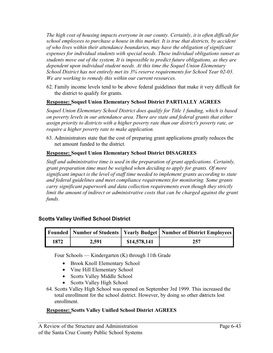*The high cost of housing impacts everyone in our county. Certainly, it is often difficult for school employees to purchase a house in this market. It is true that districts, by accident of who lives within their attendance boundaries, may have the obligation of significant expenses for individual students with special needs. These individual obligations sunset as students move out of the system. It is impossible to predict future obligations, as they are dependent upon individual student needs. At this time the Soquel Union Elementary School District has not entirely met its 3% reserve requirements for School Year 02-03. We are working to remedy this within our current resources.* 

62. Family income levels tend to be above federal guidelines that make it very difficult for the district to qualify for grants.

#### **Response: Soquel Union Elementary School District PARTIALLY AGREES**

*Soquel Union Elementary School District does qualify for Title 1 funding, which is based on poverty levels in our attendance area. There are state and federal grants that either assign priority to districts with a higher poverty rate than our district's poverty rate, or require a higher poverty rate to make application.* 

63. Administrators state that the cost of preparing grant applications greatly reduces the net amount funded to the district.

#### **Response: Soquel Union Elementary School District DISAGREES**

*Staff and administrative time is used in the preparation of grant applications. Certainly, grant preparation time must be weighed when deciding to apply for grants. Of more significant impact is the level of staff time needed to implement grants according to state and federal guidelines and meet compliance requirements for monitoring. Some grants carry significant paperwork and data collection requirements even though they strictly*  limit the amount of indirect or administrative costs that can be charged against the grant *funds.*

#### **Scotts Valley Unified School District**

|      |       |              | Founded   Number of Students   Yearly Budget   Number of District Employees |
|------|-------|--------------|-----------------------------------------------------------------------------|
| 1872 | 2,591 | \$14,578,141 | 257                                                                         |

Four Schools — Kindergarten (K) through 11th Grade

- Brook Knoll Elementary School
- Vine Hill Elementary School
- Scotts Valley Middle School
- Scotts Valley High School
- 64. Scotts Valley High School was opened on September 3rd 1999. This increased the total enrollment for the school district. However, by doing so other districts lost enrollment.

#### **Response: Scotts Valley Unified School District AGREES**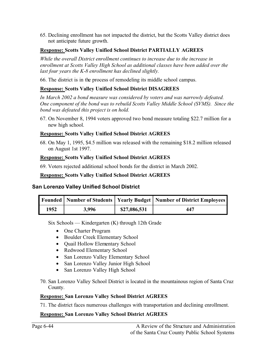65. Declining enrollment has not impacted the district, but the Scotts Valley district does not anticipate future growth.

#### **Response: Scotts Valley Unified School District PARTIALLY AGREES**

*While the overall District enrollment continues to increase due to the increase in enrollment at Scotts Valley High School as additional classes have been added over the last four years the K-8 enrollment has declined slightly.*

66. The district is in the process of remodeling its middle school campus.

#### **Response: Scotts Valley Unified School District DISAGREES**

*In March 2002 a bond measure was considered by voters and was narrowly defeated. One component of the bond was to rebuild Scotts Valley Middle School (SVMS). Since the bond was defeated this project is on hold.*

67. On November 8, 1994 voters approved two bond measure totaling \$22.7 million for a new high school.

#### **Response: Scotts Valley Unified School District AGREES**

68. On May 1, 1995, \$4.5 million was released with the remaining \$18.2 million released on August 1st 1997.

#### **Response: Scotts Valley Unified School District AGREES**

69. Voters rejected additional school bonds for the district in March 2002.

#### **Response: Scotts Valley Unified School District AGREES**

#### **San Lorenzo Valley Unified School District**

|      |       |              | Founded   Number of Students   Yearly Budget   Number of District Employees |
|------|-------|--------------|-----------------------------------------------------------------------------|
| 1952 | 3,996 | \$27,086,531 | 447                                                                         |

Six Schools — Kindergarten (K) through 12th Grade

- One Charter Program
- Boulder Creek Elementary School
- Quail Hollow Elementary School
- Redwood Elementary School
- San Lorenzo Valley Elementary School
- San Lorenzo Valley Junior High School
- San Lorenzo Valley High School
- 70. San Lorenzo Valley School District is located in the mountainous region of Santa Cruz County.

#### **Response: San Lorenzo Valley School District AGREES**

71. The district faces numerous challenges with transportation and declining enrollment.

#### **Response: San Lorenzo Valley School District AGREES**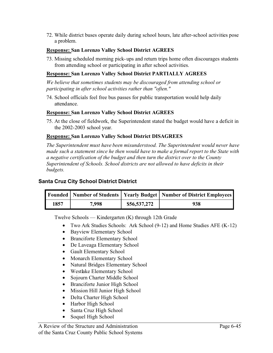72. While district buses operate daily during school hours, late after-school activities pose a problem.

#### **Response: San Lorenzo Valley School District AGREES**

73. Missing scheduled morning pick-ups and return trips home often discourages students from attending school or participating in after school activities.

#### **Response: San Lorenzo Valley School District PARTIALLY AGREES**

*We believe that sometimes students may be discouraged from attending school or participating in after school activities rather than "often."*

74. School officials feel free bus passes for public transportation would help daily attendance.

#### **Response: San Lorenzo Valley School District AGREES**

75. At the close of fieldwork, the Superintendent stated the budget would have a deficit in the 2002-2003 school year.

#### **Response: San Lorenzo Valley School District DISAGREES**

*The Superintendent must have been misunderstood. The Superintendent would never have made such a statement since he then would have to make a formal report to the State with a negative certification of the budget and then turn the district over to the County Superintendent of Schools. School districts are not allowed to have deficits in their budgets.*

#### **Santa Cruz City School District District**

|      |       |              | Founded   Number of Students   Yearly Budget   Number of District Employees ' |
|------|-------|--------------|-------------------------------------------------------------------------------|
| 1857 | 7,998 | \$56,537,272 | 938                                                                           |

Twelve Schools — Kindergarten (K) through 12th Grade

- Two Ark Studies Schools: Ark School (9-12) and Home Studies AFE (K-12)
- Bayview Elementary School
- Branciforte Elementary School
- De Laveaga Elementary School
- Gault Elementary School
- Monarch Elementary School
- Natural Bridges Elementary School
- Westlake Elementary School
- Sojourn Charter Middle School
- Branciforte Junior High School
- Mission Hill Junior High School
- Delta Charter High School
- Harbor High School
- Santa Cruz High School
- Soquel High School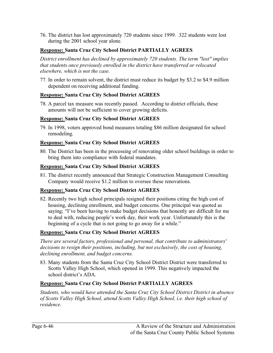76. The district has lost approximately 720 students since 1999. 322 students were lost during the 2001 school year alone.

#### **Response: Santa Cruz City School District PARTIALLY AGREES**

*District enrollment has declined by approximately 720 students. The term "lost" implies that students once previously enrolled in the district have transferred or relocated elsewhere, which is not the case.* 

77. In order to remain solvent, the district must reduce its budget by \$3.2 to \$4.9 million dependent on receiving additional funding.

#### **Response: Santa Cruz City School District AGREES**

78. A parcel tax measure was recently passed. According to district officials, these amounts will not be sufficient to cover growing deficits.

#### **Response: Santa Cruz City School District AGREES**

79. In 1998, voters approved bond measures totaling \$86 million designated for school remodeling.

#### **Response: Santa Cruz City School District AGREES**

80. The District has been in the processing of renovating older school buildings in order to bring them into compliance with federal mandates.

#### **Response: Santa Cruz City School District AGREES**

81. The district recently announced that Strategic Construction Management Consulting Company would receive \$1.2 million to oversee these renovations.

#### **Response: Santa Cruz City School District AGREES**

82. Recently two high school principals resigned their positions citing the high cost of housing, declining enrollment, and budget concerns. One principal was quoted as saying; "I've been having to make budget decisions that honestly are difficult for me to deal with, reducing people's work day, their work year. Unfortunately this is the beginning of a cycle that is not going to go away for a while."

#### **Response: Santa Cruz City School District AGREES**

*There are several factors, professional and personal, that contribute to administrators' decisions to resign their positions, including, but not exclusively, the cost of housing, declining enrollment, and budget concerns.* 

83. Many students from the Santa Cruz City School District District were transferred to Scotts Valley High School, which opened in 1999. This negatively impacted the school district's ADA.

#### **Response: Santa Cruz City School District PARTIALLY AGREES**

*Students, who would have attended the Santa Cruz City School District District in absence of Scotts Valley High School, attend Scotts Valley High School, i.e. their high school of residence.*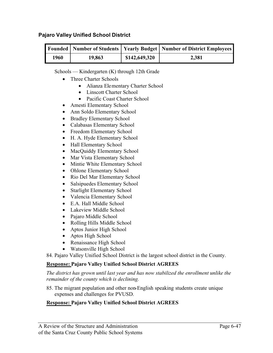#### **Pajaro Valley Unified School District**

|      |        |               | Founded   Number of Students   Yearly Budget   Number of District Employees ' |
|------|--------|---------------|-------------------------------------------------------------------------------|
| 1960 | 19,863 | \$142,649,320 | 2,381                                                                         |

Schools — Kindergarten (K) through 12th Grade

- Three Charter Schools
	- Alianza Elementary Charter School
	- Linscott Charter School
	- Pacific Coast Charter School
- Amesti Elementary School
- Ann Soldo Elementary School
- Bradley Elementary School
- Calabasas Elementary School
- Freedom Elementary School
- H. A. Hyde Elementary School
- Hall Elementary School
- MacQuiddy Elementary School
- Mar Vista Elementary School
- Mintie White Elementary School
- Ohlone Elementary School
- Rio Del Mar Elementary School
- Salsipuedes Elementary School
- Starlight Elementary School
- Valencia Elementary School
- E.A. Hall Middle School
- Lakeview Middle School
- Pajaro Middle School
- Rolling Hills Middle School
- Aptos Junior High School
- Aptos High School
- Renaissance High School
- Watsonville High School

84. Pajaro Valley Unified School District is the largest school district in the County.

#### **Response: Pajaro Valley Unified School District AGREES**

*The district has grown until last year and has now stabilized the enrollment unlike the remainder of the county which is declining.* 

85. The migrant population and other non-English speaking students create unique expenses and challenges for PVUSD.

#### **Response: Pajaro Valley Unified School District AGREES**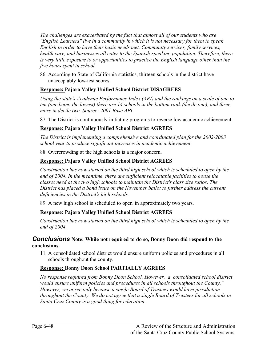*The challenges are exacerbated by the fact that almost all of our students who are "English Learners" live in a community in which it is not necessary for them to speak English in order to have their basic needs met. Community services, family services, health care, and businesses all cater to the Spanish-speaking population. Therefore, there is very little exposure to or opportunities to practice the English language other than the five hours spent in school.* 

86. According to State of California statistics, thirteen schools in the district have unacceptably low-test scores.

#### **Response: Pajaro Valley Unified School District DISAGREES**

*Using the state's Academic Performance Index (API) and the rankings on a scale of one to ten (one being the lowest) there are 14 schools in the bottom rank (decile one), and three more in decile two. Source: 2001 Base API.* 

87. The District is continuously initiating programs to reverse low academic achievement.

#### **Response: Pajaro Valley Unified School District AGREES**

*The District is implementing a comprehensive and coordinated plan for the 2002-2003 school year to produce significant increases in academic achievement.* 

88. Overcrowding at the high schools is a major concern.

#### **Response: Pajaro Valley Unified School District AGREES**

*Construction has now started on the third high school which is scheduled to open by the end of 2004. In the meantime, there are sufficient relocatable facilities to house the classes need at the two high schools to maintain the District's class size ratios. The District has placed a bond issue on the November ballot to further address the current deficiencies in the District's high schools.* 

89. A new high school is scheduled to open in approximately two years.

#### **Response: Pajaro Valley Unified School District AGREES**

*Construction has now started on the third high school which is scheduled to open by the end of 2004.* 

#### *Conclusions* **Note: While not required to do so, Bonny Doon did respond to the conclusions.**

11. A consolidated school district would ensure uniform policies and procedures in all schools throughout the county.

#### **Response: Bonny Doon School PARTIALLY AGREES**

*No response required from Bonny Doon School. However, a consolidated school district would ensure uniform policies and procedures in all schools throughout the County." However, we agree only because a single Board of Trustees would have jurisdiction throughout the County. We do not agree that a single Board of Trustees for all schools in Santa Cruz County is a good thing for education.*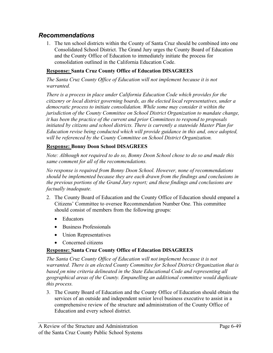# *Recommendations*

1. The ten school districts within the County of Santa Cruz should be combined into one Consolidated School District. The Grand Jury urges the County Board of Education and the County Office of Education to immediately initiate the process for consolidation outlined in the California Education Code.

#### **Response: Santa Cruz County Office of Education DISAGREES**

*The Santa Cruz County Office of Education will not implement because it is not warranted.*

*There is a process in place under California Education Code which provides for the citizenry or local district governing boards, as the elected local representatives, under a democratic process to initiate consolidation. While some may consider it within the jurisdiction of the County Committee on School District Organization to mandate change, it has been the practice of the current and prior Committees to respond to proposals initiated by citizens and school districts. There is currently a statewide Master Plan for Education revise being conducted which will provide guidance in this and, once adopted, will be referenced by the County Committee on School District Organization.* 

#### **Response: Bonny Doon School DISAGREES**

*Note: Although not required to do so, Bonny Doon School chose to do so and made this same comment for all of the recommendations.*

*No response is required from Bonny Doon School. However, none of recommendations should be implemented because they are each drawn from the findings and conclusions in the previous portions of the Grand Jury report; and these findings and conclusions are factually inadequate.* 

- 2. The County Board of Education and the County Office of Education should empanel a Citizens' Committee to oversee Recommendation Number One. This committee should consist of members from the following groups:
	- Educators
	- Business Professionals
	- Union Representatives
	- Concerned citizens

#### **Response: Santa Cruz County Office of Education DISAGREES**

*The Santa Cruz County Office of Education will not implement because it is not warranted. There is an elected County Committee for School District Organization that is based on nine criteria delineated in the State Educational Code and representing all geographical areas of the County. Empanelling an additional committee would duplicate this process.* 

3. The County Board of Education and the County Office of Education should obtain the services of an outside and independent senior level business executive to assist in a comprehensive review of the structure and administration of the County Office of Education and every school district.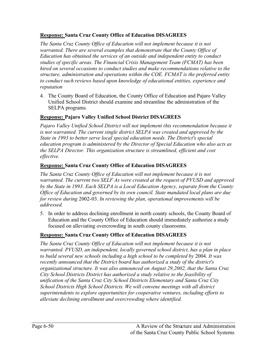#### **Response: Santa Cruz County Office of Education DISAGREES**

*The Santa Cruz County Office of Education will not implement because it is not warranted. There are several examples that demonstrate that the County Office of Education has obtained the services of an outside and independent entity to conduct studies of specific areas. The Financial Crisis Management Team (FCMAT) has been hired on several occasions to conduct studies and make recommendations relative to the structure, administration and operations within the COE. FCMAT is the preferred entity to conduct such reviews based upon knowledge of educational entities, experience and reputation*

4. The County Board of Education, the County Office of Education and Pajaro Valley Unified School District should examine and streamline the administration of the SELPA programs.

#### **Response: Pajaro Valley Unified School District DISAGREES**

*Pajaro Valley Unified School District will not implement this recommendation because it is not warranted. The current single district SELPA was created and approved by the State in 1993 to better serve local special education needs. The District's special education program is administered by the Director of Special Education who also acts as the SELPA Director. This organization structure is streamlined, efficient and cost effective.*

#### **Response: Santa Cruz County Office of Education DISAGREES**

*The Santa Cruz County Office of Education will not implement because it is not warranted. The current two SELF As were created at the request of PVUSD and approved by the State in 1993. Each SELPA is a Local Education Agency, separate from the County Office of Education and governed by its own council. State mandated local plans are due for review during* 2002-03. *In reviewing the plan, operational improvements will be addressed.*

5. In order to address declining enrollment in north county schools, the County Board of Education and the County Office of Education should immediately authorize a study focused on alleviating overcrowding in south county classrooms.

#### **Response: Santa Cruz County Office of Education DISAGREES**

*The Santa Cruz County Office of Education will not implement because it is not warranted. PVUSD, an independent, locally governed school district, has a plan in place to build several new schools including a high school to be completed by* 2004. *It was recently announced that the District board has authorized a study of the district's organizational structure. It was also announced on August 29,2002, that the Santa Cruz City School Districts District has authorized a study relative to the feasibility of unification of the Santa Cruz City School Districts Elementary and Santa Cruz City School Districts High School Districts. We will convene meetings with all district superintendents to explore opportunities for cooperative ventures, including efforts to alleviate declining enrollment and overcrowding where identified.*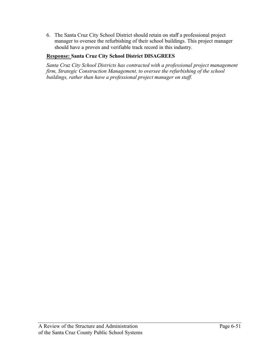6. The Santa Cruz City School District should retain on staff a professional project manager to oversee the refurbishing of their school buildings. This project manager should have a proven and verifiable track record in this industry.

#### **Response: Santa Cruz City School District DISAGREES**

*Santa Cruz City School Districts has contracted with a professional project management firm, Strategic Construction Management, to oversee the refurbishing of the school buildings, rather than have a professional project manager on staff.*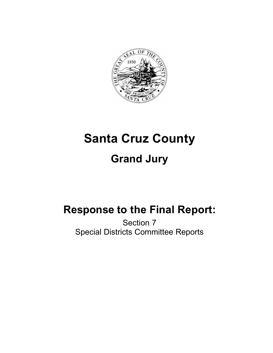

# **Santa Cruz County Grand Jury**

# **Response to the Final Report:**

Section 7 Special Districts Committee Reports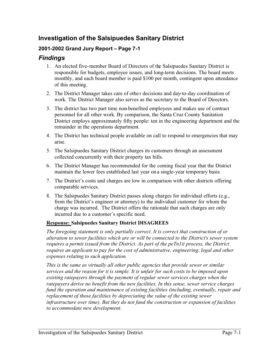# **Investigation of the Salsipuedes Sanitary District**

#### **2001-2002 Grand Jury Report – Page 7-1**

# *Findings*

- 1. An elected five-member Board of Directors of the Salsipuedes Sanitary District is responsible for budgets, employee issues, and long-term decisions. The board meets monthly, and each board member is paid \$100 per month, contingent upon attendance of this meeting.
- 2. The District Manager takes care of other decisions and day-to-day coordination of work. The District Manager also serves as the secretary to the Board of Directors.
- 3. The district has two part time non-benefited employees and makes use of contract personnel for all other work. By comparison, the Santa Cruz County Sanitation District employs approximately fifty people: ten in the engineering department and the remainder in the operations department.
- 4. The District has technical people available on call to respond to emergencies that may arise.
- 5. The Salsipuedes Sanitary District charges its customers through an assessment collected concurrently with their property tax bills.
- 6. The District Manager has recommended for the coming fiscal year that the District maintain the lower fees established last year on a single-year temporary basis.
- 7. The District's costs and charges are low in comparison with other districts offering comparable services.
- 8. The Salsipuedes Sanitary District passes along charges for individual efforts (e.g., from the District's engineer or attorney) to the individual customer for whom the charge was incurred. The District offers the rationale that such charges are only incurred due to a customer's specific need.

#### **Response: Salsipuedes Sanitary District DISAGREES**

*The foregoing statement is only partially correct. It is correct that construction of or alteration to sewer facilities which are or will be connected to the District's sewer system requires a permit issued from the District. As part of the peTn1it process, the District requires an applicant to pay for the cost of administrative, engineering, legal and other expenses relating to such application.* 

*This is the same as virtually all other public agencies that provide sewer or similar services and the reason for it is simple. It is unfair for such costs to be imposed upon existing ratepayers through the payment of regular sewer services charges when the ratepayers derive no benefit from the new facilities. In this sense, sewer service charges fund the operation and maintenance of existing facilities (including, eventually, repair and replacement of those facilities by depreciating the value of the existing sewer infrastructure over time). But they do not fund the construction or expansion of facilities to accommodate new development.*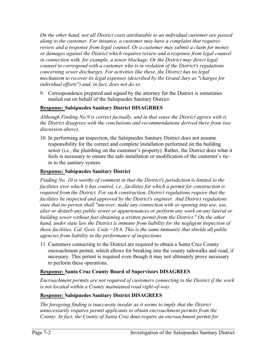*On the other hand, not all District costs attributable to an individual customer are passed along to the customer. For instance, a customer may have a complaint that requires review and a response from legal counsel. Or a customer may submit a claim for money or damages against the District which requires review and a response from legal counsel in connection with, for example, a sewer blockage. Or the District may direct legal counsel to correspond with a customer who is in violation of the District's regulations concerning sewer discharges. For activities like these, the District has no legal mechanism to recover its legal expenses (described by the Grand Jury as "charges for individual efforts") and, in fact, does not do so.* 

9. Correspondence prepared and signed by the attorney for the District is sometimes mailed out on behalf of the Salsipuedes Sanitary District.

#### **Response: Salsipuedes Sanitary District DISAGRRES**

*Although Finding No.9 is correct factually, and in that sense the District agrees with it, the District disagrees with the conclusions and recommendations derived there from (see discussion above).*

10. In performing an inspection, the Salsipuedes Sanitary District does not assume responsibility for the correct and complete installation performed on the building sewer (i.e., the plumbing on the customer's property). Rather, the District does what it feels is necessary to ensure the safe installation or modification of the customer's tiein to the sanitary system.

#### **Response: Salsipuedes Sanitary District**

*Finding No. 10 is worthy of comment in that the District's jurisdiction is limited to the facilities over which it has control, i.e., facilities for which a permit for construction is required from the District. For such construction, District regulations require that the facilities be inspected and approved by the District's engineer. And District regulations state that no person shall "uncover, make any connection with or opening into use, use, alter or disturb any public sewer or appurtenances or perform any work on any lateral or building sewer without fust obtaining a written permit from the District." On the other*  hand, under state law the District is immune from liability for the negligent inspection of *those facilities. Cal. Govt. Code ~18.6. This is the same immunity that shields all public agencies from liability in the performance of inspections.* 

11. Customers connecting to the District are required to obtain a Santa Cruz County encroachment permit, which allows for breaking into the county sidewalks and road, if necessary. This permit is required even though it may not ultimately prove necessary to perform these operations.

#### **Response: Santa Cruz County Board of Supervisors DISAGREES**

*Encroachment permits are not required of customers connecting to the District if the work is not located within a County maintained road right-of-way.*

#### **Response: Salsipuedes Sanitary District DISAGREES**

*The foregoing finding is inaccurate insofar as it seems to imply that the District unnecessarily requires permit applicants to obtain encroachment permits from the County. In fact, the County of Santa Cruz* does *require an encroachment permit for*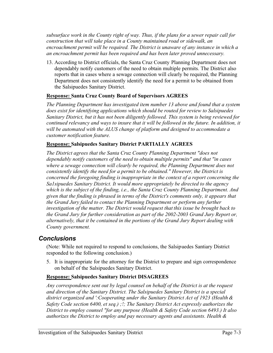*subsurface work in the County right of way. Thus, if the plans for a sewer repair call for construction that will take place in a County maintained road or sidewalk, an encroachment permit will be required. The District is unaware of any instance in which a an encroachment permit has been required and has been later proved unnecessary.* 

13. According to District officials, the Santa Cruz County Planning Department does not dependably notify customers of the need to obtain multiple permits. The District also reports that in cases where a sewage connection will clearly be required, the Planning Department does not consistently identify the need for a permit to be obtained from the Salsipuedes Sanitary District.

#### **Response: Santa Cruz County Board of Supervisors AGREES**

*The Planning Department has investigated item number 13 above and found that a system does exist for identifying applications which should be routed for review to Salsipuedes Sanitary District, but it has not been diligently followed. This system is being reviewed for continued relevancy and ways to insure that it will be followed in the future. In addition, it will be automated with the ALUS change of platform and designed to accommodate a customer notification feature.* 

#### **Response: Salsipuedes Sanitary District PARTIALLY AGREES**

*The District agrees that the Santa Cruz County Planning Department "does not dependably notify customers of the need to obtain multiple permits" and that "in cases where a sewage connection will clearly be required, the Planning Department does not consistently identify the need for a permit to be obtained." However, the District is concerned the foregoing finding is inappropriate in the context of a report concerning the Sa1sipuedes Sanitary District. It would more appropriately be directed to the agency which is the subject of the finding, i.e., the Santa Cruz County Planning Department. And given that the finding is phrased in terms of the District's comments only, it appears that the Grand Jury failed to contact the Planning Department or perform any further investigation of the matter. The District would request that this issue be brought back to the Grand Jury for further consideration as part of the 2002-2003 Grand Jury Report or, alternatively, that it be contained in the portions of the Grand Jury Report dealing with County government.* 

# *Conclusions*

(Note: While not required to respond to conclusions, the Salsipuedes Santiary District responded to the following conclusion.)

5. It is inappropriate for the attorney for the District to prepare and sign correspondence on behalf of the Salsipuedes Sanitary District.

#### **Response: Salsipuedes Sanitary District DISAGREES**

*Any correspondence sent out by legal counsel on behalf of the District is at the request and direction of the Sanitary District. The Salsipuedes Sanitary District is a special district organized and ':Cooperating under the Sanitary District Act of 1923 (Health & Safety Code section 6400, et seq.) ;!; The Sanitary District Act expressly authorizes the District to employ counsel "for any purpose (Health & Safety Code section 6493.) It also authorizes the District to employ and pay necessary agents and assistants. Health &*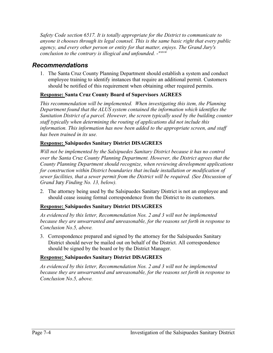*Safety Code section 6517. It is totally appropriate for the District to communicate to anyone it chooses through its legal counsel. This is the same basic right that every public agency, and every other person or entity for that matter, enjoys. The Grand Jury's conclusion to the contrary is illogical and unfounded. -""'"*

#### *Recommendations*

1. The Santa Cruz County Planning Department should establish a system and conduct employee training to identify instances that require an additional permit. Customers should be notified of this requirement when obtaining other required permits.

#### **Response: Santa Cruz County Board of Supervisors AGREES**

*This recommendation will be implemented. When investigating this item, the Planning Department found that the ALUS system contained the information which identifies the Sanitation District of a parcel. However, the screen typically used by the building counter staff typically when determining the routing of applications did not include this information. This information has now been added to the appropriate screen, and staff has been trained in its use.* 

#### **Response: Salsipuedes Sanitary District DISAGREES**

*Will not be implemented by the Salsipuedes Sanitary District because it has no control over the Santa Cruz County Planning Department. However, the District agrees that the County Planning Department should recognize, when reviewing development applications for construction within District boundaries that include installation or modification of sewer facilities, that a sewer permit from the District will be required. (See Discussion of Grand* Jury *Finding No. 13, below).* 

2. The attorney being used by the Salsipuedes Sanitary District is not an employee and should cease issuing formal correspondence from the District to its customers.

#### **Response: Salsipuedes Sanitary District DISAGREES**

*As evidenced by this letter, Recommendation Nos. 2 and 3 will not be implemented because they are unwarranted and unreasonable, for the reasons set forth in response to Conclusion No.5, above.* 

3. Correspondence prepared and signed by the attorney for the Salsipuedes Sanitary District should never be mailed out on behalf of the District. All correspondence should be signed by the board or by the District Manager.

#### **Response: Salsipuedes Sanitary District DISAGREES**

*As evidenced by this letter, Recommendation Nos. 2 and 3 will not be implemented because they are unwarranted and unreasonable, for the reasons set forth in response to Conclusion No.5, above.*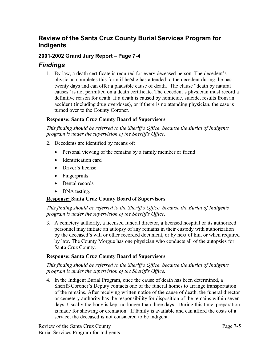# **Review of the Santa Cruz County Burial Services Program for Indigents**

#### **2001-2002 Grand Jury Report – Page 7-4**

#### *Findings*

1. By law, a death certificate is required for every deceased person. The decedent's physician completes this form if he/she has attended to the decedent during the past twenty days and can offer a plausible cause of death. The clause "death by natural causes" is not permitted on a death certificate. The decedent's physician must record a definitive reason for death. If a death is caused by homicide, suicide, results from an accident (including drug overdoses), or if there is no attending physician, the case is turned over to the County Coroner.

#### **Response: Santa Cruz County Board of Supervisors**

*This finding should be referred to the Sheriff's Office, because the Burial of Indigents program is under the supervision of the Sheriff's Office.* 

- 2. Decedents are identified by means of:
	- Personal viewing of the remains by a family member or friend
	- Identification card
	- Driver's license
	- Fingerprints
	- Dental records
	- DNA testing.

#### **Response: Santa Cruz County Board of Supervisors**

*This finding should be referred to the Sheriff's Office, because the Burial of Indigents program is under the supervision of the Sheriff's Office.* 

3. A cemetery authority, a licensed funeral director, a licensed hospital or its authorized personnel may initiate an autopsy of any remains in their custody with authorization by the deceased's will or other recorded document, or by next of kin, or when required by law. The County Morgue has one physician who conducts all of the autopsies for Santa Cruz County.

#### **Response: Santa Cruz County Board of Supervisors**

*This finding should be referred to the Sheriff's Office, because the Burial of Indigents program is under the supervision of the Sheriff's Office.* 

4. In the Indigent Burial Program, once the cause of death has been determined, a Sheriff-Coroner's Deputy contacts one of the funeral homes to arrange transportation of the remains. After receiving written notice of the cause of death, the funeral director or cemetery authority has the responsibility for disposition of the remains within seven days. Usually the body is kept no longer than three days. During this time, preparation is made for showing or cremation. If family is available and can afford the costs of a service, the deceased is not considered to be indigent.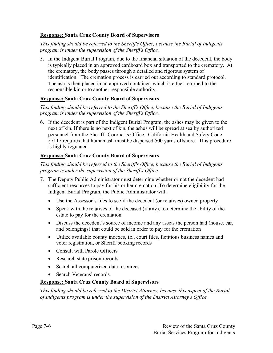#### **Response: Santa Cruz County Board of Supervisors**

*This finding should be referred to the Sheriff's Office, because the Burial of Indigents program is under the supervision of the Sheriff's Office.* 

5. In the Indigent Burial Program, due to the financial situation of the decedent, the body is typically placed in an approved cardboard box and transported to the crematory. At the crematory, the body passes through a detailed and rigorous system of identification. The cremation process is carried out according to standard protocol. The ash is then placed in an approved container, which is either returned to the responsible kin or to another responsible authority.

#### **Response: Santa Cruz County Board of Supervisors**

*This finding should be referred to the Sheriff's Office, because the Burial of Indigents program is under the supervision of the Sheriff's Office.* 

6. If the decedent is part of the Indigent Burial Program, the ashes may be given to the next of kin. If there is no next of kin, the ashes will be spread at sea by authorized personnel from the Sheriff -Coroner's Office. California Health and Safety Code §7117 requires that human ash must be dispersed 500 yards offshore. This procedure is highly regulated.

#### **Response: Santa Cruz County Board of Supervisors**

*This finding should be referred to the Sheriff's Office, because the Burial of Indigents program is under the supervision of the Sheriff's Office.* 

- 7. The Deputy Public Administrator must determine whether or not the decedent had sufficient resources to pay for his or her cremation. To determine eligibility for the Indigent Burial Program, the Public Administrator will:
	- Use the Assessor's files to see if the decedent (or relatives) owned property
	- Speak with the relatives of the deceased (if any), to determine the ability of the estate to pay for the cremation
	- Discuss the decedent's source of income and any assets the person had (house, car, and belongings) that could be sold in order to pay for the cremation
	- Utilize available county indexes, i.e., court files, fictitious business names and voter registration, or Sheriff booking records
	- Consult with Parole Officers
	- Research state prison records
	- Search all computerized data resources
	- Search Veterans' records.

#### **Response: Santa Cruz County Board of Supervisors**

*This finding should be referred to the District Attorney, because this aspect of the Burial of Indigents program is under the supervision of the District Attorney's Office.*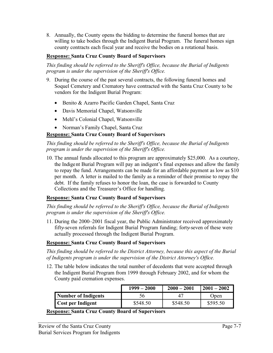8. Annually, the County opens the bidding to determine the funeral homes that are willing to take bodies through the Indigent Burial Program. The funeral homes sign county contracts each fiscal year and receive the bodies on a rotational basis.

#### **Response: Santa Cruz County Board of Supervisors**

*This finding should be referred to the Sheriff's Office, because the Burial of Indigents program is under the supervision of the Sheriff's Office.* 

- 9. During the course of the past several contracts, the following funeral homes and Soquel Cemetery and Crematory have contracted with the Santa Cruz County to be vendors for the Indigent Burial Program:
	- Benito & Azarro Pacific Garden Chapel, Santa Cruz
	- Davis Memorial Chapel, Watsonville
	- Mehl's Colonial Chapel, Watsonville
	- Norman's Family Chapel, Santa Cruz

#### **Response: Santa Cruz County Board of Supervisors**

*This finding should be referred to the Sheriff's Office, because the Burial of Indigents program is under the supervision of the Sheriff's Office.* 

10. The annual funds allocated to this program are approximately \$25,000. As a courtesy, the Indigent Burial Program will pay an indigent's final expenses and allow the family to repay the fund. Arrangements can be made for an affordable payment as low as \$10 per month. A letter is mailed to the family as a reminder of their promise to repay the debt. If the family refuses to honor the loan, the case is forwarded to County Collections and the Treasurer's Office for handling.

#### **Response: Santa Cruz County Board of Supervisors**

*This finding should be referred to the Sheriff's Office, because the Burial of Indigents program is under the supervision of the Sheriff's Office.* 

11. During the 2000–2001 fiscal year, the Public Administrator received approximately fifty-seven referrals for Indigent Burial Program funding; forty-seven of these were actually processed through the Indigent Burial Program.

#### **Response: Santa Cruz County Board of Supervisors**

*This finding should be referred to the District Attorney, because this aspect of the Burial of Indigents program is under the supervision of the District Attorney's Office.*

12. The table below indicates the total number of decedents that were accepted through the Indigent Burial Program from 1999 through February 2002, and for whom the County paid cremation expenses.

|                          | $1999 - 2000$ | $2000 - 2001$ | $2001 - 2002$ |
|--------------------------|---------------|---------------|---------------|
| Number of Indigents      | 56.           | 4             | Open          |
| <b>Cost per Indigent</b> | \$548.50      | \$548.50      | \$595.50      |

**Response: Santa Cruz County Board of Supervisors**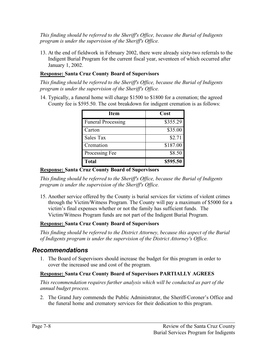*This finding should be referred to the Sheriff's Office, because the Burial of Indigents program is under the supervision of the Sheriff's Office.* 

13. At the end of fieldwork in February 2002, there were already sixty-two referrals to the Indigent Burial Program for the current fiscal year, seventeen of which occurred after January 1, 2002.

#### **Response: Santa Cruz County Board of Supervisors**

*This finding should be referred to the Sheriff's Office, because the Burial of Indigents program is under the supervision of the Sheriff's Office.* 

14. Typically, a funeral home will charge \$1500 to \$1800 for a cremation; the agreed County fee is \$595.50. The cost breakdown for indigent cremation is as follows:

| Item                      | Cost     |
|---------------------------|----------|
| <b>Funeral Processing</b> | \$355.29 |
| Carton                    | \$35.00  |
| Sales Tax                 | \$2.71   |
| Cremation                 | \$187.00 |
| Processing Fee            | \$8.50   |
| <b>Total</b>              | \$595.50 |

#### **Response: Santa Cruz County Board of Supervisors**

*This finding should be referred to the Sheriff's Office, because the Burial of Indigents program is under the supervision of the Sheriff's Office.* 

15. Another service offered by the County is burial services for victims of violent crimes through the Victim/Witness Program. The County will pay a maximum of \$5000 for a victim's final expenses whether or not the family has sufficient funds. The Victim/Witness Program funds are not part of the Indigent Burial Program.

# **Response: Santa Cruz County Board of Supervisors**

*This finding should be referred to the District Attorney, because this aspect of the Burial of Indigents program is under the supervision of the District Attorney's Office.* 

# *Recommendations*

1. The Board of Supervisors should increase the budget for this program in order to cover the increased use and cost of the program.

# **Response: Santa Cruz County Board of Supervisors PARTIALLY AGREES**

*This recommendation requires further analysis which will be conducted as part of the annual budget process.* 

2. The Grand Jury commends the Public Administrator, the Sheriff-Coroner's Office and the funeral home and crematory services for their dedication to this program.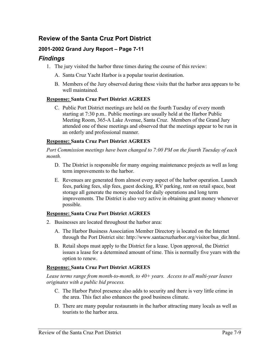# **Review of the Santa Cruz Port District**

#### **2001-2002 Grand Jury Report – Page 7-11**

#### *Findings*

- 1. The jury visited the harbor three times during the course of this review:
	- A. Santa Cruz Yacht Harbor is a popular tourist destination.
	- B. Members of the Jury observed during these visits that the harbor area appears to be well maintained.

#### **Response: Santa Cruz Port District AGREES**

C. Public Port District meetings are held on the fourth Tuesday of every month starting at 7:30 p.m.. Public meetings are usually held at the Harbor Public Meeting Room, 365-A Lake Avenue, Santa Cruz. Members of the Grand Jury attended one of these meetings and observed that the meetings appear to be run in an orderly and professional manner.

#### **Response: Santa Cruz Port District AGREES**

*Port Commission meetings have been changed to 7:00 PM on the fourth Tuesday of each month.*

- D. The District is responsible for many ongoing maintenance projects as well as long term improvements to the harbor.
- E. Revenues are generated from almost every aspect of the harbor operation. Launch fees, parking fees, slip fees, guest docking, RV parking, rent on retail space, boat storage all generate the money needed for daily operations and long term improvements. The District is also very active in obtaining grant money whenever possible.

#### **Response: Santa Cruz Port District AGREES**

- 2. Businesses are located throughout the harbor area:
	- A. The Harbor Business Association Member Directory is located on the Internet through the Port District site: http://www.santacruzharbor.org/visitor/bus\_dir.html.
	- B. Retail shops must apply to the District for a lease. Upon approval, the District issues a lease for a determined amount of time. This is normally five years with the option to renew.

#### **Response: Santa Cruz Port District AGREES**

*Lease terms range from month-to-month, to 40+ years. Access to all multi-year leases originates with a public bid process.*

- C. The Harbor Patrol presence also adds to security and there is very little crime in the area. This fact also enhances the good business climate.
- D. There are many popular restaurants in the harbor attracting many locals as well as tourists to the harbor area.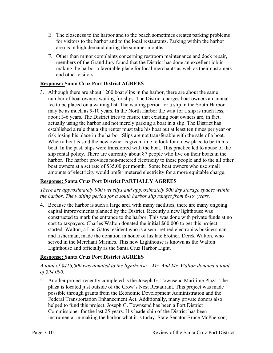- E. The closeness to the harbor and to the beach sometimes creates parking problems for visitors to the harbor and to the local restaurants. Parking within the harbor area is in high demand during the summer months.
- F. Other than minor complaints concerning restroom maintenance and dock repair, members of the Grand Jury found that the District has done an excellent job in making the harbor a favorable place for local merchants as well as their customers and other visitors.

#### **Response: Santa Cruz Port District AGREES**

3. Although there are about 1200 boat slips in the harbor, there are about the same number of boat owners waiting for slips. The District charges boat owners an annual fee to be placed on a waiting list. The waiting period for a slip in the South Harbor may be as much as 9-10 years. In the North Harbor the wait for a slip is much less, about 3-6 years. The District tries to ensure that existing boat owners are, in fact, actually using the harbor and not merely parking a boat in a slip. The District has established a rule that a slip renter must take his boat out at least ten times per year or risk losing his place in the harbor. Slips are not transferable with the sale of a boat. When a boat is sold the new owner is given time to look for a new place to berth his boat. In the past, slips were transferred with the boat. This practice led to abuse of the slip rental policy. There are currently about 87 people who live on their boats in the harbor. The harbor provides non-metered electricity to these people and to the all other boat owners at a set rate of \$35.00 per month. Some boat owners who use small amounts of electricity would prefer metered electricity for a more equitable charge.

#### **Response: Santa Cruz Port District PARTIALLY AGREES**

*There are approximately 900 wet slips and approximately 300 dry storage spaces within the harbor. The waiting period for a south harbor slip ranges from 6-19 years.*

4. Because the harbor is such a large area with many facilities, there are many ongoing capital improvements planned by the District. Recently a new lighthouse was constructed to mark the entrance to the harbor. This was done with private funds at no cost to taxpayers. Charles Walton donated the initial \$60,000 to get this project started. Walton, a Los Gatos resident who is a semi-retired electronics businessman and fisherman, made the donation in honor of his late brother, Derek Walton, who served in the Merchant Marines. This new Lighthouse is known as the Walton Lighthouse and officially as the Santa Cruz Harbor Light.

#### **Response: Santa Cruz Port District AGREES**

#### *A total of \$416,000 was donated to the lighthouse – Mr. And Mr. Walton donated a total of \$94,000.*

5. Another project recently completed is the Joseph G. Townsend Maritime Plaza. The plaza is located just outside of the Crow's Nest Restaurant. This project was made possible through grants from the Economic Development Administration and the Federal Transportation Enhancement Act. Additionally, many private donors also helped to fund this project. Joseph G. Townsend has been a Port District Commissioner for the last 25 years. His leadership of the District has been instrumental in making the harbor what it is today. State Senator Bruce McPherson,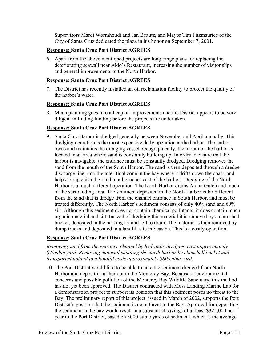Supervisors Mardi Wormhoudt and Jan Beautz, and Mayor Tim Fitzmaurice of the City of Santa Cruz dedicated the plaza in his honor on September 7, 2001.

#### **Response: Santa Cruz Port District AGREES**

6. Apart from the above mentioned projects are long range plans for replacing the deteriorating seawall near Aldo's Restaurant, increasing the number of visitor slips and general improvements to the North Harbor.

#### **Response: Santa Cruz Port District AGREES**

7. The District has recently installed an oil reclamation facility to protect the quality of the harbor's water.

#### **Response: Santa Cruz Port District AGREES**

8. Much planning goes into all capital improvements and the District appears to be very diligent in finding funding before the projects are undertaken.

#### **Response: Santa Cruz Port District AGREES**

9. Santa Cruz Harbor is dredged generally between November and April annually. This dredging operation is the most expensive daily operation at the harbor. The harbor owns and maintains the dredging vessel. Geographically, the mouth of the harbor is located in an area where sand is constantly building up. In order to ensure that the harbor is navigable, the entrance must be constantly dredged. Dredging removes the sand from the mouth of the South Harbor. The sand is then deposited through a dredge discharge line, into the inter-tidal zone in the bay where it drifts down the coast, and helps to replenish the sand to all beaches east of the harbor. Dredging of the North Harbor is a much different operation. The North Harbor drains Arana Gulch and much of the surrounding area. The sediment deposited in the North Harbor is far different from the sand that is dredge from the channel entrance in South Harbor, and must be treated differently. The North Harbor's sediment consists of only 40% sand and 60% silt. Although this sediment does not contain chemical pollutants, it does contain much organic material and silt. Instead of dredging this material it is removed by a clamshell bucket, deposited in the parking lot and left to drain. The material is then removed by dump trucks and deposited in a landfill site in Seaside. This is a costly operation.

#### **Response: Santa Cruz Port District AGREES**

*Removing sand from the entrance channel by hydraulic dredging cost approximately \$4/cubic yard. Removing material shoaling the north harbor by clamshell bucket and transported upland to a landfill costs approximately \$80/cubic yard.*

10. The Port District would like to be able to take the sediment dredged from North Harbor and deposit it further out in the Monterey Bay. Because of environmental concerns and possible pollution of the Monterey Bay Wildlife Sanctuary, this method has not yet been approved. The District contracted with Moss Landing Marine Lab for a demonstration project to support its position that this sediment poses no threat to the Bay. The preliminary report of this project, issued in March of 2002, supports the Port District's position that the sediment is not a threat to the Bay. Approval for depositing the sediment in the bay would result in a substantial savings of at least \$325,000 per year to the Port District, based on 5000 cubic yards of sediment, which is the average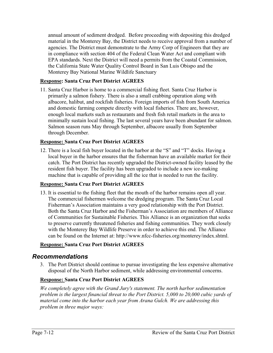annual amount of sediment dredged. Before proceeding with depositing this dredged material in the Monterey Bay, the District needs to receive approval from a number of agencies. The District must demonstrate to the Army Corp of Engineers that they are in compliance with section 404 of the Federal Clean Water Act and compliant with EPA standards. Next the District will need a permits from the Coastal Commission, the California State Water Quality Control Board in San Luis Obispo and the Monterey Bay National Marine Wildlife Sanctuary

#### **Response: Santa Cruz Port District AGREES**

11. Santa Cruz Harbor is home to a commercial fishing fleet. Santa Cruz Harbor is primarily a salmon fishery. There is also a small crabbing operation along with albacore, halibut, and rockfish fisheries. Foreign imports of fish from South America and domestic farming compete directly with local fisheries. There are, however, enough local markets such as restaurants and fresh fish retail markets in the area to minimally sustain local fishing. The last several years have been abundant for salmon. Salmon season runs May through September, albacore usually from September through December.

#### **Response: Santa Cruz Port District AGREES**

12. There is a local fish buyer located in the harbor at the "S" and "T" docks. Having a local buyer in the harbor ensures that the fisherman have an available market for their catch. The Port District has recently upgraded the District-owned facility leased by the resident fish buyer. The facility has been upgraded to include a new ice-making machine that is capable of providing all the ice that is needed to run the facility.

#### **Response: Santa Cruz Port District AGREES**

13. It is essential to the fishing fleet that the mouth of the harbor remains open all year. The commercial fishermen welcome the dredging program. The Santa Cruz Local Fisherman's Association maintains a very good relationship with the Port District. Both the Santa Cruz Harbor and the Fisherman's Association are members of Alliance of Communities for Sustainable Fisheries. This Alliance is an organization that seeks to preserve currently threatened fisheries and fishing communities. They work closely with the Monterey Bay Wildlife Preserve in order to achieve this end. The Alliance can be found on the Internet at: http://www.nfcc-fisheries.org/monterey/index.shtml.

#### **Response: Santa Cruz Port District AGREES**

#### *Recommendations*

3. The Port District should continue to pursue investigating the less expensive alternative disposal of the North Harbor sediment, while addressing environmental concerns.

#### **Response: Santa Cruz Port District AGREES**

*We completely agree with the Grand Jury's statement. The north harbor sedimentation problem is the largest financial threat to the Port District. 5,000 to 20,000 cubic yards of material come into the harbor each year from Arana Gulch. We are addressing this problem in three major ways:*